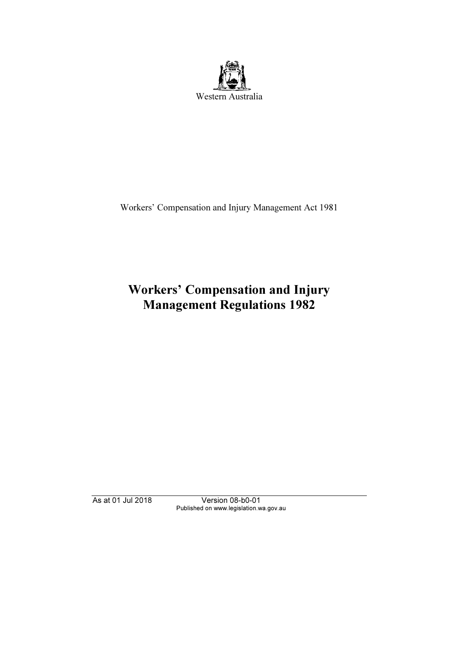

Workers' Compensation and Injury Management Act 1981

# Workers' Compensation and Injury Management Regulations 1982

As at 01 Jul 2018 Version 08-b0-01 Published on www.legislation.wa.gov.au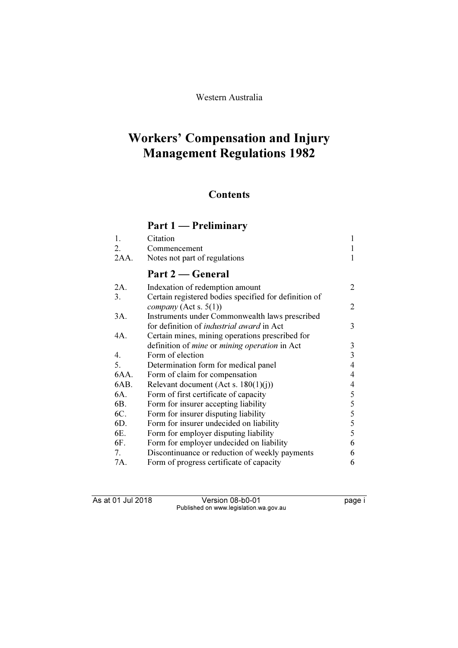# Western Australia

# Workers' Compensation and Injury Management Regulations 1982

# **Contents**

# Part 1 — Preliminary

| 1.   | Citation                                                    | 1              |
|------|-------------------------------------------------------------|----------------|
| 2.   | Commencement                                                |                |
| 2AA. | Notes not part of regulations                               | 1              |
|      | Part 2 – General                                            |                |
| 2A.  | Indexation of redemption amount                             | 2              |
| 3.   | Certain registered bodies specified for definition of       |                |
|      | company (Act s. $5(1)$ )                                    | 2              |
| 3A.  | Instruments under Commonwealth laws prescribed              |                |
|      | for definition of <i>industrial award</i> in Act            | 3              |
| 4A.  | Certain mines, mining operations prescribed for             |                |
|      | definition of <i>mine</i> or <i>mining operation</i> in Act | 3              |
| 4.   | Form of election                                            | 3              |
| 5.   | Determination form for medical panel                        | $\overline{4}$ |
| 6AA. | Form of claim for compensation                              | $\overline{4}$ |
| 6AB. | Relevant document (Act s. $180(1)(j)$ )                     | 4              |
| 6A.  | Form of first certificate of capacity                       | 5              |
| 6B.  | Form for insurer accepting liability                        | 5              |
| 6C.  | Form for insurer disputing liability                        | 5              |
| 6D.  | Form for insurer undecided on liability                     | 5              |
| 6E.  | Form for employer disputing liability                       | 5              |
| 6F.  | Form for employer undecided on liability                    | 6              |
| 7.   | Discontinuance or reduction of weekly payments              | 6              |
| 7A.  | Form of progress certificate of capacity                    | 6              |

As at 01 Jul 2018 Version 08-b0-01 page i Published on www.legislation.wa.gov.au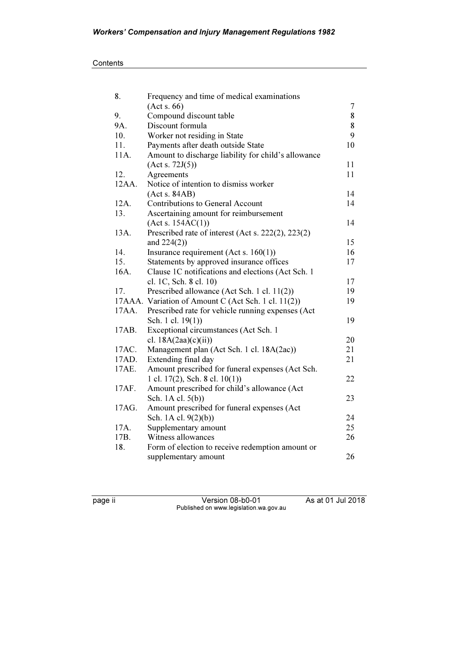| 8.    | Frequency and time of medical examinations          |        |
|-------|-----------------------------------------------------|--------|
|       | (Acts. 66)                                          | $\tau$ |
| 9.    | Compound discount table                             | 8      |
| 9A.   | Discount formula                                    | 8      |
| 10.   | Worker not residing in State                        | 9      |
| 11.   | Payments after death outside State                  | 10     |
| 11A.  | Amount to discharge liability for child's allowance |        |
|       | (Act s. 72J(5))                                     | 11     |
| 12.   | Agreements                                          | 11     |
| 12AA. | Notice of intention to dismiss worker               |        |
|       | (Acts. 84AB)                                        | 14     |
| 12A.  | Contributions to General Account                    | 14     |
| 13.   | Ascertaining amount for reimbursement               |        |
|       | (Act s. 154AC(1))                                   | 14     |
| 13A.  | Prescribed rate of interest (Act s. 222(2), 223(2)  |        |
|       | and $224(2)$ )                                      | 15     |
| 14.   | Insurance requirement (Act s. $160(1)$ )            | 16     |
| 15.   | Statements by approved insurance offices            | 17     |
| 16A.  | Clause 1C notifications and elections (Act Sch. 1)  |        |
|       | cl. 1C, Sch. 8 cl. 10)                              | 17     |
| 17.   | Prescribed allowance (Act Sch. 1 cl. 11(2))         | 19     |
|       | 17AAA. Variation of Amount C (Act Sch. 1 cl. 11(2)) |        |
| 17AA. | Prescribed rate for vehicle running expenses (Act   |        |
|       | Sch. 1 cl. 19(1))                                   | 19     |
| 17AB. | Exceptional circumstances (Act Sch. 1               |        |
|       | cl. $18A(2aa)(c)(ii)$                               | 20     |
| 17AC. | Management plan (Act Sch. 1 cl. 18A(2ac))           | 21     |
| 17AD. | Extending final day                                 | 21     |
| 17AE. | Amount prescribed for funeral expenses (Act Sch.    |        |
|       | 1 cl. $17(2)$ , Sch. 8 cl. $10(1)$ )                | 22     |
| 17AF. | Amount prescribed for child's allowance (Act        |        |
|       | Sch. 1A cl. 5(b))                                   | 23     |
| 17AG. | Amount prescribed for funeral expenses (Act         |        |
|       | Sch. 1A cl. 9(2)(b))                                | 24     |
| 17A.  | Supplementary amount                                | 25     |
| 17B.  | Witness allowances                                  | 26     |
| 18.   | Form of election to receive redemption amount or    |        |
|       | supplementary amount                                | 26     |

page ii Version 08-b0-01 As at 01 Jul 2018 Published on www.legislation.wa.gov.au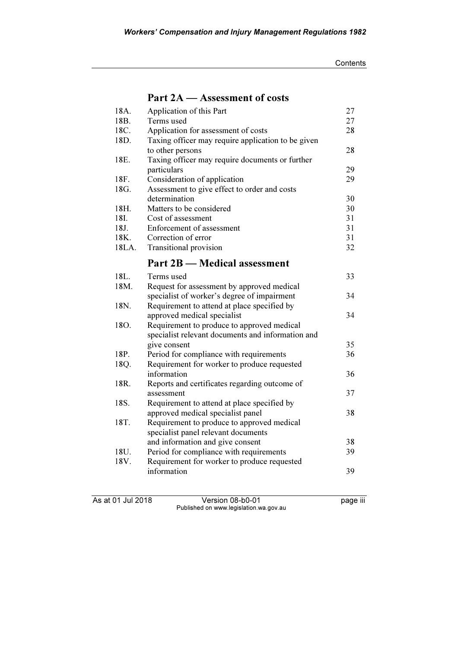|                   | Part 2A – Assessment of costs                      |    |
|-------------------|----------------------------------------------------|----|
| 18A.              | Application of this Part                           | 27 |
| 18 <sub>B</sub> . | Terms used                                         | 27 |
| 18C.              | Application for assessment of costs                | 28 |
| 18D.              | Taxing officer may require application to be given |    |
|                   | to other persons                                   | 28 |
| 18E.              | Taxing officer may require documents or further    |    |
|                   | particulars                                        | 29 |
| 18F.              | Consideration of application                       | 29 |
| 18G.              | Assessment to give effect to order and costs       |    |
|                   | determination                                      | 30 |
| 18H.              | Matters to be considered                           | 30 |
| 18I.              | Cost of assessment                                 | 31 |
| 18J.              | Enforcement of assessment                          | 31 |
| 18K.              | Correction of error                                | 31 |
| 18LA.             | Transitional provision                             | 32 |
|                   | Part 2B — Medical assessment                       |    |
| 18L.              | Terms used                                         | 33 |
| 18M.              | Request for assessment by approved medical         |    |
|                   | specialist of worker's degree of impairment        | 34 |
| 18N.              | Requirement to attend at place specified by        |    |
|                   | approved medical specialist                        | 34 |
| 18O.              | Requirement to produce to approved medical         |    |
|                   | specialist relevant documents and information and  |    |
|                   | give consent                                       | 35 |
| 18P.              | Period for compliance with requirements            | 36 |
| 18Q.              | Requirement for worker to produce requested        |    |
|                   | information                                        | 36 |
| 18R.              | Reports and certificates regarding outcome of      |    |

As at 01 Jul 2018 Version 08-b0-01 page iii Published on www.legislation.wa.gov.au

18U. Period for compliance with requirements 39<br>18V. Requirement for worker to produce requested Requirement for worker to produce requested

18S. Requirement to attend at place specified by

18T. Requirement to produce to approved medical specialist panel relevant documents

assessment 37

approved medical specialist panel 38

and information and give consent 38

information 39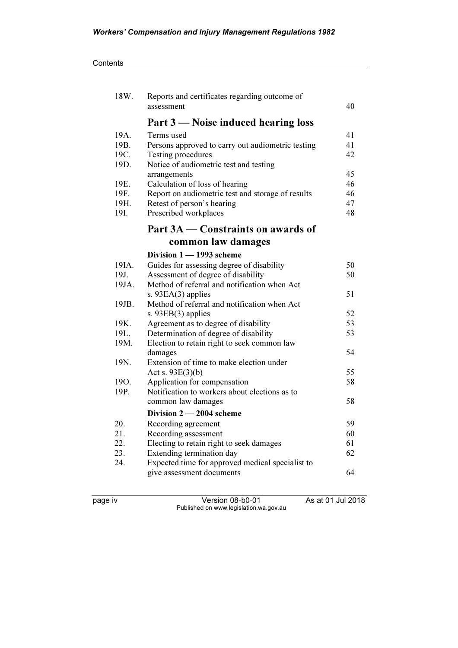| 18W.       | Reports and certificates regarding outcome of                                 |          |
|------------|-------------------------------------------------------------------------------|----------|
|            | assessment                                                                    | 40       |
|            | Part 3 — Noise induced hearing loss                                           |          |
| 19A.       | Terms used                                                                    | 41       |
| 19B.       | Persons approved to carry out audiometric testing                             | 41       |
| 19C.       | Testing procedures                                                            | 42       |
| 19D.       | Notice of audiometric test and testing                                        |          |
| 19E.       | arrangements<br>Calculation of loss of hearing                                | 45<br>46 |
| 19F.       | Report on audiometric test and storage of results                             | 46       |
| 19H.       | Retest of person's hearing                                                    | 47       |
| 19I.       | Prescribed workplaces                                                         | 48       |
|            | Part 3A — Constraints on awards of                                            |          |
|            | common law damages                                                            |          |
|            | Division 1 - 1993 scheme                                                      |          |
| 19IA.      | Guides for assessing degree of disability                                     | 50       |
| 19J.       | Assessment of degree of disability                                            | 50       |
| 19JA.      | Method of referral and notification when Act                                  |          |
|            | s. $93EA(3)$ applies                                                          | 51       |
| 19JB.      | Method of referral and notification when Act                                  |          |
|            | s. $93EB(3)$ applies                                                          | 52       |
| 19K.       | Agreement as to degree of disability                                          | 53       |
| 19L.       | Determination of degree of disability                                         | 53       |
| 19M.       | Election to retain right to seek common law                                   |          |
|            | damages                                                                       | 54       |
| 19N.       | Extension of time to make election under                                      |          |
| 19O.       | Act s. $93E(3)(b)$                                                            | 55<br>58 |
| 19P.       | Application for compensation<br>Notification to workers about elections as to |          |
|            | common law damages                                                            | 58       |
|            |                                                                               |          |
|            | Division $2 - 2004$ scheme                                                    | 59       |
| 20.<br>21. | Recording agreement                                                           | 60       |
| 22.        | Recording assessment<br>Electing to retain right to seek damages              | 61       |
| 23.        | Extending termination day                                                     | 62       |
| 24.        | Expected time for approved medical specialist to                              |          |
|            | give assessment documents                                                     | 64       |
|            |                                                                               |          |

page iv Version 08-b0-01 As at 01 Jul 2018 Published on www.legislation.wa.gov.au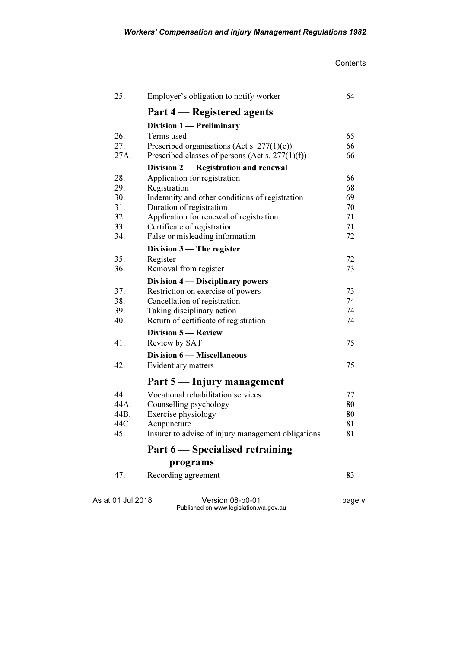| Contents |
|----------|
|----------|

| 25.  | Employer's obligation to notify worker              | 64 |
|------|-----------------------------------------------------|----|
|      | Part 4 – Registered agents                          |    |
|      | Division 1 - Preliminary                            |    |
| 26.  | Terms used                                          | 65 |
| 27.  | Prescribed organisations (Act s. $277(1)(e)$ )      | 66 |
| 27A. | Prescribed classes of persons (Act s. $277(1)(f)$ ) | 66 |
|      | Division 2 — Registration and renewal               |    |
| 28.  | Application for registration                        | 66 |
| 29.  | Registration                                        | 68 |
| 30.  | Indemnity and other conditions of registration      | 69 |
| 31.  | Duration of registration                            | 70 |
| 32.  | Application for renewal of registration             | 71 |
| 33.  | Certificate of registration                         | 71 |
| 34.  | False or misleading information                     | 72 |
|      | Division $3$ — The register                         |    |
| 35.  | Register                                            | 72 |
| 36.  | Removal from register                               | 73 |
|      | Division 4 — Disciplinary powers                    |    |
| 37.  | Restriction on exercise of powers                   | 73 |
| 38.  | Cancellation of registration                        | 74 |
| 39.  | Taking disciplinary action                          | 74 |
| 40.  | Return of certificate of registration               | 74 |
|      | <b>Division 5 — Review</b>                          |    |
| 41.  | Review by SAT                                       | 75 |
|      | <b>Division 6 – Miscellaneous</b>                   |    |
| 42.  | Evidentiary matters                                 | 75 |
|      |                                                     |    |
|      | Part 5 — Injury management                          |    |
| 44.  | Vocational rehabilitation services                  | 77 |
| 44A. | Counselling psychology                              | 80 |
| 44B. | Exercise physiology                                 | 80 |
| 44C. | Acupuncture                                         | 81 |
| 45.  | Insurer to advise of injury management obligations  | 81 |
|      | Part 6 – Specialised retraining                     |    |
|      | programs                                            |    |
| 47.  | Recording agreement                                 | 83 |
|      |                                                     |    |

As at 01 Jul 2018 **Version 08-b0-01 Page v** Published on www.legislation.wa.gov.au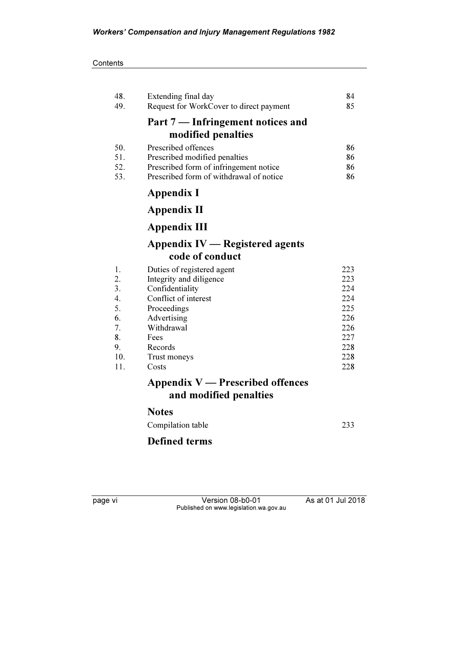| 48. | Extending final day                     | 84  |
|-----|-----------------------------------------|-----|
| 49. | Request for WorkCover to direct payment | 85  |
|     | Part 7 — Infringement notices and       |     |
|     | modified penalties                      |     |
| 50. | Prescribed offences                     | 86  |
| 51. | Prescribed modified penalties           | 86  |
| 52. | Prescribed form of infringement notice  | 86  |
| 53. | Prescribed form of withdrawal of notice | 86  |
|     | <b>Appendix I</b>                       |     |
|     | Appendix II                             |     |
|     | <b>Appendix III</b>                     |     |
|     | <b>Appendix IV — Registered agents</b>  |     |
|     | code of conduct                         |     |
| 1.  | Duties of registered agent              | 223 |
| 2.  | Integrity and diligence                 | 223 |
| 3.  | Confidentiality                         | 224 |
| 4.  | Conflict of interest                    | 224 |
| 5.  | Proceedings                             | 225 |
| 6.  | Advertising                             | 226 |
| 7.  | Withdrawal                              | 226 |
| 8.  | Fees                                    | 227 |
| 9.  | Records                                 | 228 |
| 10. | Trust moneys                            | 228 |
| 11. | Costs                                   | 228 |
|     | Appendix $V$ — Prescribed offences      |     |
|     | and modified penalties                  |     |
|     | <b>Notes</b>                            |     |
|     | Compilation table                       | 233 |

# Defined terms

page vi Version 08-b0-01 As at 01 Jul 2018 Published on www.legislation.wa.gov.au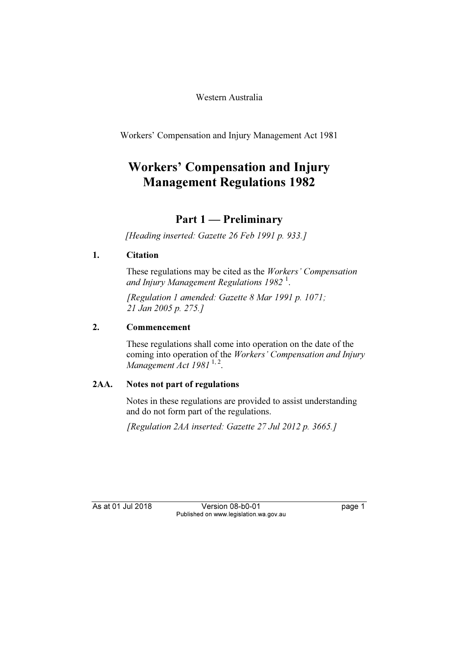Western Australia

Workers' Compensation and Injury Management Act 1981

# Workers' Compensation and Injury Management Regulations 1982

# Part 1 — Preliminary

[Heading inserted: Gazette 26 Feb 1991 p. 933.]

# 1. Citation

 These regulations may be cited as the Workers' Compensation and Injury Management Regulations 1982<sup>1</sup>.

 [Regulation 1 amended: Gazette 8 Mar 1991 p. 1071; 21 Jan 2005 p. 275.]

# 2. Commencement

 These regulations shall come into operation on the date of the coming into operation of the Workers' Compensation and Injury Management Act 1981<sup>1,2</sup>.

# 2AA. Notes not part of regulations

 Notes in these regulations are provided to assist understanding and do not form part of the regulations.

[Regulation 2AA inserted: Gazette 27 Jul 2012 p. 3665.]

As at 01 Jul 2018 Version 08-b0-01 page 1 Published on www.legislation.wa.gov.au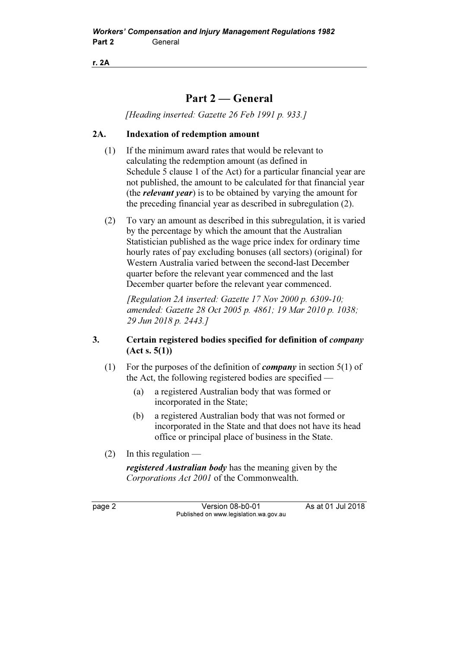r. 2A

# Part 2 — General

[Heading inserted: Gazette 26 Feb 1991 p. 933.]

# 2A. Indexation of redemption amount

- (1) If the minimum award rates that would be relevant to calculating the redemption amount (as defined in Schedule 5 clause 1 of the Act) for a particular financial year are not published, the amount to be calculated for that financial year (the *relevant year*) is to be obtained by varying the amount for the preceding financial year as described in subregulation (2).
- (2) To vary an amount as described in this subregulation, it is varied by the percentage by which the amount that the Australian Statistician published as the wage price index for ordinary time hourly rates of pay excluding bonuses (all sectors) (original) for Western Australia varied between the second-last December quarter before the relevant year commenced and the last December quarter before the relevant year commenced.

[Regulation 2A inserted: Gazette 17 Nov 2000 p. 6309-10; amended: Gazette 28 Oct 2005 p. 4861; 19 Mar 2010 p. 1038; 29 Jun 2018 p. 2443.]

# 3. Certain registered bodies specified for definition of company  $(Act s. 5(1))$

- (1) For the purposes of the definition of *company* in section  $5(1)$  of the Act, the following registered bodies are specified —
	- (a) a registered Australian body that was formed or incorporated in the State;
	- (b) a registered Australian body that was not formed or incorporated in the State and that does not have its head office or principal place of business in the State.
- (2) In this regulation —

registered Australian body has the meaning given by the Corporations Act 2001 of the Commonwealth.

page 2 Version 08-b0-01 As at 01 Jul 2018 Published on www.legislation.wa.gov.au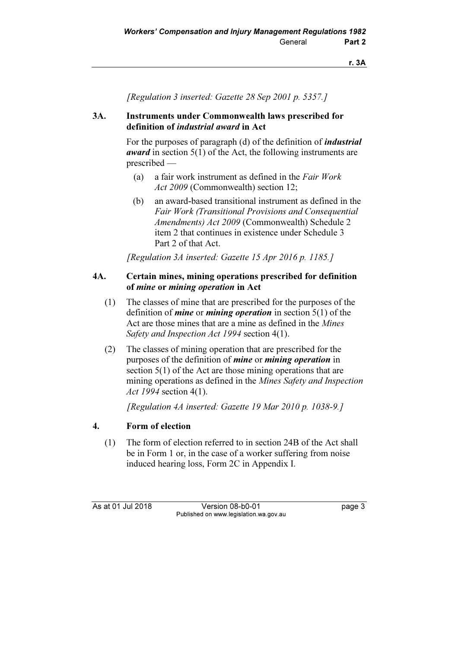[Regulation 3 inserted: Gazette 28 Sep 2001 p. 5357.]

# 3A. Instruments under Commonwealth laws prescribed for definition of industrial award in Act

For the purposes of paragraph (d) of the definition of *industrial* award in section 5(1) of the Act, the following instruments are prescribed —

- (a) a fair work instrument as defined in the Fair Work Act 2009 (Commonwealth) section 12;
- (b) an award-based transitional instrument as defined in the Fair Work (Transitional Provisions and Consequential Amendments) Act 2009 (Commonwealth) Schedule 2 item 2 that continues in existence under Schedule 3 Part 2 of that Act.

[Regulation 3A inserted: Gazette 15 Apr 2016 p. 1185.]

# 4A. Certain mines, mining operations prescribed for definition of mine or mining operation in Act

- (1) The classes of mine that are prescribed for the purposes of the definition of *mine* or *mining operation* in section  $5(1)$  of the Act are those mines that are a mine as defined in the Mines Safety and Inspection Act 1994 section 4(1).
- (2) The classes of mining operation that are prescribed for the purposes of the definition of *mine* or *mining operation* in section 5(1) of the Act are those mining operations that are mining operations as defined in the Mines Safety and Inspection Act 1994 section 4(1).

[Regulation 4A inserted: Gazette 19 Mar 2010 p. 1038-9.]

# 4. Form of election

 (1) The form of election referred to in section 24B of the Act shall be in Form 1 or, in the case of a worker suffering from noise induced hearing loss, Form 2C in Appendix I.

As at 01 Jul 2018 Version 08-b0-01 page 3 Published on www.legislation.wa.gov.au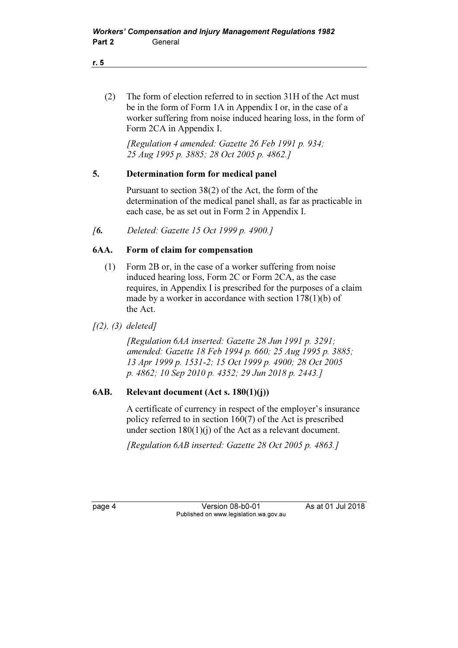(2) The form of election referred to in section 31H of the Act must be in the form of Form 1A in Appendix I or, in the case of a worker suffering from noise induced hearing loss, in the form of Form 2CA in Appendix I.

 [Regulation 4 amended: Gazette 26 Feb 1991 p. 934; 25 Aug 1995 p. 3885; 28 Oct 2005 p. 4862.]

#### 5. Determination form for medical panel

 Pursuant to section 38(2) of the Act, the form of the determination of the medical panel shall, as far as practicable in each case, be as set out in Form 2 in Appendix I.

[6. Deleted: Gazette 15 Oct 1999 p. 4900.]

#### 6AA. Form of claim for compensation

- (1) Form 2B or, in the case of a worker suffering from noise induced hearing loss, Form 2C or Form 2CA, as the case requires, in Appendix I is prescribed for the purposes of a claim made by a worker in accordance with section 178(1)(b) of the Act.
- $(2), (3)$  deleted]

 [Regulation 6AA inserted: Gazette 28 Jun 1991 p. 3291; amended: Gazette 18 Feb 1994 p. 660; 25 Aug 1995 p. 3885; 13 Apr 1999 p. 1531-2; 15 Oct 1999 p. 4900; 28 Oct 2005 p. 4862; 10 Sep 2010 p. 4352; 29 Jun 2018 p. 2443.]

# 6AB. Relevant document (Act s. 180(1)(j))

 A certificate of currency in respect of the employer's insurance policy referred to in section 160(7) of the Act is prescribed under section 180(1)(j) of the Act as a relevant document.

[Regulation 6AB inserted: Gazette 28 Oct 2005 p. 4863.]

page 4 Version 08-b0-01 As at 01 Jul 2018 Published on www.legislation.wa.gov.au

r. 5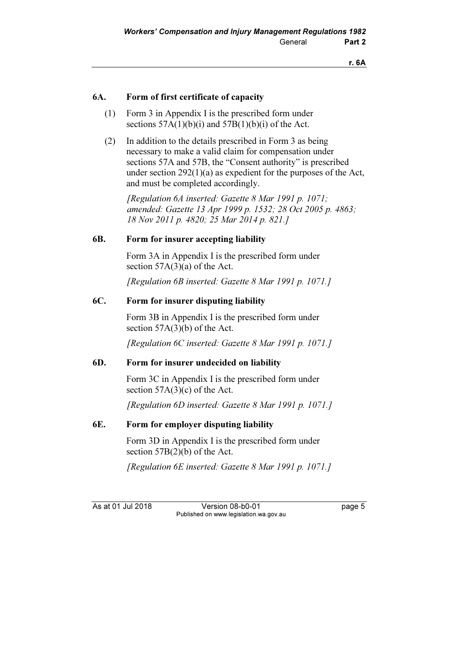#### 6A. Form of first certificate of capacity

- (1) Form 3 in Appendix I is the prescribed form under sections  $57A(1)(b)(i)$  and  $57B(1)(b)(i)$  of the Act.
- (2) In addition to the details prescribed in Form 3 as being necessary to make a valid claim for compensation under sections 57A and 57B, the "Consent authority" is prescribed under section 292(1)(a) as expedient for the purposes of the Act, and must be completed accordingly.

[Regulation 6A inserted: Gazette 8 Mar 1991 p. 1071: amended: Gazette 13 Apr 1999 p. 1532; 28 Oct 2005 p. 4863; 18 Nov 2011 p. 4820; 25 Mar 2014 p. 821.]

#### 6B. Form for insurer accepting liability

 Form 3A in Appendix I is the prescribed form under section 57A(3)(a) of the Act.

[Regulation 6B inserted: Gazette 8 Mar 1991 p. 1071.]

# 6C. Form for insurer disputing liability

 Form 3B in Appendix I is the prescribed form under section 57A(3)(b) of the Act.

[Regulation 6C inserted: Gazette 8 Mar 1991 p. 1071.]

#### 6D. Form for insurer undecided on liability

 Form 3C in Appendix I is the prescribed form under section  $57A(3)(c)$  of the Act.

[Regulation 6D inserted: Gazette 8 Mar 1991 p. 1071.]

# 6E. Form for employer disputing liability

 Form 3D in Appendix I is the prescribed form under section 57B(2)(b) of the Act.

[Regulation 6E inserted: Gazette 8 Mar 1991 p. 1071.]

As at 01 Jul 2018 Version 08-b0-01 page 5 Published on www.legislation.wa.gov.au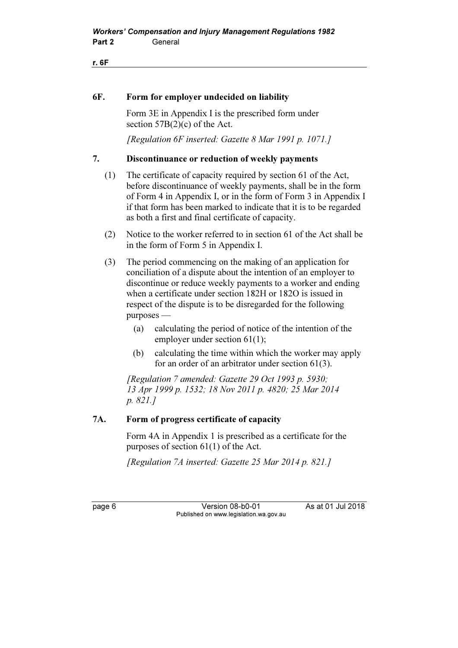r. 6F

#### 6F. Form for employer undecided on liability

 Form 3E in Appendix I is the prescribed form under section 57B(2)(c) of the Act.

[Regulation 6F inserted: Gazette 8 Mar 1991 p. 1071.]

#### 7. Discontinuance or reduction of weekly payments

- (1) The certificate of capacity required by section 61 of the Act, before discontinuance of weekly payments, shall be in the form of Form 4 in Appendix I, or in the form of Form 3 in Appendix I if that form has been marked to indicate that it is to be regarded as both a first and final certificate of capacity.
- (2) Notice to the worker referred to in section 61 of the Act shall be in the form of Form 5 in Appendix I.
- (3) The period commencing on the making of an application for conciliation of a dispute about the intention of an employer to discontinue or reduce weekly payments to a worker and ending when a certificate under section 182H or 182O is issued in respect of the dispute is to be disregarded for the following purposes —
	- (a) calculating the period of notice of the intention of the employer under section 61(1);
	- (b) calculating the time within which the worker may apply for an order of an arbitrator under section 61(3).

 [Regulation 7 amended: Gazette 29 Oct 1993 p. 5930; 13 Apr 1999 p. 1532; 18 Nov 2011 p. 4820; 25 Mar 2014 p. 821.]

### 7A. Form of progress certificate of capacity

 Form 4A in Appendix 1 is prescribed as a certificate for the purposes of section 61(1) of the Act.

[Regulation 7A inserted: Gazette 25 Mar 2014 p. 821.]

page 6 Version 08-b0-01 As at 01 Jul 2018 Published on www.legislation.wa.gov.au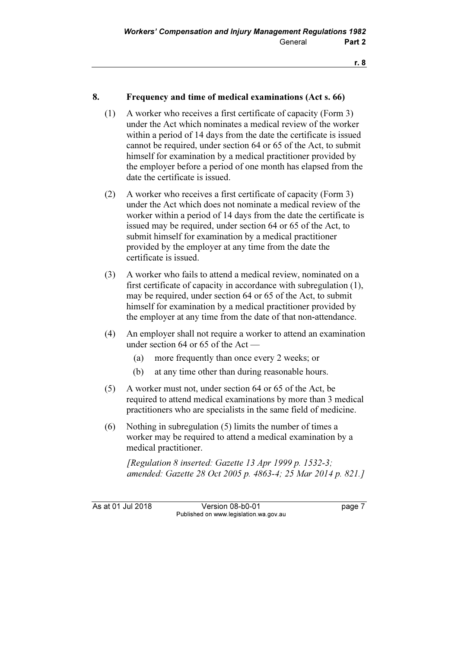#### 8. Frequency and time of medical examinations (Act s. 66)

- (1) A worker who receives a first certificate of capacity (Form 3) under the Act which nominates a medical review of the worker within a period of 14 days from the date the certificate is issued cannot be required, under section 64 or 65 of the Act, to submit himself for examination by a medical practitioner provided by the employer before a period of one month has elapsed from the date the certificate is issued.
- (2) A worker who receives a first certificate of capacity (Form 3) under the Act which does not nominate a medical review of the worker within a period of 14 days from the date the certificate is issued may be required, under section 64 or 65 of the Act, to submit himself for examination by a medical practitioner provided by the employer at any time from the date the certificate is issued.
- (3) A worker who fails to attend a medical review, nominated on a first certificate of capacity in accordance with subregulation (1), may be required, under section 64 or 65 of the Act, to submit himself for examination by a medical practitioner provided by the employer at any time from the date of that non-attendance.
- (4) An employer shall not require a worker to attend an examination under section 64 or 65 of the Act —
	- (a) more frequently than once every 2 weeks; or
	- (b) at any time other than during reasonable hours.
- (5) A worker must not, under section 64 or 65 of the Act, be required to attend medical examinations by more than 3 medical practitioners who are specialists in the same field of medicine.
- (6) Nothing in subregulation (5) limits the number of times a worker may be required to attend a medical examination by a medical practitioner.

 [Regulation 8 inserted: Gazette 13 Apr 1999 p. 1532-3; amended: Gazette 28 Oct 2005 p. 4863-4; 25 Mar 2014 p. 821.]

As at 01 Jul 2018 Version 08-b0-01 page 7 Published on www.legislation.wa.gov.au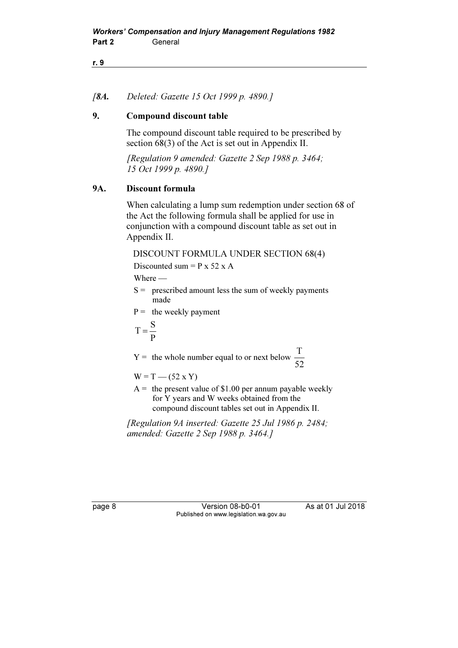#### r. 9

#### [8A. Deleted: Gazette 15 Oct 1999 p. 4890.]

#### 9. Compound discount table

 The compound discount table required to be prescribed by section 68(3) of the Act is set out in Appendix II.

 [Regulation 9 amended: Gazette 2 Sep 1988 p. 3464; 15 Oct 1999 p. 4890.]

#### 9A. Discount formula

 When calculating a lump sum redemption under section 68 of the Act the following formula shall be applied for use in conjunction with a compound discount table as set out in Appendix II.

# DISCOUNT FORMULA UNDER SECTION 68(4)

Discounted sum  $= P x 52 x A$ 

Where —

- $S =$  prescribed amount less the sum of weekly payments made
- $P =$  the weekly payment

$$
T = \frac{S}{P}
$$

 $Y =$  the whole number equal to or next below  $\frac{1}{52}$ T

 $W = T - (52 \times Y)$ 

 $A =$  the present value of \$1.00 per annum payable weekly for Y years and W weeks obtained from the compound discount tables set out in Appendix II.

 [Regulation 9A inserted: Gazette 25 Jul 1986 p. 2484; amended: Gazette 2 Sep 1988 p. 3464.]

page 8 Version 08-b0-01 As at 01 Jul 2018 Published on www.legislation.wa.gov.au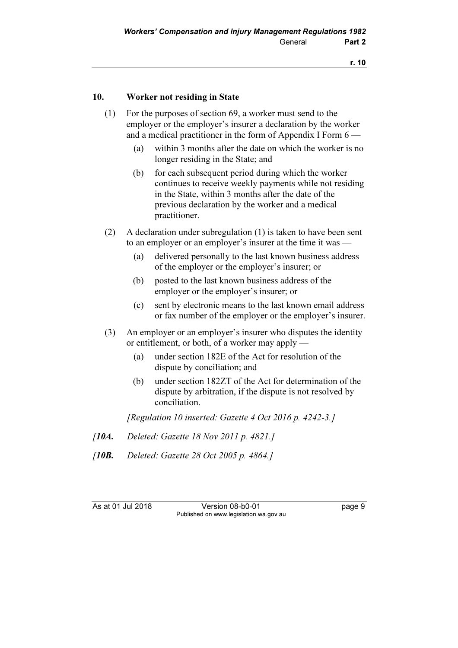#### 10. Worker not residing in State

- (1) For the purposes of section 69, a worker must send to the employer or the employer's insurer a declaration by the worker and a medical practitioner in the form of Appendix I Form 6 —
	- (a) within 3 months after the date on which the worker is no longer residing in the State; and
	- (b) for each subsequent period during which the worker continues to receive weekly payments while not residing in the State, within 3 months after the date of the previous declaration by the worker and a medical practitioner.
- (2) A declaration under subregulation (1) is taken to have been sent to an employer or an employer's insurer at the time it was —
	- (a) delivered personally to the last known business address of the employer or the employer's insurer; or
	- (b) posted to the last known business address of the employer or the employer's insurer; or
	- (c) sent by electronic means to the last known email address or fax number of the employer or the employer's insurer.
- (3) An employer or an employer's insurer who disputes the identity or entitlement, or both, of a worker may apply —
	- (a) under section 182E of the Act for resolution of the dispute by conciliation; and
	- (b) under section 182ZT of the Act for determination of the dispute by arbitration, if the dispute is not resolved by conciliation.

[Regulation 10 inserted: Gazette 4 Oct 2016 p. 4242-3.]

- [**10A.** Deleted: Gazette 18 Nov 2011 p. 4821.]
- [10**B.** Deleted: Gazette 28 Oct 2005 p. 4864.]

As at 01 Jul 2018 Version 08-b0-01 page 9 Published on www.legislation.wa.gov.au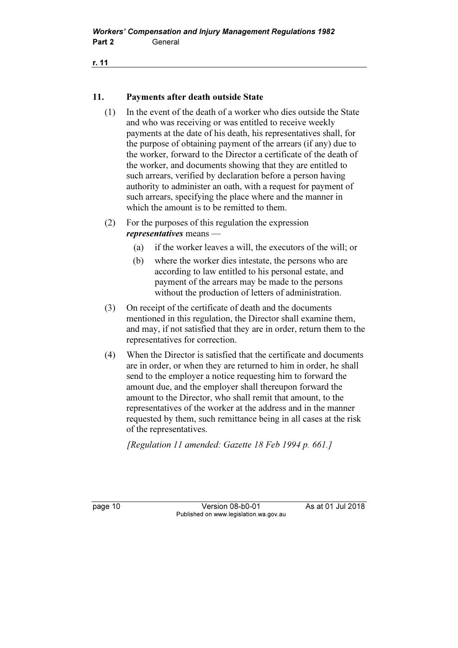r. 11

# 11. Payments after death outside State

- (1) In the event of the death of a worker who dies outside the State and who was receiving or was entitled to receive weekly payments at the date of his death, his representatives shall, for the purpose of obtaining payment of the arrears (if any) due to the worker, forward to the Director a certificate of the death of the worker, and documents showing that they are entitled to such arrears, verified by declaration before a person having authority to administer an oath, with a request for payment of such arrears, specifying the place where and the manner in which the amount is to be remitted to them.
- (2) For the purposes of this regulation the expression representatives means —
	- (a) if the worker leaves a will, the executors of the will; or
	- (b) where the worker dies intestate, the persons who are according to law entitled to his personal estate, and payment of the arrears may be made to the persons without the production of letters of administration.
- (3) On receipt of the certificate of death and the documents mentioned in this regulation, the Director shall examine them, and may, if not satisfied that they are in order, return them to the representatives for correction.
- (4) When the Director is satisfied that the certificate and documents are in order, or when they are returned to him in order, he shall send to the employer a notice requesting him to forward the amount due, and the employer shall thereupon forward the amount to the Director, who shall remit that amount, to the representatives of the worker at the address and in the manner requested by them, such remittance being in all cases at the risk of the representatives.

[Regulation 11 amended: Gazette 18 Feb 1994 p. 661.]

page 10 **Version 08-b0-01** As at 01 Jul 2018 Published on www.legislation.wa.gov.au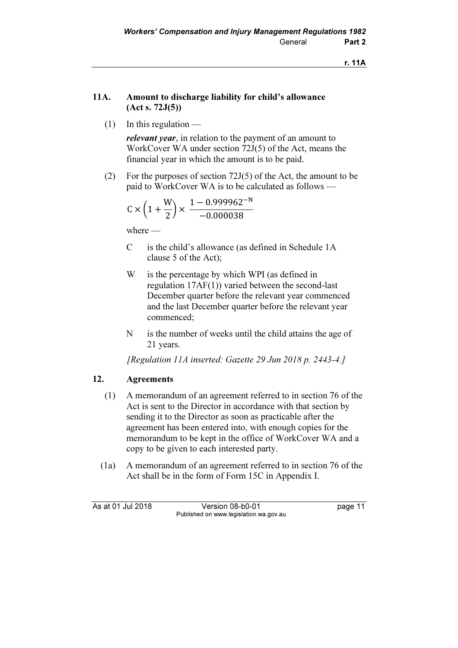r. 11A

# 11A. Amount to discharge liability for child's allowance (Act s. 72J(5))

 $(1)$  In this regulation —

relevant year, in relation to the payment of an amount to WorkCover WA under section 72J(5) of the Act, means the financial year in which the amount is to be paid.

 (2) For the purposes of section 72J(5) of the Act, the amount to be paid to WorkCover WA is to be calculated as follows —

$$
C \times \left(1 + \frac{W}{2}\right) \times \frac{1 - 0.999962^{-N}}{-0.000038}
$$

where —

- C is the child's allowance (as defined in Schedule 1A clause 5 of the Act);
- W is the percentage by which WPI (as defined in regulation 17AF(1)) varied between the second-last December quarter before the relevant year commenced and the last December quarter before the relevant year commenced;
- N is the number of weeks until the child attains the age of 21 years.

[Regulation 11A inserted: Gazette 29 Jun 2018 p. 2443-4.]

# 12. Agreements

- (1) A memorandum of an agreement referred to in section 76 of the Act is sent to the Director in accordance with that section by sending it to the Director as soon as practicable after the agreement has been entered into, with enough copies for the memorandum to be kept in the office of WorkCover WA and a copy to be given to each interested party.
- (1a) A memorandum of an agreement referred to in section 76 of the Act shall be in the form of Form 15C in Appendix I.

As at 01 Jul 2018 Version 08-b0-01 page 11 Published on www.legislation.wa.gov.au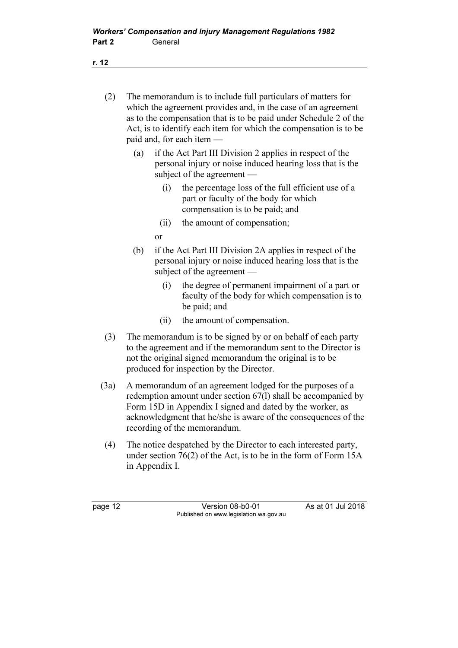r. 12

- (2) The memorandum is to include full particulars of matters for which the agreement provides and, in the case of an agreement as to the compensation that is to be paid under Schedule 2 of the Act, is to identify each item for which the compensation is to be paid and, for each item —
	- (a) if the Act Part III Division 2 applies in respect of the personal injury or noise induced hearing loss that is the subject of the agreement —
		- (i) the percentage loss of the full efficient use of a part or faculty of the body for which compensation is to be paid; and
		- (ii) the amount of compensation;
		- or
	- (b) if the Act Part III Division 2A applies in respect of the personal injury or noise induced hearing loss that is the subject of the agreement —
		- (i) the degree of permanent impairment of a part or faculty of the body for which compensation is to be paid; and
		- (ii) the amount of compensation.
- (3) The memorandum is to be signed by or on behalf of each party to the agreement and if the memorandum sent to the Director is not the original signed memorandum the original is to be produced for inspection by the Director.
- (3a) A memorandum of an agreement lodged for the purposes of a redemption amount under section 67(l) shall be accompanied by Form 15D in Appendix I signed and dated by the worker, as acknowledgment that he/she is aware of the consequences of the recording of the memorandum.
- (4) The notice despatched by the Director to each interested party, under section 76(2) of the Act, is to be in the form of Form 15A in Appendix I.

page 12 **Version 08-b0-01** As at 01 Jul 2018 Published on www.legislation.wa.gov.au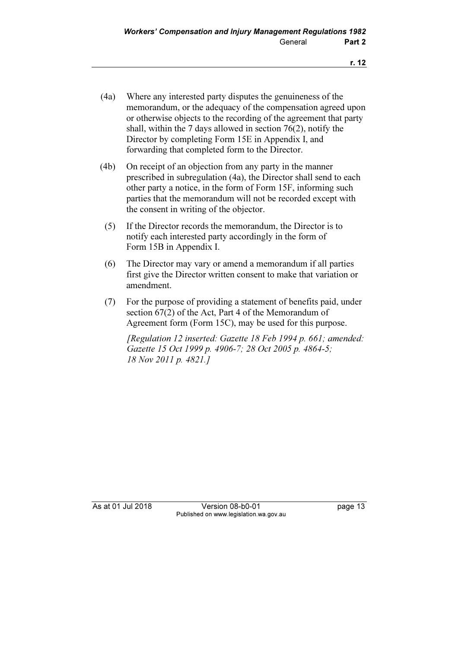- (4a) Where any interested party disputes the genuineness of the memorandum, or the adequacy of the compensation agreed upon or otherwise objects to the recording of the agreement that party shall, within the 7 days allowed in section 76(2), notify the Director by completing Form 15E in Appendix I, and forwarding that completed form to the Director.
- (4b) On receipt of an objection from any party in the manner prescribed in subregulation (4a), the Director shall send to each other party a notice, in the form of Form 15F, informing such parties that the memorandum will not be recorded except with the consent in writing of the objector.
	- (5) If the Director records the memorandum, the Director is to notify each interested party accordingly in the form of Form 15B in Appendix I.
	- (6) The Director may vary or amend a memorandum if all parties first give the Director written consent to make that variation or amendment.
	- (7) For the purpose of providing a statement of benefits paid, under section 67(2) of the Act, Part 4 of the Memorandum of Agreement form (Form 15C), may be used for this purpose.

[Regulation 12 inserted: Gazette 18 Feb 1994 p. 661; amended: Gazette 15 Oct 1999 p. 4906-7; 28 Oct 2005 p. 4864-5; 18 Nov 2011 p. 4821.]

As at 01 Jul 2018 Version 08-b0-01 page 13 Published on www.legislation.wa.gov.au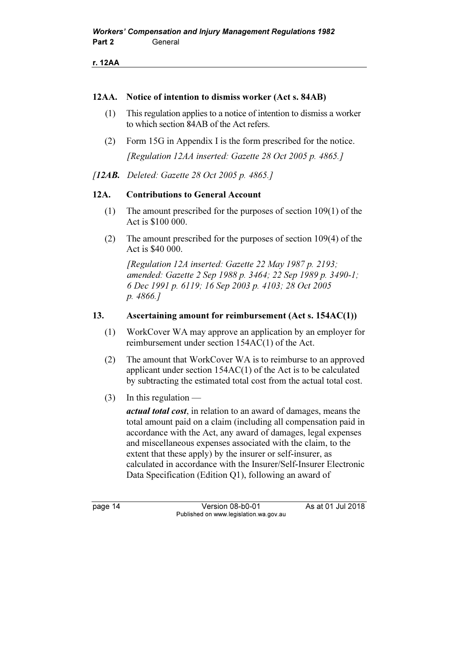r. 12AA

#### 12AA. Notice of intention to dismiss worker (Act s. 84AB)

- (1) This regulation applies to a notice of intention to dismiss a worker to which section 84AB of the Act refers.
- (2) Form 15G in Appendix I is the form prescribed for the notice. [Regulation 12AA inserted: Gazette 28 Oct 2005 p. 4865.]
- [12AB. Deleted: Gazette 28 Oct 2005 p. 4865.]

#### 12A. Contributions to General Account

- (1) The amount prescribed for the purposes of section 109(1) of the Act is \$100 000.
- (2) The amount prescribed for the purposes of section 109(4) of the Act is \$40 000.

 [Regulation 12A inserted: Gazette 22 May 1987 p. 2193; amended: Gazette 2 Sep 1988 p. 3464; 22 Sep 1989 p. 3490-1; 6 Dec 1991 p. 6119; 16 Sep 2003 p. 4103; 28 Oct 2005 p. 4866.]

#### 13. Ascertaining amount for reimbursement (Act s. 154AC(1))

- (1) WorkCover WA may approve an application by an employer for reimbursement under section 154AC(1) of the Act.
- (2) The amount that WorkCover WA is to reimburse to an approved applicant under section 154AC(1) of the Act is to be calculated by subtracting the estimated total cost from the actual total cost.
- $(3)$  In this regulation —

actual total cost, in relation to an award of damages, means the total amount paid on a claim (including all compensation paid in accordance with the Act, any award of damages, legal expenses and miscellaneous expenses associated with the claim, to the extent that these apply) by the insurer or self-insurer, as calculated in accordance with the Insurer/Self-Insurer Electronic Data Specification (Edition Q1), following an award of

page 14 Version 08-b0-01 As at 01 Jul 2018 Published on www.legislation.wa.gov.au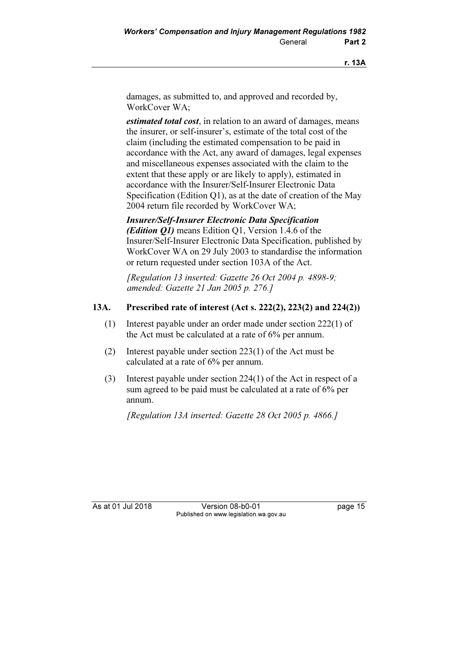damages, as submitted to, and approved and recorded by, WorkCover WA;

estimated total cost, in relation to an award of damages, means the insurer, or self-insurer's, estimate of the total cost of the claim (including the estimated compensation to be paid in accordance with the Act, any award of damages, legal expenses and miscellaneous expenses associated with the claim to the extent that these apply or are likely to apply), estimated in accordance with the Insurer/Self-Insurer Electronic Data Specification (Edition Q1), as at the date of creation of the May 2004 return file recorded by WorkCover WA;

Insurer/Self-Insurer Electronic Data Specification (*Edition Q1*) means Edition Q1, Version 1.4.6 of the Insurer/Self-Insurer Electronic Data Specification, published by WorkCover WA on 29 July 2003 to standardise the information or return requested under section 103A of the Act.

[Regulation 13 inserted: Gazette 26 Oct 2004 p. 4898-9; amended: Gazette 21 Jan 2005 p. 276.]

# 13A. Prescribed rate of interest (Act s. 222(2), 223(2) and 224(2))

- (1) Interest payable under an order made under section 222(1) of the Act must be calculated at a rate of 6% per annum.
- (2) Interest payable under section 223(1) of the Act must be calculated at a rate of 6% per annum.
- (3) Interest payable under section 224(1) of the Act in respect of a sum agreed to be paid must be calculated at a rate of 6% per annum.

[Regulation 13A inserted: Gazette 28 Oct 2005 p. 4866.]

As at 01 Jul 2018 **Version 08-b0-01 Dage 15** Published on www.legislation.wa.gov.au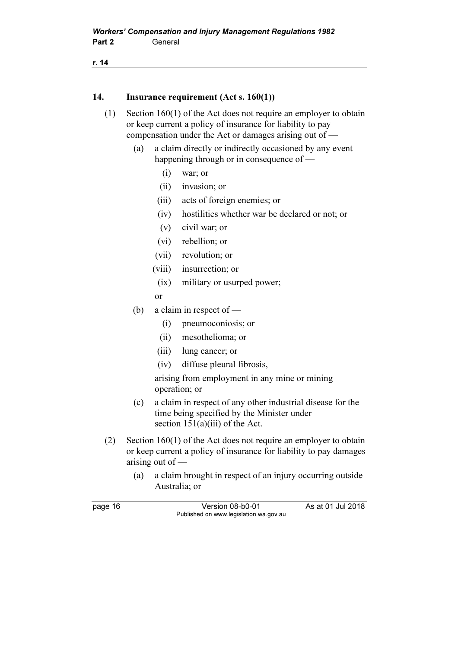r. 14

#### 14. Insurance requirement (Act s. 160(1))

- (1) Section 160(1) of the Act does not require an employer to obtain or keep current a policy of insurance for liability to pay compensation under the Act or damages arising out of —
	- (a) a claim directly or indirectly occasioned by any event happening through or in consequence of —
		- (i) war; or
		- (ii) invasion; or
		- (iii) acts of foreign enemies; or
		- (iv) hostilities whether war be declared or not; or
		- (v) civil war; or
		- (vi) rebellion; or
		- (vii) revolution; or
		- (viii) insurrection; or
		- (ix) military or usurped power;
		- or
	- (b) a claim in respect of
		- (i) pneumoconiosis; or
		- (ii) mesothelioma; or
		- (iii) lung cancer; or
		- (iv) diffuse pleural fibrosis,

 arising from employment in any mine or mining operation; or

- (c) a claim in respect of any other industrial disease for the time being specified by the Minister under section  $151(a)(iii)$  of the Act.
- (2) Section 160(1) of the Act does not require an employer to obtain or keep current a policy of insurance for liability to pay damages arising out of —
	- (a) a claim brought in respect of an injury occurring outside Australia; or

| page 16 | Version 08-b0-01                       | As at 01 Jul 2018 |
|---------|----------------------------------------|-------------------|
|         | Published on www.legislation.wa.gov.au |                   |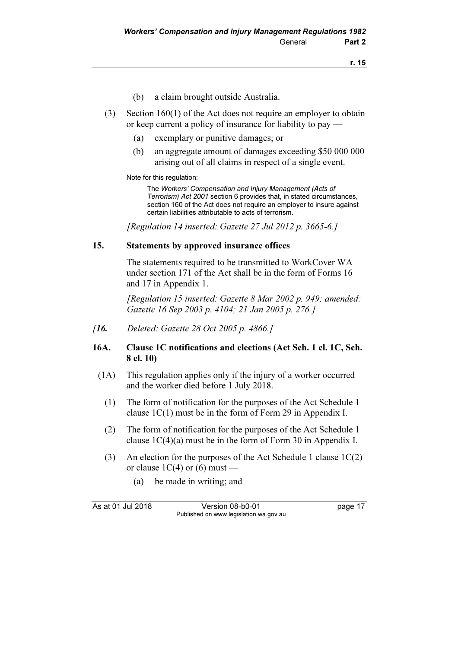- (b) a claim brought outside Australia.
- (3) Section 160(1) of the Act does not require an employer to obtain or keep current a policy of insurance for liability to pay —
	- (a) exemplary or punitive damages; or
	- (b) an aggregate amount of damages exceeding \$50 000 000 arising out of all claims in respect of a single event.

Note for this regulation:

 The Workers' Compensation and Injury Management (Acts of Terrorism) Act 2001 section 6 provides that, in stated circumstances, section 160 of the Act does not require an employer to insure against certain liabilities attributable to acts of terrorism.

[Regulation 14 inserted: Gazette 27 Jul 2012 p. 3665-6.]

#### 15. Statements by approved insurance offices

 The statements required to be transmitted to WorkCover WA under section 171 of the Act shall be in the form of Forms 16 and 17 in Appendix 1.

 [Regulation 15 inserted: Gazette 8 Mar 2002 p. 949; amended: Gazette 16 Sep 2003 p. 4104; 21 Jan 2005 p. 276.]

[16. Deleted: Gazette 28 Oct 2005 p. 4866.]

#### 16A. Clause 1C notifications and elections (Act Sch. 1 cl. 1C, Sch. 8 cl. 10)

- (1A) This regulation applies only if the injury of a worker occurred and the worker died before 1 July 2018.
	- (1) The form of notification for the purposes of the Act Schedule 1 clause 1C(1) must be in the form of Form 29 in Appendix I.
	- (2) The form of notification for the purposes of the Act Schedule 1 clause 1C(4)(a) must be in the form of Form 30 in Appendix I.
	- (3) An election for the purposes of the Act Schedule 1 clause  $1C(2)$ or clause  $1C(4)$  or  $(6)$  must —
		- (a) be made in writing; and

As at 01 Jul 2018 Version 08-b0-01 page 17 Published on www.legislation.wa.gov.au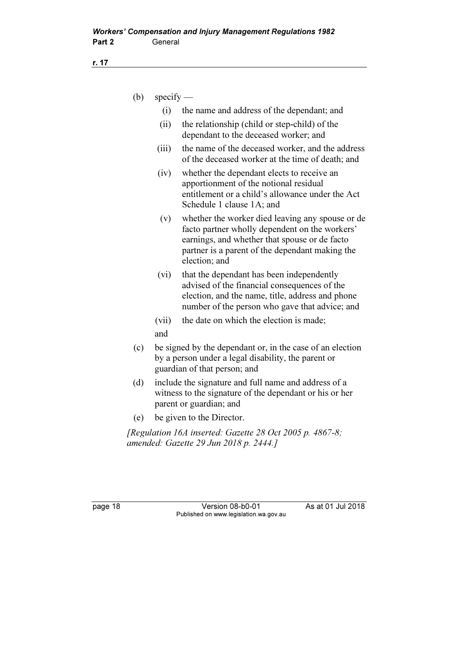| (b) | $\text{specify}$ —                                                                                                                               |                                                                                                                                                                                                                         |
|-----|--------------------------------------------------------------------------------------------------------------------------------------------------|-------------------------------------------------------------------------------------------------------------------------------------------------------------------------------------------------------------------------|
|     | (i)                                                                                                                                              | the name and address of the dependant; and                                                                                                                                                                              |
|     | (ii)                                                                                                                                             | the relationship (child or step-child) of the<br>dependant to the deceased worker; and                                                                                                                                  |
|     | (iii)                                                                                                                                            | the name of the deceased worker, and the address<br>of the deceased worker at the time of death; and                                                                                                                    |
|     | (iv)                                                                                                                                             | whether the dependant elects to receive an<br>apportionment of the notional residual<br>entitlement or a child's allowance under the Act<br>Schedule 1 clause 1A; and                                                   |
|     | (v)                                                                                                                                              | whether the worker died leaving any spouse or de<br>facto partner wholly dependent on the workers'<br>earnings, and whether that spouse or de facto<br>partner is a parent of the dependant making the<br>election; and |
|     | (vi)                                                                                                                                             | that the dependant has been independently<br>advised of the financial consequences of the<br>election, and the name, title, address and phone<br>number of the person who gave that advice; and                         |
|     | (vii)                                                                                                                                            | the date on which the election is made;                                                                                                                                                                                 |
|     | and                                                                                                                                              |                                                                                                                                                                                                                         |
| (c) | be signed by the dependant or, in the case of an election<br>by a person under a legal disability, the parent or<br>guardian of that person; and |                                                                                                                                                                                                                         |
| (d) | include the signature and full name and address of a<br>witness to the signature of the dependant or his or her<br>parent or guardian; and       |                                                                                                                                                                                                                         |
| (e) |                                                                                                                                                  | be given to the Director.                                                                                                                                                                                               |
|     |                                                                                                                                                  | [Regulation 16A inserted: Gazette 28 Oct 2005 p. 4867-8;<br>amended: Gazette 29 Jun 2018 p. 2444.]                                                                                                                      |
|     |                                                                                                                                                  |                                                                                                                                                                                                                         |

r. 17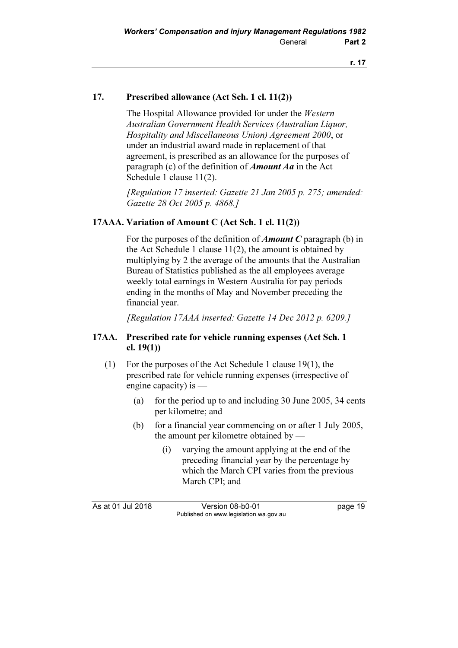### 17. Prescribed allowance (Act Sch. 1 cl. 11(2))

 The Hospital Allowance provided for under the Western Australian Government Health Services (Australian Liquor, Hospitality and Miscellaneous Union) Agreement 2000, or under an industrial award made in replacement of that agreement, is prescribed as an allowance for the purposes of paragraph (c) of the definition of *Amount Aa* in the Act Schedule 1 clause 11(2).

 [Regulation 17 inserted: Gazette 21 Jan 2005 p. 275; amended: Gazette 28 Oct 2005 p. 4868.]

#### 17AAA. Variation of Amount C (Act Sch. 1 cl. 11(2))

For the purposes of the definition of **Amount C** paragraph (b) in the Act Schedule 1 clause  $11(2)$ , the amount is obtained by multiplying by 2 the average of the amounts that the Australian Bureau of Statistics published as the all employees average weekly total earnings in Western Australia for pay periods ending in the months of May and November preceding the financial year.

[Regulation 17AAA inserted: Gazette 14 Dec 2012 p. 6209.]

#### 17AA. Prescribed rate for vehicle running expenses (Act Sch. 1 cl. 19(1))

- (1) For the purposes of the Act Schedule 1 clause 19(1), the prescribed rate for vehicle running expenses (irrespective of engine capacity) is —
	- (a) for the period up to and including 30 June 2005, 34 cents per kilometre; and
	- (b) for a financial year commencing on or after 1 July 2005, the amount per kilometre obtained by —
		- (i) varying the amount applying at the end of the preceding financial year by the percentage by which the March CPI varies from the previous March CPI; and

As at 01 Jul 2018 Version 08-b0-01 page 19 Published on www.legislation.wa.gov.au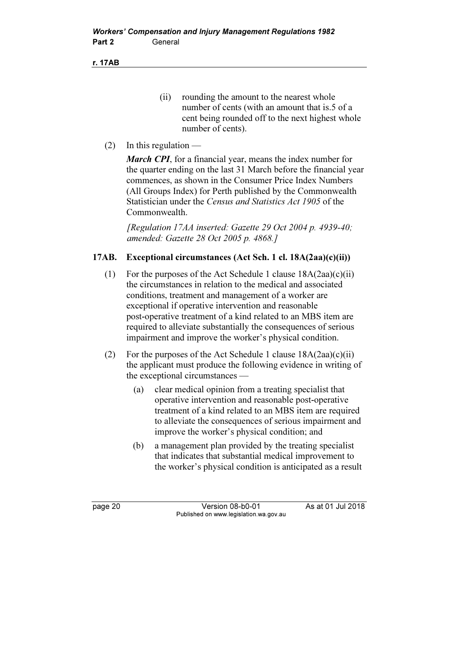r. 17AB

- (ii) rounding the amount to the nearest whole number of cents (with an amount that is.5 of a cent being rounded off to the next highest whole number of cents).
- (2) In this regulation  $-$

**March CPI**, for a financial year, means the index number for the quarter ending on the last 31 March before the financial year commences, as shown in the Consumer Price Index Numbers (All Groups Index) for Perth published by the Commonwealth Statistician under the Census and Statistics Act 1905 of the Commonwealth.

 [Regulation 17AA inserted: Gazette 29 Oct 2004 p. 4939-40; amended: Gazette 28 Oct 2005 p. 4868.]

# 17AB. Exceptional circumstances (Act Sch. 1 cl. 18A(2aa)(c)(ii))

- (1) For the purposes of the Act Schedule 1 clause  $18A(2aa)(c)(ii)$ the circumstances in relation to the medical and associated conditions, treatment and management of a worker are exceptional if operative intervention and reasonable post-operative treatment of a kind related to an MBS item are required to alleviate substantially the consequences of serious impairment and improve the worker's physical condition.
- (2) For the purposes of the Act Schedule 1 clause  $18A(2aa)(c)(ii)$ the applicant must produce the following evidence in writing of the exceptional circumstances —
	- (a) clear medical opinion from a treating specialist that operative intervention and reasonable post-operative treatment of a kind related to an MBS item are required to alleviate the consequences of serious impairment and improve the worker's physical condition; and
	- (b) a management plan provided by the treating specialist that indicates that substantial medical improvement to the worker's physical condition is anticipated as a result

page 20 **Version 08-b0-01** As at 01 Jul 2018 Published on www.legislation.wa.gov.au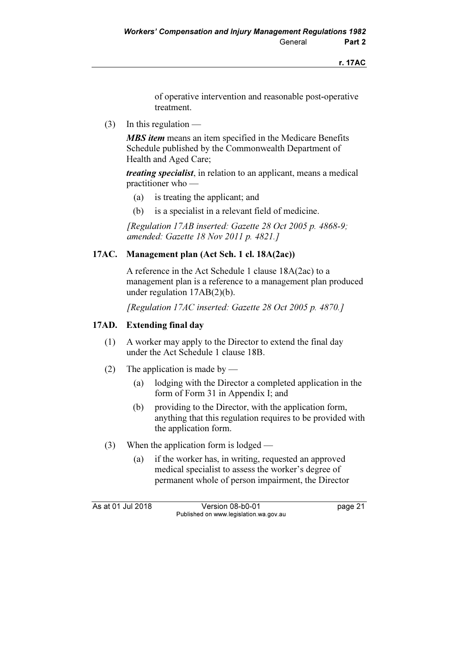of operative intervention and reasonable post-operative treatment.

(3) In this regulation —

**MBS item** means an item specified in the Medicare Benefits Schedule published by the Commonwealth Department of Health and Aged Care;

treating specialist, in relation to an applicant, means a medical practitioner who —

- (a) is treating the applicant; and
- (b) is a specialist in a relevant field of medicine.

 [Regulation 17AB inserted: Gazette 28 Oct 2005 p. 4868-9; amended: Gazette 18 Nov 2011 p. 4821.]

# 17AC. Management plan (Act Sch. 1 cl. 18A(2ac))

 A reference in the Act Schedule 1 clause 18A(2ac) to a management plan is a reference to a management plan produced under regulation 17AB(2)(b).

[Regulation 17AC inserted: Gazette 28 Oct 2005 p. 4870.]

# 17AD. Extending final day

- (1) A worker may apply to the Director to extend the final day under the Act Schedule 1 clause 18B.
- (2) The application is made by
	- (a) lodging with the Director a completed application in the form of Form 31 in Appendix I; and
	- (b) providing to the Director, with the application form, anything that this regulation requires to be provided with the application form.
- (3) When the application form is lodged
	- (a) if the worker has, in writing, requested an approved medical specialist to assess the worker's degree of permanent whole of person impairment, the Director

As at 01 Jul 2018 Version 08-b0-01 page 21 Published on www.legislation.wa.gov.au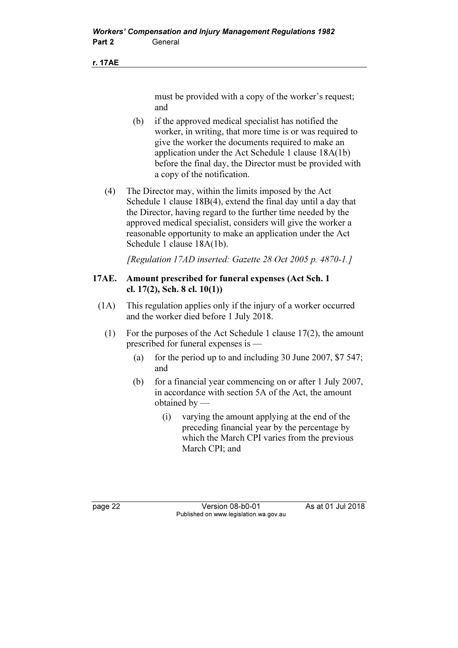#### r. 17AE

must be provided with a copy of the worker's request; and

- (b) if the approved medical specialist has notified the worker, in writing, that more time is or was required to give the worker the documents required to make an application under the Act Schedule 1 clause 18A(1b) before the final day, the Director must be provided with a copy of the notification.
- (4) The Director may, within the limits imposed by the Act Schedule 1 clause 18B(4), extend the final day until a day that the Director, having regard to the further time needed by the approved medical specialist, considers will give the worker a reasonable opportunity to make an application under the Act Schedule 1 clause 18A(1b).

[Regulation 17AD inserted: Gazette 28 Oct 2005 p. 4870-1.]

#### 17AE. Amount prescribed for funeral expenses (Act Sch. 1 cl. 17(2), Sch. 8 cl. 10(1))

- (1A) This regulation applies only if the injury of a worker occurred and the worker died before 1 July 2018.
	- (1) For the purposes of the Act Schedule 1 clause 17(2), the amount prescribed for funeral expenses is —
		- (a) for the period up to and including 30 June 2007,  $$7 547$ ; and
		- (b) for a financial year commencing on or after 1 July 2007, in accordance with section 5A of the Act, the amount obtained by —
			- (i) varying the amount applying at the end of the preceding financial year by the percentage by which the March CPI varies from the previous March CPI; and

page 22 Version 08-b0-01 As at 01 Jul 2018 Published on www.legislation.wa.gov.au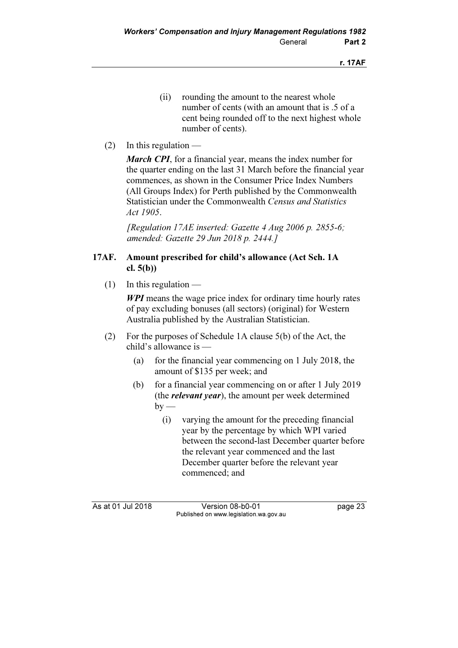- (ii) rounding the amount to the nearest whole number of cents (with an amount that is .5 of a cent being rounded off to the next highest whole number of cents).
- (2) In this regulation  $-$

**March CPI**, for a financial year, means the index number for the quarter ending on the last 31 March before the financial year commences, as shown in the Consumer Price Index Numbers (All Groups Index) for Perth published by the Commonwealth Statistician under the Commonwealth Census and Statistics Act 1905.

[Regulation 17AE inserted: Gazette 4 Aug 2006 p. 2855-6; amended: Gazette 29 Jun 2018 p. 2444.]

# 17AF. Amount prescribed for child's allowance (Act Sch. 1A cl. 5(b))

(1) In this regulation —

WPI means the wage price index for ordinary time hourly rates of pay excluding bonuses (all sectors) (original) for Western Australia published by the Australian Statistician.

- (2) For the purposes of Schedule 1A clause 5(b) of the Act, the child's allowance is —
	- (a) for the financial year commencing on 1 July 2018, the amount of \$135 per week; and
	- (b) for a financial year commencing on or after 1 July 2019 (the *relevant year*), the amount per week determined  $by -$ 
		- (i) varying the amount for the preceding financial year by the percentage by which WPI varied between the second-last December quarter before the relevant year commenced and the last December quarter before the relevant year commenced; and

As at 01 Jul 2018 Version 08-b0-01 page 23 Published on www.legislation.wa.gov.au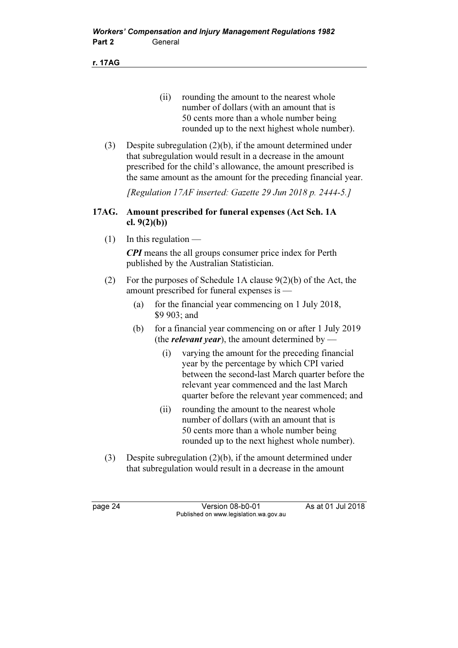r. 17AG

- (ii) rounding the amount to the nearest whole number of dollars (with an amount that is 50 cents more than a whole number being rounded up to the next highest whole number).
- (3) Despite subregulation (2)(b), if the amount determined under that subregulation would result in a decrease in the amount prescribed for the child's allowance, the amount prescribed is the same amount as the amount for the preceding financial year.

[Regulation 17AF inserted: Gazette 29 Jun 2018 p. 2444-5.]

# 17AG. Amount prescribed for funeral expenses (Act Sch. 1A cl.  $9(2)(b)$ )

 $(1)$  In this regulation —

CPI means the all groups consumer price index for Perth published by the Australian Statistician.

- (2) For the purposes of Schedule 1A clause  $9(2)(b)$  of the Act, the amount prescribed for funeral expenses is —
	- (a) for the financial year commencing on 1 July 2018, \$9 903; and
	- (b) for a financial year commencing on or after 1 July 2019 (the *relevant year*), the amount determined by —
		- (i) varying the amount for the preceding financial year by the percentage by which CPI varied between the second-last March quarter before the relevant year commenced and the last March quarter before the relevant year commenced; and
		- (ii) rounding the amount to the nearest whole number of dollars (with an amount that is 50 cents more than a whole number being rounded up to the next highest whole number).
- (3) Despite subregulation (2)(b), if the amount determined under that subregulation would result in a decrease in the amount

page 24 Version 08-b0-01 As at 01 Jul 2018 Published on www.legislation.wa.gov.au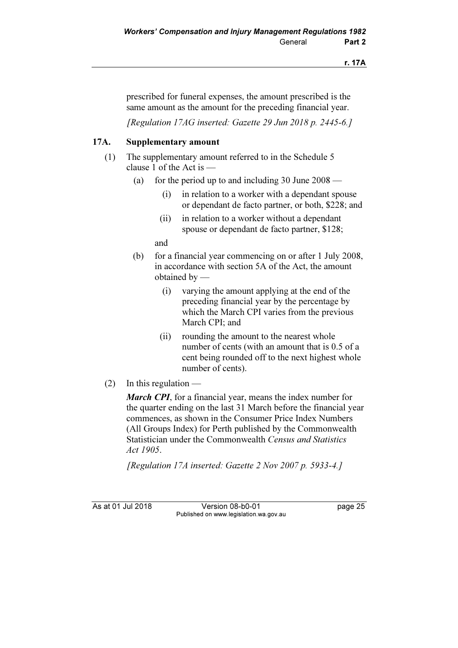prescribed for funeral expenses, the amount prescribed is the same amount as the amount for the preceding financial year.

[Regulation 17AG inserted: Gazette 29 Jun 2018 p. 2445-6.]

# 17A. Supplementary amount

- (1) The supplementary amount referred to in the Schedule 5 clause 1 of the Act is —
	- (a) for the period up to and including  $30$  June  $2008$ 
		- (i) in relation to a worker with a dependant spouse or dependant de facto partner, or both, \$228; and
		- (ii) in relation to a worker without a dependant spouse or dependant de facto partner, \$128;

and

- (b) for a financial year commencing on or after 1 July 2008, in accordance with section 5A of the Act, the amount obtained by —
	- (i) varying the amount applying at the end of the preceding financial year by the percentage by which the March CPI varies from the previous March CPI; and
	- (ii) rounding the amount to the nearest whole number of cents (with an amount that is 0.5 of a cent being rounded off to the next highest whole number of cents).
- (2) In this regulation —

March CPI, for a financial year, means the index number for the quarter ending on the last 31 March before the financial year commences, as shown in the Consumer Price Index Numbers (All Groups Index) for Perth published by the Commonwealth Statistician under the Commonwealth Census and Statistics Act 1905.

[Regulation 17A inserted: Gazette 2 Nov 2007 p. 5933-4.]

As at 01 Jul 2018 Version 08-b0-01 page 25 Published on www.legislation.wa.gov.au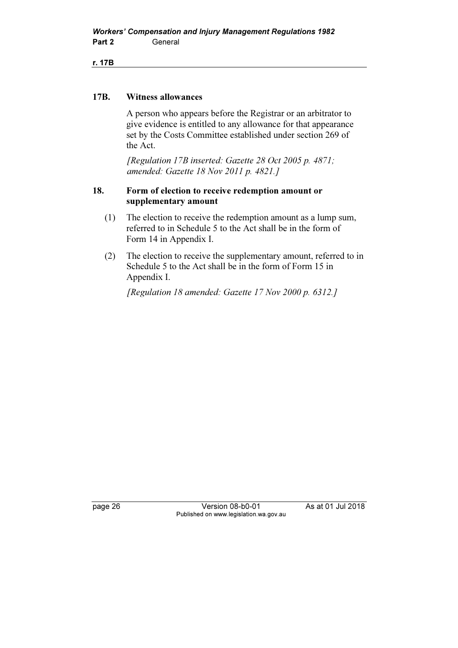r. 17B

#### 17B. Witness allowances

 A person who appears before the Registrar or an arbitrator to give evidence is entitled to any allowance for that appearance set by the Costs Committee established under section 269 of the Act.

 [Regulation 17B inserted: Gazette 28 Oct 2005 p. 4871; amended: Gazette 18 Nov 2011 p. 4821.]

#### 18. Form of election to receive redemption amount or supplementary amount

- (1) The election to receive the redemption amount as a lump sum, referred to in Schedule 5 to the Act shall be in the form of Form 14 in Appendix I.
- (2) The election to receive the supplementary amount, referred to in Schedule 5 to the Act shall be in the form of Form 15 in Appendix I.

[Regulation 18 amended: Gazette 17 Nov 2000 p. 6312.]

page 26 Version 08-b0-01 As at 01 Jul 2018 Published on www.legislation.wa.gov.au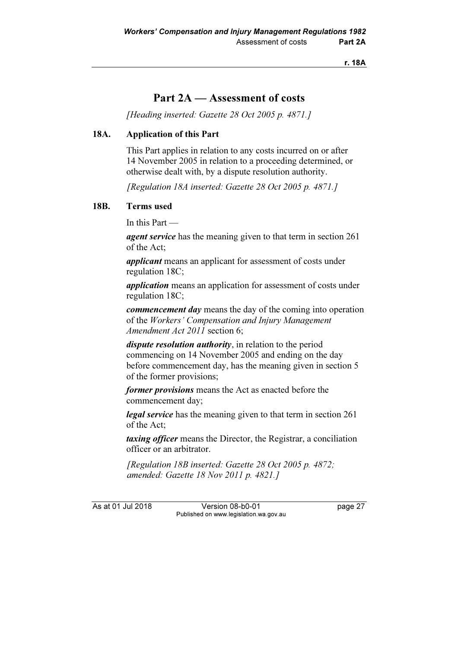r. 18A

# Part 2A — Assessment of costs

[Heading inserted: Gazette 28 Oct 2005 p. 4871.]

#### 18A. Application of this Part

 This Part applies in relation to any costs incurred on or after 14 November 2005 in relation to a proceeding determined, or otherwise dealt with, by a dispute resolution authority.

[Regulation 18A inserted: Gazette 28 Oct 2005 p. 4871.]

#### 18B. Terms used

In this Part —

agent service has the meaning given to that term in section 261 of the Act;

applicant means an applicant for assessment of costs under regulation 18C;

application means an application for assessment of costs under regulation 18C;

commencement day means the day of the coming into operation of the Workers' Compensation and Injury Management Amendment Act 2011 section 6;

dispute resolution authority, in relation to the period commencing on 14 November 2005 and ending on the day before commencement day, has the meaning given in section 5 of the former provisions;

former provisions means the Act as enacted before the commencement day;

legal service has the meaning given to that term in section 261 of the Act;

taxing officer means the Director, the Registrar, a conciliation officer or an arbitrator.

 [Regulation 18B inserted: Gazette 28 Oct 2005 p. 4872; amended: Gazette 18 Nov 2011 p. 4821.]

As at 01 Jul 2018 Version 08-b0-01 page 27 Published on www.legislation.wa.gov.au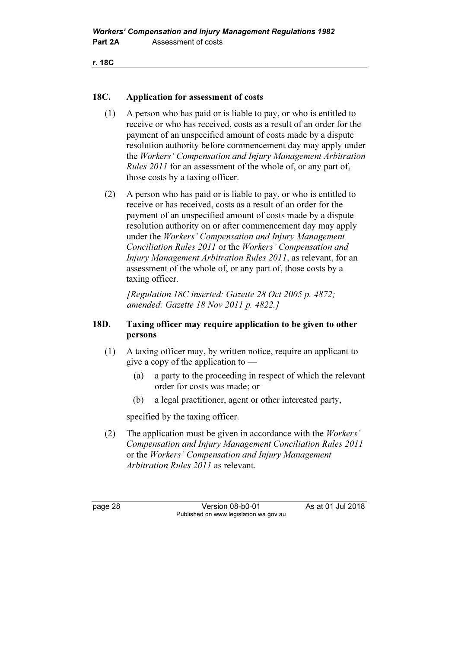```
r. 18C
```
### 18C. Application for assessment of costs

- (1) A person who has paid or is liable to pay, or who is entitled to receive or who has received, costs as a result of an order for the payment of an unspecified amount of costs made by a dispute resolution authority before commencement day may apply under the Workers' Compensation and Injury Management Arbitration Rules 2011 for an assessment of the whole of, or any part of, those costs by a taxing officer.
- (2) A person who has paid or is liable to pay, or who is entitled to receive or has received, costs as a result of an order for the payment of an unspecified amount of costs made by a dispute resolution authority on or after commencement day may apply under the Workers' Compensation and Injury Management Conciliation Rules 2011 or the Workers' Compensation and Injury Management Arbitration Rules 2011, as relevant, for an assessment of the whole of, or any part of, those costs by a taxing officer.

 [Regulation 18C inserted: Gazette 28 Oct 2005 p. 4872; amended: Gazette 18 Nov 2011 p. 4822.]

#### 18D. Taxing officer may require application to be given to other persons

- (1) A taxing officer may, by written notice, require an applicant to give a copy of the application to —
	- (a) a party to the proceeding in respect of which the relevant order for costs was made; or
	- (b) a legal practitioner, agent or other interested party,

specified by the taxing officer.

 (2) The application must be given in accordance with the Workers' Compensation and Injury Management Conciliation Rules 2011 or the Workers' Compensation and Injury Management Arbitration Rules 2011 as relevant.

page 28 Version 08-b0-01 As at 01 Jul 2018 Published on www.legislation.wa.gov.au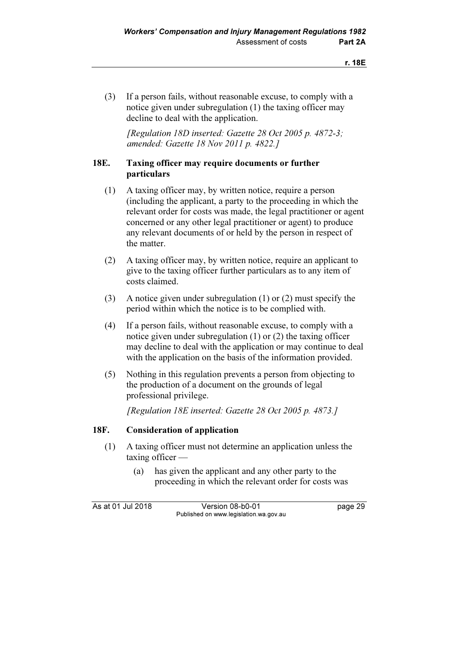(3) If a person fails, without reasonable excuse, to comply with a notice given under subregulation (1) the taxing officer may decline to deal with the application.

 [Regulation 18D inserted: Gazette 28 Oct 2005 p. 4872-3; amended: Gazette 18 Nov 2011 p. 4822.]

### 18E. Taxing officer may require documents or further particulars

- (1) A taxing officer may, by written notice, require a person (including the applicant, a party to the proceeding in which the relevant order for costs was made, the legal practitioner or agent concerned or any other legal practitioner or agent) to produce any relevant documents of or held by the person in respect of the matter.
- (2) A taxing officer may, by written notice, require an applicant to give to the taxing officer further particulars as to any item of costs claimed.
- (3) A notice given under subregulation (1) or (2) must specify the period within which the notice is to be complied with.
- (4) If a person fails, without reasonable excuse, to comply with a notice given under subregulation (1) or (2) the taxing officer may decline to deal with the application or may continue to deal with the application on the basis of the information provided.
- (5) Nothing in this regulation prevents a person from objecting to the production of a document on the grounds of legal professional privilege.

[Regulation 18E inserted: Gazette 28 Oct 2005 p. 4873.]

### 18F. Consideration of application

- (1) A taxing officer must not determine an application unless the taxing officer —
	- (a) has given the applicant and any other party to the proceeding in which the relevant order for costs was

As at 01 Jul 2018 Version 08-b0-01 page 29 Published on www.legislation.wa.gov.au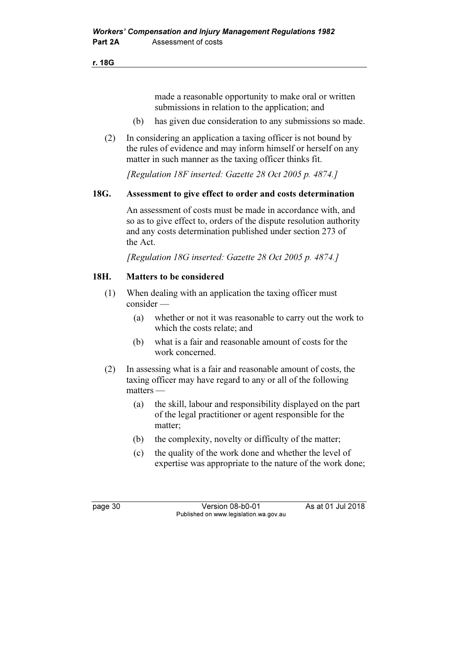r. 18G

made a reasonable opportunity to make oral or written submissions in relation to the application; and

- (b) has given due consideration to any submissions so made.
- (2) In considering an application a taxing officer is not bound by the rules of evidence and may inform himself or herself on any matter in such manner as the taxing officer thinks fit.

[Regulation 18F inserted: Gazette 28 Oct 2005 p. 4874.]

### 18G. Assessment to give effect to order and costs determination

 An assessment of costs must be made in accordance with, and so as to give effect to, orders of the dispute resolution authority and any costs determination published under section 273 of the Act.

[Regulation 18G inserted: Gazette 28 Oct 2005 p. 4874.]

### 18H. Matters to be considered

- (1) When dealing with an application the taxing officer must consider —
	- (a) whether or not it was reasonable to carry out the work to which the costs relate; and
	- (b) what is a fair and reasonable amount of costs for the work concerned.
- (2) In assessing what is a fair and reasonable amount of costs, the taxing officer may have regard to any or all of the following matters —
	- (a) the skill, labour and responsibility displayed on the part of the legal practitioner or agent responsible for the matter;
	- (b) the complexity, novelty or difficulty of the matter;
	- (c) the quality of the work done and whether the level of expertise was appropriate to the nature of the work done;

page 30 **Version 08-b0-01** As at 01 Jul 2018 Published on www.legislation.wa.gov.au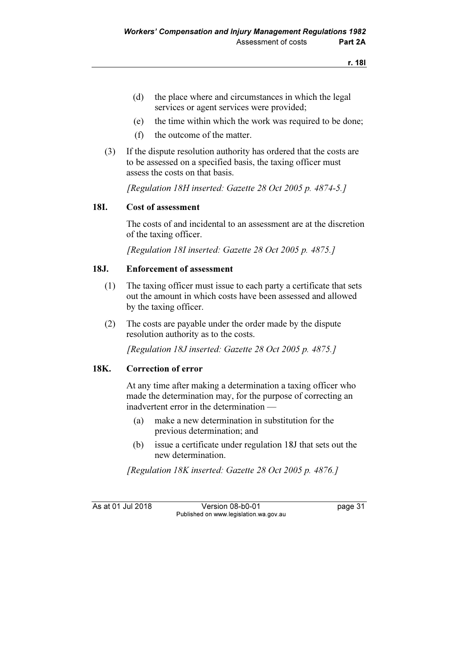- (d) the place where and circumstances in which the legal services or agent services were provided;
- (e) the time within which the work was required to be done;
- (f) the outcome of the matter.
- (3) If the dispute resolution authority has ordered that the costs are to be assessed on a specified basis, the taxing officer must assess the costs on that basis.

[Regulation 18H inserted: Gazette 28 Oct 2005 p. 4874-5.]

### 18I. Cost of assessment

 The costs of and incidental to an assessment are at the discretion of the taxing officer.

[Regulation 18I inserted: Gazette 28 Oct 2005 p. 4875.]

### 18J. Enforcement of assessment

- (1) The taxing officer must issue to each party a certificate that sets out the amount in which costs have been assessed and allowed by the taxing officer.
- (2) The costs are payable under the order made by the dispute resolution authority as to the costs.

[Regulation 18J inserted: Gazette 28 Oct 2005 p. 4875.]

### 18K. Correction of error

 At any time after making a determination a taxing officer who made the determination may, for the purpose of correcting an inadvertent error in the determination —

- (a) make a new determination in substitution for the previous determination; and
- (b) issue a certificate under regulation 18J that sets out the new determination.

[Regulation 18K inserted: Gazette 28 Oct 2005 p. 4876.]

As at 01 Jul 2018 Version 08-b0-01 page 31 Published on www.legislation.wa.gov.au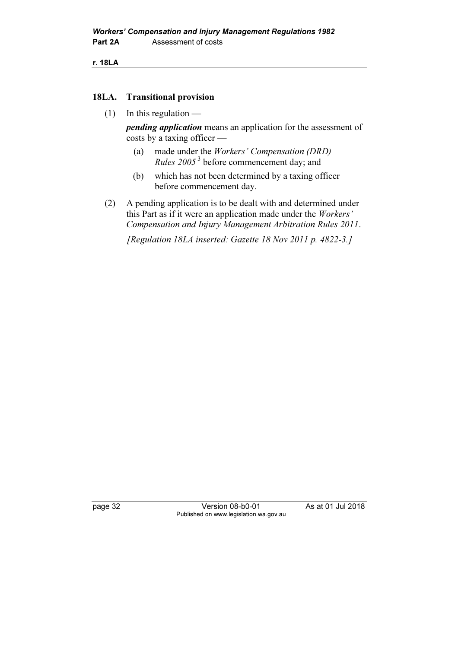r. 18LA

### 18LA. Transitional provision

 $(1)$  In this regulation —

**pending application** means an application for the assessment of costs by a taxing officer —

- (a) made under the Workers' Compensation (DRD) *Rules*  $2005<sup>3</sup>$  before commencement day; and
- (b) which has not been determined by a taxing officer before commencement day.
- (2) A pending application is to be dealt with and determined under this Part as if it were an application made under the Workers' Compensation and Injury Management Arbitration Rules 2011.

[Regulation 18LA inserted: Gazette 18 Nov 2011 p. 4822-3.]

page 32 Version 08-b0-01 As at 01 Jul 2018 Published on www.legislation.wa.gov.au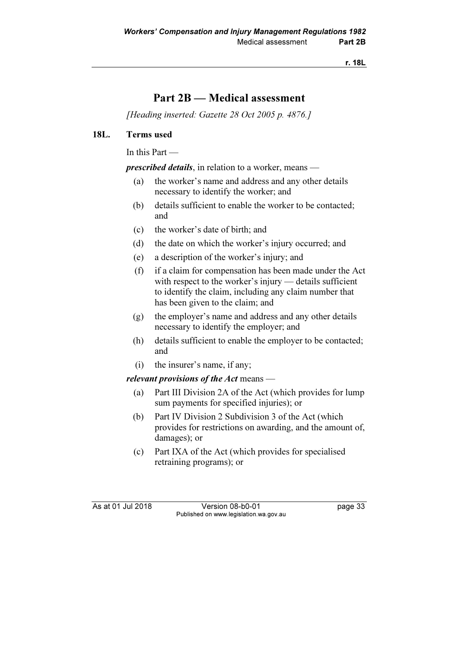r. 18L

# Part 2B — Medical assessment

[Heading inserted: Gazette 28 Oct 2005 p. 4876.]

### 18L. Terms used

In this Part —

prescribed details, in relation to a worker, means —

- (a) the worker's name and address and any other details necessary to identify the worker; and
- (b) details sufficient to enable the worker to be contacted; and
- (c) the worker's date of birth; and
- (d) the date on which the worker's injury occurred; and
- (e) a description of the worker's injury; and
- (f) if a claim for compensation has been made under the Act with respect to the worker's injury — details sufficient to identify the claim, including any claim number that has been given to the claim; and
- (g) the employer's name and address and any other details necessary to identify the employer; and
- (h) details sufficient to enable the employer to be contacted; and
- (i) the insurer's name, if any;

#### relevant provisions of the Act means —

- (a) Part III Division 2A of the Act (which provides for lump sum payments for specified injuries); or
- (b) Part IV Division 2 Subdivision 3 of the Act (which provides for restrictions on awarding, and the amount of, damages); or
- (c) Part IXA of the Act (which provides for specialised retraining programs); or

As at 01 Jul 2018 Version 08-b0-01 page 33 Published on www.legislation.wa.gov.au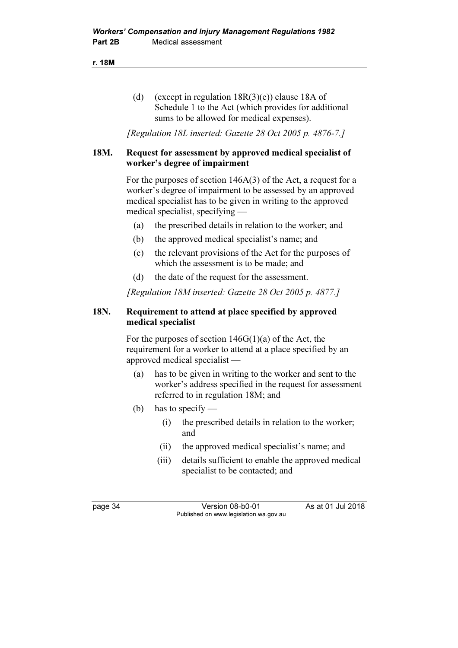r. 18M

(d) (except in regulation  $18R(3)(e)$ ) clause 18A of Schedule 1 to the Act (which provides for additional sums to be allowed for medical expenses).

[Regulation 18L inserted: Gazette 28 Oct 2005 p. 4876-7.]

### 18M. Request for assessment by approved medical specialist of worker's degree of impairment

 For the purposes of section 146A(3) of the Act, a request for a worker's degree of impairment to be assessed by an approved medical specialist has to be given in writing to the approved medical specialist, specifying —

- (a) the prescribed details in relation to the worker; and
- (b) the approved medical specialist's name; and
- (c) the relevant provisions of the Act for the purposes of which the assessment is to be made; and
- (d) the date of the request for the assessment.

[Regulation 18M inserted: Gazette 28 Oct 2005 p. 4877.]

### 18N. Requirement to attend at place specified by approved medical specialist

For the purposes of section  $146G(1)(a)$  of the Act, the requirement for a worker to attend at a place specified by an approved medical specialist —

- (a) has to be given in writing to the worker and sent to the worker's address specified in the request for assessment referred to in regulation 18M; and
- (b) has to specify
	- (i) the prescribed details in relation to the worker; and
	- (ii) the approved medical specialist's name; and
	- (iii) details sufficient to enable the approved medical specialist to be contacted; and

page 34 Version 08-b0-01 As at 01 Jul 2018 Published on www.legislation.wa.gov.au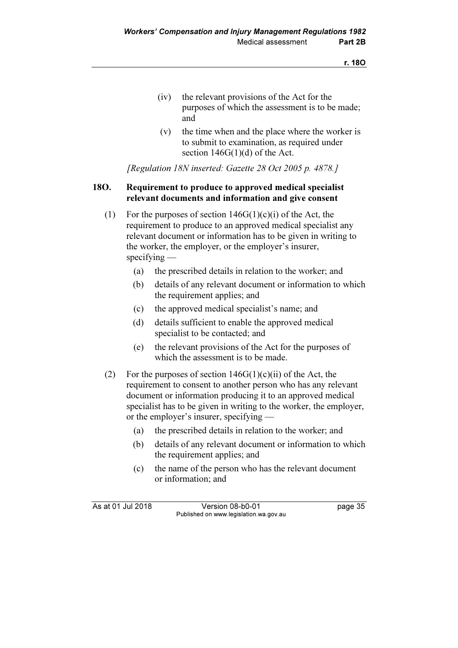- (iv) the relevant provisions of the Act for the purposes of which the assessment is to be made; and
- (v) the time when and the place where the worker is to submit to examination, as required under section  $146G(1)(d)$  of the Act.

[Regulation 18N inserted: Gazette 28 Oct 2005 p. 4878.]

### 18O. Requirement to produce to approved medical specialist relevant documents and information and give consent

- (1) For the purposes of section  $146G(1)(c)(i)$  of the Act, the requirement to produce to an approved medical specialist any relevant document or information has to be given in writing to the worker, the employer, or the employer's insurer, specifying —
	- (a) the prescribed details in relation to the worker; and
	- (b) details of any relevant document or information to which the requirement applies; and
	- (c) the approved medical specialist's name; and
	- (d) details sufficient to enable the approved medical specialist to be contacted; and
	- (e) the relevant provisions of the Act for the purposes of which the assessment is to be made.
- (2) For the purposes of section  $146G(1)(c)(ii)$  of the Act, the requirement to consent to another person who has any relevant document or information producing it to an approved medical specialist has to be given in writing to the worker, the employer, or the employer's insurer, specifying —
	- (a) the prescribed details in relation to the worker; and
	- (b) details of any relevant document or information to which the requirement applies; and
	- (c) the name of the person who has the relevant document or information; and

As at 01 Jul 2018 Version 08-b0-01 page 35 Published on www.legislation.wa.gov.au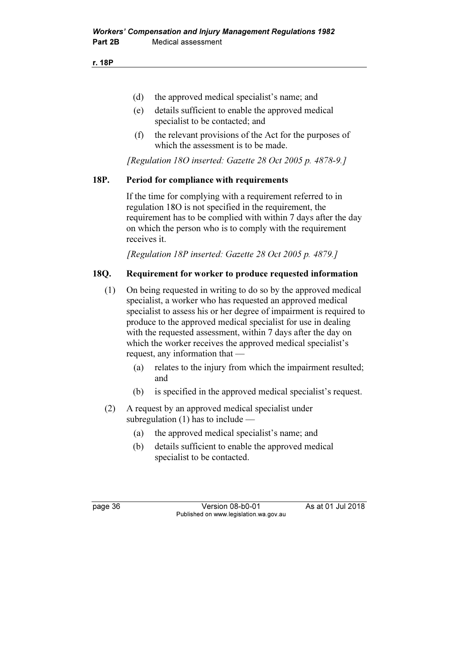- (d) the approved medical specialist's name; and
- (e) details sufficient to enable the approved medical specialist to be contacted; and
- (f) the relevant provisions of the Act for the purposes of which the assessment is to be made.

[Regulation 18O inserted: Gazette 28 Oct 2005 p. 4878-9.]

### 18P. Period for compliance with requirements

 If the time for complying with a requirement referred to in regulation 18O is not specified in the requirement, the requirement has to be complied with within 7 days after the day on which the person who is to comply with the requirement receives it.

[Regulation 18P inserted: Gazette 28 Oct 2005 p. 4879.]

### 18Q. Requirement for worker to produce requested information

- (1) On being requested in writing to do so by the approved medical specialist, a worker who has requested an approved medical specialist to assess his or her degree of impairment is required to produce to the approved medical specialist for use in dealing with the requested assessment, within 7 days after the day on which the worker receives the approved medical specialist's request, any information that —
	- (a) relates to the injury from which the impairment resulted; and
	- (b) is specified in the approved medical specialist's request.
- (2) A request by an approved medical specialist under subregulation (1) has to include —
	- (a) the approved medical specialist's name; and
	- (b) details sufficient to enable the approved medical specialist to be contacted.

page 36 Version 08-b0-01 As at 01 Jul 2018 Published on www.legislation.wa.gov.au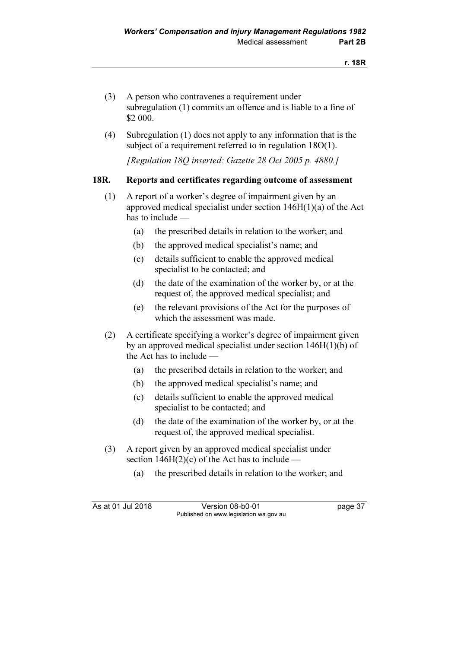- (3) A person who contravenes a requirement under subregulation (1) commits an offence and is liable to a fine of \$2 000.
- (4) Subregulation (1) does not apply to any information that is the subject of a requirement referred to in regulation 18O(1).

[Regulation 18Q inserted: Gazette 28 Oct 2005 p. 4880.]

### 18R. Reports and certificates regarding outcome of assessment

- (1) A report of a worker's degree of impairment given by an approved medical specialist under section 146H(1)(a) of the Act has to include —
	- (a) the prescribed details in relation to the worker; and
	- (b) the approved medical specialist's name; and
	- (c) details sufficient to enable the approved medical specialist to be contacted; and
	- (d) the date of the examination of the worker by, or at the request of, the approved medical specialist; and
	- (e) the relevant provisions of the Act for the purposes of which the assessment was made.
- (2) A certificate specifying a worker's degree of impairment given by an approved medical specialist under section 146H(1)(b) of the Act has to include —
	- (a) the prescribed details in relation to the worker; and
	- (b) the approved medical specialist's name; and
	- (c) details sufficient to enable the approved medical specialist to be contacted; and
	- (d) the date of the examination of the worker by, or at the request of, the approved medical specialist.
- (3) A report given by an approved medical specialist under section  $146H(2)(c)$  of the Act has to include —
	- (a) the prescribed details in relation to the worker; and

As at 01 Jul 2018 Version 08-b0-01 page 37 Published on www.legislation.wa.gov.au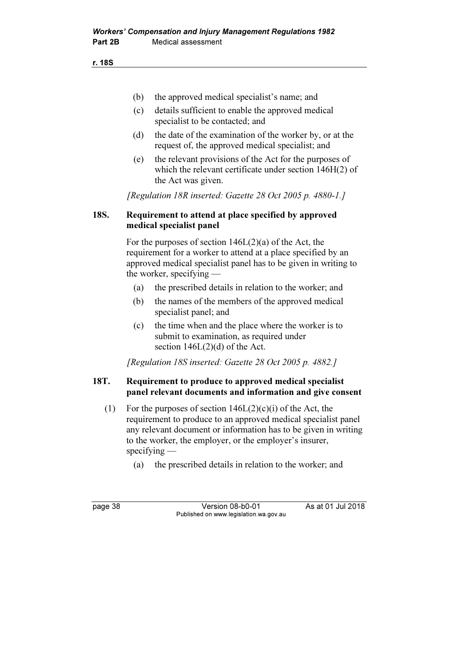r. 18S

- (b) the approved medical specialist's name; and
- (c) details sufficient to enable the approved medical specialist to be contacted; and
- (d) the date of the examination of the worker by, or at the request of, the approved medical specialist; and
- (e) the relevant provisions of the Act for the purposes of which the relevant certificate under section 146H(2) of the Act was given.

[Regulation 18R inserted: Gazette 28 Oct 2005 p. 4880-1.]

### 18S. Requirement to attend at place specified by approved medical specialist panel

 For the purposes of section 146L(2)(a) of the Act, the requirement for a worker to attend at a place specified by an approved medical specialist panel has to be given in writing to the worker, specifying —

- (a) the prescribed details in relation to the worker; and
- (b) the names of the members of the approved medical specialist panel; and
- (c) the time when and the place where the worker is to submit to examination, as required under section  $146L(2)(d)$  of the Act.

[Regulation 18S inserted: Gazette 28 Oct 2005 p. 4882.]

### 18T. Requirement to produce to approved medical specialist panel relevant documents and information and give consent

- (1) For the purposes of section  $146L(2)(c)(i)$  of the Act, the requirement to produce to an approved medical specialist panel any relevant document or information has to be given in writing to the worker, the employer, or the employer's insurer, specifying —
	- (a) the prescribed details in relation to the worker; and

page 38 Version 08-b0-01 As at 01 Jul 2018 Published on www.legislation.wa.gov.au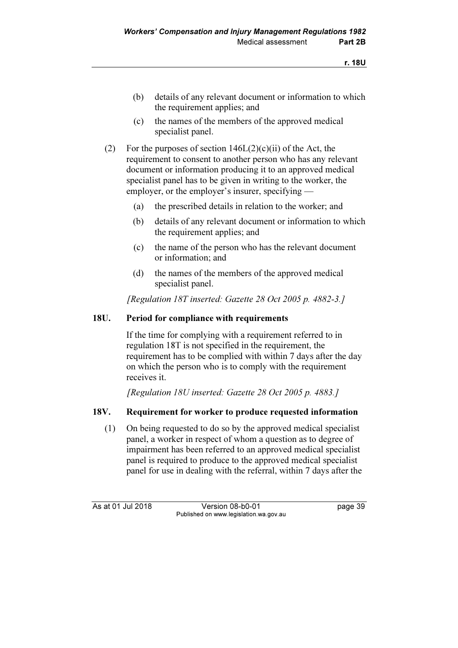- (b) details of any relevant document or information to which the requirement applies; and
- (c) the names of the members of the approved medical specialist panel.
- (2) For the purposes of section  $146L(2)(c)(ii)$  of the Act, the requirement to consent to another person who has any relevant document or information producing it to an approved medical specialist panel has to be given in writing to the worker, the employer, or the employer's insurer, specifying —
	- (a) the prescribed details in relation to the worker; and
	- (b) details of any relevant document or information to which the requirement applies; and
	- (c) the name of the person who has the relevant document or information; and
	- (d) the names of the members of the approved medical specialist panel.

[Regulation 18T inserted: Gazette 28 Oct 2005 p. 4882-3.]

### 18U. Period for compliance with requirements

 If the time for complying with a requirement referred to in regulation 18T is not specified in the requirement, the requirement has to be complied with within 7 days after the day on which the person who is to comply with the requirement receives it.

[Regulation 18U inserted: Gazette 28 Oct 2005 p. 4883.]

### 18V. Requirement for worker to produce requested information

 (1) On being requested to do so by the approved medical specialist panel, a worker in respect of whom a question as to degree of impairment has been referred to an approved medical specialist panel is required to produce to the approved medical specialist panel for use in dealing with the referral, within 7 days after the

As at 01 Jul 2018 Version 08-b0-01 page 39 Published on www.legislation.wa.gov.au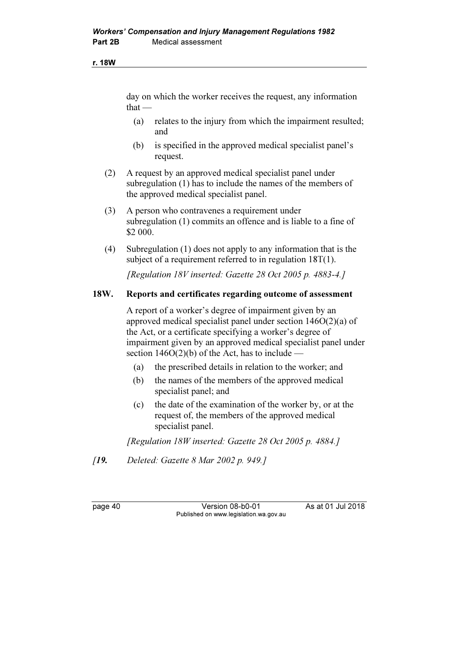#### r. 18W

day on which the worker receives the request, any information  $that -$ 

- (a) relates to the injury from which the impairment resulted; and
- (b) is specified in the approved medical specialist panel's request.
- (2) A request by an approved medical specialist panel under subregulation (1) has to include the names of the members of the approved medical specialist panel.
- (3) A person who contravenes a requirement under subregulation (1) commits an offence and is liable to a fine of \$2 000.
- (4) Subregulation (1) does not apply to any information that is the subject of a requirement referred to in regulation 18T(1).

[Regulation 18V inserted: Gazette 28 Oct 2005 p. 4883-4.]

#### 18W. Reports and certificates regarding outcome of assessment

 A report of a worker's degree of impairment given by an approved medical specialist panel under section 146O(2)(a) of the Act, or a certificate specifying a worker's degree of impairment given by an approved medical specialist panel under section  $146O(2)(b)$  of the Act, has to include –

- (a) the prescribed details in relation to the worker; and
- (b) the names of the members of the approved medical specialist panel; and
- (c) the date of the examination of the worker by, or at the request of, the members of the approved medical specialist panel.

[Regulation 18W inserted: Gazette 28 Oct 2005 p. 4884.]

[19. Deleted: Gazette 8 Mar 2002 p. 949.]

page 40 Version 08-b0-01 As at 01 Jul 2018 Published on www.legislation.wa.gov.au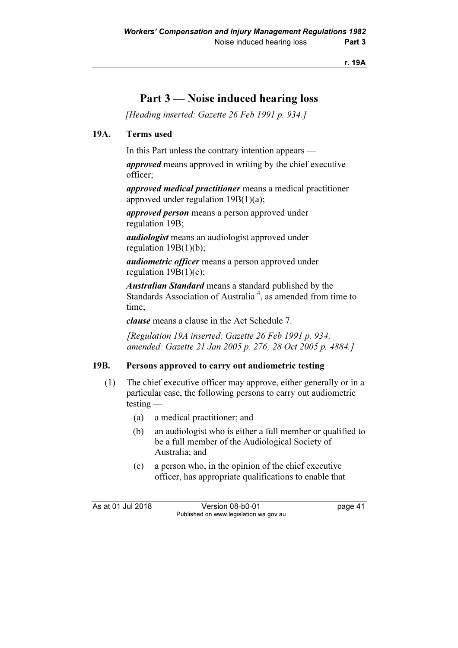r. 19A

## Part 3 — Noise induced hearing loss

[Heading inserted: Gazette 26 Feb 1991 p. 934.]

### 19A. Terms used

In this Part unless the contrary intention appears —

approved means approved in writing by the chief executive officer;

approved medical practitioner means a medical practitioner approved under regulation 19B(1)(a);

approved person means a person approved under regulation 19B;

audiologist means an audiologist approved under regulation 19B(1)(b);

audiometric officer means a person approved under regulation  $19B(1)(c)$ ;

Australian Standard means a standard published by the Standards Association of Australia<sup>4</sup>, as amended from time to time;

clause means a clause in the Act Schedule 7.

[Regulation 19A inserted: Gazette 26 Feb 1991 p. 934; amended: Gazette 21 Jan 2005 p. 276; 28 Oct 2005 p. 4884.]

#### 19B. Persons approved to carry out audiometric testing

- (1) The chief executive officer may approve, either generally or in a particular case, the following persons to carry out audiometric testing —
	- (a) a medical practitioner; and
	- (b) an audiologist who is either a full member or qualified to be a full member of the Audiological Society of Australia; and
	- (c) a person who, in the opinion of the chief executive officer, has appropriate qualifications to enable that

As at 01 Jul 2018 Version 08-b0-01 page 41 Published on www.legislation.wa.gov.au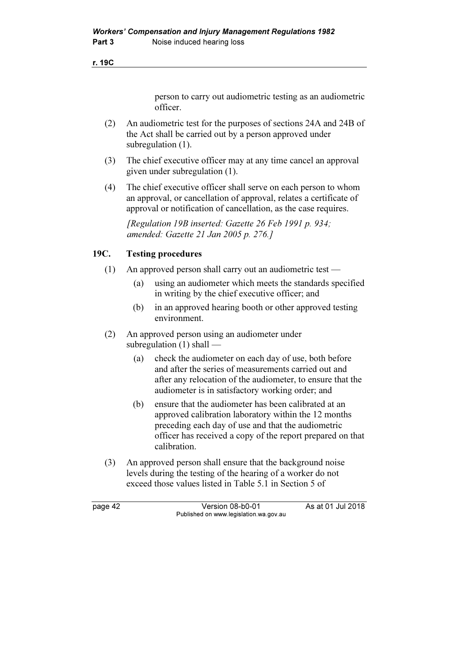r. 19C

person to carry out audiometric testing as an audiometric officer.

- (2) An audiometric test for the purposes of sections 24A and 24B of the Act shall be carried out by a person approved under subregulation  $(1)$ .
- (3) The chief executive officer may at any time cancel an approval given under subregulation (1).
- (4) The chief executive officer shall serve on each person to whom an approval, or cancellation of approval, relates a certificate of approval or notification of cancellation, as the case requires.

[Regulation 19B inserted: Gazette 26 Feb 1991 p. 934; amended: Gazette 21 Jan 2005 p. 276.]

### 19C. Testing procedures

- (1) An approved person shall carry out an audiometric test
	- (a) using an audiometer which meets the standards specified in writing by the chief executive officer; and
	- (b) in an approved hearing booth or other approved testing environment.
- (2) An approved person using an audiometer under subregulation (1) shall —
	- (a) check the audiometer on each day of use, both before and after the series of measurements carried out and after any relocation of the audiometer, to ensure that the audiometer is in satisfactory working order; and
	- (b) ensure that the audiometer has been calibrated at an approved calibration laboratory within the 12 months preceding each day of use and that the audiometric officer has received a copy of the report prepared on that calibration.
- (3) An approved person shall ensure that the background noise levels during the testing of the hearing of a worker do not exceed those values listed in Table 5.1 in Section 5 of

page 42 Version 08-b0-01 As at 01 Jul 2018 Published on www.legislation.wa.gov.au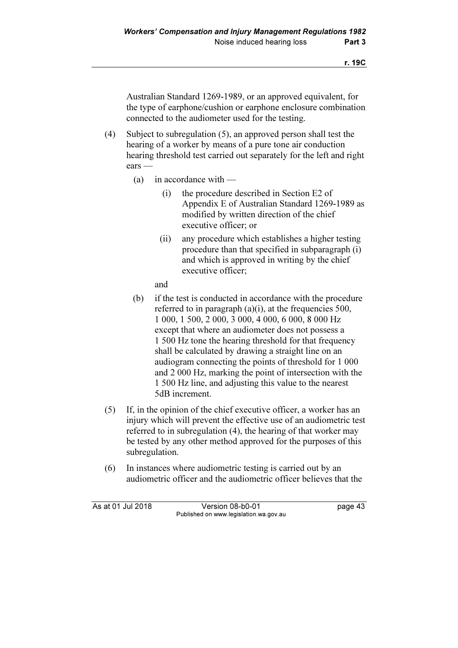Australian Standard 1269-1989, or an approved equivalent, for the type of earphone/cushion or earphone enclosure combination connected to the audiometer used for the testing.

- (4) Subject to subregulation (5), an approved person shall test the hearing of a worker by means of a pure tone air conduction hearing threshold test carried out separately for the left and right ears —
	- (a) in accordance with
		- (i) the procedure described in Section E2 of Appendix E of Australian Standard 1269-1989 as modified by written direction of the chief executive officer; or
		- (ii) any procedure which establishes a higher testing procedure than that specified in subparagraph (i) and which is approved in writing by the chief executive officer;

and

- (b) if the test is conducted in accordance with the procedure referred to in paragraph (a)(i), at the frequencies 500, 1 000, 1 500, 2 000, 3 000, 4 000, 6 000, 8 000 Hz except that where an audiometer does not possess a 1 500 Hz tone the hearing threshold for that frequency shall be calculated by drawing a straight line on an audiogram connecting the points of threshold for 1 000 and 2 000 Hz, marking the point of intersection with the 1 500 Hz line, and adjusting this value to the nearest 5dB increment.
- (5) If, in the opinion of the chief executive officer, a worker has an injury which will prevent the effective use of an audiometric test referred to in subregulation (4), the hearing of that worker may be tested by any other method approved for the purposes of this subregulation.
- (6) In instances where audiometric testing is carried out by an audiometric officer and the audiometric officer believes that the

As at 01 Jul 2018 Version 08-b0-01 page 43 Published on www.legislation.wa.gov.au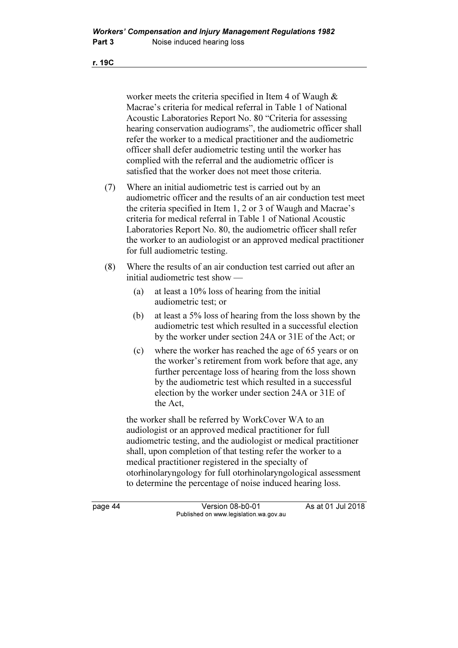r. 19C

worker meets the criteria specified in Item 4 of Waugh & Macrae's criteria for medical referral in Table 1 of National Acoustic Laboratories Report No. 80 "Criteria for assessing hearing conservation audiograms", the audiometric officer shall refer the worker to a medical practitioner and the audiometric officer shall defer audiometric testing until the worker has complied with the referral and the audiometric officer is satisfied that the worker does not meet those criteria.

- (7) Where an initial audiometric test is carried out by an audiometric officer and the results of an air conduction test meet the criteria specified in Item 1, 2 or 3 of Waugh and Macrae's criteria for medical referral in Table 1 of National Acoustic Laboratories Report No. 80, the audiometric officer shall refer the worker to an audiologist or an approved medical practitioner for full audiometric testing.
- (8) Where the results of an air conduction test carried out after an initial audiometric test show —
	- (a) at least a 10% loss of hearing from the initial audiometric test; or
	- (b) at least a 5% loss of hearing from the loss shown by the audiometric test which resulted in a successful election by the worker under section 24A or 31E of the Act; or
	- (c) where the worker has reached the age of 65 years or on the worker's retirement from work before that age, any further percentage loss of hearing from the loss shown by the audiometric test which resulted in a successful election by the worker under section 24A or 31E of the Act,

 the worker shall be referred by WorkCover WA to an audiologist or an approved medical practitioner for full audiometric testing, and the audiologist or medical practitioner shall, upon completion of that testing refer the worker to a medical practitioner registered in the specialty of otorhinolaryngology for full otorhinolaryngological assessment to determine the percentage of noise induced hearing loss.

page 44 Version 08-b0-01 As at 01 Jul 2018 Published on www.legislation.wa.gov.au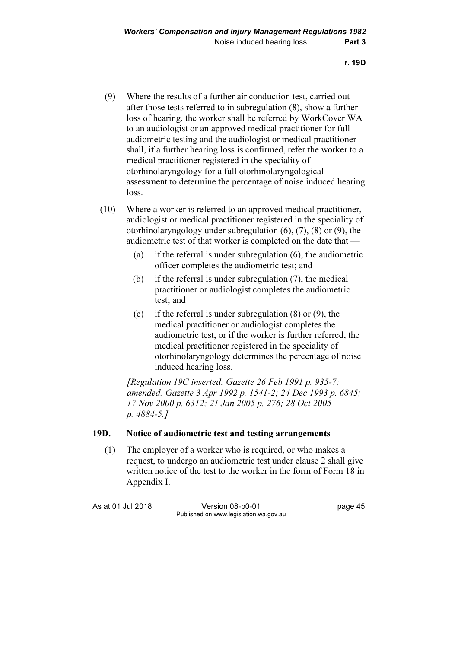- (9) Where the results of a further air conduction test, carried out after those tests referred to in subregulation (8), show a further loss of hearing, the worker shall be referred by WorkCover WA to an audiologist or an approved medical practitioner for full audiometric testing and the audiologist or medical practitioner shall, if a further hearing loss is confirmed, refer the worker to a medical practitioner registered in the speciality of otorhinolaryngology for a full otorhinolaryngological assessment to determine the percentage of noise induced hearing loss.
- (10) Where a worker is referred to an approved medical practitioner, audiologist or medical practitioner registered in the speciality of otorhinolaryngology under subregulation (6), (7), (8) or (9), the audiometric test of that worker is completed on the date that —
	- (a) if the referral is under subregulation (6), the audiometric officer completes the audiometric test; and
	- (b) if the referral is under subregulation (7), the medical practitioner or audiologist completes the audiometric test; and
	- (c) if the referral is under subregulation (8) or (9), the medical practitioner or audiologist completes the audiometric test, or if the worker is further referred, the medical practitioner registered in the speciality of otorhinolaryngology determines the percentage of noise induced hearing loss.

[Regulation 19C inserted: Gazette 26 Feb 1991 p. 935-7; amended: Gazette 3 Apr 1992 p. 1541-2; 24 Dec 1993 p. 6845; 17 Nov 2000 p. 6312; 21 Jan 2005 p. 276; 28 Oct 2005 p. 4884-5.]

#### 19D. Notice of audiometric test and testing arrangements

 (1) The employer of a worker who is required, or who makes a request, to undergo an audiometric test under clause 2 shall give written notice of the test to the worker in the form of Form 18 in Appendix I.

As at 01 Jul 2018 Version 08-b0-01 page 45 Published on www.legislation.wa.gov.au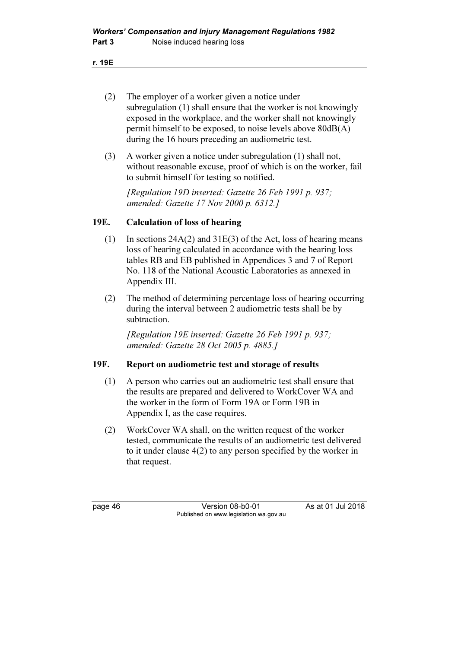- r. 19E
	- (2) The employer of a worker given a notice under subregulation (1) shall ensure that the worker is not knowingly exposed in the workplace, and the worker shall not knowingly permit himself to be exposed, to noise levels above 80dB(A) during the 16 hours preceding an audiometric test.
	- (3) A worker given a notice under subregulation (1) shall not, without reasonable excuse, proof of which is on the worker, fail to submit himself for testing so notified.

 [Regulation 19D inserted: Gazette 26 Feb 1991 p. 937; amended: Gazette 17 Nov 2000 p. 6312.]

### 19E. Calculation of loss of hearing

- (1) In sections  $24A(2)$  and  $31E(3)$  of the Act, loss of hearing means loss of hearing calculated in accordance with the hearing loss tables RB and EB published in Appendices 3 and 7 of Report No. 118 of the National Acoustic Laboratories as annexed in Appendix III.
- (2) The method of determining percentage loss of hearing occurring during the interval between 2 audiometric tests shall be by subtraction.

 [Regulation 19E inserted: Gazette 26 Feb 1991 p. 937; amended: Gazette 28 Oct 2005 p. 4885.]

### 19F. Report on audiometric test and storage of results

- (1) A person who carries out an audiometric test shall ensure that the results are prepared and delivered to WorkCover WA and the worker in the form of Form 19A or Form 19B in Appendix I, as the case requires.
- (2) WorkCover WA shall, on the written request of the worker tested, communicate the results of an audiometric test delivered to it under clause 4(2) to any person specified by the worker in that request.

page 46 Version 08-b0-01 As at 01 Jul 2018 Published on www.legislation.wa.gov.au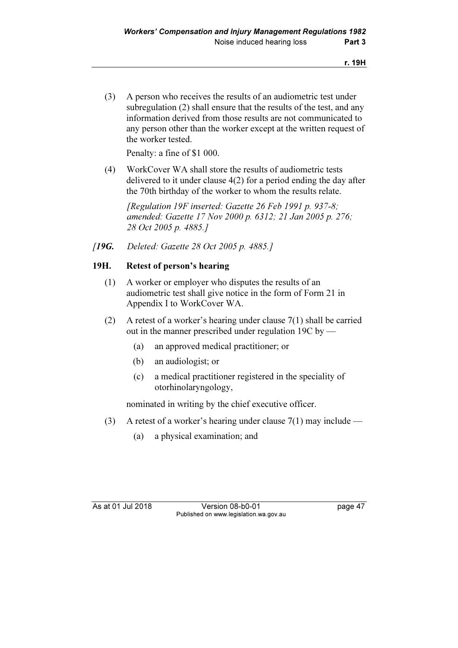(3) A person who receives the results of an audiometric test under subregulation (2) shall ensure that the results of the test, and any information derived from those results are not communicated to any person other than the worker except at the written request of the worker tested.

Penalty: a fine of \$1 000.

 (4) WorkCover WA shall store the results of audiometric tests delivered to it under clause 4(2) for a period ending the day after the 70th birthday of the worker to whom the results relate.

[Regulation 19F inserted: Gazette 26 Feb 1991 p. 937-8; amended: Gazette 17 Nov 2000 p. 6312; 21 Jan 2005 p. 276; 28 Oct 2005 p. 4885.]

[19G. Deleted: Gazette 28 Oct 2005 p. 4885.]

### 19H. Retest of person's hearing

- (1) A worker or employer who disputes the results of an audiometric test shall give notice in the form of Form 21 in Appendix I to WorkCover WA.
- (2) A retest of a worker's hearing under clause 7(1) shall be carried out in the manner prescribed under regulation 19C by —
	- (a) an approved medical practitioner; or
	- (b) an audiologist; or
	- (c) a medical practitioner registered in the speciality of otorhinolaryngology,

nominated in writing by the chief executive officer.

- (3) A retest of a worker's hearing under clause  $7(1)$  may include
	- (a) a physical examination; and

As at 01 Jul 2018 Version 08-b0-01 page 47 Published on www.legislation.wa.gov.au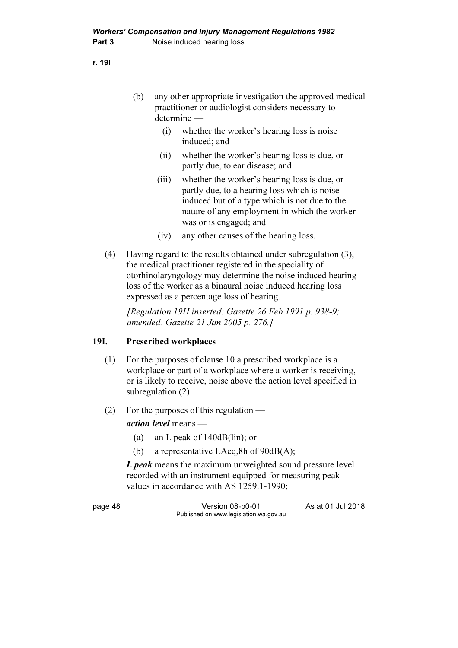| any other appropriate investigation the approved medical |
|----------------------------------------------------------|
| practitioner or audiologist considers necessary to       |
| $determine$ —                                            |

- (i) whether the worker's hearing loss is noise induced; and
- (ii) whether the worker's hearing loss is due, or partly due, to ear disease; and
- (iii) whether the worker's hearing loss is due, or partly due, to a hearing loss which is noise induced but of a type which is not due to the nature of any employment in which the worker was or is engaged; and
- (iv) any other causes of the hearing loss.
- (4) Having regard to the results obtained under subregulation (3), the medical practitioner registered in the speciality of otorhinolaryngology may determine the noise induced hearing loss of the worker as a binaural noise induced hearing loss expressed as a percentage loss of hearing.

[Regulation 19H inserted: Gazette 26 Feb 1991 p. 938-9; amended: Gazette 21 Jan 2005 p. 276.]

### 19I. Prescribed workplaces

- (1) For the purposes of clause 10 a prescribed workplace is a workplace or part of a workplace where a worker is receiving, or is likely to receive, noise above the action level specified in subregulation (2).
- (2) For the purposes of this regulation —

action level means —

- (a) an L peak of 140dB(lin); or
- (b) a representative LAeq,8h of 90dB(A);

L peak means the maximum unweighted sound pressure level recorded with an instrument equipped for measuring peak values in accordance with AS 1259.1-1990;

page 48 Version 08-b0-01 As at 01 Jul 2018 Published on www.legislation.wa.gov.au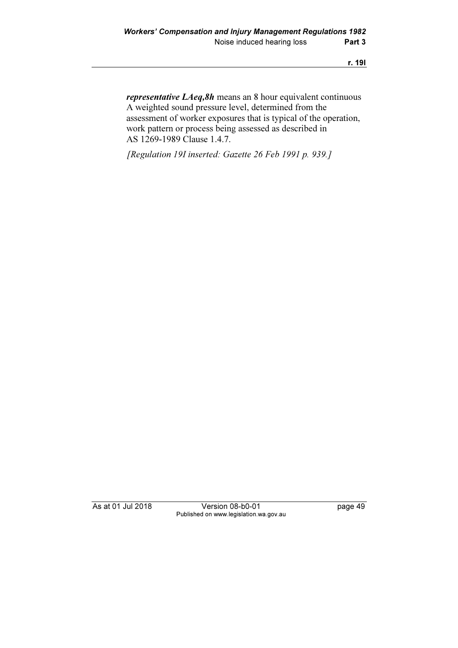representative LAeq,8h means an 8 hour equivalent continuous A weighted sound pressure level, determined from the assessment of worker exposures that is typical of the operation, work pattern or process being assessed as described in AS 1269-1989 Clause 1.4.7.

[Regulation 19I inserted: Gazette 26 Feb 1991 p. 939.]

As at 01 Jul 2018 Version 08-b0-01 page 49 Published on www.legislation.wa.gov.au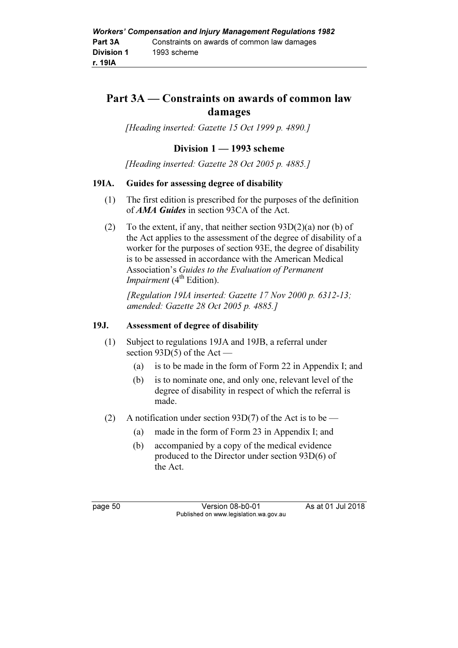## Part 3A — Constraints on awards of common law damages

[Heading inserted: Gazette 15 Oct 1999 p. 4890.]

### Division 1 — 1993 scheme

[Heading inserted: Gazette 28 Oct 2005 p. 4885.]

#### 19IA. Guides for assessing degree of disability

- (1) The first edition is prescribed for the purposes of the definition of *AMA Guides* in section 93CA of the Act.
- (2) To the extent, if any, that neither section  $93D(2)(a)$  nor (b) of the Act applies to the assessment of the degree of disability of a worker for the purposes of section 93E, the degree of disability is to be assessed in accordance with the American Medical Association's Guides to the Evaluation of Permanent *Impairment*  $(4<sup>th</sup> Edition)$ .

 [Regulation 19IA inserted: Gazette 17 Nov 2000 p. 6312-13; amended: Gazette 28 Oct 2005 p. 4885.]

#### 19J. Assessment of degree of disability

- (1) Subject to regulations 19JA and 19JB, a referral under section 93D(5) of the Act —
	- (a) is to be made in the form of Form 22 in Appendix I; and
	- (b) is to nominate one, and only one, relevant level of the degree of disability in respect of which the referral is made.
- (2) A notification under section 93D(7) of the Act is to be
	- (a) made in the form of Form 23 in Appendix I; and
	- (b) accompanied by a copy of the medical evidence produced to the Director under section 93D(6) of the Act.

page 50 Version 08-b0-01 As at 01 Jul 2018 Published on www.legislation.wa.gov.au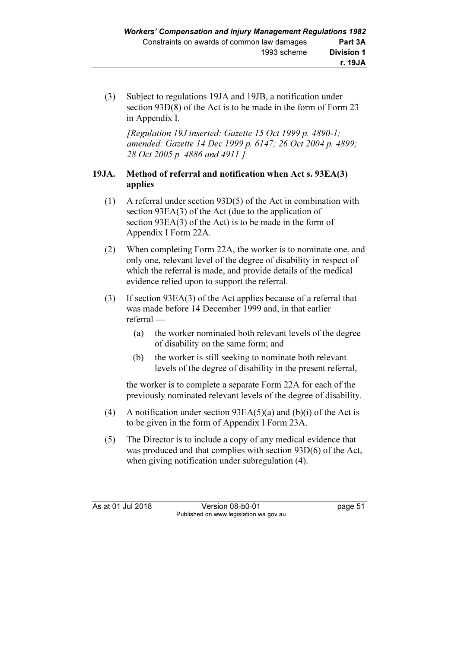(3) Subject to regulations 19JA and 19JB, a notification under section 93D(8) of the Act is to be made in the form of Form 23 in Appendix I.

[Regulation 19J inserted: Gazette 15 Oct 1999 p. 4890-1; amended: Gazette 14 Dec 1999 p. 6147; 26 Oct 2004 p. 4899; 28 Oct 2005 p. 4886 and 4911.]

## 19JA. Method of referral and notification when Act s. 93EA(3) applies

- (1) A referral under section 93D(5) of the Act in combination with section 93EA(3) of the Act (due to the application of section 93EA(3) of the Act) is to be made in the form of Appendix I Form 22A.
- (2) When completing Form 22A, the worker is to nominate one, and only one, relevant level of the degree of disability in respect of which the referral is made, and provide details of the medical evidence relied upon to support the referral.
- (3) If section 93EA(3) of the Act applies because of a referral that was made before 14 December 1999 and, in that earlier referral —
	- (a) the worker nominated both relevant levels of the degree of disability on the same form; and
	- (b) the worker is still seeking to nominate both relevant levels of the degree of disability in the present referral,

 the worker is to complete a separate Form 22A for each of the previously nominated relevant levels of the degree of disability.

- (4) A notification under section  $93EA(5)(a)$  and (b)(i) of the Act is to be given in the form of Appendix I Form 23A.
- (5) The Director is to include a copy of any medical evidence that was produced and that complies with section 93D(6) of the Act, when giving notification under subregulation (4).

As at 01 Jul 2018 Version 08-b0-01 page 51 Published on www.legislation.wa.gov.au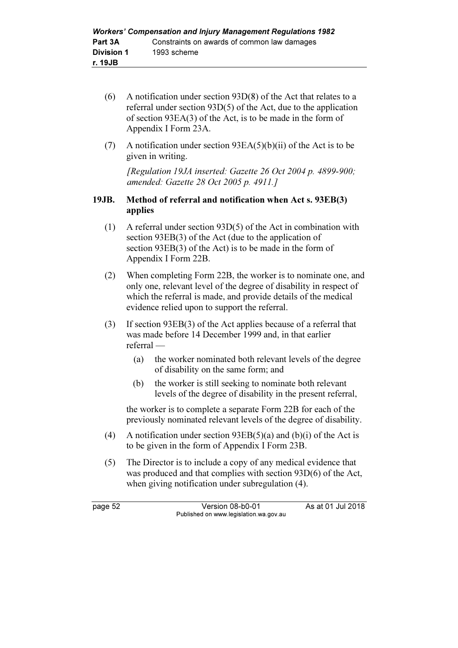- (6) A notification under section 93D(8) of the Act that relates to a referral under section 93D(5) of the Act, due to the application of section 93EA(3) of the Act, is to be made in the form of Appendix I Form 23A.
- (7) A notification under section  $93EA(5)(b)(ii)$  of the Act is to be given in writing.

[Regulation 19JA inserted: Gazette 26 Oct 2004 p. 4899-900; amended: Gazette 28 Oct 2005 p. 4911.]

### 19JB. Method of referral and notification when Act s. 93EB(3) applies

- (1) A referral under section 93D(5) of the Act in combination with section 93EB(3) of the Act (due to the application of section 93EB(3) of the Act) is to be made in the form of Appendix I Form 22B.
- (2) When completing Form 22B, the worker is to nominate one, and only one, relevant level of the degree of disability in respect of which the referral is made, and provide details of the medical evidence relied upon to support the referral.
- (3) If section 93EB(3) of the Act applies because of a referral that was made before 14 December 1999 and, in that earlier referral —
	- (a) the worker nominated both relevant levels of the degree of disability on the same form; and
	- (b) the worker is still seeking to nominate both relevant levels of the degree of disability in the present referral,

 the worker is to complete a separate Form 22B for each of the previously nominated relevant levels of the degree of disability.

- (4) A notification under section  $93EB(5)(a)$  and (b)(i) of the Act is to be given in the form of Appendix I Form 23B.
- (5) The Director is to include a copy of any medical evidence that was produced and that complies with section 93D(6) of the Act, when giving notification under subregulation (4).

page 52 Version 08-b0-01 As at 01 Jul 2018 Published on www.legislation.wa.gov.au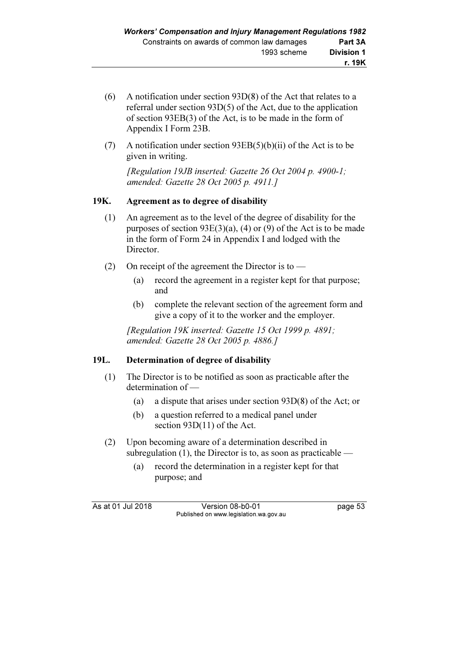- (6) A notification under section 93D(8) of the Act that relates to a referral under section 93D(5) of the Act, due to the application of section 93EB(3) of the Act, is to be made in the form of Appendix I Form 23B.
- (7) A notification under section  $93EB(5)(b)(ii)$  of the Act is to be given in writing.

[Regulation 19JB inserted: Gazette 26 Oct 2004 p. 4900-1; amended: Gazette 28 Oct 2005 p. 4911.]

### 19K. Agreement as to degree of disability

- (1) An agreement as to the level of the degree of disability for the purposes of section 93E(3)(a), (4) or (9) of the Act is to be made in the form of Form 24 in Appendix I and lodged with the Director.
- (2) On receipt of the agreement the Director is to
	- (a) record the agreement in a register kept for that purpose; and
	- (b) complete the relevant section of the agreement form and give a copy of it to the worker and the employer.

[Regulation 19K inserted: Gazette 15 Oct 1999 p. 4891; amended: Gazette 28 Oct 2005 p. 4886.]

### 19L. Determination of degree of disability

- (1) The Director is to be notified as soon as practicable after the determination of —
	- (a) a dispute that arises under section 93D(8) of the Act; or
	- (b) a question referred to a medical panel under section 93D(11) of the Act.
- (2) Upon becoming aware of a determination described in subregulation  $(1)$ , the Director is to, as soon as practicable —
	- (a) record the determination in a register kept for that purpose; and

As at 01 Jul 2018 Version 08-b0-01 page 53 Published on www.legislation.wa.gov.au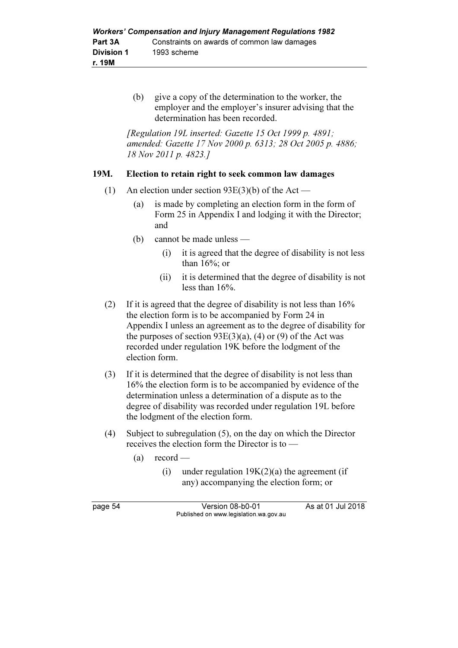(b) give a copy of the determination to the worker, the employer and the employer's insurer advising that the determination has been recorded.

[Regulation 19L inserted: Gazette 15 Oct 1999 p. 4891; amended: Gazette 17 Nov 2000 p. 6313; 28 Oct 2005 p. 4886; 18 Nov 2011 p. 4823.]

### 19M. Election to retain right to seek common law damages

- (1) An election under section 93E(3)(b) of the Act
	- (a) is made by completing an election form in the form of Form 25 in Appendix I and lodging it with the Director; and
	- (b) cannot be made unless
		- (i) it is agreed that the degree of disability is not less than 16%; or
		- (ii) it is determined that the degree of disability is not less than 16%.
- (2) If it is agreed that the degree of disability is not less than 16% the election form is to be accompanied by Form 24 in Appendix I unless an agreement as to the degree of disability for the purposes of section  $93E(3)(a)$ , (4) or (9) of the Act was recorded under regulation 19K before the lodgment of the election form.
- (3) If it is determined that the degree of disability is not less than 16% the election form is to be accompanied by evidence of the determination unless a determination of a dispute as to the degree of disability was recorded under regulation 19L before the lodgment of the election form.
- (4) Subject to subregulation (5), on the day on which the Director receives the election form the Director is to —
	- $(a)$  record
		- (i) under regulation  $19K(2)(a)$  the agreement (if any) accompanying the election form; or

page 54 Version 08-b0-01 As at 01 Jul 2018 Published on www.legislation.wa.gov.au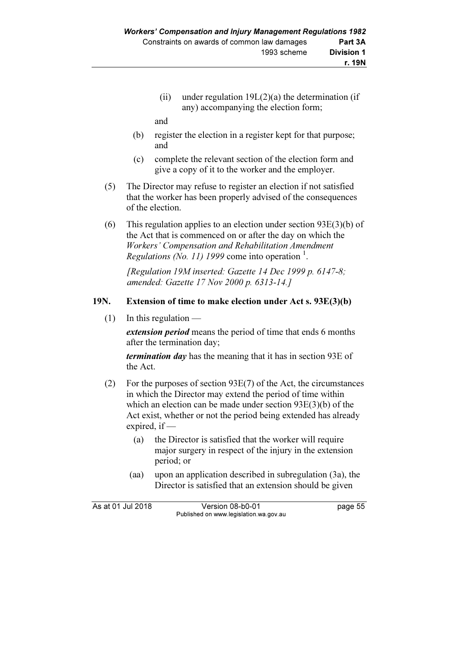(ii) under regulation  $19L(2)(a)$  the determination (if any) accompanying the election form;

and

- (b) register the election in a register kept for that purpose; and
- (c) complete the relevant section of the election form and give a copy of it to the worker and the employer.
- (5) The Director may refuse to register an election if not satisfied that the worker has been properly advised of the consequences of the election.
- (6) This regulation applies to an election under section 93E(3)(b) of the Act that is commenced on or after the day on which the Workers' Compensation and Rehabilitation Amendment Regulations (No. 11) 1999 come into operation  $<sup>1</sup>$ .</sup>

[Regulation 19M inserted: Gazette 14 Dec 1999 p. 6147-8; amended: Gazette 17 Nov 2000 p. 6313-14.]

### 19N. Extension of time to make election under Act s. 93E(3)(b)

 $(1)$  In this regulation —

extension period means the period of time that ends 6 months after the termination day;

termination day has the meaning that it has in section 93E of the Act.

- (2) For the purposes of section 93E(7) of the Act, the circumstances in which the Director may extend the period of time within which an election can be made under section 93E(3)(b) of the Act exist, whether or not the period being extended has already expired, if —
	- (a) the Director is satisfied that the worker will require major surgery in respect of the injury in the extension period; or
	- (aa) upon an application described in subregulation (3a), the Director is satisfied that an extension should be given

As at 01 Jul 2018 Version 08-b0-01 page 55 Published on www.legislation.wa.gov.au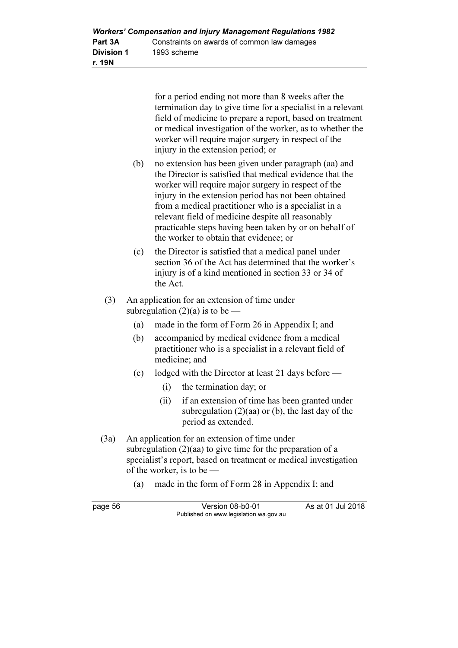| <b>Workers' Compensation and Injury Management Regulations 1982</b> |                                             |  |
|---------------------------------------------------------------------|---------------------------------------------|--|
| Part 3A                                                             | Constraints on awards of common law damages |  |
| Division 1                                                          | 1993 scheme                                 |  |
| r. 19N                                                              |                                             |  |

for a period ending not more than 8 weeks after the termination day to give time for a specialist in a relevant field of medicine to prepare a report, based on treatment or medical investigation of the worker, as to whether the worker will require major surgery in respect of the injury in the extension period; or

- (b) no extension has been given under paragraph (aa) and the Director is satisfied that medical evidence that the worker will require major surgery in respect of the injury in the extension period has not been obtained from a medical practitioner who is a specialist in a relevant field of medicine despite all reasonably practicable steps having been taken by or on behalf of the worker to obtain that evidence; or
- (c) the Director is satisfied that a medical panel under section 36 of the Act has determined that the worker's injury is of a kind mentioned in section 33 or 34 of the Act.
- (3) An application for an extension of time under subregulation  $(2)(a)$  is to be —
	- (a) made in the form of Form 26 in Appendix I; and
	- (b) accompanied by medical evidence from a medical practitioner who is a specialist in a relevant field of medicine; and
	- (c) lodged with the Director at least 21 days before
		- (i) the termination day; or
		- (ii) if an extension of time has been granted under subregulation  $(2)(aa)$  or  $(b)$ , the last day of the period as extended.
- (3a) An application for an extension of time under subregulation (2)(aa) to give time for the preparation of a specialist's report, based on treatment or medical investigation of the worker, is to be —
	- (a) made in the form of Form 28 in Appendix I; and

| page 56 | Version 08-b0-01                       | As at 01 Jul 2018 |
|---------|----------------------------------------|-------------------|
|         | Published on www.legislation.wa.gov.au |                   |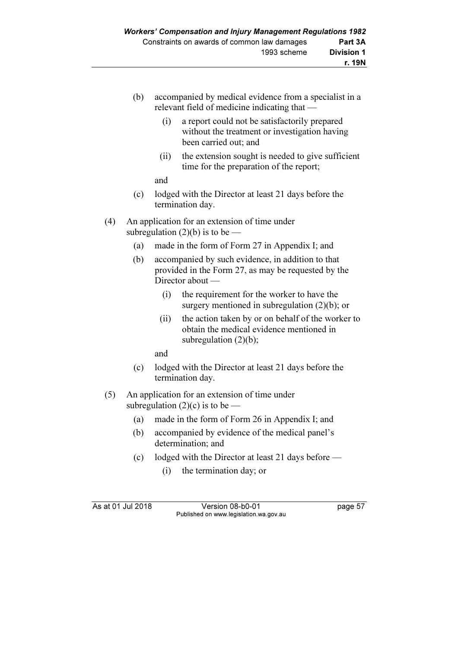- (b) accompanied by medical evidence from a specialist in a relevant field of medicine indicating that —
	- (i) a report could not be satisfactorily prepared without the treatment or investigation having been carried out; and
	- (ii) the extension sought is needed to give sufficient time for the preparation of the report;
	- and
- (c) lodged with the Director at least 21 days before the termination day.
- (4) An application for an extension of time under subregulation  $(2)(b)$  is to be  $-$ 
	- (a) made in the form of Form 27 in Appendix I; and
	- (b) accompanied by such evidence, in addition to that provided in the Form 27, as may be requested by the Director about —
		- (i) the requirement for the worker to have the surgery mentioned in subregulation  $(2)(b)$ ; or
		- (ii) the action taken by or on behalf of the worker to obtain the medical evidence mentioned in subregulation  $(2)(b)$ ;

and

- (c) lodged with the Director at least 21 days before the termination day.
- (5) An application for an extension of time under subregulation  $(2)(c)$  is to be —
	- (a) made in the form of Form 26 in Appendix I; and
	- (b) accompanied by evidence of the medical panel's determination; and
	- (c) lodged with the Director at least 21 days before
		- (i) the termination day; or

As at 01 Jul 2018 Version 08-b0-01 page 57 Published on www.legislation.wa.gov.au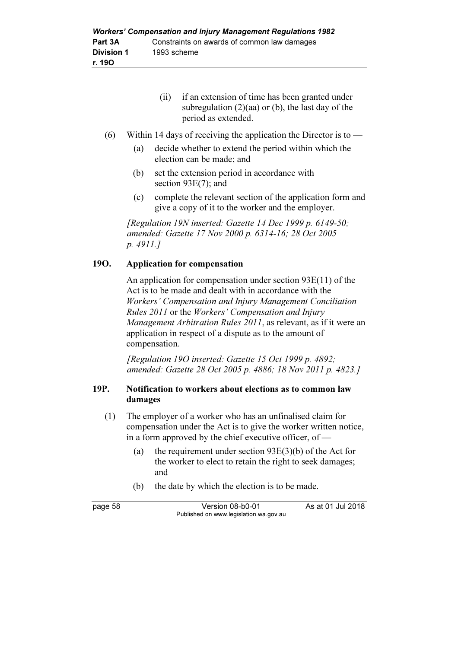| if an extension of time has been granted under      |
|-----------------------------------------------------|
| subregulation $(2)(aa)$ or (b), the last day of the |
| period as extended.                                 |

- (6) Within 14 days of receiving the application the Director is to  $-$ 
	- (a) decide whether to extend the period within which the election can be made; and
	- (b) set the extension period in accordance with section 93E(7); and
	- (c) complete the relevant section of the application form and give a copy of it to the worker and the employer.

[Regulation 19N inserted: Gazette 14 Dec 1999 p.  $6149-50$ ; amended: Gazette 17 Nov 2000 p. 6314-16; 28 Oct 2005 p. 4911.]

### 19O. Application for compensation

 An application for compensation under section 93E(11) of the Act is to be made and dealt with in accordance with the Workers' Compensation and Injury Management Conciliation Rules 2011 or the Workers' Compensation and Injury Management Arbitration Rules 2011, as relevant, as if it were an application in respect of a dispute as to the amount of compensation.

 [Regulation 19O inserted: Gazette 15 Oct 1999 p. 4892; amended: Gazette 28 Oct 2005 p. 4886; 18 Nov 2011 p. 4823.]

### 19P. Notification to workers about elections as to common law damages

- (1) The employer of a worker who has an unfinalised claim for compensation under the Act is to give the worker written notice, in a form approved by the chief executive officer, of —
	- (a) the requirement under section 93E(3)(b) of the Act for the worker to elect to retain the right to seek damages; and
	- (b) the date by which the election is to be made.

page 58 Version 08-b0-01 As at 01 Jul 2018 Published on www.legislation.wa.gov.au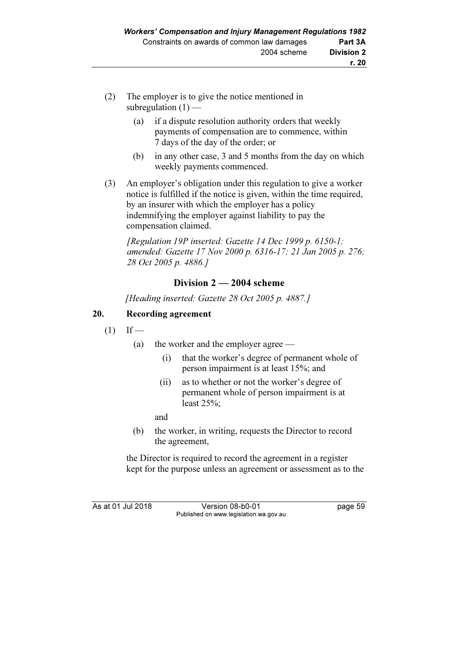- (2) The employer is to give the notice mentioned in subregulation  $(1)$  —
	- (a) if a dispute resolution authority orders that weekly payments of compensation are to commence, within 7 days of the day of the order; or
	- (b) in any other case, 3 and 5 months from the day on which weekly payments commenced.
- (3) An employer's obligation under this regulation to give a worker notice is fulfilled if the notice is given, within the time required, by an insurer with which the employer has a policy indemnifying the employer against liability to pay the compensation claimed.

 [Regulation 19P inserted: Gazette 14 Dec 1999 p. 6150-1; amended: Gazette 17 Nov 2000 p. 6316-17; 21 Jan 2005 p. 276; 28 Oct 2005 p. 4886.]

## Division 2 — 2004 scheme

[Heading inserted: Gazette 28 Oct 2005 p. 4887.]

### 20. Recording agreement

- $(1)$  If
	- (a) the worker and the employer agree
		- (i) that the worker's degree of permanent whole of person impairment is at least 15%; and
		- (ii) as to whether or not the worker's degree of permanent whole of person impairment is at least 25%;

and

 (b) the worker, in writing, requests the Director to record the agreement,

 the Director is required to record the agreement in a register kept for the purpose unless an agreement or assessment as to the

As at 01 Jul 2018 Version 08-b0-01 page 59 Published on www.legislation.wa.gov.au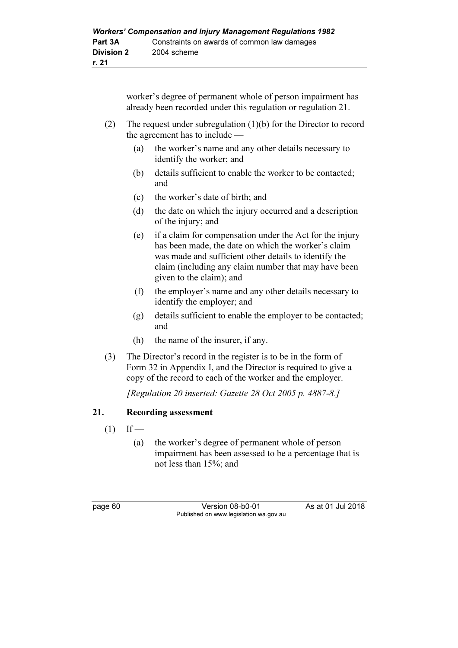worker's degree of permanent whole of person impairment has already been recorded under this regulation or regulation 21.

- (2) The request under subregulation (1)(b) for the Director to record the agreement has to include —
	- (a) the worker's name and any other details necessary to identify the worker; and
	- (b) details sufficient to enable the worker to be contacted; and
	- (c) the worker's date of birth; and
	- (d) the date on which the injury occurred and a description of the injury; and
	- (e) if a claim for compensation under the Act for the injury has been made, the date on which the worker's claim was made and sufficient other details to identify the claim (including any claim number that may have been given to the claim); and
	- (f) the employer's name and any other details necessary to identify the employer; and
	- (g) details sufficient to enable the employer to be contacted; and
	- (h) the name of the insurer, if any.
- (3) The Director's record in the register is to be in the form of Form 32 in Appendix I, and the Director is required to give a copy of the record to each of the worker and the employer.

[Regulation 20 inserted: Gazette 28 Oct 2005 p. 4887-8.]

### 21. Recording assessment

- $(1)$  If
	- (a) the worker's degree of permanent whole of person impairment has been assessed to be a percentage that is not less than 15%; and

page 60 **Version 08-b0-01** As at 01 Jul 2018 Published on www.legislation.wa.gov.au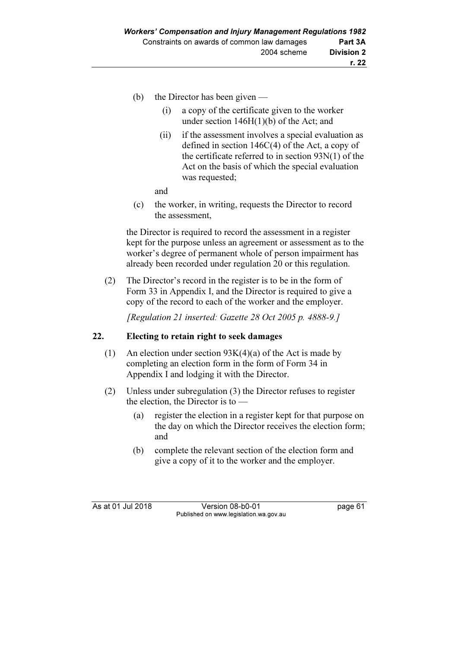- (b) the Director has been given
	- (i) a copy of the certificate given to the worker under section 146H(1)(b) of the Act; and
	- (ii) if the assessment involves a special evaluation as defined in section 146C(4) of the Act, a copy of the certificate referred to in section 93N(1) of the Act on the basis of which the special evaluation was requested;

and

 (c) the worker, in writing, requests the Director to record the assessment,

 the Director is required to record the assessment in a register kept for the purpose unless an agreement or assessment as to the worker's degree of permanent whole of person impairment has already been recorded under regulation 20 or this regulation.

 (2) The Director's record in the register is to be in the form of Form 33 in Appendix I, and the Director is required to give a copy of the record to each of the worker and the employer.

[Regulation 21 inserted: Gazette 28 Oct 2005 p. 4888-9.]

### 22. Electing to retain right to seek damages

- (1) An election under section  $93K(4)(a)$  of the Act is made by completing an election form in the form of Form 34 in Appendix I and lodging it with the Director.
- (2) Unless under subregulation (3) the Director refuses to register the election, the Director is to —
	- (a) register the election in a register kept for that purpose on the day on which the Director receives the election form; and
	- (b) complete the relevant section of the election form and give a copy of it to the worker and the employer.

As at 01 Jul 2018 Version 08-b0-01 page 61 Published on www.legislation.wa.gov.au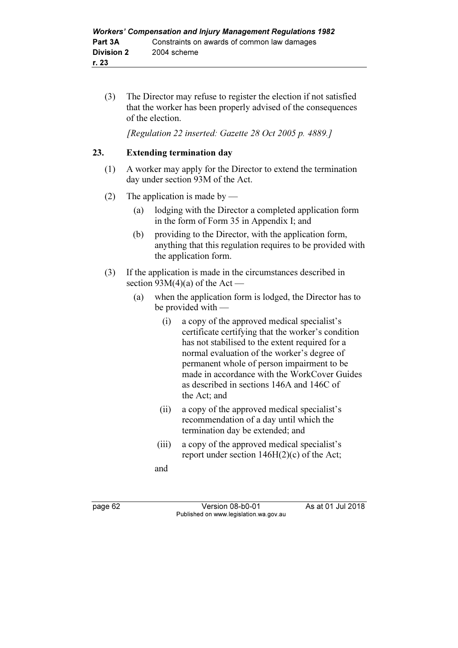(3) The Director may refuse to register the election if not satisfied that the worker has been properly advised of the consequences of the election.

[Regulation 22 inserted: Gazette 28 Oct 2005 p. 4889.]

### 23. Extending termination day

- (1) A worker may apply for the Director to extend the termination day under section 93M of the Act.
- (2) The application is made by
	- (a) lodging with the Director a completed application form in the form of Form 35 in Appendix I; and
	- (b) providing to the Director, with the application form, anything that this regulation requires to be provided with the application form.
- (3) If the application is made in the circumstances described in section  $93M(4)(a)$  of the Act —
	- (a) when the application form is lodged, the Director has to be provided with —
		- (i) a copy of the approved medical specialist's certificate certifying that the worker's condition has not stabilised to the extent required for a normal evaluation of the worker's degree of permanent whole of person impairment to be made in accordance with the WorkCover Guides as described in sections 146A and 146C of the Act; and
		- (ii) a copy of the approved medical specialist's recommendation of a day until which the termination day be extended; and
		- (iii) a copy of the approved medical specialist's report under section 146H(2)(c) of the Act;

and

page 62 Version 08-b0-01 As at 01 Jul 2018 Published on www.legislation.wa.gov.au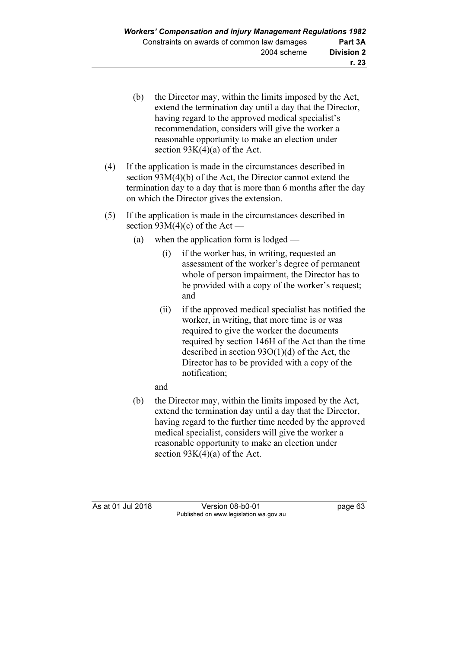- (b) the Director may, within the limits imposed by the Act, extend the termination day until a day that the Director, having regard to the approved medical specialist's recommendation, considers will give the worker a reasonable opportunity to make an election under section  $93K(4)(a)$  of the Act.
- (4) If the application is made in the circumstances described in section 93M(4)(b) of the Act, the Director cannot extend the termination day to a day that is more than 6 months after the day on which the Director gives the extension.
- (5) If the application is made in the circumstances described in section  $93M(4)(c)$  of the Act —
	- (a) when the application form is lodged
		- (i) if the worker has, in writing, requested an assessment of the worker's degree of permanent whole of person impairment, the Director has to be provided with a copy of the worker's request; and
		- (ii) if the approved medical specialist has notified the worker, in writing, that more time is or was required to give the worker the documents required by section 146H of the Act than the time described in section 93O(1)(d) of the Act, the Director has to be provided with a copy of the notification;
		- and
	- (b) the Director may, within the limits imposed by the Act, extend the termination day until a day that the Director, having regard to the further time needed by the approved medical specialist, considers will give the worker a reasonable opportunity to make an election under section  $93K(4)(a)$  of the Act.

As at 01 Jul 2018 Version 08-b0-01 page 63 Published on www.legislation.wa.gov.au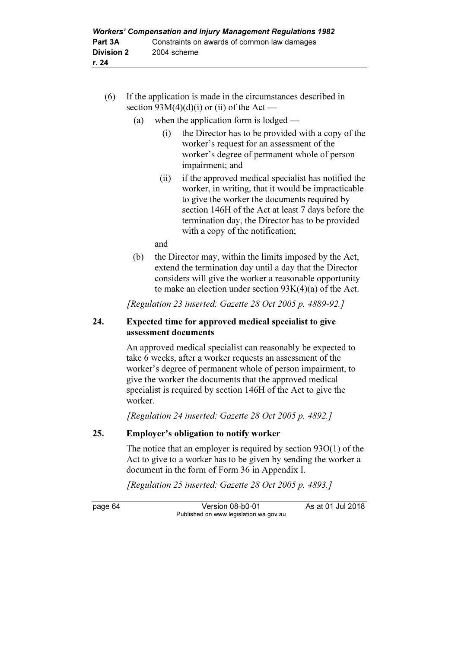- (6) If the application is made in the circumstances described in section  $93M(4)(d)(i)$  or (ii) of the Act —
	- (a) when the application form is lodged
		- (i) the Director has to be provided with a copy of the worker's request for an assessment of the worker's degree of permanent whole of person impairment; and
		- (ii) if the approved medical specialist has notified the worker, in writing, that it would be impracticable to give the worker the documents required by section 146H of the Act at least 7 days before the termination day, the Director has to be provided with a copy of the notification;

and

 (b) the Director may, within the limits imposed by the Act, extend the termination day until a day that the Director considers will give the worker a reasonable opportunity to make an election under section 93K(4)(a) of the Act.

[Regulation 23 inserted: Gazette 28 Oct 2005 p. 4889-92.]

### 24. Expected time for approved medical specialist to give assessment documents

 An approved medical specialist can reasonably be expected to take 6 weeks, after a worker requests an assessment of the worker's degree of permanent whole of person impairment, to give the worker the documents that the approved medical specialist is required by section 146H of the Act to give the worker.

[Regulation 24 inserted: Gazette 28 Oct 2005 p. 4892.]

### 25. Employer's obligation to notify worker

 The notice that an employer is required by section 93O(1) of the Act to give to a worker has to be given by sending the worker a document in the form of Form 36 in Appendix I.

[Regulation 25 inserted: Gazette 28 Oct 2005 p. 4893.]

page 64 Version 08-b0-01 As at 01 Jul 2018 Published on www.legislation.wa.gov.au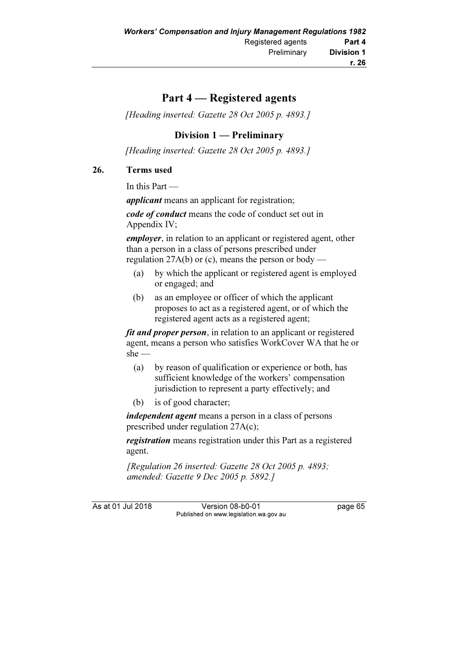# Part 4 — Registered agents

[Heading inserted: Gazette 28 Oct 2005 p. 4893.]

# Division 1 — Preliminary

[Heading inserted: Gazette 28 Oct 2005 p. 4893.]

# 26. Terms used

In this Part —

applicant means an applicant for registration;

code of conduct means the code of conduct set out in Appendix IV;

employer, in relation to an applicant or registered agent, other than a person in a class of persons prescribed under regulation  $27A(b)$  or (c), means the person or body —

- (a) by which the applicant or registered agent is employed or engaged; and
- (b) as an employee or officer of which the applicant proposes to act as a registered agent, or of which the registered agent acts as a registered agent;

fit and proper person, in relation to an applicant or registered agent, means a person who satisfies WorkCover WA that he or she —

- (a) by reason of qualification or experience or both, has sufficient knowledge of the workers' compensation jurisdiction to represent a party effectively; and
- (b) is of good character;

independent agent means a person in a class of persons prescribed under regulation 27A(c);

**registration** means registration under this Part as a registered agent.

[Regulation 26 inserted: Gazette 28 Oct 2005 p. 4893; amended: Gazette 9 Dec 2005 p. 5892.]

As at 01 Jul 2018 Version 08-b0-01 page 65 Published on www.legislation.wa.gov.au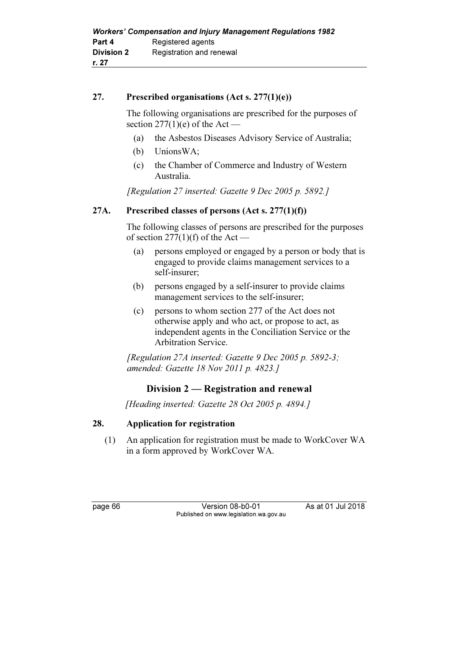# 27. Prescribed organisations (Act s. 277(1)(e))

 The following organisations are prescribed for the purposes of section  $277(1)(e)$  of the Act —

- (a) the Asbestos Diseases Advisory Service of Australia;
- (b) UnionsWA;
- (c) the Chamber of Commerce and Industry of Western Australia.

[Regulation 27 inserted: Gazette 9 Dec 2005 p. 5892.]

# 27A. Prescribed classes of persons  $(Act s. 277(1)(f))$

 The following classes of persons are prescribed for the purposes of section  $277(1)(f)$  of the Act –

- (a) persons employed or engaged by a person or body that is engaged to provide claims management services to a self-insurer;
- (b) persons engaged by a self-insurer to provide claims management services to the self-insurer;
- (c) persons to whom section 277 of the Act does not otherwise apply and who act, or propose to act, as independent agents in the Conciliation Service or the Arbitration Service.

[Regulation 27A inserted: Gazette 9 Dec 2005 p. 5892-3; amended: Gazette 18 Nov 2011 p. 4823.]

# Division 2 — Registration and renewal

[Heading inserted: Gazette 28 Oct 2005 p. 4894.]

# 28. Application for registration

 (1) An application for registration must be made to WorkCover WA in a form approved by WorkCover WA.

page 66 Version 08-b0-01 As at 01 Jul 2018 Published on www.legislation.wa.gov.au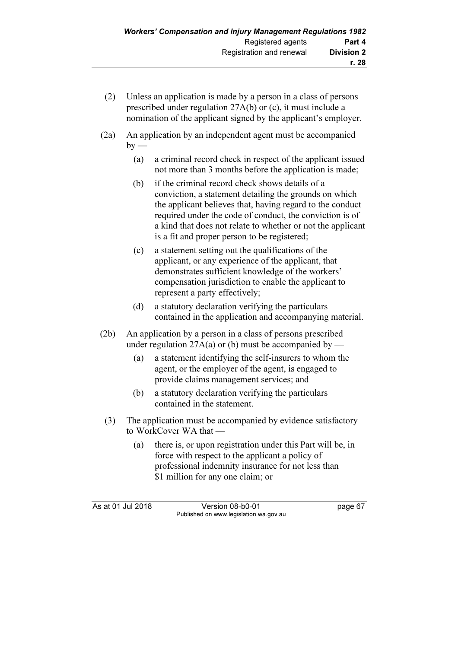- (2) Unless an application is made by a person in a class of persons prescribed under regulation 27A(b) or (c), it must include a nomination of the applicant signed by the applicant's employer.
- (2a) An application by an independent agent must be accompanied  $by -$ 
	- (a) a criminal record check in respect of the applicant issued not more than 3 months before the application is made;
	- (b) if the criminal record check shows details of a conviction, a statement detailing the grounds on which the applicant believes that, having regard to the conduct required under the code of conduct, the conviction is of a kind that does not relate to whether or not the applicant is a fit and proper person to be registered;
	- (c) a statement setting out the qualifications of the applicant, or any experience of the applicant, that demonstrates sufficient knowledge of the workers' compensation jurisdiction to enable the applicant to represent a party effectively;
	- (d) a statutory declaration verifying the particulars contained in the application and accompanying material.
- (2b) An application by a person in a class of persons prescribed under regulation  $27A(a)$  or (b) must be accompanied by  $-$ 
	- (a) a statement identifying the self-insurers to whom the agent, or the employer of the agent, is engaged to provide claims management services; and
	- (b) a statutory declaration verifying the particulars contained in the statement.
	- (3) The application must be accompanied by evidence satisfactory to WorkCover WA that —
		- (a) there is, or upon registration under this Part will be, in force with respect to the applicant a policy of professional indemnity insurance for not less than \$1 million for any one claim; or

As at 01 Jul 2018 Version 08-b0-01 page 67 Published on www.legislation.wa.gov.au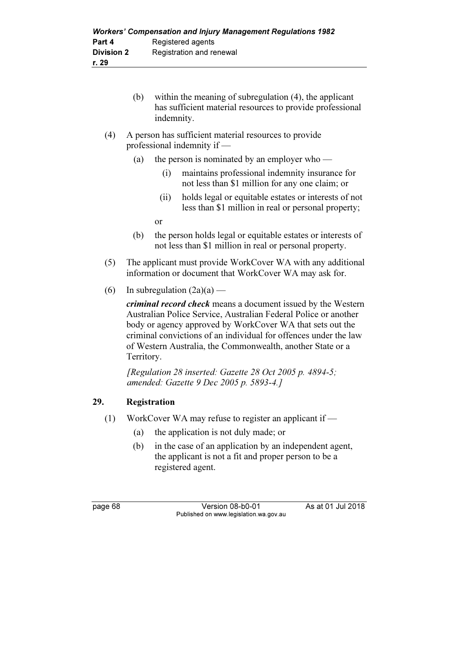- (b) within the meaning of subregulation (4), the applicant has sufficient material resources to provide professional indemnity.
- (4) A person has sufficient material resources to provide professional indemnity if —
	- (a) the person is nominated by an employer who
		- (i) maintains professional indemnity insurance for not less than \$1 million for any one claim; or
		- (ii) holds legal or equitable estates or interests of not less than \$1 million in real or personal property;

or

- (b) the person holds legal or equitable estates or interests of not less than \$1 million in real or personal property.
- (5) The applicant must provide WorkCover WA with any additional information or document that WorkCover WA may ask for.
- (6) In subregulation  $(2a)(a)$  —

criminal record check means a document issued by the Western Australian Police Service, Australian Federal Police or another body or agency approved by WorkCover WA that sets out the criminal convictions of an individual for offences under the law of Western Australia, the Commonwealth, another State or a Territory.

[Regulation 28 inserted: Gazette 28 Oct 2005 p. 4894-5; amended: Gazette 9 Dec 2005 p. 5893-4.]

# 29. Registration

- (1) WorkCover WA may refuse to register an applicant if
	- (a) the application is not duly made; or
	- (b) in the case of an application by an independent agent, the applicant is not a fit and proper person to be a registered agent.

page 68 Version 08-b0-01 As at 01 Jul 2018 Published on www.legislation.wa.gov.au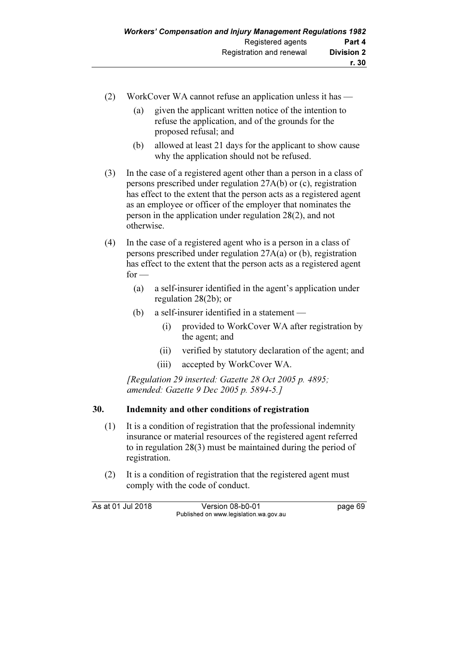- (2) WorkCover WA cannot refuse an application unless it has
	- (a) given the applicant written notice of the intention to refuse the application, and of the grounds for the proposed refusal; and
	- (b) allowed at least 21 days for the applicant to show cause why the application should not be refused.
- (3) In the case of a registered agent other than a person in a class of persons prescribed under regulation 27A(b) or (c), registration has effect to the extent that the person acts as a registered agent as an employee or officer of the employer that nominates the person in the application under regulation 28(2), and not otherwise.
- (4) In the case of a registered agent who is a person in a class of persons prescribed under regulation 27A(a) or (b), registration has effect to the extent that the person acts as a registered agent  $for -$ 
	- (a) a self-insurer identified in the agent's application under regulation 28(2b); or
	- (b) a self-insurer identified in a statement
		- (i) provided to WorkCover WA after registration by the agent; and
		- (ii) verified by statutory declaration of the agent; and
		- (iii) accepted by WorkCover WA.

[Regulation 29 inserted: Gazette 28 Oct 2005 p. 4895; amended: Gazette 9 Dec 2005 p. 5894-5.]

# 30. Indemnity and other conditions of registration

- (1) It is a condition of registration that the professional indemnity insurance or material resources of the registered agent referred to in regulation 28(3) must be maintained during the period of registration.
- (2) It is a condition of registration that the registered agent must comply with the code of conduct.

As at 01 Jul 2018 Version 08-b0-01 page 69 Published on www.legislation.wa.gov.au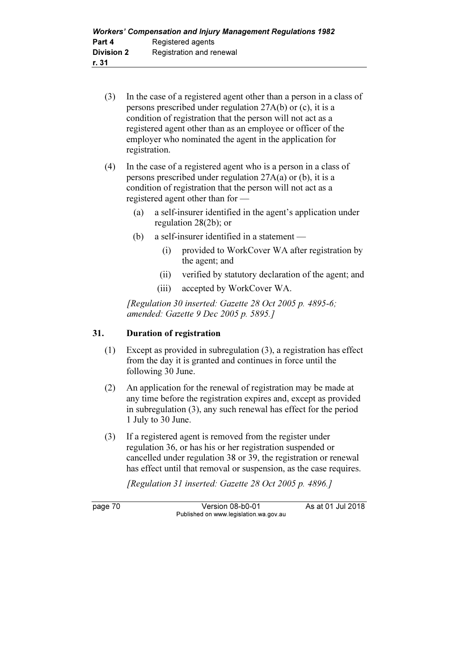- (3) In the case of a registered agent other than a person in a class of persons prescribed under regulation 27A(b) or (c), it is a condition of registration that the person will not act as a registered agent other than as an employee or officer of the employer who nominated the agent in the application for registration.
- (4) In the case of a registered agent who is a person in a class of persons prescribed under regulation 27A(a) or (b), it is a condition of registration that the person will not act as a registered agent other than for —
	- (a) a self-insurer identified in the agent's application under regulation 28(2b); or
	- (b) a self-insurer identified in a statement
		- (i) provided to WorkCover WA after registration by the agent; and
		- (ii) verified by statutory declaration of the agent; and
		- (iii) accepted by WorkCover WA.

[Regulation 30 inserted: Gazette  $28$  Oct  $2005$  p. 4895-6; amended: Gazette 9 Dec 2005 p. 5895.]

# 31. Duration of registration

- (1) Except as provided in subregulation (3), a registration has effect from the day it is granted and continues in force until the following 30 June.
- (2) An application for the renewal of registration may be made at any time before the registration expires and, except as provided in subregulation (3), any such renewal has effect for the period 1 July to 30 June.
- (3) If a registered agent is removed from the register under regulation 36, or has his or her registration suspended or cancelled under regulation 38 or 39, the registration or renewal has effect until that removal or suspension, as the case requires.

[Regulation 31 inserted: Gazette 28 Oct 2005 p. 4896.]

page 70 Version 08-b0-01 As at 01 Jul 2018 Published on www.legislation.wa.gov.au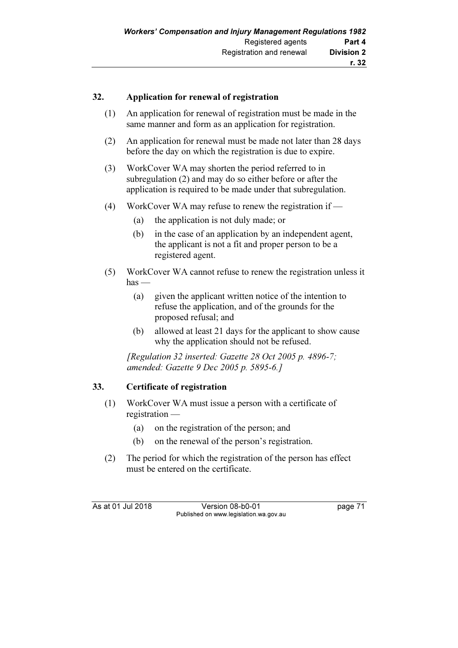# 32. Application for renewal of registration

- (1) An application for renewal of registration must be made in the same manner and form as an application for registration.
- (2) An application for renewal must be made not later than 28 days before the day on which the registration is due to expire.
- (3) WorkCover WA may shorten the period referred to in subregulation (2) and may do so either before or after the application is required to be made under that subregulation.
- (4) WorkCover WA may refuse to renew the registration if
	- (a) the application is not duly made; or
	- (b) in the case of an application by an independent agent, the applicant is not a fit and proper person to be a registered agent.
- (5) WorkCover WA cannot refuse to renew the registration unless it  $has$  —
	- (a) given the applicant written notice of the intention to refuse the application, and of the grounds for the proposed refusal; and
	- (b) allowed at least 21 days for the applicant to show cause why the application should not be refused.

[Regulation 32 inserted: Gazette 28 Oct 2005 p. 4896-7; amended: Gazette 9 Dec 2005 p. 5895-6.]

# 33. Certificate of registration

- (1) WorkCover WA must issue a person with a certificate of registration —
	- (a) on the registration of the person; and
	- (b) on the renewal of the person's registration.
- (2) The period for which the registration of the person has effect must be entered on the certificate.

As at 01 Jul 2018 Version 08-b0-01 page 71 Published on www.legislation.wa.gov.au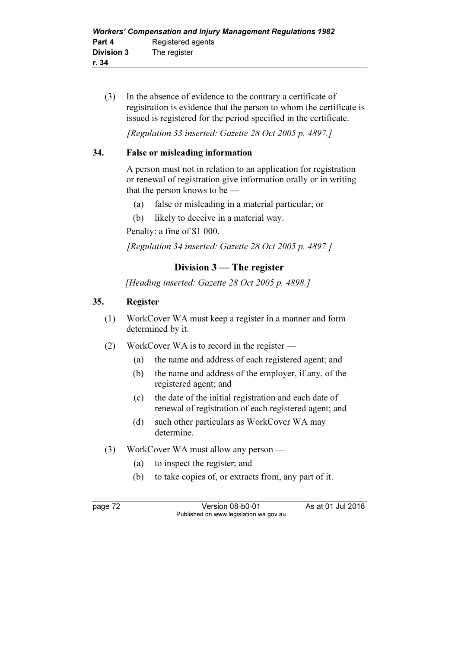(3) In the absence of evidence to the contrary a certificate of registration is evidence that the person to whom the certificate is issued is registered for the period specified in the certificate.

[Regulation 33 inserted: Gazette 28 Oct 2005 p. 4897.]

# 34. False or misleading information

 A person must not in relation to an application for registration or renewal of registration give information orally or in writing that the person knows to be —

- (a) false or misleading in a material particular; or
- (b) likely to deceive in a material way.

Penalty: a fine of \$1 000.

[Regulation 34 inserted: Gazette 28 Oct 2005 p. 4897.]

# Division 3 — The register

[Heading inserted: Gazette 28 Oct 2005 p. 4898.]

# 35. Register

- (1) WorkCover WA must keep a register in a manner and form determined by it.
- (2) WorkCover WA is to record in the register
	- (a) the name and address of each registered agent; and
	- (b) the name and address of the employer, if any, of the registered agent; and
	- (c) the date of the initial registration and each date of renewal of registration of each registered agent; and
	- (d) such other particulars as WorkCover WA may determine.
- (3) WorkCover WA must allow any person
	- (a) to inspect the register; and
	- (b) to take copies of, or extracts from, any part of it.

page 72 Version 08-b0-01 As at 01 Jul 2018 Published on www.legislation.wa.gov.au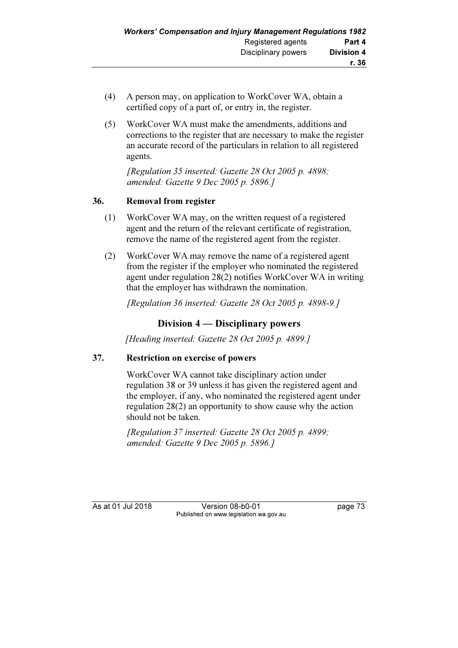- (4) A person may, on application to WorkCover WA, obtain a certified copy of a part of, or entry in, the register.
- (5) WorkCover WA must make the amendments, additions and corrections to the register that are necessary to make the register an accurate record of the particulars in relation to all registered agents.

 [Regulation 35 inserted: Gazette 28 Oct 2005 p. 4898; amended: Gazette 9 Dec 2005 p. 5896.]

# 36. Removal from register

- (1) WorkCover WA may, on the written request of a registered agent and the return of the relevant certificate of registration, remove the name of the registered agent from the register.
- (2) WorkCover WA may remove the name of a registered agent from the register if the employer who nominated the registered agent under regulation 28(2) notifies WorkCover WA in writing that the employer has withdrawn the nomination.

[Regulation 36 inserted: Gazette 28 Oct 2005 p. 4898-9.]

# Division 4 — Disciplinary powers

[Heading inserted: Gazette 28 Oct 2005 p. 4899.]

# 37. Restriction on exercise of powers

 WorkCover WA cannot take disciplinary action under regulation 38 or 39 unless it has given the registered agent and the employer, if any, who nominated the registered agent under regulation 28(2) an opportunity to show cause why the action should not be taken.

 [Regulation 37 inserted: Gazette 28 Oct 2005 p. 4899; amended: Gazette 9 Dec 2005 p. 5896.]

As at 01 Jul 2018 Version 08-b0-01 page 73 Published on www.legislation.wa.gov.au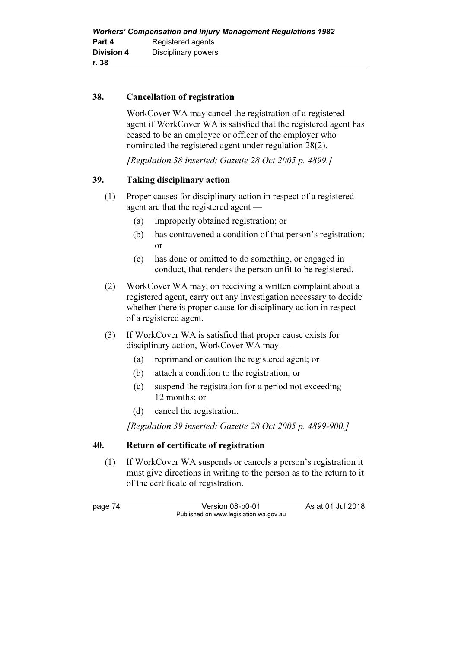### 38. Cancellation of registration

 WorkCover WA may cancel the registration of a registered agent if WorkCover WA is satisfied that the registered agent has ceased to be an employee or officer of the employer who nominated the registered agent under regulation 28(2).

[Regulation 38 inserted: Gazette 28 Oct 2005 p. 4899.]

# 39. Taking disciplinary action

- (1) Proper causes for disciplinary action in respect of a registered agent are that the registered agent —
	- (a) improperly obtained registration; or
	- (b) has contravened a condition of that person's registration; or
	- (c) has done or omitted to do something, or engaged in conduct, that renders the person unfit to be registered.
- (2) WorkCover WA may, on receiving a written complaint about a registered agent, carry out any investigation necessary to decide whether there is proper cause for disciplinary action in respect of a registered agent.
- (3) If WorkCover WA is satisfied that proper cause exists for disciplinary action, WorkCover WA may —
	- (a) reprimand or caution the registered agent; or
	- (b) attach a condition to the registration; or
	- (c) suspend the registration for a period not exceeding 12 months; or
	- (d) cancel the registration.

[Regulation 39 inserted: Gazette 28 Oct 2005 p. 4899-900.]

### 40. Return of certificate of registration

 (1) If WorkCover WA suspends or cancels a person's registration it must give directions in writing to the person as to the return to it of the certificate of registration.

page 74 Version 08-b0-01 As at 01 Jul 2018 Published on www.legislation.wa.gov.au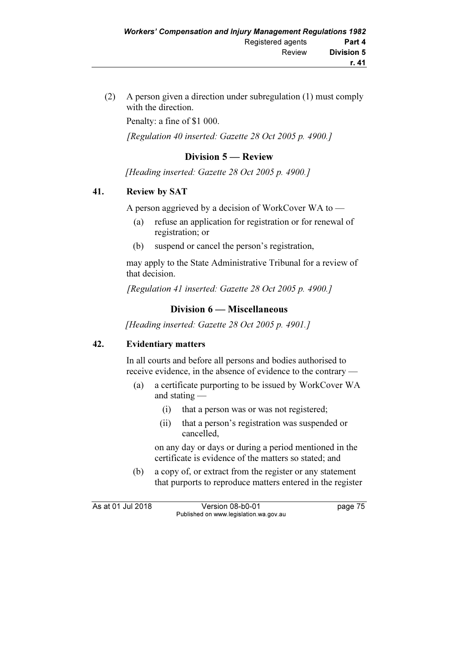(2) A person given a direction under subregulation (1) must comply with the direction.

Penalty: a fine of \$1 000.

[Regulation 40 inserted: Gazette 28 Oct 2005 p. 4900.]

# Division 5 — Review

[Heading inserted: Gazette 28 Oct 2005 p. 4900.]

# 41. Review by SAT

A person aggrieved by a decision of WorkCover WA to —

- (a) refuse an application for registration or for renewal of registration; or
- (b) suspend or cancel the person's registration,

 may apply to the State Administrative Tribunal for a review of that decision.

[Regulation 41 inserted: Gazette 28 Oct 2005 p. 4900.]

# Division 6 — Miscellaneous

[Heading inserted: Gazette 28 Oct 2005 p. 4901.]

# 42. Evidentiary matters

 In all courts and before all persons and bodies authorised to receive evidence, in the absence of evidence to the contrary —

- (a) a certificate purporting to be issued by WorkCover WA and stating —
	- (i) that a person was or was not registered;
	- (ii) that a person's registration was suspended or cancelled,

 on any day or days or during a period mentioned in the certificate is evidence of the matters so stated; and

 (b) a copy of, or extract from the register or any statement that purports to reproduce matters entered in the register

As at 01 Jul 2018 Version 08-b0-01 page 75 Published on www.legislation.wa.gov.au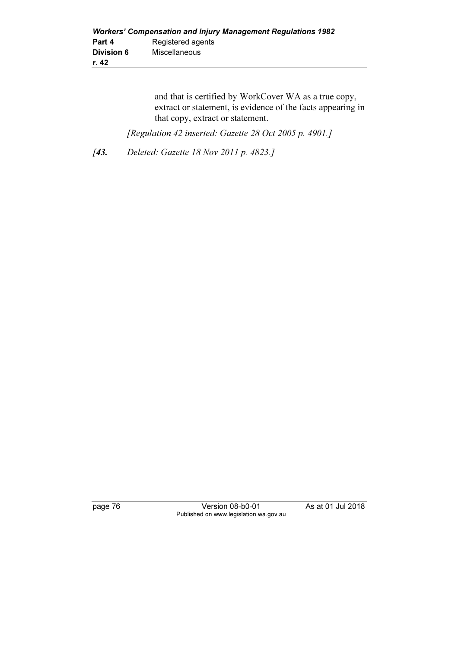and that is certified by WorkCover WA as a true copy, extract or statement, is evidence of the facts appearing in that copy, extract or statement.

[Regulation 42 inserted: Gazette 28 Oct 2005 p. 4901.]

[43. Deleted: Gazette 18 Nov 2011 p. 4823.]

page 76 Version 08-b0-01 As at 01 Jul 2018 Published on www.legislation.wa.gov.au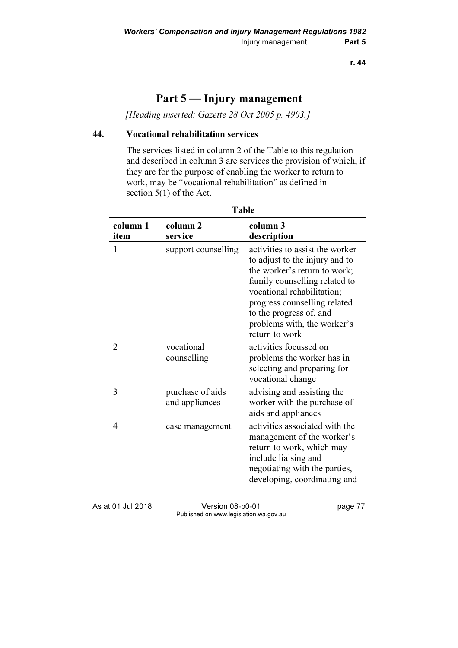# Part 5 — Injury management

[Heading inserted: Gazette 28 Oct 2005 p. 4903.]

# 44. Vocational rehabilitation services

 The services listed in column 2 of the Table to this regulation and described in column 3 are services the provision of which, if they are for the purpose of enabling the worker to return to work, may be "vocational rehabilitation" as defined in section 5(1) of the Act.

| column 1<br>item | column <sub>2</sub><br>service     | column 3<br>description                                                                                                                                                                                                                                                      |
|------------------|------------------------------------|------------------------------------------------------------------------------------------------------------------------------------------------------------------------------------------------------------------------------------------------------------------------------|
| 1                | support counselling                | activities to assist the worker<br>to adjust to the injury and to<br>the worker's return to work;<br>family counselling related to<br>vocational rehabilitation;<br>progress counselling related<br>to the progress of, and<br>problems with, the worker's<br>return to work |
| $\overline{2}$   | vocational<br>counselling          | activities focussed on<br>problems the worker has in<br>selecting and preparing for<br>vocational change                                                                                                                                                                     |
| 3                | purchase of aids<br>and appliances | advising and assisting the<br>worker with the purchase of<br>aids and appliances                                                                                                                                                                                             |
| 4                | case management                    | activities associated with the<br>management of the worker's<br>return to work, which may<br>include liaising and<br>negotiating with the parties,<br>developing, coordinating and                                                                                           |

#### Table

As at 01 Jul 2018 Version 08-b0-01 page 77 Published on www.legislation.wa.gov.au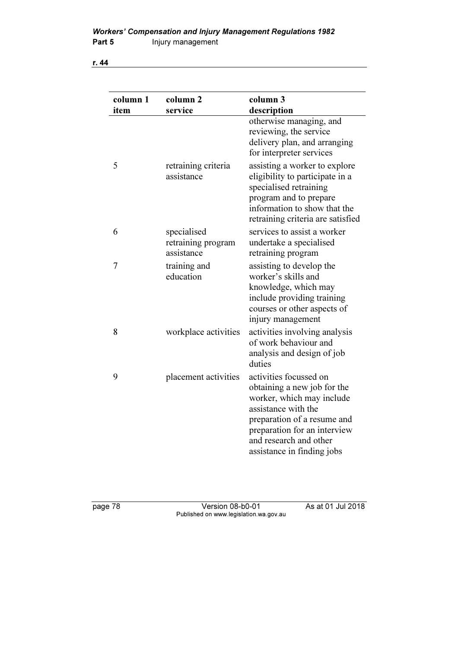| column 1<br>item | column <sub>2</sub><br>service                  | column 3<br>description                                                                                                                                                                                                          |
|------------------|-------------------------------------------------|----------------------------------------------------------------------------------------------------------------------------------------------------------------------------------------------------------------------------------|
|                  |                                                 | otherwise managing, and<br>reviewing, the service<br>delivery plan, and arranging<br>for interpreter services                                                                                                                    |
| 5                | retraining criteria<br>assistance               | assisting a worker to explore<br>eligibility to participate in a<br>specialised retraining<br>program and to prepare<br>information to show that the<br>retraining criteria are satisfied                                        |
| 6                | specialised<br>retraining program<br>assistance | services to assist a worker<br>undertake a specialised<br>retraining program                                                                                                                                                     |
| 7                | training and<br>education                       | assisting to develop the<br>worker's skills and<br>knowledge, which may<br>include providing training<br>courses or other aspects of<br>injury management                                                                        |
| 8                | workplace activities                            | activities involving analysis<br>of work behaviour and<br>analysis and design of job<br>duties                                                                                                                                   |
| 9                | placement activities                            | activities focussed on<br>obtaining a new job for the<br>worker, which may include<br>assistance with the<br>preparation of a resume and<br>preparation for an interview<br>and research and other<br>assistance in finding jobs |

page 78 Version 08-b0-01 As at 01 Jul 2018 Published on www.legislation.wa.gov.au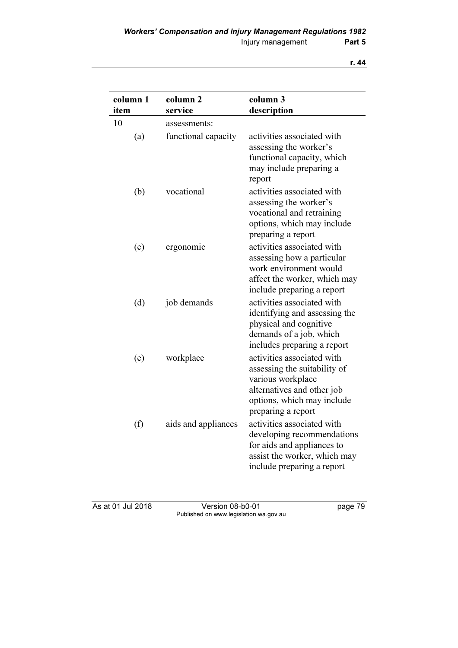| column 1 | column <sub>2</sub><br>service | column 3                                                                                                                                                          |
|----------|--------------------------------|-------------------------------------------------------------------------------------------------------------------------------------------------------------------|
| item     |                                | description                                                                                                                                                       |
| 10       | assessments:                   |                                                                                                                                                                   |
| (a)      | functional capacity            | activities associated with<br>assessing the worker's<br>functional capacity, which<br>may include preparing a<br>report                                           |
| (b)      | vocational                     | activities associated with<br>assessing the worker's<br>vocational and retraining<br>options, which may include<br>preparing a report                             |
| (c)      | ergonomic                      | activities associated with<br>assessing how a particular<br>work environment would<br>affect the worker, which may<br>include preparing a report                  |
| (d)      | job demands                    | activities associated with<br>identifying and assessing the<br>physical and cognitive<br>demands of a job, which<br>includes preparing a report                   |
| (e)      | workplace                      | activities associated with<br>assessing the suitability of<br>various workplace<br>alternatives and other job<br>options, which may include<br>preparing a report |
| (f)      | aids and appliances            | activities associated with<br>developing recommendations<br>for aids and appliances to<br>assist the worker, which may<br>include preparing a report              |

As at 01 Jul 2018 Version 08-b0-01 page 79 Published on www.legislation.wa.gov.au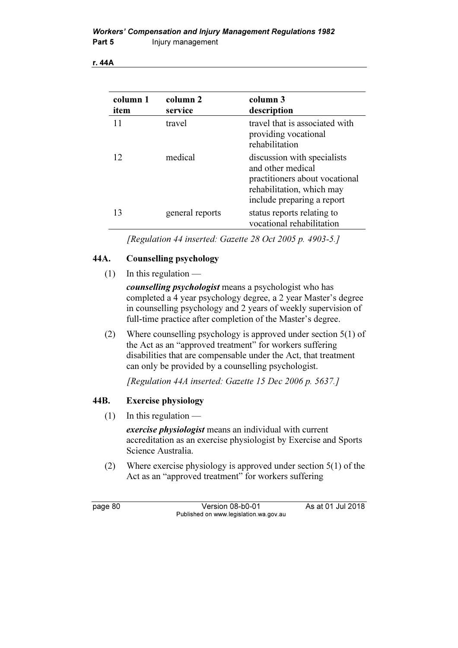| column 1<br>item | column 2<br>service | column 3<br>description                                                                                                                       |
|------------------|---------------------|-----------------------------------------------------------------------------------------------------------------------------------------------|
| 11               | travel              | travel that is associated with<br>providing vocational<br>rehabilitation                                                                      |
| 12               | medical             | discussion with specialists<br>and other medical<br>practitioners about vocational<br>rehabilitation, which may<br>include preparing a report |
| 13               | general reports     | status reports relating to<br>vocational rehabilitation                                                                                       |

[Regulation 44 inserted: Gazette 28 Oct 2005 p. 4903-5.]

# 44A. Counselling psychology

 $(1)$  In this regulation —

counselling psychologist means a psychologist who has completed a 4 year psychology degree, a 2 year Master's degree in counselling psychology and 2 years of weekly supervision of full-time practice after completion of the Master's degree.

 (2) Where counselling psychology is approved under section 5(1) of the Act as an "approved treatment" for workers suffering disabilities that are compensable under the Act, that treatment can only be provided by a counselling psychologist.

[Regulation 44A inserted: Gazette 15 Dec 2006 p. 5637.]

# 44B. Exercise physiology

 $(1)$  In this regulation —

exercise *physiologist* means an individual with current accreditation as an exercise physiologist by Exercise and Sports Science Australia.

 (2) Where exercise physiology is approved under section 5(1) of the Act as an "approved treatment" for workers suffering

page 80 Version 08-b0-01 As at 01 Jul 2018 Published on www.legislation.wa.gov.au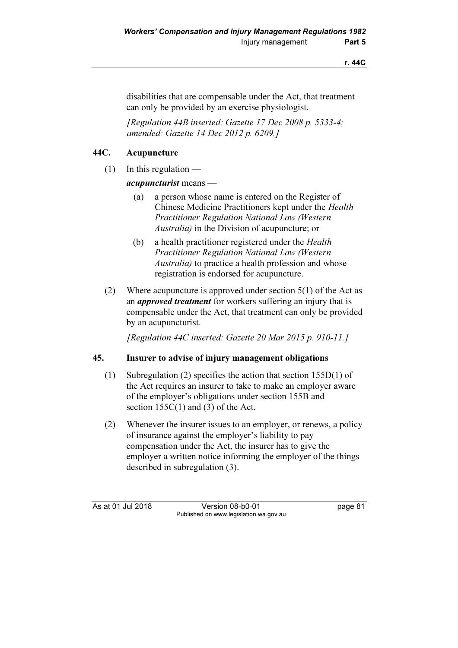disabilities that are compensable under the Act, that treatment can only be provided by an exercise physiologist.

 [Regulation 44B inserted: Gazette 17 Dec 2008 p. 5333-4; amended: Gazette 14 Dec 2012 p. 6209.]

# 44C. Acupuncture

 $(1)$  In this regulation —

acupuncturist means —

- (a) a person whose name is entered on the Register of Chinese Medicine Practitioners kept under the Health Practitioner Regulation National Law (Western Australia) in the Division of acupuncture; or
- (b) a health practitioner registered under the Health Practitioner Regulation National Law (Western Australia) to practice a health profession and whose registration is endorsed for acupuncture.
- (2) Where acupuncture is approved under section 5(1) of the Act as an *approved treatment* for workers suffering an injury that is compensable under the Act, that treatment can only be provided by an acupuncturist.

[Regulation 44C inserted: Gazette 20 Mar 2015 p. 910-11.]

### 45. Insurer to advise of injury management obligations

- (1) Subregulation (2) specifies the action that section 155D(1) of the Act requires an insurer to take to make an employer aware of the employer's obligations under section 155B and section 155C(1) and (3) of the Act.
- (2) Whenever the insurer issues to an employer, or renews, a policy of insurance against the employer's liability to pay compensation under the Act, the insurer has to give the employer a written notice informing the employer of the things described in subregulation (3).

As at 01 Jul 2018 Version 08-b0-01 page 81 Published on www.legislation.wa.gov.au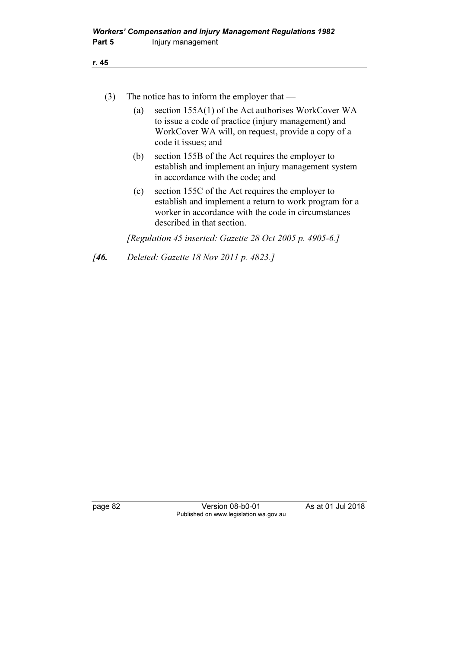| ٧<br>_  |
|---------|
| ×<br>۰. |
|         |

| $\left[3\right]$ |     | The notice has to inform the employer that $-$                                                                                                                                                  |
|------------------|-----|-------------------------------------------------------------------------------------------------------------------------------------------------------------------------------------------------|
|                  | (a) | section 155A(1) of the Act authorises WorkCover WA<br>to issue a code of practice (injury management) and<br>WorkCover WA will, on request, provide a copy of a<br>code it issues; and          |
|                  | (b) | section 155B of the Act requires the employer to<br>establish and implement an injury management system<br>in accordance with the code; and                                                     |
|                  | (c) | section 155C of the Act requires the employer to<br>establish and implement a return to work program for a<br>worker in accordance with the code in circumstances<br>described in that section. |
|                  |     | [Regulation 45 inserted: Gazette $28$ Oct $2005$ p. 4905-6.]                                                                                                                                    |

[46. Deleted: Gazette 18 Nov 2011 p. 4823.]

page 82 Version 08-b0-01 As at 01 Jul 2018 Published on www.legislation.wa.gov.au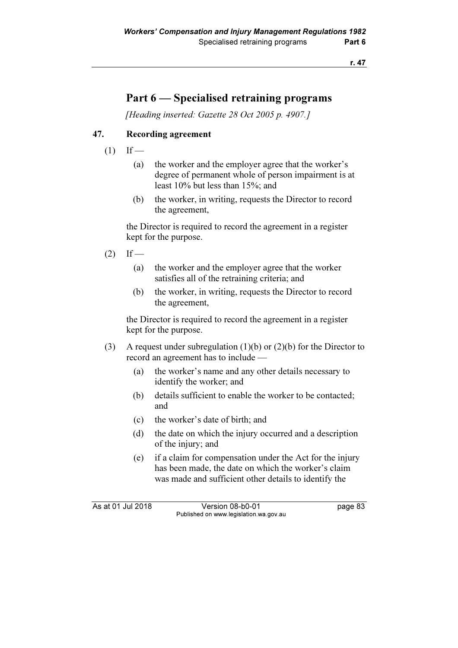# Part 6 — Specialised retraining programs

[Heading inserted: Gazette 28 Oct 2005 p. 4907.]

# 47. Recording agreement

- $(1)$  If
	- (a) the worker and the employer agree that the worker's degree of permanent whole of person impairment is at least 10% but less than 15%; and
	- (b) the worker, in writing, requests the Director to record the agreement,

 the Director is required to record the agreement in a register kept for the purpose.

- $(2)$  If
	- (a) the worker and the employer agree that the worker satisfies all of the retraining criteria; and
	- (b) the worker, in writing, requests the Director to record the agreement,

 the Director is required to record the agreement in a register kept for the purpose.

- (3) A request under subregulation (1)(b) or (2)(b) for the Director to record an agreement has to include —
	- (a) the worker's name and any other details necessary to identify the worker; and
	- (b) details sufficient to enable the worker to be contacted; and
	- (c) the worker's date of birth; and
	- (d) the date on which the injury occurred and a description of the injury; and
	- (e) if a claim for compensation under the Act for the injury has been made, the date on which the worker's claim was made and sufficient other details to identify the

As at 01 Jul 2018 Version 08-b0-01 page 83 Published on www.legislation.wa.gov.au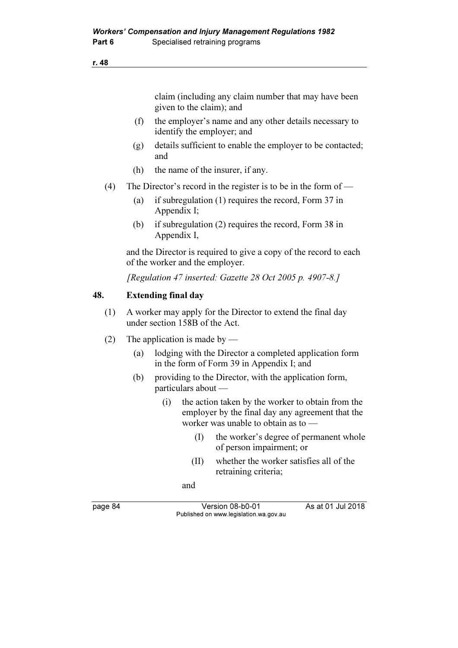claim (including any claim number that may have been given to the claim); and

- (f) the employer's name and any other details necessary to identify the employer; and
- (g) details sufficient to enable the employer to be contacted; and
- (h) the name of the insurer, if any.
- (4) The Director's record in the register is to be in the form of
	- (a) if subregulation (1) requires the record, Form 37 in Appendix I;
	- (b) if subregulation (2) requires the record, Form 38 in Appendix I,

 and the Director is required to give a copy of the record to each of the worker and the employer.

[Regulation 47 inserted: Gazette 28 Oct 2005 p. 4907-8.]

### 48. Extending final day

- (1) A worker may apply for the Director to extend the final day under section 158B of the Act.
- (2) The application is made by
	- (a) lodging with the Director a completed application form in the form of Form 39 in Appendix I; and
	- (b) providing to the Director, with the application form, particulars about —
		- (i) the action taken by the worker to obtain from the employer by the final day any agreement that the worker was unable to obtain as to —
			- (I) the worker's degree of permanent whole of person impairment; or
			- (II) whether the worker satisfies all of the retraining criteria;
			- and

page 84 Version 08-b0-01 As at 01 Jul 2018 Published on www.legislation.wa.gov.au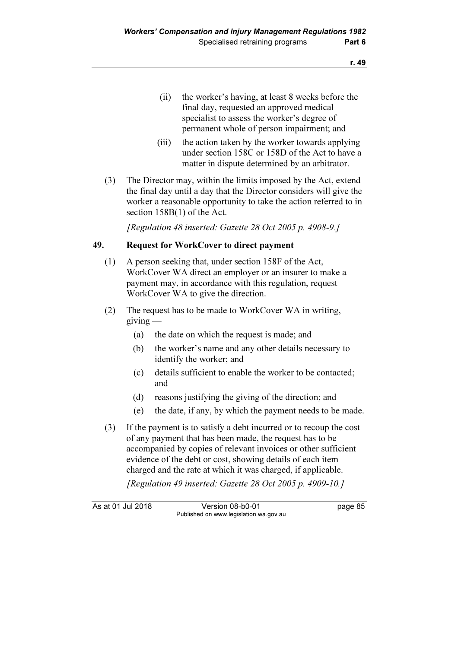- (ii) the worker's having, at least 8 weeks before the final day, requested an approved medical specialist to assess the worker's degree of permanent whole of person impairment; and
- (iii) the action taken by the worker towards applying under section 158C or 158D of the Act to have a matter in dispute determined by an arbitrator.
- (3) The Director may, within the limits imposed by the Act, extend the final day until a day that the Director considers will give the worker a reasonable opportunity to take the action referred to in section 158B(1) of the Act.

[Regulation 48 inserted: Gazette  $28$  Oct  $2005$  p. 4908-9.]

### 49. Request for WorkCover to direct payment

- (1) A person seeking that, under section 158F of the Act, WorkCover WA direct an employer or an insurer to make a payment may, in accordance with this regulation, request WorkCover WA to give the direction.
- (2) The request has to be made to WorkCover WA in writing,  $giving$ 
	- (a) the date on which the request is made; and
	- (b) the worker's name and any other details necessary to identify the worker; and
	- (c) details sufficient to enable the worker to be contacted; and
	- (d) reasons justifying the giving of the direction; and
	- (e) the date, if any, by which the payment needs to be made.
- (3) If the payment is to satisfy a debt incurred or to recoup the cost of any payment that has been made, the request has to be accompanied by copies of relevant invoices or other sufficient evidence of the debt or cost, showing details of each item charged and the rate at which it was charged, if applicable.

[Regulation 49 inserted: Gazette 28 Oct 2005 p. 4909-10.]

As at 01 Jul 2018 Version 08-b0-01 page 85 Published on www.legislation.wa.gov.au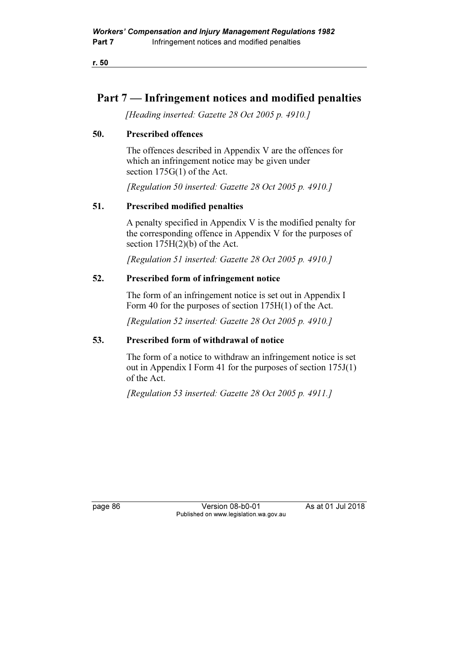# Part 7 — Infringement notices and modified penalties

[Heading inserted: Gazette 28 Oct 2005 p. 4910.]

### 50. Prescribed offences

 The offences described in Appendix V are the offences for which an infringement notice may be given under section 175G(1) of the Act.

[Regulation 50 inserted: Gazette 28 Oct 2005 p. 4910.]

# 51. Prescribed modified penalties

 A penalty specified in Appendix V is the modified penalty for the corresponding offence in Appendix V for the purposes of section 175H(2)(b) of the Act.

[Regulation 51 inserted: Gazette 28 Oct 2005 p. 4910.]

# 52. Prescribed form of infringement notice

 The form of an infringement notice is set out in Appendix I Form 40 for the purposes of section 175H(1) of the Act.

[Regulation 52 inserted: Gazette 28 Oct 2005 p. 4910.]

# 53. Prescribed form of withdrawal of notice

 The form of a notice to withdraw an infringement notice is set out in Appendix I Form 41 for the purposes of section 175J(1) of the Act.

[Regulation 53 inserted: Gazette 28 Oct 2005 p. 4911.]

page 86 Version 08-b0-01 As at 01 Jul 2018 Published on www.legislation.wa.gov.au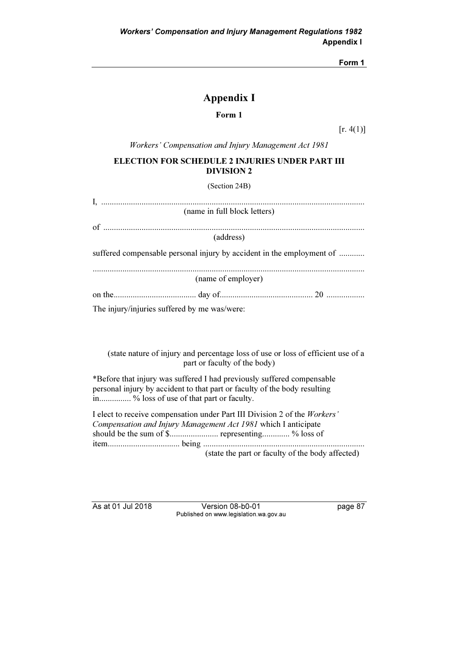Form 1

# Appendix I

#### Form 1

 $[r. 4(1)]$ 

Workers' Compensation and Injury Management Act 1981

#### ELECTION FOR SCHEDULE 2 INJURIES UNDER PART III DIVISION 2

(Section 24B)

| (name in full block letters)                                          |
|-----------------------------------------------------------------------|
|                                                                       |
|                                                                       |
| (address)                                                             |
| suffered compensable personal injury by accident in the employment of |
| (name of employer)                                                    |
|                                                                       |
| The injury/injuries suffered by me was/were:                          |

 (state nature of injury and percentage loss of use or loss of efficient use of a part or faculty of the body)

\*Before that injury was suffered I had previously suffered compensable personal injury by accident to that part or faculty of the body resulting in................ % loss of use of that part or faculty.

I elect to receive compensation under Part III Division 2 of the Workers' Compensation and Injury Management Act 1981 which I anticipate should be the sum of \$....................... representing............. % loss of item.................................. being ............................................................................ (state the part or faculty of the body affected)

As at 01 Jul 2018 Version 08-b0-01 page 87 Published on www.legislation.wa.gov.au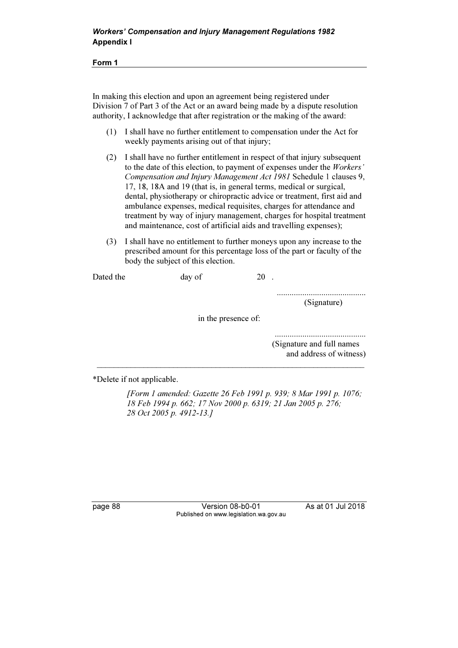Form 1

In making this election and upon an agreement being registered under Division 7 of Part 3 of the Act or an award being made by a dispute resolution authority, I acknowledge that after registration or the making of the award:

- (1) I shall have no further entitlement to compensation under the Act for weekly payments arising out of that injury;
- (2) I shall have no further entitlement in respect of that injury subsequent to the date of this election, to payment of expenses under the Workers' Compensation and Injury Management Act 1981 Schedule 1 clauses 9, 17, 18, 18A and 19 (that is, in general terms, medical or surgical, dental, physiotherapy or chiropractic advice or treatment, first aid and ambulance expenses, medical requisites, charges for attendance and treatment by way of injury management, charges for hospital treatment and maintenance, cost of artificial aids and travelling expenses);
- (3) I shall have no entitlement to further moneys upon any increase to the prescribed amount for this percentage loss of the part or faculty of the body the subject of this election.

..........................................

(Signature)

in the presence of:

\_\_\_\_\_\_\_\_\_\_\_\_\_\_\_\_\_\_\_\_\_\_\_\_\_\_\_\_\_\_\_\_\_\_\_\_\_\_\_\_\_\_\_\_\_\_\_\_\_\_\_\_\_\_\_\_\_\_\_\_\_\_\_

........................................... (Signature and full names and address of witness)

\*Delete if not applicable.

 [Form 1 amended: Gazette 26 Feb 1991 p. 939; 8 Mar 1991 p. 1076; 18 Feb 1994 p. 662; 17 Nov 2000 p. 6319; 21 Jan 2005 p. 276; 28 Oct 2005 p. 4912-13.]

page 88 Version 08-b0-01 As at 01 Jul 2018 Published on www.legislation.wa.gov.au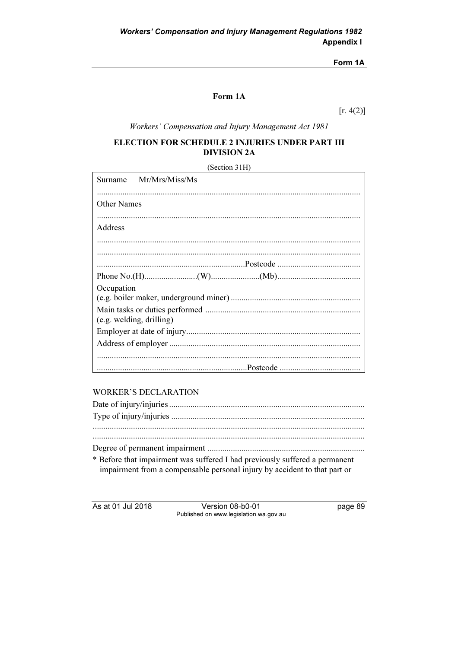### Form 1A

### Form 1A

 $[r. 4(2)]$ 

Workers' Compensation and Injury Management Act 1981

### ELECTION FOR SCHEDULE 2 INJURIES UNDER PART III **DIVISION 2A**

(Section 31H)

|                          | Surname Mr/Mrs/Miss/Ms |  |  |
|--------------------------|------------------------|--|--|
|                          |                        |  |  |
| <b>Other Names</b>       |                        |  |  |
| Address                  |                        |  |  |
|                          |                        |  |  |
|                          |                        |  |  |
|                          |                        |  |  |
|                          |                        |  |  |
| Occupation               |                        |  |  |
|                          |                        |  |  |
|                          |                        |  |  |
| (e.g. welding, drilling) |                        |  |  |
|                          |                        |  |  |
|                          |                        |  |  |
|                          |                        |  |  |
|                          |                        |  |  |

### **WORKER'S DECLARATION**

| * Before that impairment was suffered I had previously suffered a permanent |
|-----------------------------------------------------------------------------|
| impairment from a compensable personal injury by accident to that part or   |

As at 01 Jul 2018

Version 08-b0-01 Published on www.legislation.wa.gov.au page 89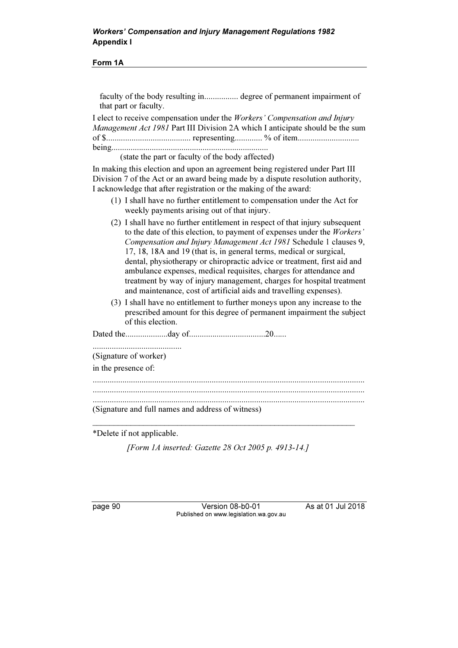### Workers' Compensation and Injury Management Regulations 1982 Appendix I

Form 1A

faculty of the body resulting in................ degree of permanent impairment of that part or faculty.

I elect to receive compensation under the Workers' Compensation and Injury Management Act 1981 Part III Division 2A which I anticipate should be the sum of \$........................................ representing............. % of item............................. being..........................................................................

(state the part or faculty of the body affected)

In making this election and upon an agreement being registered under Part III Division 7 of the Act or an award being made by a dispute resolution authority, I acknowledge that after registration or the making of the award:

- (1) I shall have no further entitlement to compensation under the Act for weekly payments arising out of that injury.
- (2) I shall have no further entitlement in respect of that injury subsequent to the date of this election, to payment of expenses under the Workers' Compensation and Injury Management Act 1981 Schedule 1 clauses 9, 17, 18, 18A and 19 (that is, in general terms, medical or surgical, dental, physiotherapy or chiropractic advice or treatment, first aid and ambulance expenses, medical requisites, charges for attendance and treatment by way of injury management, charges for hospital treatment and maintenance, cost of artificial aids and travelling expenses).
- (3) I shall have no entitlement to further moneys upon any increase to the prescribed amount for this degree of permanent impairment the subject of this election.

Dated the....................day of....................................20...... .......................................... (Signature of worker) in the presence of: ................................................................................................................................ ................................................................................................................................ ................................................................................................................................

(Signature and full names and address of witness)

\*Delete if not applicable.

[Form 1A inserted: Gazette 28 Oct 2005 p. 4913-14.]

\_\_\_\_\_\_\_\_\_\_\_\_\_\_\_\_\_\_\_\_\_\_\_\_\_\_\_\_\_\_\_\_\_\_\_\_\_\_\_\_\_\_\_\_\_\_\_\_\_\_\_\_\_\_\_\_\_\_\_\_\_\_

page 90 **Version 08-b0-01** As at 01 Jul 2018 Published on www.legislation.wa.gov.au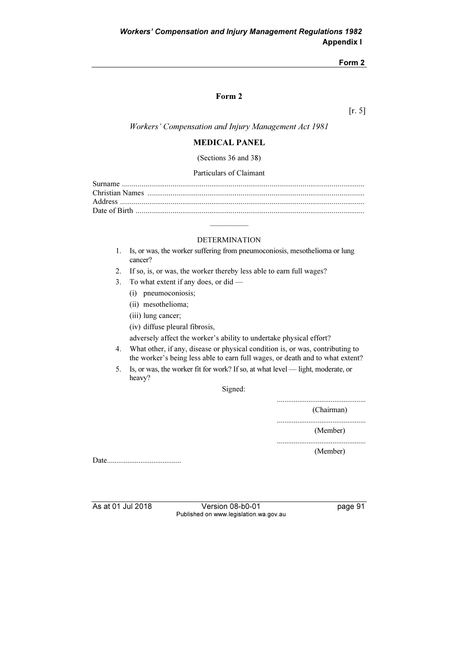#### Form 2

### Form 2

[r. 5]

Workers' Compensation and Injury Management Act 1981

#### MEDICAL PANEL

(Sections 36 and 38)

#### Particulars of Claimant

#### DETERMINATION

 $\mathcal{L}$  and  $\mathcal{L}$ 

- 1. Is, or was, the worker suffering from pneumoconiosis, mesothelioma or lung cancer?
- 2. If so, is, or was, the worker thereby less able to earn full wages?
- 3. To what extent if any does, or did
	- (i) pneumoconiosis;
	- (ii) mesothelioma;
	- (iii) lung cancer;
	- (iv) diffuse pleural fibrosis,

adversely affect the worker's ability to undertake physical effort?

- 4. What other, if any, disease or physical condition is, or was, contributing to the worker's being less able to earn full wages, or death and to what extent?
- 5. Is, or was, the worker fit for work? If so, at what level light, moderate, or heavy?

Signed:

................................................ (Chairman) ................................................ (Member) ................................................

(Member)

Date........................................

As at 01 Jul 2018 Version 08-b0-01 page 91 Published on www.legislation.wa.gov.au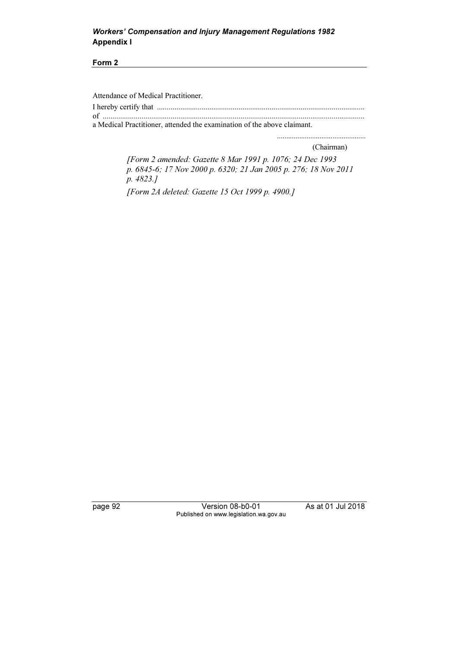### Workers' Compensation and Injury Management Regulations 1982 Appendix I

#### Form 2

Attendance of Medical Practitioner.

I hereby certify that ........................................................................................................... of .......................................................................................................................................

a Medical Practitioner, attended the examination of the above claimant.

(Chairman)

................................................

 [Form 2 amended: Gazette 8 Mar 1991 p. 1076; 24 Dec 1993 p. 6845-6; 17 Nov 2000 p. 6320; 21 Jan 2005 p. 276; 18 Nov 2011 p. 4823.]

[Form 2A deleted: Gazette 15 Oct 1999 p. 4900.]

page 92 Version 08-b0-01 As at 01 Jul 2018 Published on www.legislation.wa.gov.au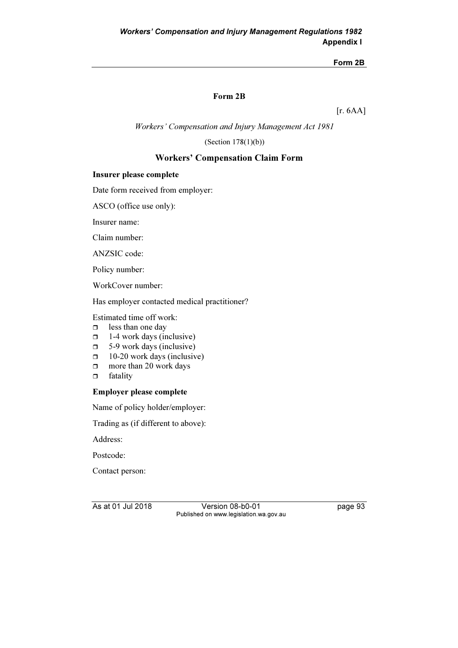### Form 2B

[r. 6AA]

Workers' Compensation and Injury Management Act 1981

(Section 178(1)(b))

### Workers' Compensation Claim Form

### Insurer please complete

Date form received from employer:

ASCO (office use only):

Insurer name:

Claim number:

ANZSIC code:

Policy number:

WorkCover number:

Has employer contacted medical practitioner?

Estimated time off work:

- $\Box$ less than one day
- $\Box$ 1-4 work days (inclusive)
- $\Box$ 5-9 work days (inclusive)
- $\Box$ 10-20 work days (inclusive)
- $\Box$ more than 20 work days
- $\Box$ fatality

#### Employer please complete

Name of policy holder/employer:

Trading as (if different to above):

Address:

Postcode:

Contact person:

As at 01 Jul 2018 Version 08-b0-01 page 93 Published on www.legislation.wa.gov.au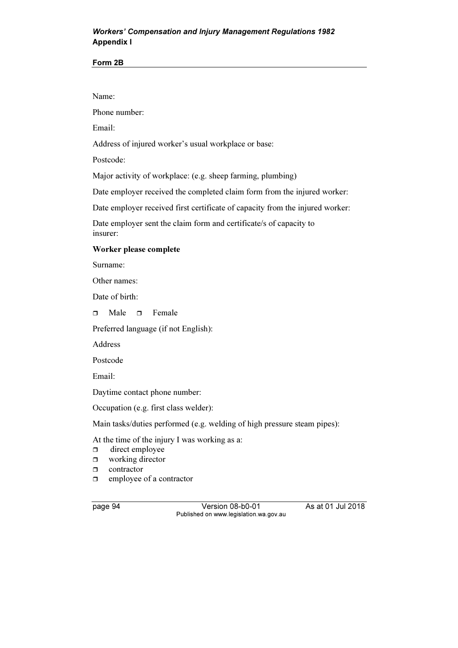### Workers' Compensation and Injury Management Regulations 1982 Appendix I

#### Form 2B

Name:

Phone number:

Email:

Address of injured worker's usual workplace or base:

Postcode:

Major activity of workplace: (e.g. sheep farming, plumbing)

Date employer received the completed claim form from the injured worker:

Date employer received first certificate of capacity from the injured worker:

Date employer sent the claim form and certificate/s of capacity to insurer:

### Worker please complete

Surname:

Other names:

Date of birth:

 $\Box$  Male  $\Box$  Female

Preferred language (if not English):

Address

Postcode

Email:

Daytime contact phone number:

Occupation (e.g. first class welder):

Main tasks/duties performed (e.g. welding of high pressure steam pipes):

At the time of the injury I was working as a:

- $\Box$ direct employee
- $\Box$ working director
- $\Box$ contractor
- $\Box$ employee of a contractor

page 94 Version 08-b0-01 As at 01 Jul 2018 Published on www.legislation.wa.gov.au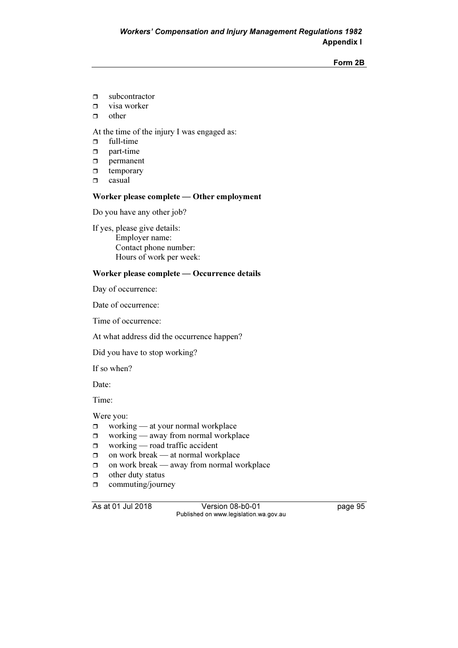- $\Box$ subcontractor
- $\Box$ visa worker
- $\Box$ other

At the time of the injury I was engaged as:

- $\Box$ full-time
- $\Box$ part-time
- $\Box$ permanent
- $\Box$ temporary
- $\Box$ casual

### Worker please complete — Other employment

Do you have any other job?

If yes, please give details: Employer name: Contact phone number: Hours of work per week:

### Worker please complete — Occurrence details

Day of occurrence:

Date of occurrence:

Time of occurrence:

At what address did the occurrence happen?

Did you have to stop working?

If so when?

Date:

Time:

Were you:

- $\Box$ working — at your normal workplace
- $\Box$ working — away from normal workplace
- $\Box$ working — road traffic accident
- $\Box$ on work break — at normal workplace
- $\Box$ on work break — away from normal workplace
- $\Box$ other duty status
- $\Box$ commuting/journey

As at 01 Jul 2018 Version 08-b0-01 page 95 Published on www.legislation.wa.gov.au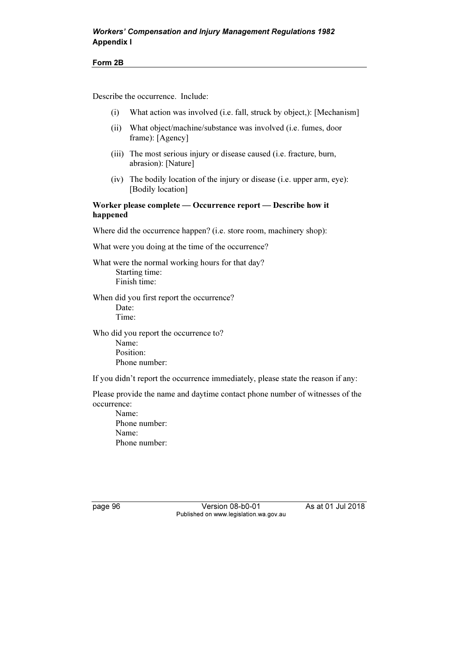Describe the occurrence. Include:

- (i) What action was involved (i.e. fall, struck by object,): [Mechanism]
- (ii) What object/machine/substance was involved (i.e. fumes, door frame): [Agency]
- (iii) The most serious injury or disease caused (i.e. fracture, burn, abrasion): [Nature]
- (iv) The bodily location of the injury or disease (i.e. upper arm, eye): [Bodily location]

Worker please complete — Occurrence report — Describe how it happened

Where did the occurrence happen? (i.e. store room, machinery shop):

What were you doing at the time of the occurrence?

What were the normal working hours for that day? Starting time: Finish time:

When did you first report the occurrence? Date: Time:

Who did you report the occurrence to? Name: Position: Phone number:

If you didn't report the occurrence immediately, please state the reason if any:

Please provide the name and daytime contact phone number of witnesses of the occurrence:

 Name: Phone number: Name: Phone number:

page 96 Version 08-b0-01 As at 01 Jul 2018 Published on www.legislation.wa.gov.au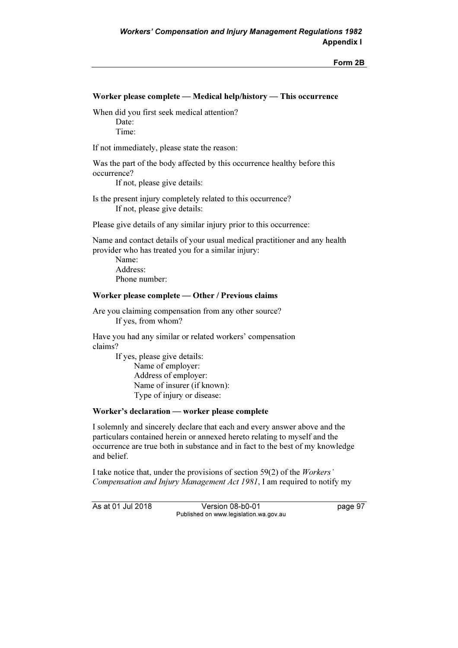### Worker please complete — Medical help/history — This occurrence

When did you first seek medical attention? Date<sup>.</sup>

Time:

If not immediately, please state the reason:

Was the part of the body affected by this occurrence healthy before this occurrence?

If not, please give details:

Is the present injury completely related to this occurrence? If not, please give details:

Please give details of any similar injury prior to this occurrence:

Name and contact details of your usual medical practitioner and any health provider who has treated you for a similar injury:

 Name: Address: Phone number:

#### Worker please complete — Other / Previous claims

Are you claiming compensation from any other source? If yes, from whom?

Have you had any similar or related workers' compensation claims?

 If yes, please give details: Name of employer: Address of employer: Name of insurer (if known): Type of injury or disease:

#### Worker's declaration — worker please complete

I solemnly and sincerely declare that each and every answer above and the particulars contained herein or annexed hereto relating to myself and the occurrence are true both in substance and in fact to the best of my knowledge and belief.

I take notice that, under the provisions of section 59(2) of the Workers' Compensation and Injury Management Act 1981, I am required to notify my

As at 01 Jul 2018 Version 08-b0-01 page 97 Published on www.legislation.wa.gov.au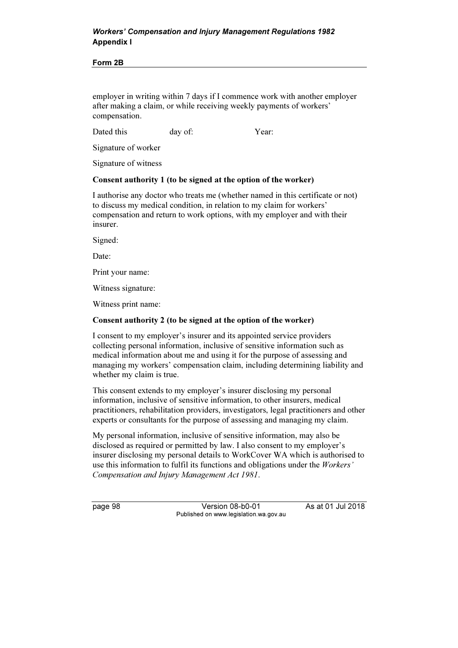### Workers' Compensation and Injury Management Regulations 1982 Appendix I

#### Form 2B

employer in writing within 7 days if I commence work with another employer after making a claim, or while receiving weekly payments of workers' compensation.

Dated this day of: Year:

Signature of worker

Signature of witness

#### Consent authority 1 (to be signed at the option of the worker)

I authorise any doctor who treats me (whether named in this certificate or not) to discuss my medical condition, in relation to my claim for workers' compensation and return to work options, with my employer and with their insurer.

Signed:

Date:

Print your name:

Witness signature:

Witness print name:

#### Consent authority 2 (to be signed at the option of the worker)

I consent to my employer's insurer and its appointed service providers collecting personal information, inclusive of sensitive information such as medical information about me and using it for the purpose of assessing and managing my workers' compensation claim, including determining liability and whether my claim is true.

This consent extends to my employer's insurer disclosing my personal information, inclusive of sensitive information, to other insurers, medical practitioners, rehabilitation providers, investigators, legal practitioners and other experts or consultants for the purpose of assessing and managing my claim.

My personal information, inclusive of sensitive information, may also be disclosed as required or permitted by law. I also consent to my employer's insurer disclosing my personal details to WorkCover WA which is authorised to use this information to fulfil its functions and obligations under the Workers' Compensation and Injury Management Act 1981.

page 98 Version 08-b0-01 As at 01 Jul 2018 Published on www.legislation.wa.gov.au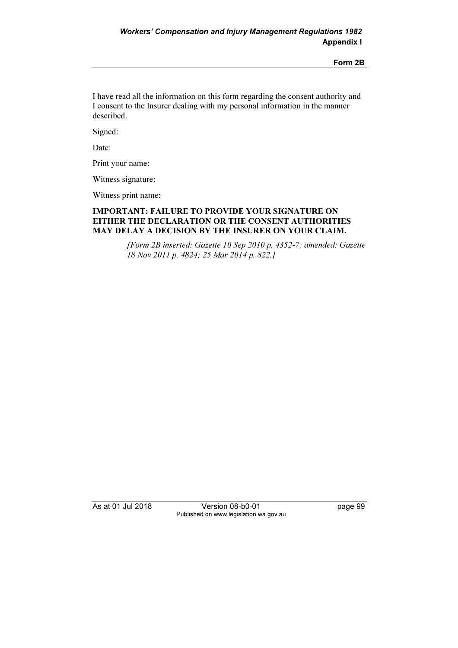I have read all the information on this form regarding the consent authority and I consent to the Insurer dealing with my personal information in the manner described.

Signed:

Date:

Print your name:

Witness signature:

Witness print name:

### IMPORTANT: FAILURE TO PROVIDE YOUR SIGNATURE ON EITHER THE DECLARATION OR THE CONSENT AUTHORITIES MAY DELAY A DECISION BY THE INSURER ON YOUR CLAIM.

 [Form 2B inserted: Gazette 10 Sep 2010 p. 4352-7; amended: Gazette 18 Nov 2011 p. 4824; 25 Mar 2014 p. 822.]

As at 01 Jul 2018 Version 08-b0-01 page 99 Published on www.legislation.wa.gov.au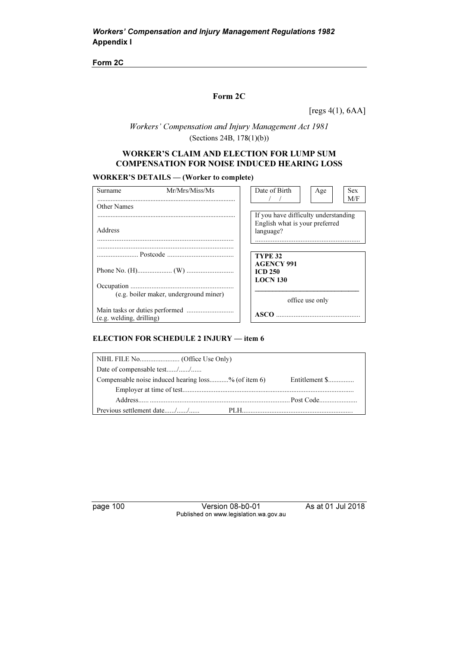Form 2C

### Form 2C

[regs 4(1), 6AA]

Workers' Compensation and Injury Management Act 1981 (Sections 24B, 178(1)(b))

### WORKER'S CLAIM AND ELECTION FOR LUMP SUM COMPENSATION FOR NOISE INDUCED HEARING LOSS

#### WORKER'S DETAILS — (Worker to complete)

| Surname                                | Mr/Mrs/Miss/Ms |  | Date of Birth                        |  | Age             |  | <b>Sex</b><br>M/F |
|----------------------------------------|----------------|--|--------------------------------------|--|-----------------|--|-------------------|
| Other Names                            |                |  |                                      |  |                 |  |                   |
|                                        |                |  | If you have difficulty understanding |  |                 |  |                   |
|                                        |                |  | English what is your preferred       |  |                 |  |                   |
| Address                                |                |  | language?                            |  |                 |  |                   |
|                                        |                |  |                                      |  |                 |  |                   |
|                                        |                |  |                                      |  |                 |  |                   |
|                                        |                |  | <b>TYPE 32</b>                       |  |                 |  |                   |
|                                        |                |  | <b>AGENCY 991</b>                    |  |                 |  |                   |
|                                        |                |  | <b>ICD 250</b>                       |  |                 |  |                   |
|                                        |                |  | <b>LOCN 130</b>                      |  |                 |  |                   |
| (e.g. boiler maker, underground miner) |                |  |                                      |  |                 |  |                   |
|                                        |                |  |                                      |  | office use only |  |                   |
|                                        |                |  | <b>ASCO</b>                          |  |                 |  |                   |
| $(e.g.$ welding, drilling)             |                |  |                                      |  |                 |  |                   |

#### ELECTION FOR SCHEDULE 2 INJURY — item 6

| Date of compensable test//                          |                |  |  |  |  |
|-----------------------------------------------------|----------------|--|--|--|--|
| Compensable noise induced hearing loss% (of item 6) | Entitlement \$ |  |  |  |  |
|                                                     |                |  |  |  |  |
|                                                     |                |  |  |  |  |
| Previous settlement date//                          |                |  |  |  |  |

page 100 Version 08-b0-01 As at 01 Jul 2018 Published on www.legislation.wa.gov.au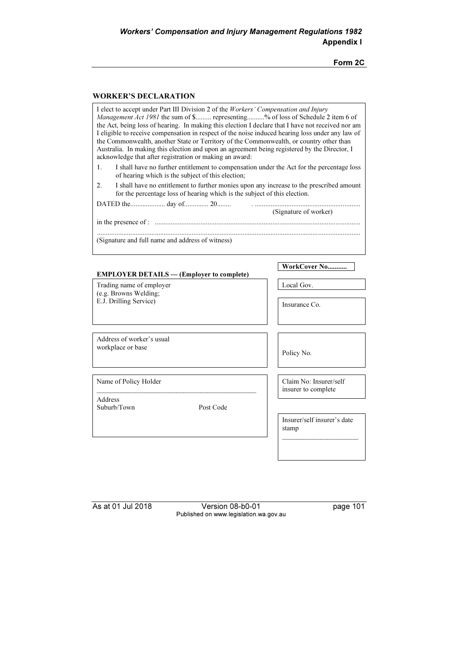Form 2C

### WORKER'S DECLARATION

| I elect to accept under Part III Division 2 of the Workers' Compensation and Injury<br><i>Management Act 1981</i> the sum of \$ representing% of loss of Schedule 2 item 6 of<br>the Act, being loss of hearing. In making this election I declare that I have not received nor am<br>I eligible to receive compensation in respect of the noise induced hearing loss under any law of<br>the Commonwealth, another State or Territory of the Commonwealth, or country other than<br>Australia. In making this election and upon an agreement being registered by the Director, I<br>acknowledge that after registration or making an award: |                                               |  |  |
|----------------------------------------------------------------------------------------------------------------------------------------------------------------------------------------------------------------------------------------------------------------------------------------------------------------------------------------------------------------------------------------------------------------------------------------------------------------------------------------------------------------------------------------------------------------------------------------------------------------------------------------------|-----------------------------------------------|--|--|
| I shall have no further entitlement to compensation under the Act for the percentage loss<br>1.<br>of hearing which is the subject of this election;                                                                                                                                                                                                                                                                                                                                                                                                                                                                                         |                                               |  |  |
| I shall have no entitlement to further monies upon any increase to the prescribed amount<br>2.<br>for the percentage loss of hearing which is the subject of this election.                                                                                                                                                                                                                                                                                                                                                                                                                                                                  |                                               |  |  |
|                                                                                                                                                                                                                                                                                                                                                                                                                                                                                                                                                                                                                                              | (Signature of worker)                         |  |  |
|                                                                                                                                                                                                                                                                                                                                                                                                                                                                                                                                                                                                                                              |                                               |  |  |
| (Signature and full name and address of witness)                                                                                                                                                                                                                                                                                                                                                                                                                                                                                                                                                                                             |                                               |  |  |
| <b>EMPLOYER DETAILS — (Employer to complete)</b>                                                                                                                                                                                                                                                                                                                                                                                                                                                                                                                                                                                             | WorkCover No                                  |  |  |
| Trading name of employer                                                                                                                                                                                                                                                                                                                                                                                                                                                                                                                                                                                                                     | Local Gov.                                    |  |  |
| (e.g. Browns Welding;<br>E.J. Drilling Service)                                                                                                                                                                                                                                                                                                                                                                                                                                                                                                                                                                                              | Insurance Co.                                 |  |  |
|                                                                                                                                                                                                                                                                                                                                                                                                                                                                                                                                                                                                                                              |                                               |  |  |
| Address of worker's usual<br>workplace or base                                                                                                                                                                                                                                                                                                                                                                                                                                                                                                                                                                                               | Policy No.                                    |  |  |
| Name of Policy Holder                                                                                                                                                                                                                                                                                                                                                                                                                                                                                                                                                                                                                        | Claim No: Insurer/self<br>insurer to complete |  |  |
| Address<br>Suburb/Town<br>Post Code                                                                                                                                                                                                                                                                                                                                                                                                                                                                                                                                                                                                          |                                               |  |  |
|                                                                                                                                                                                                                                                                                                                                                                                                                                                                                                                                                                                                                                              | Insurer/self insurer's date<br>stamp          |  |  |
|                                                                                                                                                                                                                                                                                                                                                                                                                                                                                                                                                                                                                                              |                                               |  |  |

As at 01 Jul 2018 Version 08-b0-01 page 101 Published on www.legislation.wa.gov.au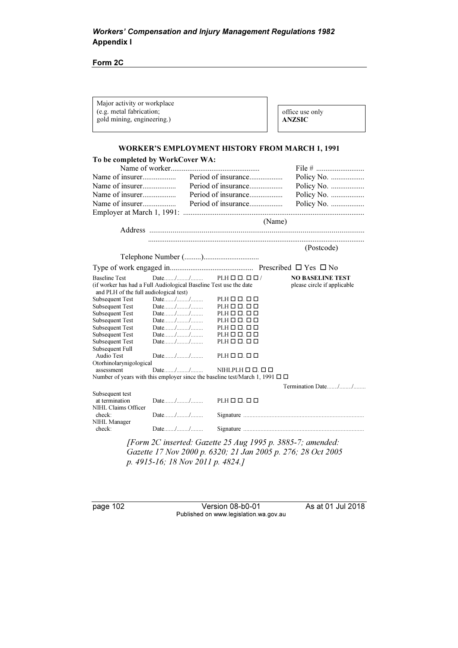Form 2C

| Major activity or workplace<br>(e.g. metal fabrication;<br>gold mining, engineering.)                       |        |                                                                                        | office use only<br><b>ANZSIC</b>                           |
|-------------------------------------------------------------------------------------------------------------|--------|----------------------------------------------------------------------------------------|------------------------------------------------------------|
|                                                                                                             |        |                                                                                        | <b>WORKER'S EMPLOYMENT HISTORY FROM MARCH 1, 1991</b>      |
| To be completed by WorkCover WA:                                                                            |        |                                                                                        |                                                            |
|                                                                                                             |        |                                                                                        |                                                            |
| Name of insurer                                                                                             |        |                                                                                        | Policy No.                                                 |
| Name of insurer                                                                                             |        | Period of insurance                                                                    | Policy No.                                                 |
|                                                                                                             |        | Period of insurance                                                                    | Policy No.                                                 |
|                                                                                                             |        |                                                                                        | Policy No.                                                 |
|                                                                                                             |        |                                                                                        |                                                            |
|                                                                                                             |        |                                                                                        |                                                            |
|                                                                                                             |        |                                                                                        | (Name)                                                     |
|                                                                                                             |        |                                                                                        |                                                            |
|                                                                                                             |        |                                                                                        |                                                            |
|                                                                                                             |        |                                                                                        | (Postcode)                                                 |
|                                                                                                             |        |                                                                                        |                                                            |
|                                                                                                             |        |                                                                                        |                                                            |
| <b>Baseline Test</b>                                                                                        | Date// | $PLH \Box \Box \Box \Box$                                                              | <b>NO BASELINE TEST</b>                                    |
| (if worker has had a Full Audiological Baseline Test use the date<br>and PLH of the full audiological test) |        |                                                                                        | please circle if applicable                                |
| <b>Subsequent Test</b>                                                                                      | Date// | $PLH \Box \Box. \Box \Box$                                                             |                                                            |
| <b>Subsequent Test</b>                                                                                      | Date// | $PLH \Box \Box. \Box \Box$                                                             |                                                            |
| <b>Subsequent Test</b>                                                                                      | Date// | $PLH \Box \Box. \Box \Box$                                                             |                                                            |
| <b>Subsequent Test</b>                                                                                      | Date// | $PLH \Box \Box. \Box \Box$                                                             |                                                            |
| <b>Subsequent Test</b>                                                                                      | Date// | $PLH \Box \Box. \Box \Box$                                                             |                                                            |
| <b>Subsequent Test</b>                                                                                      | Date// | $PLH \Box \Box. \Box \Box$                                                             |                                                            |
| <b>Subsequent Test</b>                                                                                      | Date// | $PLH \Box \Box. \Box \Box$                                                             |                                                            |
| Subsequent Full                                                                                             |        |                                                                                        |                                                            |
| Audio Test<br>Otorhinolarynigological                                                                       | Date// | $PLH \square \square$ . $\square$ $\square$                                            |                                                            |
| assessment                                                                                                  | Date// | $NIHLPLH \Box \Box. \Box \Box$                                                         |                                                            |
|                                                                                                             |        | Number of years with this employer since the baseline test/March 1, 1991 $\Box$ $\Box$ |                                                            |
|                                                                                                             |        |                                                                                        |                                                            |
| Subsequent test                                                                                             |        |                                                                                        | Termination Date//                                         |
| at termination                                                                                              | Date// | $PLH \Box \Box. \Box \Box$                                                             |                                                            |
| NIHL Claims Officer                                                                                         |        |                                                                                        |                                                            |
| check:                                                                                                      | Date// |                                                                                        |                                                            |
| NIHL Manager                                                                                                |        |                                                                                        |                                                            |
| check:                                                                                                      | Date// |                                                                                        |                                                            |
|                                                                                                             |        |                                                                                        | [Form 2C inserted: Gazette 25 Aug 1995 p. 3885-7; amended: |

Gazette 17 Nov 2000 p. 6320; 21 Jan 2005 p. 276; 28 Oct 2005 p. 4915-16; 18 Nov 2011 p. 4824.]

page 102 Version 08-b0-01 As at 01 Jul 2018 Published on www.legislation.wa.gov.au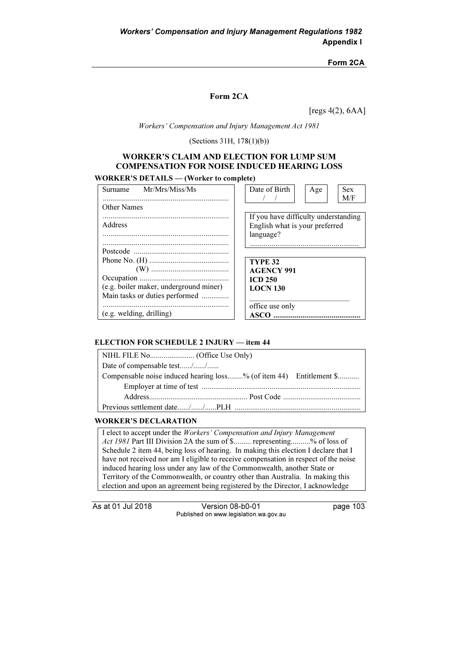### Form 2CA

### Form 2CA

[regs 4(2), 6AA]

Workers' Compensation and Injury Management Act 1981

(Sections 31H, 178(1)(b))

### WORKER'S CLAIM AND ELECTION FOR LUMP SUM COMPENSATION FOR NOISE INDUCED HEARING LOSS

### WORKER'S DETAILS — (Worker to complete)

| Mr/Mrs/Miss/Ms<br>Surname              | Date of Birth<br><b>Sex</b><br>Age   |
|----------------------------------------|--------------------------------------|
|                                        | M/F                                  |
| <b>Other Names</b>                     |                                      |
|                                        | If you have difficulty understanding |
| Address                                | English what is your preferred       |
|                                        | language?                            |
|                                        |                                      |
|                                        |                                      |
|                                        | <b>TYPE 32</b>                       |
|                                        | <b>AGENCY 991</b>                    |
|                                        | <b>ICD 250</b>                       |
| (e.g. boiler maker, underground miner) | <b>LOCN 130</b>                      |
| Main tasks or duties performed         |                                      |
|                                        | office use only                      |
| $(e.g.$ welding, drilling)             | ASCO.                                |

#### ELECTION FOR SCHEDULE 2 INJURY — item 44

| Date of compensable test//                                          |
|---------------------------------------------------------------------|
| Compensable noise induced hearing loss% (of item 44) Entitlement \$ |
|                                                                     |
|                                                                     |
|                                                                     |

#### WORKER'S DECLARATION

I elect to accept under the Workers' Compensation and Injury Management Act 1981 Part III Division 2A the sum of \$......... representing..........% of loss of Schedule 2 item 44, being loss of hearing. In making this election I declare that I have not received nor am I eligible to receive compensation in respect of the noise induced hearing loss under any law of the Commonwealth, another State or Territory of the Commonwealth, or country other than Australia. In making this election and upon an agreement being registered by the Director, I acknowledge

As at 01 Jul 2018 Version 08-b0-01 page 103 Published on www.legislation.wa.gov.au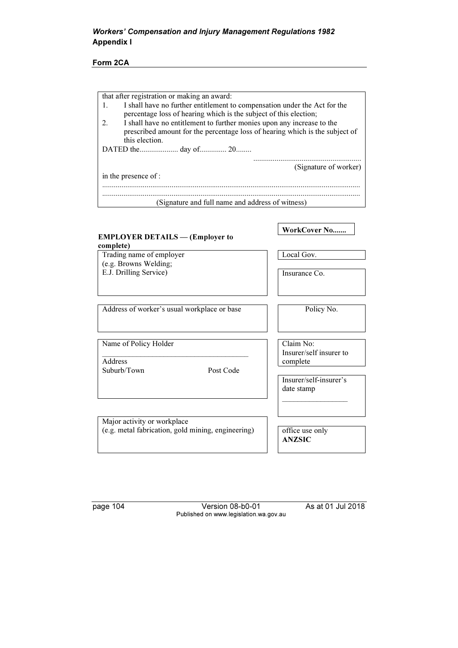### Form 2CA

|    | that after registration or making an award:                                  |
|----|------------------------------------------------------------------------------|
|    | I shall have no further entitlement to compensation under the Act for the    |
|    | percentage loss of hearing which is the subject of this election;            |
| 2. | I shall have no entitlement to further monies upon any increase to the       |
|    | prescribed amount for the percentage loss of hearing which is the subject of |
|    | this election.                                                               |
|    |                                                                              |
|    |                                                                              |
|    | (Signature of worker)                                                        |
|    | in the presence of :                                                         |
|    |                                                                              |
|    | (Signature and full name and address of witness)                             |
|    |                                                                              |

### EMPLOYER DETAILS — (Employer to complete) WorkCover No....... Trading name of employer (e.g. Browns Welding; E.J. Drilling Service) Local Gov. Insurance Co. Address of worker's usual workplace or base Policy No. Name of Policy Holder \_\_\_\_\_\_\_\_\_\_\_\_\_\_\_\_\_\_\_\_\_\_\_\_\_\_\_\_\_\_\_\_\_\_\_\_\_\_ **Address** Suburb/Town Post Code Claim No: Insurer/self insurer to complete Insurer/self-insurer's date stamp  $\overline{\phantom{a}}$  ,  $\overline{\phantom{a}}$  ,  $\overline{\phantom{a}}$  ,  $\overline{\phantom{a}}$  ,  $\overline{\phantom{a}}$  ,  $\overline{\phantom{a}}$  ,  $\overline{\phantom{a}}$  ,  $\overline{\phantom{a}}$  ,  $\overline{\phantom{a}}$  ,  $\overline{\phantom{a}}$  ,  $\overline{\phantom{a}}$  ,  $\overline{\phantom{a}}$  ,  $\overline{\phantom{a}}$  ,  $\overline{\phantom{a}}$  ,  $\overline{\phantom{a}}$  ,  $\overline{\phantom{a}}$ Major activity or workplace (e.g. metal fabrication, gold mining, engineering) office use only ANZSIC

page 104 Version 08-b0-01 As at 01 Jul 2018 Published on www.legislation.wa.gov.au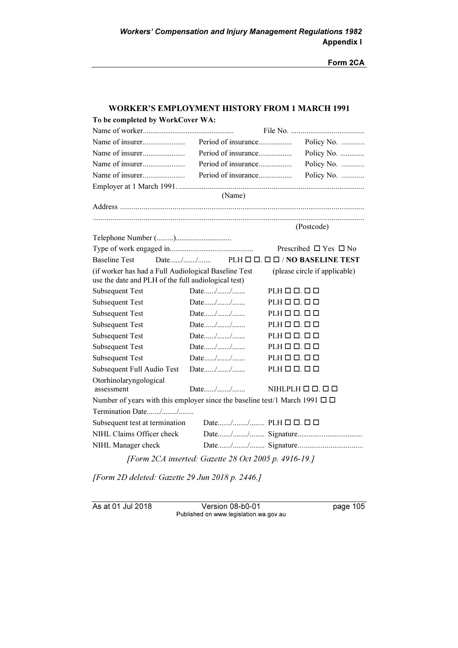Form 2CA

|                                                                                                             |                                          | WORKER'S EMPLOYMENT HISTORY FROM 1 MARCH 1991 |
|-------------------------------------------------------------------------------------------------------------|------------------------------------------|-----------------------------------------------|
| To be completed by WorkCover WA:                                                                            |                                          |                                               |
|                                                                                                             |                                          |                                               |
|                                                                                                             | Period of insurance                      | Policy No.                                    |
|                                                                                                             | Period of insurance                      | Policy No.                                    |
|                                                                                                             | Period of insurance                      | Policy No.                                    |
|                                                                                                             |                                          | Policy No.                                    |
|                                                                                                             |                                          |                                               |
|                                                                                                             | (Name)                                   |                                               |
|                                                                                                             |                                          |                                               |
|                                                                                                             |                                          | (Postcode)                                    |
|                                                                                                             |                                          |                                               |
|                                                                                                             |                                          | Prescribed $\Box$ Yes $\Box$ No               |
| <b>Baseline Test</b>                                                                                        | Date//                                   | $PLH \Box \Box \Box \Box / NO$ BASELINE TEST  |
| (if worker has had a Full Audiological Baseline Test<br>use the date and PLH of the full audiological test) |                                          | (please circle if applicable)                 |
| <b>Subsequent Test</b>                                                                                      | Date//                                   | $PLH \Box \Box$ . $\Box$                      |
| Subsequent Test                                                                                             | Date//                                   | $PLH \Box \Box. \Box \Box$                    |
| <b>Subsequent Test</b>                                                                                      | Date//                                   | $PLH \Box \Box. \Box \Box$                    |
| <b>Subsequent Test</b>                                                                                      | Date//                                   | $PLH \square \square$ . $\square$ $\square$   |
| <b>Subsequent Test</b>                                                                                      | Date//                                   | $PLH \Box \Box. \Box \Box$                    |
| <b>Subsequent Test</b>                                                                                      | Date//                                   | $PLH \Box \Box. \Box \Box$                    |
| <b>Subsequent Test</b>                                                                                      | Date//                                   | $PLH \Box \Box$ . $\Box$                      |
| Subsequent Full Audio Test                                                                                  | Date//                                   | $PLH \Box \Box$ . $\Box$ $\Box$               |
| Otorhinolaryngological<br>assessment                                                                        | Date//                                   | NIHLPLH $\Box$ $\Box$ $\Box$                  |
| Number of years with this employer since the baseline test/1 March 1991 $\Box$ $\Box$                       |                                          |                                               |
| Termination Date//                                                                                          |                                          |                                               |
| Subsequent test at termination                                                                              | Date// PLH $\Box$ $\Box$ . $\Box$ $\Box$ |                                               |
| NIHL Claims Officer check                                                                                   |                                          |                                               |
| NIHL Manager check                                                                                          |                                          |                                               |
|                                                                                                             |                                          |                                               |

[Form 2CA inserted: Gazette 28 Oct 2005 p. 4916-19.]

[Form 2D deleted: Gazette 29 Jun 2018 p. 2446.]

As at 01 Jul 2018 Version 08-b0-01 page 105 Published on www.legislation.wa.gov.au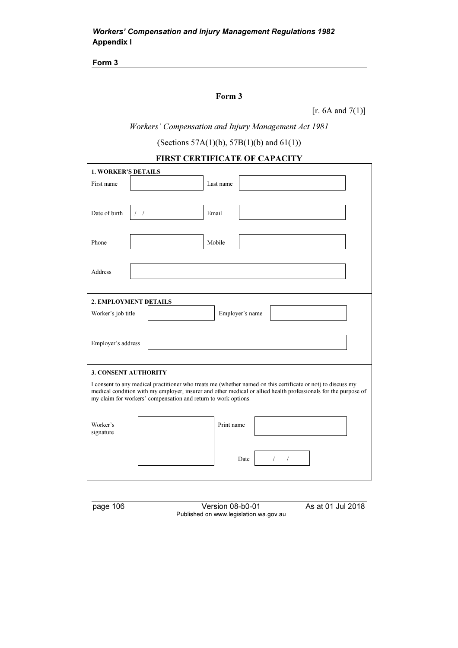Form 3

# Form 3

[ $r. 6A$  and  $7(1)$ ]

Workers' Compensation and Injury Management Act 1981

(Sections 57A(1)(b), 57B(1)(b) and 61(1))

|                             | <b>FIRST CERTIFICATE OF CAPACITY</b>                           |                 |                                                                                                                 |
|-----------------------------|----------------------------------------------------------------|-----------------|-----------------------------------------------------------------------------------------------------------------|
| <b>1. WORKER'S DETAILS</b>  |                                                                |                 |                                                                                                                 |
| First name                  |                                                                | Last name       |                                                                                                                 |
|                             |                                                                |                 |                                                                                                                 |
| Date of birth               | Email<br>$\left  \quad \right $                                |                 |                                                                                                                 |
|                             |                                                                |                 |                                                                                                                 |
|                             |                                                                |                 |                                                                                                                 |
| Phone                       | Mobile                                                         |                 |                                                                                                                 |
|                             |                                                                |                 |                                                                                                                 |
| Address                     |                                                                |                 |                                                                                                                 |
|                             |                                                                |                 |                                                                                                                 |
|                             | 2. EMPLOYMENT DETAILS                                          |                 |                                                                                                                 |
|                             |                                                                |                 |                                                                                                                 |
| Worker's job title          |                                                                | Employer's name |                                                                                                                 |
|                             |                                                                |                 |                                                                                                                 |
| Employer's address          |                                                                |                 |                                                                                                                 |
|                             |                                                                |                 |                                                                                                                 |
| <b>3. CONSENT AUTHORITY</b> |                                                                |                 |                                                                                                                 |
|                             |                                                                |                 | I consent to any medical practitioner who treats me (whether named on this certificate or not) to discuss my    |
|                             |                                                                |                 | medical condition with my employer, insurer and other medical or allied health professionals for the purpose of |
|                             | my claim for workers' compensation and return to work options. |                 |                                                                                                                 |
|                             |                                                                |                 |                                                                                                                 |
| Worker's<br>signature       |                                                                | Print name      |                                                                                                                 |
|                             |                                                                |                 |                                                                                                                 |
|                             |                                                                | Date            | $\sqrt{2}$<br>$\sqrt{2}$                                                                                        |
|                             |                                                                |                 |                                                                                                                 |
|                             |                                                                |                 |                                                                                                                 |

page 106 Version 08-b0-01 As at 01 Jul 2018 Published on www.legislation.wa.gov.au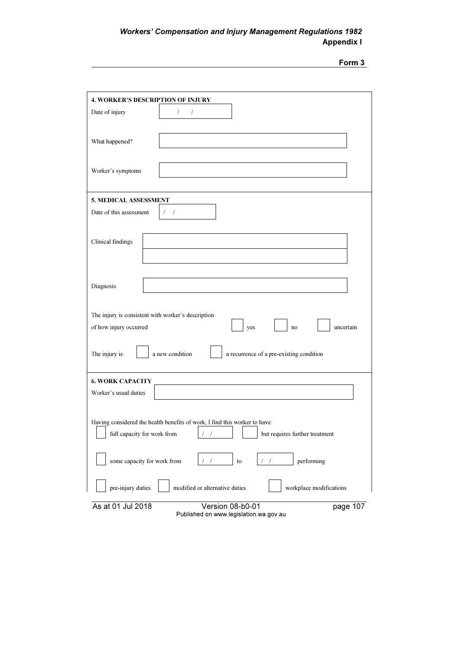| 70 I |  |
|------|--|
|      |  |

| <b>4. WORKER'S DESCRIPTION OF INJURY</b>           |                                                                            |          |
|----------------------------------------------------|----------------------------------------------------------------------------|----------|
| Date of injury                                     | $\sqrt{2}$<br>/                                                            |          |
|                                                    |                                                                            |          |
| What happened?                                     |                                                                            |          |
|                                                    |                                                                            |          |
| Worker's symptoms                                  |                                                                            |          |
|                                                    |                                                                            |          |
| 5. MEDICAL ASSESSMENT                              |                                                                            |          |
| Date of this assessment                            | $\left  \quad \right $                                                     |          |
|                                                    |                                                                            |          |
| Clinical findings                                  |                                                                            |          |
|                                                    |                                                                            |          |
|                                                    |                                                                            |          |
| Diagnosis                                          |                                                                            |          |
|                                                    |                                                                            |          |
| The injury is consistent with worker's description |                                                                            |          |
| of how injury occurred                             | uncertain<br>yes<br>no                                                     |          |
|                                                    |                                                                            |          |
| The injury is:                                     | a new condition<br>a recurrence of a pre-existing condition                |          |
|                                                    |                                                                            |          |
| <b>6. WORK CAPACITY</b><br>Worker's usual duties   |                                                                            |          |
|                                                    |                                                                            |          |
|                                                    | Having considered the health benefits of work, I find this worker to have: |          |
| full capacity for work from                        | $\mathcal{F} \times \mathcal{F}$<br>but requires further treatment         |          |
|                                                    |                                                                            |          |
| some capacity for work from                        | performing<br>to                                                           |          |
| pre-injury duties                                  | modified or alternative duties<br>workplace modifications                  |          |
| As at 01 Jul 2018                                  | Version 08-b0-01                                                           | page 107 |

Published on www.legislation.wa.gov.au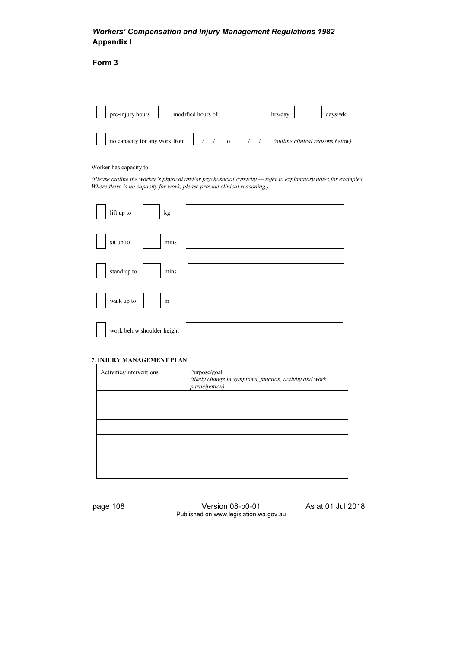Form 3

| modified hours of<br>pre-injury hours                                    | hrs/day<br>$\rm days/wk$                                                                                        |
|--------------------------------------------------------------------------|-----------------------------------------------------------------------------------------------------------------|
| no capacity for any work from                                            | (outline clinical reasons below)<br>$\sqrt{ }$<br>$\left  \right $<br>to                                        |
| Worker has capacity to:                                                  |                                                                                                                 |
| Where there is no capacity for work, please provide clinical reasoning.) | (Please outline the worker's physical and/or psychosocial capacity $-$ refer to explanatory notes for examples. |
| lift up to<br>kg                                                         |                                                                                                                 |
| sit up to<br>mins                                                        |                                                                                                                 |
| stand up to<br>mins                                                      |                                                                                                                 |
| walk up to<br>m                                                          |                                                                                                                 |
| work below shoulder height                                               |                                                                                                                 |
| 7. INJURY MANAGEMENT PLAN                                                |                                                                                                                 |
| Activities/interventions                                                 | Purpose/goal<br>(likely change in symptoms, function, activity and work<br><i>participation</i> )               |
|                                                                          |                                                                                                                 |
|                                                                          |                                                                                                                 |
|                                                                          |                                                                                                                 |
|                                                                          |                                                                                                                 |
|                                                                          |                                                                                                                 |
|                                                                          |                                                                                                                 |

page 108 Version 08-b0-01 As at 01 Jul 2018 Published on www.legislation.wa.gov.au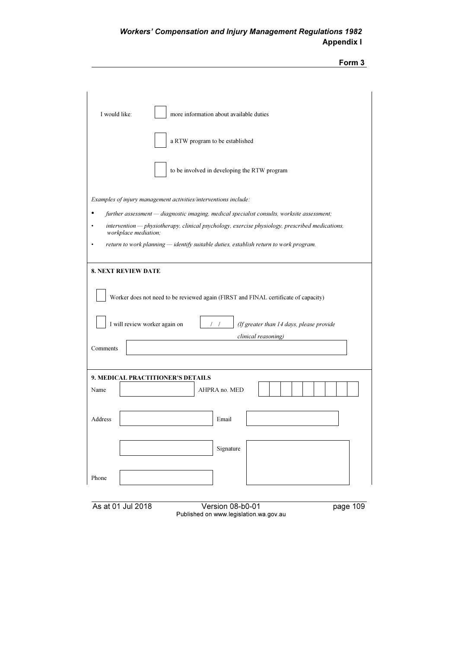| orm |  |
|-----|--|
|     |  |

| I would like:<br>more information about available duties                                                                |
|-------------------------------------------------------------------------------------------------------------------------|
| a RTW program to be established                                                                                         |
| to be involved in developing the RTW program                                                                            |
| Examples of injury management activities/interventions include:                                                         |
| further assessment - diagnostic imaging, medical specialist consults, worksite assessment;                              |
| intervention - physiotherapy, clinical psychology, exercise physiology, prescribed medications,<br>workplace mediation; |
| return to work planning — identify suitable duties, establish return to work program.                                   |
| <b>8. NEXT REVIEW DATE</b>                                                                                              |
| Worker does not need to be reviewed again (FIRST and FINAL certificate of capacity)                                     |
| I will review worker again on<br>(If greater than 14 days, please provide                                               |
| clinical reasoning)                                                                                                     |
| Comments                                                                                                                |
|                                                                                                                         |
| 9. MEDICAL PRACTITIONER'S DETAILS                                                                                       |
| AHPRA no. MED<br>Name                                                                                                   |
| Address<br>Email                                                                                                        |
|                                                                                                                         |
| Signature                                                                                                               |
|                                                                                                                         |
| Phone                                                                                                                   |
|                                                                                                                         |

As at 01 Jul 2018 Version 08-b0-01 page 109 Published on www.legislation.wa.gov.au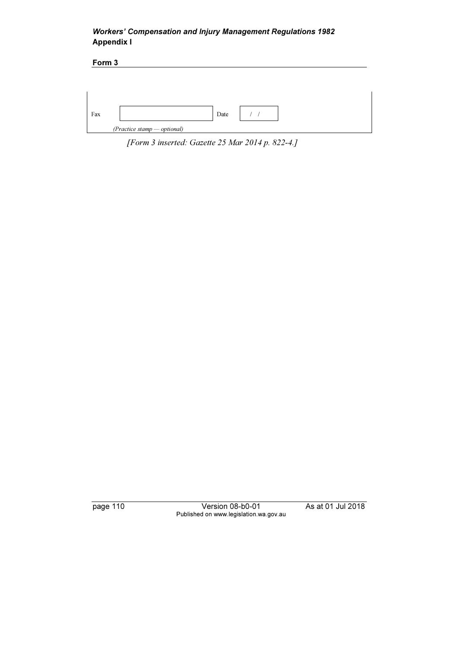| Form 3 |                             |  |
|--------|-----------------------------|--|
|        |                             |  |
|        |                             |  |
|        |                             |  |
| Fax    | Date                        |  |
|        | (Practice stamp - optional) |  |

[Form 3 inserted: Gazette 25 Mar 2014 p. 822-4.]

page 110 Version 08-b0-01 As at 01 Jul 2018 Published on www.legislation.wa.gov.au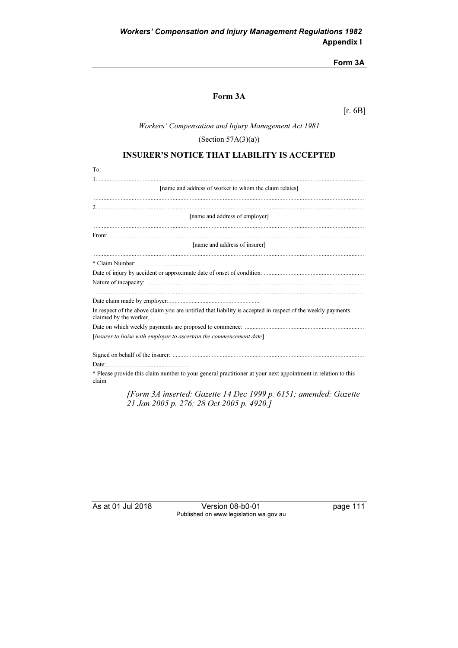### Form 3A

# Form 3A

[r. 6B]

### Workers' Compensation and Injury Management Act 1981

(Section  $57A(3)(a)$ )

# INSURER'S NOTICE THAT LIABILITY IS ACCEPTED

| To:                                                                                                                                   |
|---------------------------------------------------------------------------------------------------------------------------------------|
|                                                                                                                                       |
| [name and address of worker to whom the claim relates]                                                                                |
|                                                                                                                                       |
|                                                                                                                                       |
| [name and address of employer]                                                                                                        |
|                                                                                                                                       |
|                                                                                                                                       |
| [name and address of insurer]                                                                                                         |
|                                                                                                                                       |
|                                                                                                                                       |
|                                                                                                                                       |
|                                                                                                                                       |
|                                                                                                                                       |
| In respect of the above claim you are notified that liability is accepted in respect of the weekly payments<br>claimed by the worker. |
|                                                                                                                                       |
| [Insurer to liaise with employer to ascertain the commencement date]                                                                  |
|                                                                                                                                       |
|                                                                                                                                       |
| * Please provide this claim number to your general practitioner at your next appointment in relation to this<br>claim                 |
| [Form 3A inserted: Gazette 14 Dec 1999 p. 6151; amended: Gazette                                                                      |

21 Jan 2005 p. 276; 28 Oct 2005 p. 4920.]

As at 01 Jul 2018 Version 08-b0-01 page 111 Published on www.legislation.wa.gov.au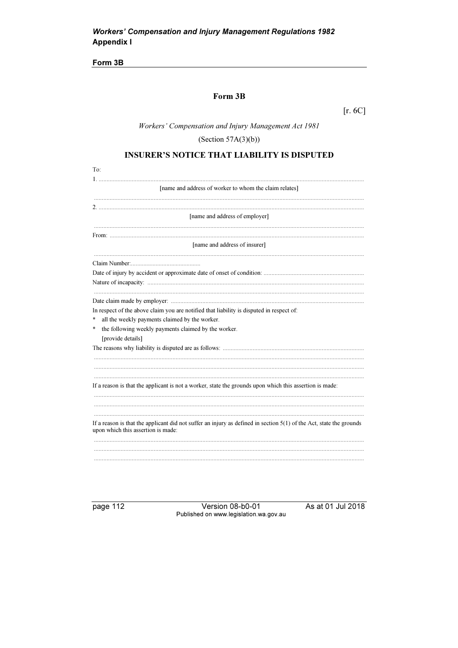Form 3B

# Form 3B

 $[r. 6C]$ 

Workers' Compensation and Injury Management Act 1981

(Section  $57A(3)(b)$ )

# **INSURER'S NOTICE THAT LIABILITY IS DISPUTED**

| To:                                                                                                                                                         |
|-------------------------------------------------------------------------------------------------------------------------------------------------------------|
|                                                                                                                                                             |
| [name and address of worker to whom the claim relates]                                                                                                      |
|                                                                                                                                                             |
|                                                                                                                                                             |
| [name and address of employer]                                                                                                                              |
|                                                                                                                                                             |
| [name and address of insurer]                                                                                                                               |
|                                                                                                                                                             |
|                                                                                                                                                             |
|                                                                                                                                                             |
|                                                                                                                                                             |
|                                                                                                                                                             |
| In respect of the above claim you are notified that liability is disputed in respect of:                                                                    |
| all the weekly payments claimed by the worker.<br>*                                                                                                         |
| the following weekly payments claimed by the worker.<br>*                                                                                                   |
| [provide details]                                                                                                                                           |
|                                                                                                                                                             |
|                                                                                                                                                             |
|                                                                                                                                                             |
|                                                                                                                                                             |
| If a reason is that the applicant is not a worker, state the grounds upon which this assertion is made:                                                     |
|                                                                                                                                                             |
|                                                                                                                                                             |
| If a reason is that the applicant did not suffer an injury as defined in section $5(1)$ of the Act, state the grounds<br>upon which this assertion is made: |
|                                                                                                                                                             |
|                                                                                                                                                             |
|                                                                                                                                                             |
|                                                                                                                                                             |

page 112

Version 08-b0-01 Published on www.legislation.wa.gov.au As at 01 Jul 2018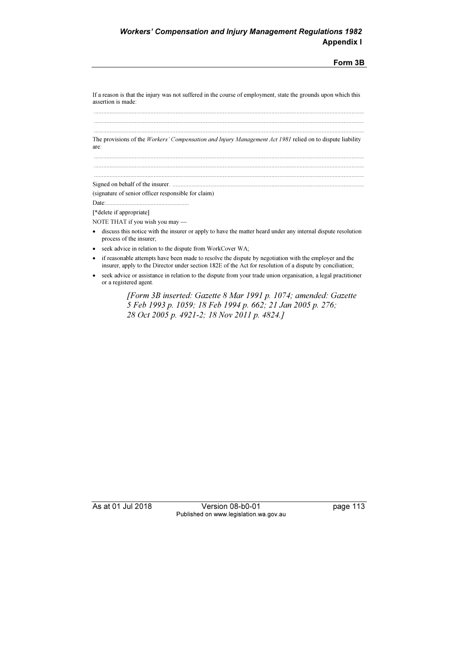Form 3B

If a reason is that the injury was not suffered in the course of employment, state the grounds upon which this assertion is made:

 ............................................................................................................................................................................ ............................................................................................................................................................................

............................................................................................................................................................................

 ............................................................................................................................................................................ The provisions of the Workers' Compensation and Injury Management Act 1981 relied on to dispute liability are: ............................................................................................................................................................................

Signed on behalf of the insurer. ..........................................................................................................................

(signature of senior officer responsible for claim)

Date:...................................................... [\*delete if appropriate]

NOTE THAT if you wish you may —

- • discuss this notice with the insurer or apply to have the matter heard under any internal dispute resolution process of the insurer;
- •seek advice in relation to the dispute from WorkCover WA;
- • if reasonable attempts have been made to resolve the dispute by negotiation with the employer and the insurer, apply to the Director under section 182E of the Act for resolution of a dispute by conciliation;
- • seek advice or assistance in relation to the dispute from your trade union organisation, a legal practitioner or a registered agent.

 [Form 3B inserted: Gazette 8 Mar 1991 p. 1074; amended: Gazette 5 Feb 1993 p. 1059; 18 Feb 1994 p. 662; 21 Jan 2005 p. 276; 28 Oct 2005 p. 4921-2; 18 Nov 2011 p. 4824.]

As at 01 Jul 2018 Version 08-b0-01 page 113 Published on www.legislation.wa.gov.au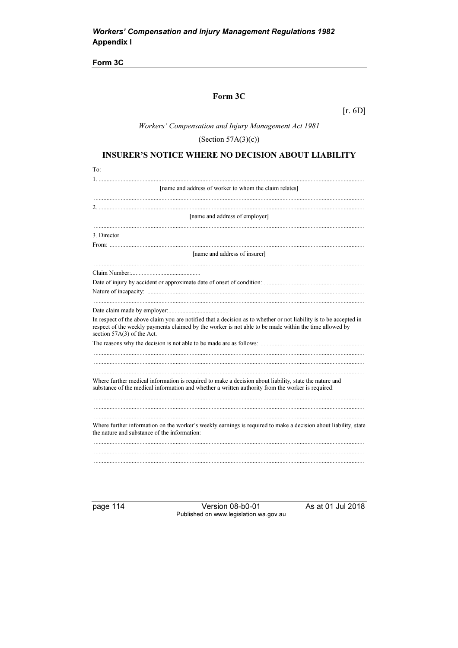Form 3C

# Form 3C

 $[r. 6D]$ 

Workers' Compensation and Injury Management Act 1981

(Section  $57A(3)(c)$ )

### **INSURER'S NOTICE WHERE NO DECISION ABOUT LIABILITY**

| To:                                                                                                                                                                                                                                                        |
|------------------------------------------------------------------------------------------------------------------------------------------------------------------------------------------------------------------------------------------------------------|
| 1. .                                                                                                                                                                                                                                                       |
| [name and address of worker to whom the claim relates]                                                                                                                                                                                                     |
|                                                                                                                                                                                                                                                            |
|                                                                                                                                                                                                                                                            |
| [name and address of employer]                                                                                                                                                                                                                             |
| 3. Director                                                                                                                                                                                                                                                |
|                                                                                                                                                                                                                                                            |
| [name and address of insurer]                                                                                                                                                                                                                              |
|                                                                                                                                                                                                                                                            |
|                                                                                                                                                                                                                                                            |
|                                                                                                                                                                                                                                                            |
|                                                                                                                                                                                                                                                            |
|                                                                                                                                                                                                                                                            |
| In respect of the above claim you are notified that a decision as to whether or not liability is to be accepted in<br>respect of the weekly payments claimed by the worker is not able to be made within the time allowed by<br>section 57A(3) of the Act. |
|                                                                                                                                                                                                                                                            |
|                                                                                                                                                                                                                                                            |
|                                                                                                                                                                                                                                                            |
| Where further medical information is required to make a decision about liability, state the nature and                                                                                                                                                     |
| substance of the medical information and whether a written authority from the worker is required:                                                                                                                                                          |
|                                                                                                                                                                                                                                                            |
|                                                                                                                                                                                                                                                            |
|                                                                                                                                                                                                                                                            |
| Where further information on the worker's weekly earnings is required to make a decision about liability, state<br>the nature and substance of the information:                                                                                            |
|                                                                                                                                                                                                                                                            |
|                                                                                                                                                                                                                                                            |
|                                                                                                                                                                                                                                                            |
|                                                                                                                                                                                                                                                            |

page 114

Version 08-b0-01 Published on www.legislation.wa.gov.au As at 01 Jul 2018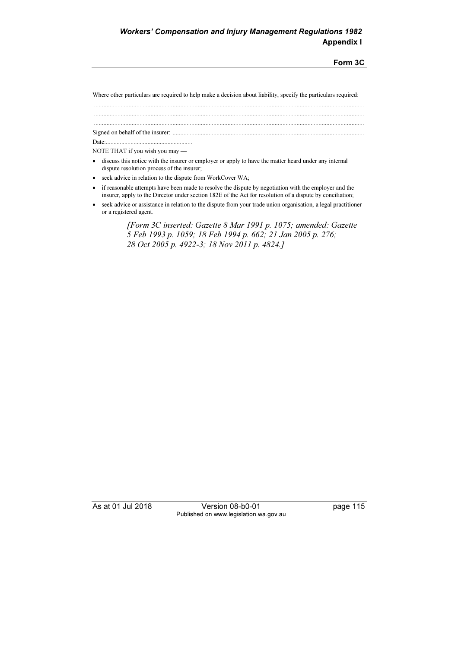Form 3C

Where other particulars are required to help make a decision about liability, specify the particulars required:

............................................................................................................................................................................

............................................................................................................................................................................

 ............................................................................................................................................................................ Signed on behalf of the insurer: ..........................................................................................................................

Date:........................................................

NOTE THAT if you wish you may —

- • discuss this notice with the insurer or employer or apply to have the matter heard under any internal dispute resolution process of the insurer;
- •seek advice in relation to the dispute from WorkCover WA;
- • if reasonable attempts have been made to resolve the dispute by negotiation with the employer and the insurer, apply to the Director under section 182E of the Act for resolution of a dispute by conciliation;
- • seek advice or assistance in relation to the dispute from your trade union organisation, a legal practitioner or a registered agent.

 [Form 3C inserted: Gazette 8 Mar 1991 p. 1075; amended: Gazette 5 Feb 1993 p. 1059; 18 Feb 1994 p. 662; 21 Jan 2005 p. 276; 28 Oct 2005 p. 4922-3; 18 Nov 2011 p. 4824.]

As at 01 Jul 2018 Version 08-b0-01 page 115 Published on www.legislation.wa.gov.au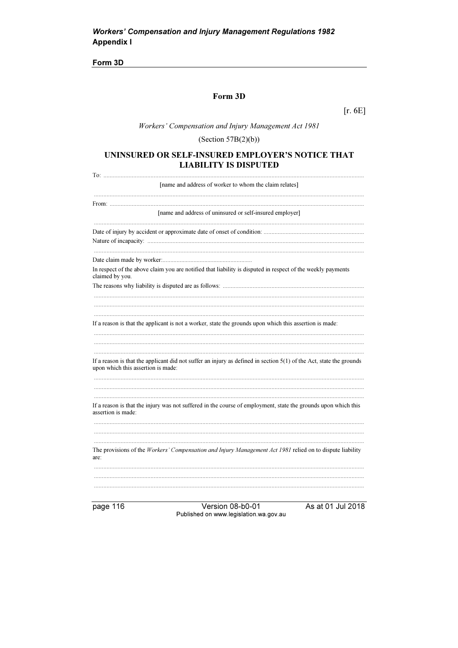Form 3D

# Form 3D

 $[r. 6E]$ 

Workers' Compensation and Injury Management Act 1981

# (Section  $57B(2)(b)$ )

### UNINSURED OR SELF-INSURED EMPLOYER'S NOTICE THAT **LIABILITY IS DISPUTED**

| [name and address of worker to whom the claim relates]                                                                                                      |
|-------------------------------------------------------------------------------------------------------------------------------------------------------------|
|                                                                                                                                                             |
| [name and address of uninsured or self-insured employer]                                                                                                    |
|                                                                                                                                                             |
|                                                                                                                                                             |
| In respect of the above claim you are notified that liability is disputed in respect of the weekly payments<br>claimed by you.                              |
|                                                                                                                                                             |
|                                                                                                                                                             |
| If a reason is that the applicant is not a worker, state the grounds upon which this assertion is made:                                                     |
| If a reason is that the applicant did not suffer an injury as defined in section $5(1)$ of the Act, state the grounds<br>upon which this assertion is made: |
| If a reason is that the injury was not suffered in the course of employment, state the grounds upon which this<br>assertion is made:                        |
|                                                                                                                                                             |
| The provisions of the Workers' Compensation and Injury Management Act 1981 relied on to dispute liability<br>are:                                           |
|                                                                                                                                                             |
|                                                                                                                                                             |
|                                                                                                                                                             |

page 116

Version 08-b0-01 Published on www.legislation.wa.gov.au As at 01 Jul 2018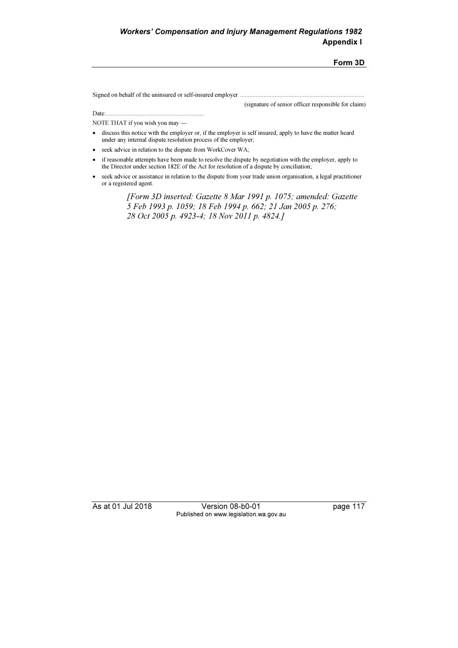#### Form 3D

Signed on behalf of the uninsured or self-insured employer ...............................................................................

(signature of senior officer responsible for claim)

Date:................................................................ NOTE THAT if you wish you may —

- discuss this notice with the employer or, if the employer is self insured, apply to have the matter heard under any internal dispute resolution process of the employer;
- seek advice in relation to the dispute from WorkCover WA;
- • if reasonable attempts have been made to resolve the dispute by negotiation with the employer, apply to the Director under section 182E of the Act for resolution of a dispute by conciliation;
- • seek advice or assistance in relation to the dispute from your trade union organisation, a legal practitioner or a registered agent.

 [Form 3D inserted: Gazette 8 Mar 1991 p. 1075; amended: Gazette 5 Feb 1993 p. 1059; 18 Feb 1994 p. 662; 21 Jan 2005 p. 276; 28 Oct 2005 p. 4923-4; 18 Nov 2011 p. 4824.]

As at 01 Jul 2018 Version 08-b0-01 page 117 Published on www.legislation.wa.gov.au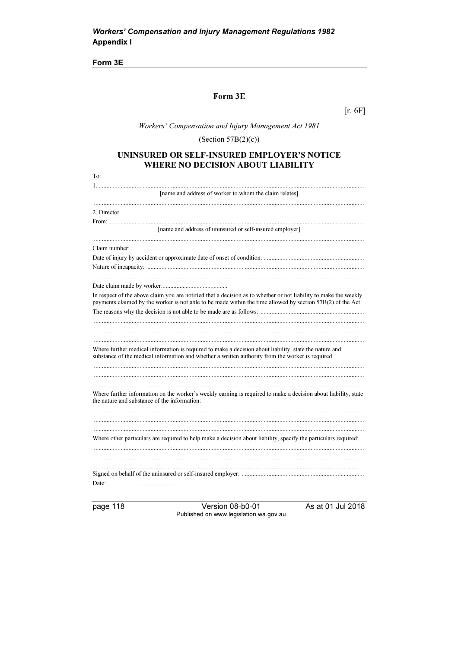Form 3E

# Form 3E

 $[r. 6F]$ 

Workers' Compensation and Injury Management Act 1981

(Section  $57B(2)(c)$ )

### UNINSURED OR SELF-INSURED EMPLOYER'S NOTICE WHERE NO DECISION ABOUT LIABILITY

| To:                                                                                                                                                            |
|----------------------------------------------------------------------------------------------------------------------------------------------------------------|
|                                                                                                                                                                |
| [name and address of worker to whom the claim relates]                                                                                                         |
|                                                                                                                                                                |
| 2. Director                                                                                                                                                    |
| [name and address of uninsured or self-insured employer]                                                                                                       |
|                                                                                                                                                                |
|                                                                                                                                                                |
|                                                                                                                                                                |
|                                                                                                                                                                |
|                                                                                                                                                                |
|                                                                                                                                                                |
| In respect of the above claim you are notified that a decision as to whether or not liability to make the weekly                                               |
| payments claimed by the worker is not able to be made within the time allowed by section 57B(2) of the Act.                                                    |
|                                                                                                                                                                |
|                                                                                                                                                                |
|                                                                                                                                                                |
|                                                                                                                                                                |
| Where further medical information is required to make a decision about liability, state the nature and                                                         |
| substance of the medical information and whether a written authority from the worker is required:                                                              |
|                                                                                                                                                                |
|                                                                                                                                                                |
|                                                                                                                                                                |
| Where further information on the worker's weekly earning is required to make a decision about liability, state<br>the nature and substance of the information: |
|                                                                                                                                                                |
|                                                                                                                                                                |
|                                                                                                                                                                |
| Where other particulars are required to help make a decision about liability, specify the particulars required:                                                |
|                                                                                                                                                                |
|                                                                                                                                                                |
|                                                                                                                                                                |
|                                                                                                                                                                |
|                                                                                                                                                                |
|                                                                                                                                                                |

page 118

Version 08-b0-01 Published on www.legislation.wa.gov.au As at 01 Jul 2018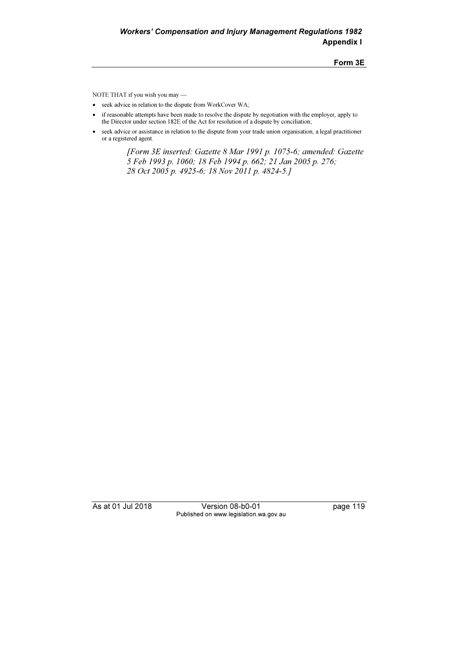Form 3E

NOTE THAT if you wish you may —

- seek advice in relation to the dispute from WorkCover WA;
- • if reasonable attempts have been made to resolve the dispute by negotiation with the employer, apply to the Director under section 182E of the Act for resolution of a dispute by conciliation;
- seek advice or assistance in relation to the dispute from your trade union organisation, a legal practitioner or a registered agent.

 [Form 3E inserted: Gazette 8 Mar 1991 p. 1075-6; amended: Gazette 5 Feb 1993 p. 1060; 18 Feb 1994 p. 662; 21 Jan 2005 p. 276; 28 Oct 2005 p. 4925-6; 18 Nov 2011 p. 4824-5.]

As at 01 Jul 2018 Version 08-b0-01 page 119 Published on www.legislation.wa.gov.au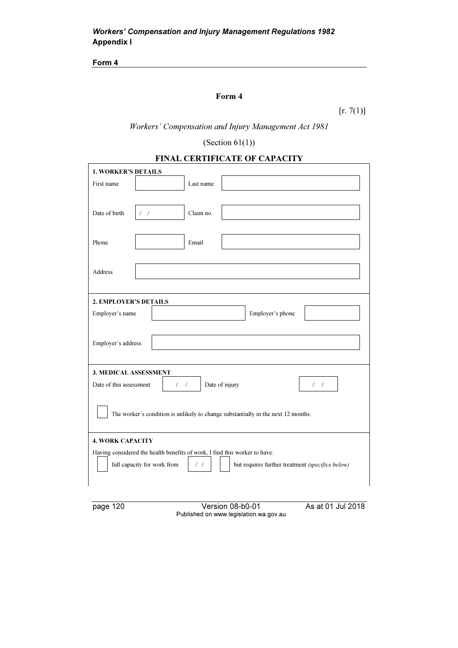Form 4

# Form 4

 $[r. 7(1)]$ 

Workers' Compensation and Injury Management Act 1981

# (Section  $61(1)$ )

| <b>FINAL CERTIFICATE OF CAPACITY</b> |  |
|--------------------------------------|--|
|                                      |  |

| <b>1. WORKER'S DETAILS</b>                                                                                |                                                                                                                      |  |  |  |  |
|-----------------------------------------------------------------------------------------------------------|----------------------------------------------------------------------------------------------------------------------|--|--|--|--|
| First name                                                                                                | Last name                                                                                                            |  |  |  |  |
|                                                                                                           |                                                                                                                      |  |  |  |  |
| Date of birth                                                                                             | Claim no.<br>$/$ $/$                                                                                                 |  |  |  |  |
|                                                                                                           |                                                                                                                      |  |  |  |  |
| Phone                                                                                                     | Email                                                                                                                |  |  |  |  |
|                                                                                                           |                                                                                                                      |  |  |  |  |
|                                                                                                           |                                                                                                                      |  |  |  |  |
| Address                                                                                                   |                                                                                                                      |  |  |  |  |
|                                                                                                           |                                                                                                                      |  |  |  |  |
| 2. EMPLOYER'S DETAILS                                                                                     |                                                                                                                      |  |  |  |  |
| Employer's name                                                                                           | Employer's phone                                                                                                     |  |  |  |  |
|                                                                                                           |                                                                                                                      |  |  |  |  |
| Employer's address                                                                                        |                                                                                                                      |  |  |  |  |
|                                                                                                           |                                                                                                                      |  |  |  |  |
|                                                                                                           |                                                                                                                      |  |  |  |  |
| <b>3. MEDICAL ASSESSMENT</b>                                                                              |                                                                                                                      |  |  |  |  |
|                                                                                                           | Date of this assessment<br>Date of injury<br>$\left  \begin{array}{c} \end{array} \right $<br>$\left  \quad \right $ |  |  |  |  |
|                                                                                                           |                                                                                                                      |  |  |  |  |
|                                                                                                           | The worker's condition is unlikely to change substantially in the next 12 months.                                    |  |  |  |  |
|                                                                                                           |                                                                                                                      |  |  |  |  |
| <b>4. WORK CAPACITY</b>                                                                                   |                                                                                                                      |  |  |  |  |
| Having considered the health benefits of work, I find this worker to have:                                |                                                                                                                      |  |  |  |  |
| full capacity for work from<br>but requires further treatment (specifics below)<br>$\left  \quad \right $ |                                                                                                                      |  |  |  |  |
|                                                                                                           |                                                                                                                      |  |  |  |  |
|                                                                                                           |                                                                                                                      |  |  |  |  |

page 120 Version 08-b0-01 As at 01 Jul 2018 Published on www.legislation.wa.gov.au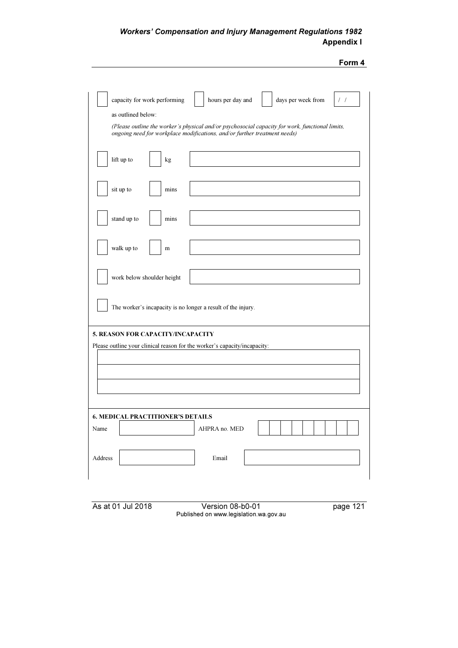| I<br><br>۰.<br>× |  |
|------------------|--|
|                  |  |

| capacity for work performing<br>hours per day and<br>days per week from<br>$\prime\;$ /<br>as outlined below:<br>(Please outline the worker's physical and/or psychosocial capacity for work, functional limits,<br>ongoing need for workplace modifications, and/or further treatment needs) |  |  |  |  |  |
|-----------------------------------------------------------------------------------------------------------------------------------------------------------------------------------------------------------------------------------------------------------------------------------------------|--|--|--|--|--|
| lift up to<br>kg                                                                                                                                                                                                                                                                              |  |  |  |  |  |
| sit up to<br>mins                                                                                                                                                                                                                                                                             |  |  |  |  |  |
| stand up to<br>mins                                                                                                                                                                                                                                                                           |  |  |  |  |  |
| walk up to<br>m                                                                                                                                                                                                                                                                               |  |  |  |  |  |
| work below shoulder height                                                                                                                                                                                                                                                                    |  |  |  |  |  |
| The worker's incapacity is no longer a result of the injury.                                                                                                                                                                                                                                  |  |  |  |  |  |
| 5. REASON FOR CAPACITY/INCAPACITY<br>Please outline your clinical reason for the worker's capacity/incapacity:                                                                                                                                                                                |  |  |  |  |  |
| <b>6. MEDICAL PRACTITIONER'S DETAILS</b><br>Name<br>AHPRA no. MED                                                                                                                                                                                                                             |  |  |  |  |  |
| Email<br>Address                                                                                                                                                                                                                                                                              |  |  |  |  |  |

As at 01 Jul 2018 Version 08-b0-01 page 121 Published on www.legislation.wa.gov.au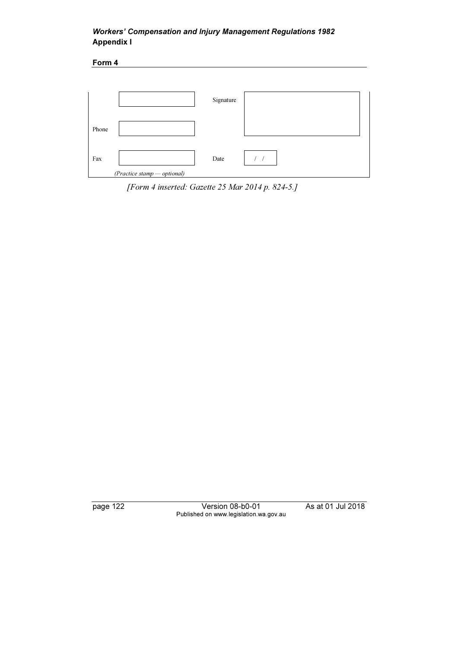Form 4





page 122 Version 08-b0-01 As at 01 Jul 2018 Published on www.legislation.wa.gov.au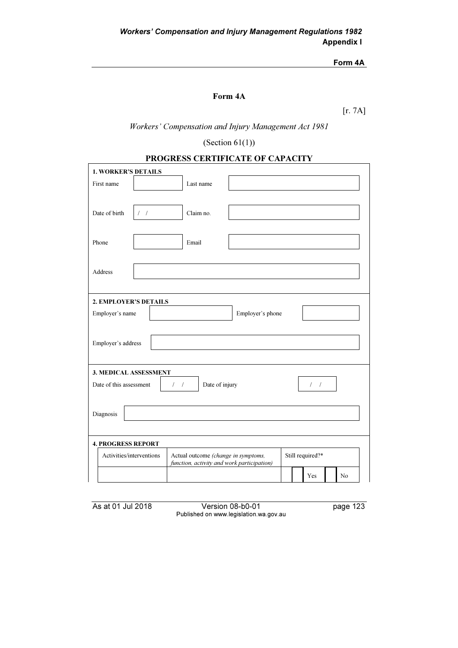### Form 4A

# Form 4A

[r. 7A]

Workers' Compensation and Injury Management Act 1981

(Section  $61(1)$ )

| PROGRESS CERTIFICATE OF CAPACITY |  |
|----------------------------------|--|
|----------------------------------|--|

| <b>1. WORKER'S DETAILS</b>                                                        |           |                  |  |  |  |  |
|-----------------------------------------------------------------------------------|-----------|------------------|--|--|--|--|
| First name                                                                        | Last name |                  |  |  |  |  |
|                                                                                   |           |                  |  |  |  |  |
|                                                                                   |           |                  |  |  |  |  |
| Date of birth<br>$\prime$ $\prime$                                                | Claim no. |                  |  |  |  |  |
|                                                                                   |           |                  |  |  |  |  |
| Phone                                                                             | Email     |                  |  |  |  |  |
|                                                                                   |           |                  |  |  |  |  |
| <b>Address</b>                                                                    |           |                  |  |  |  |  |
|                                                                                   |           |                  |  |  |  |  |
|                                                                                   |           |                  |  |  |  |  |
| 2. EMPLOYER'S DETAILS                                                             |           |                  |  |  |  |  |
| Employer's name                                                                   |           | Employer's phone |  |  |  |  |
|                                                                                   |           |                  |  |  |  |  |
| Employer's address                                                                |           |                  |  |  |  |  |
|                                                                                   |           |                  |  |  |  |  |
|                                                                                   |           |                  |  |  |  |  |
| <b>3. MEDICAL ASSESSMENT</b>                                                      |           |                  |  |  |  |  |
| Date of injury<br>Date of this assessment<br>$/$ $/$<br>$/$ $/$                   |           |                  |  |  |  |  |
|                                                                                   |           |                  |  |  |  |  |
| Diagnosis                                                                         |           |                  |  |  |  |  |
|                                                                                   |           |                  |  |  |  |  |
| <b>4. PROGRESS REPORT</b>                                                         |           |                  |  |  |  |  |
| Activities/interventions<br>Still required?*                                      |           |                  |  |  |  |  |
| Actual outcome (change in symptoms,<br>function, activity and work participation) |           |                  |  |  |  |  |
|                                                                                   |           |                  |  |  |  |  |

As at 01 Jul 2018 Version 08-b0-01 page 123 Published on www.legislation.wa.gov.au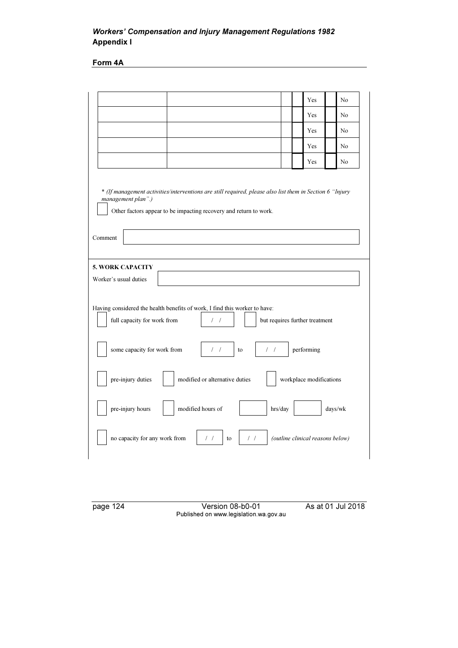Form 4A

|                                                                                                                                                                                                                           | Yes                     | N <sub>o</sub>                   |
|---------------------------------------------------------------------------------------------------------------------------------------------------------------------------------------------------------------------------|-------------------------|----------------------------------|
|                                                                                                                                                                                                                           | Yes                     | No                               |
|                                                                                                                                                                                                                           | Yes                     | No.                              |
|                                                                                                                                                                                                                           | Yes                     | No                               |
|                                                                                                                                                                                                                           | Yes                     | No                               |
| * (If management activities/interventions are still required, please also list them in Section 6 "Injury"<br>management plan".)<br>Other factors appear to be impacting recovery and return to work.<br>Comment           |                         |                                  |
| <b>5. WORK CAPACITY</b><br>Worker's usual duties<br>Having considered the health benefits of work, I find this worker to have:<br>full capacity for work from<br>but requires further treatment<br>$\left  \quad \right $ |                         |                                  |
| some capacity for work from<br>$\frac{1}{2}$<br>$\left  \quad \right $<br>to                                                                                                                                              | performing              |                                  |
| pre-injury duties<br>modified or alternative duties                                                                                                                                                                       | workplace modifications |                                  |
| pre-injury hours<br>modified hours of<br>hrs/day                                                                                                                                                                          |                         | days/wk                          |
| no capacity for any work from<br>$\left  \quad \right $<br>$\left  \right $<br>to                                                                                                                                         |                         | (outline clinical reasons below) |
|                                                                                                                                                                                                                           |                         |                                  |

page 124 Version 08-b0-01 As at 01 Jul 2018 Published on www.legislation.wa.gov.au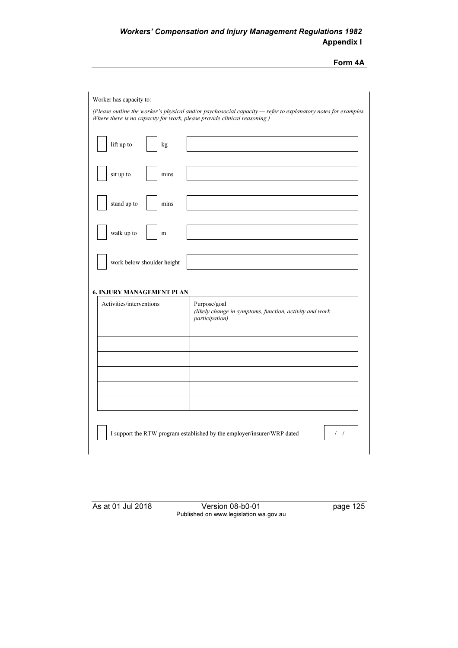| Form 4A |  |
|---------|--|
|         |  |

| Worker has capacity to:                                                  |                                                                                                               |
|--------------------------------------------------------------------------|---------------------------------------------------------------------------------------------------------------|
| Where there is no capacity for work, please provide clinical reasoning.) | (Please outline the worker's physical and/or psychosocial capacity - refer to explanatory notes for examples. |
| lift up to<br>kg                                                         |                                                                                                               |
| sit up to<br>mins                                                        |                                                                                                               |
| stand up to<br>mins                                                      |                                                                                                               |
| walk up to<br>m                                                          |                                                                                                               |
| work below shoulder height                                               |                                                                                                               |
| <b>6. INJURY MANAGEMENT PLAN</b>                                         |                                                                                                               |
| Activities/interventions                                                 | Purpose/goal<br>(likely change in symptoms, function, activity and work<br>participation)                     |
|                                                                          |                                                                                                               |
|                                                                          |                                                                                                               |
|                                                                          |                                                                                                               |
|                                                                          |                                                                                                               |
|                                                                          |                                                                                                               |
|                                                                          |                                                                                                               |
|                                                                          |                                                                                                               |
|                                                                          | I support the RTW program established by the employer/insurer/WRP dated<br>$\left  \quad \right $             |
|                                                                          |                                                                                                               |

As at 01 Jul 2018 Version 08-b0-01 page 125 Published on www.legislation.wa.gov.au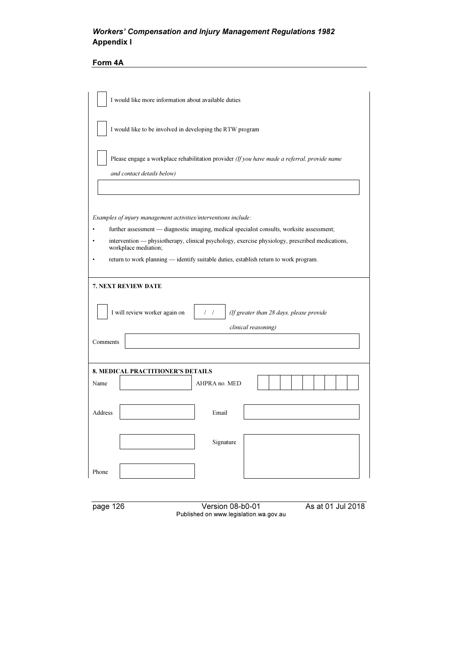# Form 4A

| I would like more information about available duties                                                                                                                                                                  |
|-----------------------------------------------------------------------------------------------------------------------------------------------------------------------------------------------------------------------|
| I would like to be involved in developing the RTW program                                                                                                                                                             |
| Please engage a workplace rehabilitation provider (If you have made a referral, provide name<br>and contact details below)                                                                                            |
|                                                                                                                                                                                                                       |
| Examples of injury management activities/interventions include:                                                                                                                                                       |
| further assessment - diagnostic imaging, medical specialist consults, worksite assessment;<br>intervention — physiotherapy, clinical psychology, exercise physiology, prescribed medications,<br>workplace mediation; |
| return to work planning - identify suitable duties, establish return to work program.                                                                                                                                 |
| 7. NEXT REVIEW DATE                                                                                                                                                                                                   |
| I will review worker again on<br>(If greater than 28 days, please provide<br>$\left  \quad \right $                                                                                                                   |
| clinical reasoning)                                                                                                                                                                                                   |
| Comments                                                                                                                                                                                                              |
|                                                                                                                                                                                                                       |
| <b>8. MEDICAL PRACTITIONER'S DETAILS</b><br>Name<br>AHPRA no. MED                                                                                                                                                     |
|                                                                                                                                                                                                                       |
| Address<br>Email                                                                                                                                                                                                      |
| Signature                                                                                                                                                                                                             |
| Phone                                                                                                                                                                                                                 |
|                                                                                                                                                                                                                       |

page 126 Version 08-b0-01 As at 01 Jul 2018 Published on www.legislation.wa.gov.au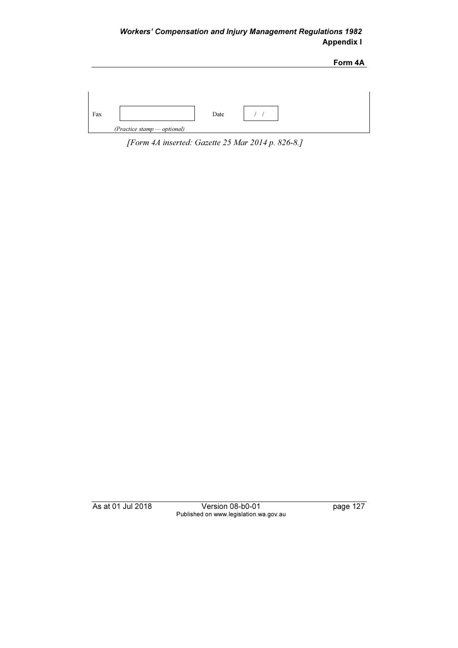|     |                             | Form 4A |
|-----|-----------------------------|---------|
|     |                             |         |
|     |                             |         |
|     |                             |         |
|     |                             |         |
| Fax | Date                        |         |
|     | (Practice stamp - optional) |         |

[Form 4A inserted: Gazette 25 Mar 2014 p. 826-8.]

As at 01 Jul 2018 Version 08-b0-01 page 127 Published on www.legislation.wa.gov.au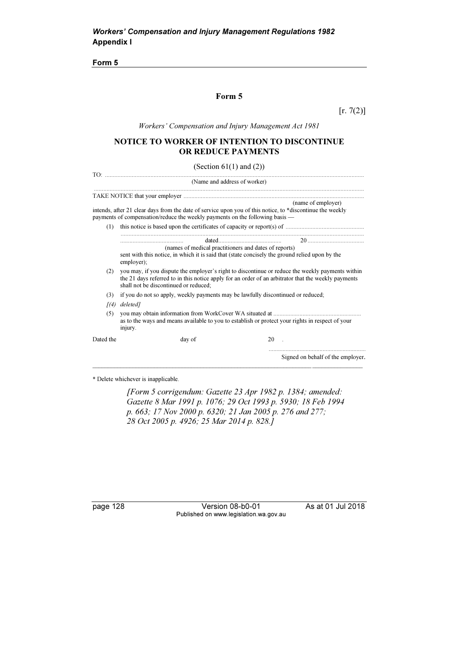Form 5

### Form 5

 $[r. 7(2)]$ 

Workers' Compensation and Injury Management Act 1981

### NOTICE TO WORKER OF INTENTION TO DISCONTINUE OR REDUCE PAYMENTS

(Section  $61(1)$  and  $(2)$ )

|              | (Name and address of worker)                                                                                                                                                              |                                                                                                                                                                                                         |
|--------------|-------------------------------------------------------------------------------------------------------------------------------------------------------------------------------------------|---------------------------------------------------------------------------------------------------------------------------------------------------------------------------------------------------------|
|              |                                                                                                                                                                                           |                                                                                                                                                                                                         |
|              | intends, after 21 clear days from the date of service upon you of this notice, to *discontinue the weekly<br>payments of compensation/reduce the weekly payments on the following basis - | (name of employer)                                                                                                                                                                                      |
| (1)          |                                                                                                                                                                                           |                                                                                                                                                                                                         |
|              |                                                                                                                                                                                           |                                                                                                                                                                                                         |
|              | (names of medical practitioners and dates of reports)<br>sent with this notice, in which it is said that (state concisely the ground relied upon by the<br>employer);                     |                                                                                                                                                                                                         |
| (2)          | shall not be discontinued or reduced;                                                                                                                                                     | you may, if you dispute the employer's right to discontinue or reduce the weekly payments within<br>the 21 days referred to in this notice apply for an order of an arbitrator that the weekly payments |
| (3)          | if you do not so apply, weekly payments may be lawfully discontinued or reduced;                                                                                                          |                                                                                                                                                                                                         |
| $\sqrt{(4)}$ | deleted]                                                                                                                                                                                  |                                                                                                                                                                                                         |
| (5)          | injury.                                                                                                                                                                                   | as to the ways and means available to you to establish or protect your rights in respect of your                                                                                                        |
| Dated the    | day of                                                                                                                                                                                    | 20                                                                                                                                                                                                      |
|              |                                                                                                                                                                                           | Signed on behalf of the employer.                                                                                                                                                                       |

\* Delete whichever is inapplicable.

 [Form 5 corrigendum: Gazette 23 Apr 1982 p. 1384; amended: Gazette 8 Mar 1991 p. 1076; 29 Oct 1993 p. 5930; 18 Feb 1994 p. 663; 17 Nov 2000 p. 6320; 21 Jan 2005 p. 276 and 277; 28 Oct 2005 p. 4926; 25 Mar 2014 p. 828.]

page 128 Version 08-b0-01 As at 01 Jul 2018 Published on www.legislation.wa.gov.au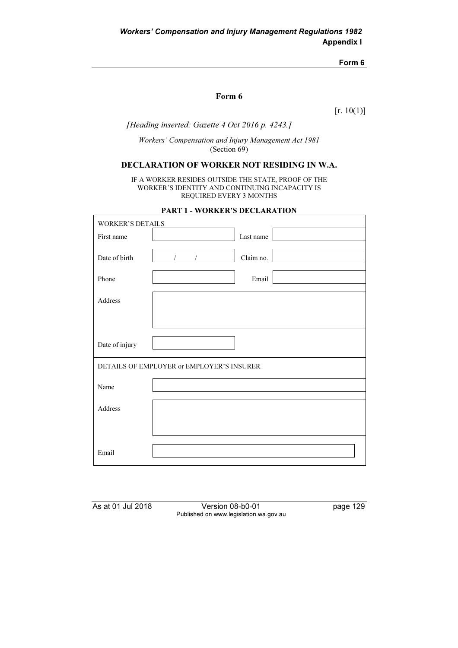Form 6

### Form 6

 $[r. 10(1)]$ 

### [Heading inserted: Gazette 4 Oct 2016 p. 4243.]

Workers' Compensation and Injury Management Act 1981 (Section 69)

# DECLARATION OF WORKER NOT RESIDING IN W.A.

IF A WORKER RESIDES OUTSIDE THE STATE, PROOF OF THE WORKER'S IDENTITY AND CONTINUING INCAPACITY IS REQUIRED EVERY 3 MONTHS

| <b>PART 1 - WORKER'S DECLARATION</b> |
|--------------------------------------|
|                                      |

| <b>WORKER'S DETAILS</b> |                                           |
|-------------------------|-------------------------------------------|
| First name              | Last name                                 |
|                         |                                           |
| Date of birth           | Claim no.<br>$\prime$                     |
|                         |                                           |
| Phone                   | Email                                     |
|                         |                                           |
| Address                 |                                           |
|                         |                                           |
|                         |                                           |
|                         |                                           |
| Date of injury          |                                           |
|                         |                                           |
|                         | DETAILS OF EMPLOYER or EMPLOYER'S INSURER |
|                         |                                           |
| Name                    |                                           |
|                         |                                           |
| Address                 |                                           |
|                         |                                           |
|                         |                                           |
|                         |                                           |
| Email                   |                                           |

As at 01 Jul 2018 Version 08-b0-01 page 129 Published on www.legislation.wa.gov.au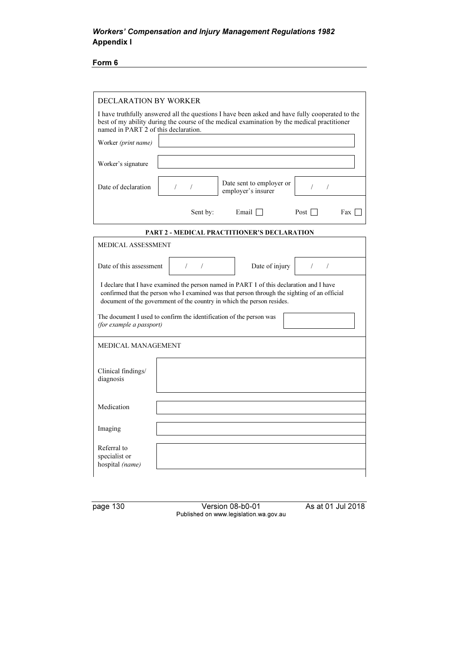Form 6

| <b>DECLARATION BY WORKER</b>                    |                                                                     |                                                                                                                                                                                                                                                                    |                          |
|-------------------------------------------------|---------------------------------------------------------------------|--------------------------------------------------------------------------------------------------------------------------------------------------------------------------------------------------------------------------------------------------------------------|--------------------------|
| named in PART 2 of this declaration.            |                                                                     | I have truthfully answered all the questions I have been asked and have fully cooperated to the<br>best of my ability during the course of the medical examination by the medical practitioner                                                                     |                          |
| Worker (print name)                             |                                                                     |                                                                                                                                                                                                                                                                    |                          |
| Worker's signature                              |                                                                     |                                                                                                                                                                                                                                                                    |                          |
| Date of declaration                             | $\sqrt{2}$<br>$\sqrt{2}$                                            | Date sent to employer or<br>employer's insurer                                                                                                                                                                                                                     | $\sqrt{2}$<br>$\sqrt{2}$ |
|                                                 | Sent by:                                                            | Email $\Box$                                                                                                                                                                                                                                                       | Post $\Box$<br>Fax T     |
|                                                 |                                                                     | PART 2 - MEDICAL PRACTITIONER'S DECLARATION                                                                                                                                                                                                                        |                          |
| MEDICAL ASSESSMENT                              |                                                                     |                                                                                                                                                                                                                                                                    |                          |
| Date of this assessment                         | $\left  \begin{array}{cc} \end{array} \right $                      | Date of injury                                                                                                                                                                                                                                                     | $\sqrt{2}$<br>$\sqrt{2}$ |
|                                                 |                                                                     | I declare that I have examined the person named in PART 1 of this declaration and I have<br>confirmed that the person who I examined was that person through the sighting of an official<br>document of the government of the country in which the person resides. |                          |
| (for example a passport)                        | The document I used to confirm the identification of the person was |                                                                                                                                                                                                                                                                    |                          |
| MEDICAL MANAGEMENT                              |                                                                     |                                                                                                                                                                                                                                                                    |                          |
| Clinical findings/<br>diagnosis                 |                                                                     |                                                                                                                                                                                                                                                                    |                          |
| Medication                                      |                                                                     |                                                                                                                                                                                                                                                                    |                          |
| Imaging                                         |                                                                     |                                                                                                                                                                                                                                                                    |                          |
| Referral to<br>specialist or<br>hospital (name) |                                                                     |                                                                                                                                                                                                                                                                    |                          |

page 130 Version 08-b0-01 As at 01 Jul 2018 Published on www.legislation.wa.gov.au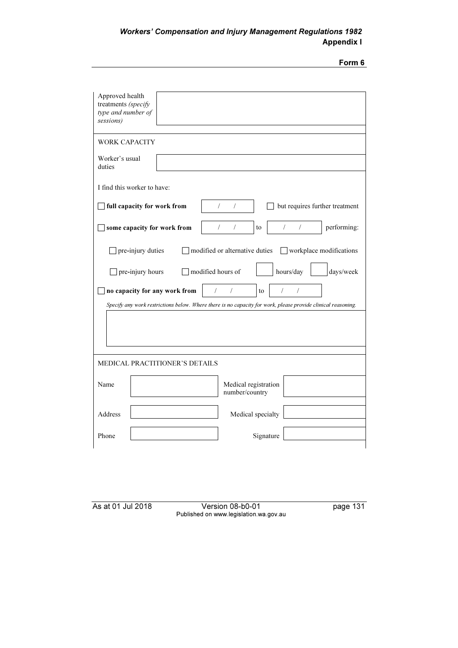| ш<br>ı |  |
|--------|--|
| ۰.     |  |

| Approved health<br>treatments (specify<br>type and number of<br>sessions)                                    |
|--------------------------------------------------------------------------------------------------------------|
| <b>WORK CAPACITY</b>                                                                                         |
| Worker's usual<br>duties                                                                                     |
| I find this worker to have:                                                                                  |
| full capacity for work from<br>$\sqrt{2}$<br>$\sqrt{2}$<br>but requires further treatment                    |
| $\sqrt{2}$<br>$\sqrt{2}$<br>some capacity for work from<br>$\sqrt{2}$<br>performing:<br>$\prime$<br>to       |
| □ pre-injury duties<br>$\Box$ modified or alternative duties<br>$\Box$ workplace modifications               |
| hours/day<br>modified hours of<br>days/week<br>] pre-injury hours                                            |
| $\sqrt{2}$<br>$\sqrt{2}$<br>$\sqrt{ }$<br>no capacity for any work from<br>$\sqrt{2}$<br>to                  |
| Specify any work restrictions below. Where there is no capacity for work, please provide clinical reasoning. |
| <b>MEDICAL PRACTITIONER'S DETAILS</b>                                                                        |
| Medical registration<br>Name<br>number/country                                                               |
| Address<br>Medical specialty                                                                                 |
| Phone<br>Signature                                                                                           |

| As at 01 Jul 2018 |
|-------------------|
|-------------------|

As at 01 Jul 2018 Version 08-b0-01 page 131 Published on www.legislation.wa.gov.au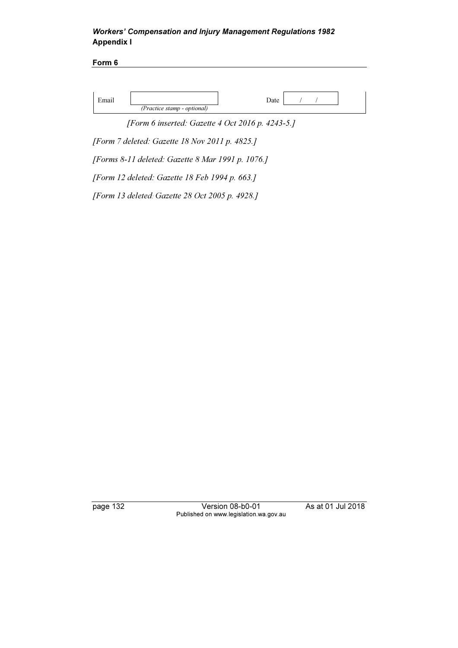Form 6

|                             | Date |
|-----------------------------|------|
| (Practice stamp - optional) |      |

[Form 6 inserted: Gazette 4 Oct 2016 p. 4243-5.]

[Form 7 deleted: Gazette 18 Nov 2011 p. 4825.]

[Forms 8-11 deleted: Gazette 8 Mar 1991 p. 1076.]

[Form 12 deleted: Gazette 18 Feb 1994 p. 663.]

[Form 13 deleted: Gazette 28 Oct 2005 p. 4928.]

page 132 Version 08-b0-01 As at 01 Jul 2018 Published on www.legislation.wa.gov.au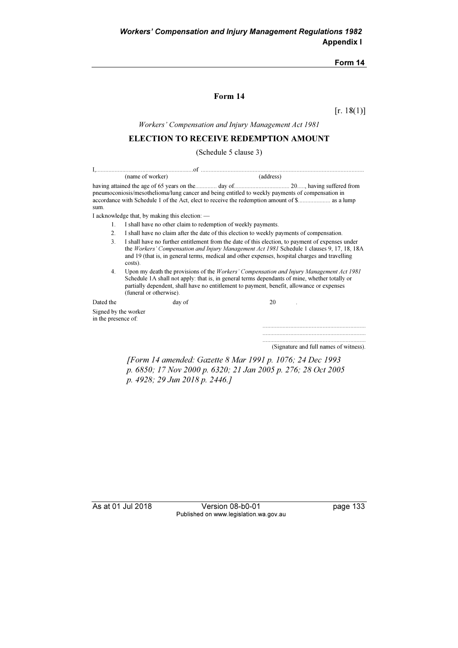#### Form 14

### Form 14

 $[r. 18(1)]$ 

Workers' Compensation and Injury Management Act 1981

### ELECTION TO RECEIVE REDEMPTION AMOUNT

(Schedule 5 clause 3)

| (name of worker)                            |                                                                                                                                                                                                                                                                                                                          | (address)                         |                                        |  |  |
|---------------------------------------------|--------------------------------------------------------------------------------------------------------------------------------------------------------------------------------------------------------------------------------------------------------------------------------------------------------------------------|-----------------------------------|----------------------------------------|--|--|
| sum.                                        | pneumoconiosis/mesothelioma/lung cancer and being entitled to weekly payments of compensation in                                                                                                                                                                                                                         |                                   |                                        |  |  |
|                                             | I acknowledge that, by making this election: $\overline{\phantom{a}}$                                                                                                                                                                                                                                                    |                                   |                                        |  |  |
| 1.                                          | I shall have no other claim to redemption of weekly payments.                                                                                                                                                                                                                                                            |                                   |                                        |  |  |
| 2.                                          | I shall have no claim after the date of this election to weekly payments of compensation.                                                                                                                                                                                                                                |                                   |                                        |  |  |
| 3.                                          | I shall have no further entitlement from the date of this election, to payment of expenses under<br>the Workers' Compensation and Injury Management Act 1981 Schedule 1 clauses 9, 17, 18, 18A<br>and 19 (that is, in general terms, medical and other expenses, hospital charges and travelling<br>costs).              |                                   |                                        |  |  |
| 4.                                          | Upon my death the provisions of the <i>Workers' Compensation and Injury Management Act 1981</i><br>Schedule 1A shall not apply: that is, in general terms dependants of mine, whether totally or<br>partially dependent, shall have no entitlement to payment, benefit, allowance or expenses<br>(funeral or otherwise). |                                   |                                        |  |  |
| Dated the                                   | day of                                                                                                                                                                                                                                                                                                                   | 20                                |                                        |  |  |
| Signed by the worker<br>in the presence of: |                                                                                                                                                                                                                                                                                                                          |                                   |                                        |  |  |
|                                             |                                                                                                                                                                                                                                                                                                                          |                                   |                                        |  |  |
|                                             |                                                                                                                                                                                                                                                                                                                          |                                   |                                        |  |  |
|                                             |                                                                                                                                                                                                                                                                                                                          |                                   | (Signature and full names of witness). |  |  |
|                                             | r <sub>m</sub>                                                                                                                                                                                                                                                                                                           | $11 17 1$ $101 1001 107 107 1001$ |                                        |  |  |

 [Form 14 amended: Gazette 8 Mar 1991 p. 1076; 24 Dec 1993 p. 6850; 17 Nov 2000 p. 6320; 21 Jan 2005 p. 276; 28 Oct 2005 p. 4928; 29 Jun 2018 p. 2446.]

As at 01 Jul 2018 Version 08-b0-01 page 133 Published on www.legislation.wa.gov.au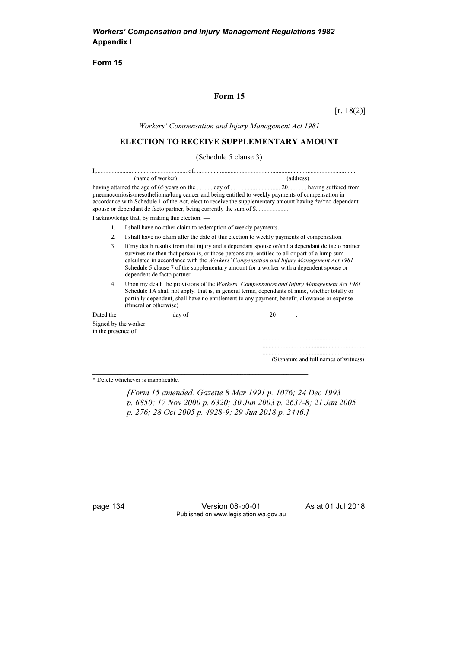Form 15

### Form 15

 $[r. 18(2)]$ 

Workers' Compensation and Injury Management Act 1981

# ELECTION TO RECEIVE SUPPLEMENTARY AMOUNT

#### (Schedule 5 clause 3)

|                                             | (name of worker)                                                                                                                                                                                                                                                                                                                                                                                                           | (address)                                                                                                                                                                                                                        |  |  |  |
|---------------------------------------------|----------------------------------------------------------------------------------------------------------------------------------------------------------------------------------------------------------------------------------------------------------------------------------------------------------------------------------------------------------------------------------------------------------------------------|----------------------------------------------------------------------------------------------------------------------------------------------------------------------------------------------------------------------------------|--|--|--|
|                                             | pneumoconiosis/mesothelioma/lung cancer and being entitled to weekly payments of compensation in<br>spouse or dependant de facto partner, being currently the sum of \$                                                                                                                                                                                                                                                    | having attained the age of 65 years on the manufacture day of manufacture and all all all all all all all all a<br>accordance with Schedule 1 of the Act, elect to receive the supplementary amount having $a^*a^*$ no dependant |  |  |  |
|                                             | I acknowledge that, by making this election: —                                                                                                                                                                                                                                                                                                                                                                             |                                                                                                                                                                                                                                  |  |  |  |
| $\mathbf{1}$ .                              | I shall have no other claim to redemption of weekly payments.                                                                                                                                                                                                                                                                                                                                                              |                                                                                                                                                                                                                                  |  |  |  |
| 2 <sub>1</sub>                              | I shall have no claim after the date of this election to weekly payments of compensation.                                                                                                                                                                                                                                                                                                                                  |                                                                                                                                                                                                                                  |  |  |  |
| 3.                                          | If my death results from that injury and a dependant spouse or/and a dependant de facto partner<br>survives me then that person is, or those persons are, entitled to all or part of a lump sum<br>calculated in accordance with the <i>Workers' Compensation and Injury Management Act 1981</i><br>Schedule 5 clause 7 of the supplementary amount for a worker with a dependent spouse or<br>dependent de facto partner. |                                                                                                                                                                                                                                  |  |  |  |
| 4.                                          | Upon my death the provisions of the Workers' Compensation and Injury Management Act 1981<br>Schedule 1A shall not apply: that is, in general terms, dependants of mine, whether totally or<br>partially dependent, shall have no entitlement to any payment, benefit, allowance or expense<br>(funeral or otherwise).                                                                                                      |                                                                                                                                                                                                                                  |  |  |  |
| Dated the                                   | day of                                                                                                                                                                                                                                                                                                                                                                                                                     | 20                                                                                                                                                                                                                               |  |  |  |
| Signed by the worker<br>in the presence of: |                                                                                                                                                                                                                                                                                                                                                                                                                            |                                                                                                                                                                                                                                  |  |  |  |
|                                             |                                                                                                                                                                                                                                                                                                                                                                                                                            |                                                                                                                                                                                                                                  |  |  |  |
|                                             |                                                                                                                                                                                                                                                                                                                                                                                                                            |                                                                                                                                                                                                                                  |  |  |  |
|                                             |                                                                                                                                                                                                                                                                                                                                                                                                                            | (Signature and full names of witness).                                                                                                                                                                                           |  |  |  |
|                                             |                                                                                                                                                                                                                                                                                                                                                                                                                            |                                                                                                                                                                                                                                  |  |  |  |

\* Delete whichever is inapplicable.

 [Form 15 amended: Gazette 8 Mar 1991 p. 1076; 24 Dec 1993 p. 6850; 17 Nov 2000 p. 6320; 30 Jun 2003 p. 2637-8; 21 Jan 2005 p. 276; 28 Oct 2005 p. 4928-9; 29 Jun 2018 p. 2446.]

page 134 Version 08-b0-01 As at 01 Jul 2018 Published on www.legislation.wa.gov.au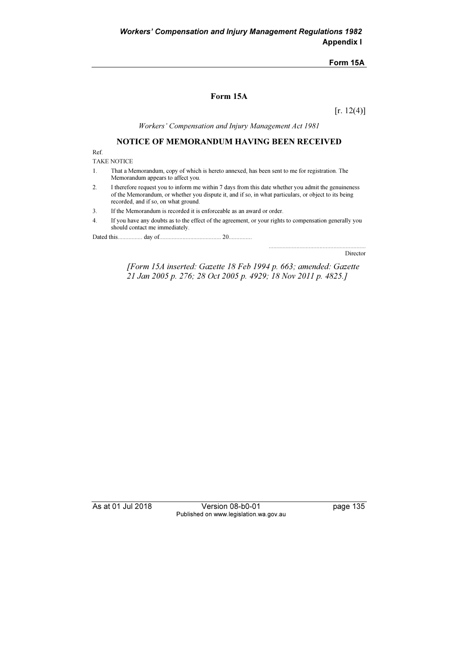#### Form 15A

### Form 15A

 $[r. 12(4)]$ 

Workers' Compensation and Injury Management Act 1981

# NOTICE OF MEMORANDUM HAVING BEEN RECEIVED

Ref.

TAKE NOTICE

- 1. That a Memorandum, copy of which is hereto annexed, has been sent to me for registration. The Memorandum appears to affect you.
- 2. I therefore request you to inform me within 7 days from this date whether you admit the genuineness of the Memorandum, or whether you dispute it, and if so, in what particulars, or object to its being recorded, and if so, on what ground.
- 3. If the Memorandum is recorded it is enforceable as an award or order.
- 4. If you have any doubts as to the effect of the agreement, or your rights to compensation generally you should contact me immediately.

Dated this................ day of........................................ 20...............

Director

...............................................................

 [Form 15A inserted: Gazette 18 Feb 1994 p. 663; amended: Gazette 21 Jan 2005 p. 276; 28 Oct 2005 p. 4929; 18 Nov 2011 p. 4825.]

As at 01 Jul 2018 Version 08-b0-01 page 135 Published on www.legislation.wa.gov.au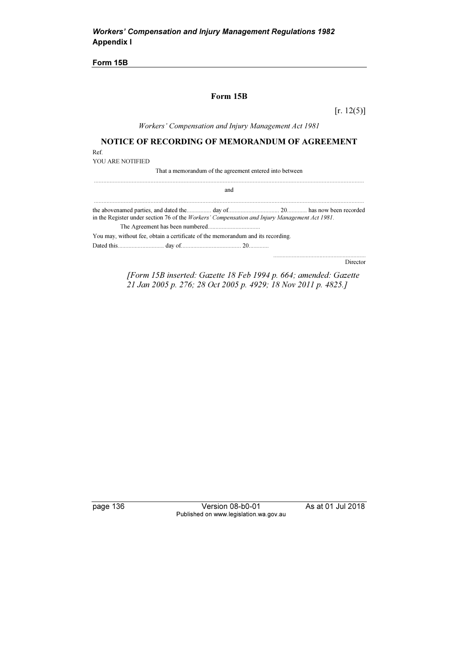Form 15B

### Form 15B

 $[r. 12(5)]$ 

Workers' Compensation and Injury Management Act 1981

NOTICE OF RECORDING OF MEMORANDUM OF AGREEMENT

Ref.

YOU ARE NOTIFIED

That a memorandum of the agreement entered into between

and

............................................................................................................................................................................

 ............................................................................................................................................................................ the abovenamed parties, and dated the................ day of................................. 20............. has now been recorded in the Register under section 76 of the Workers' Compensation and Injury Management Act 1981. The Agreement has been numbered.................................. You may, without fee, obtain a certificate of the memorandum and its recording. Dated this.............................. day of....................................... 20.............

Director

............................................................

 [Form 15B inserted: Gazette 18 Feb 1994 p. 664; amended: Gazette 21 Jan 2005 p. 276; 28 Oct 2005 p. 4929; 18 Nov 2011 p. 4825.]

page 136 Version 08-b0-01 As at 01 Jul 2018 Published on www.legislation.wa.gov.au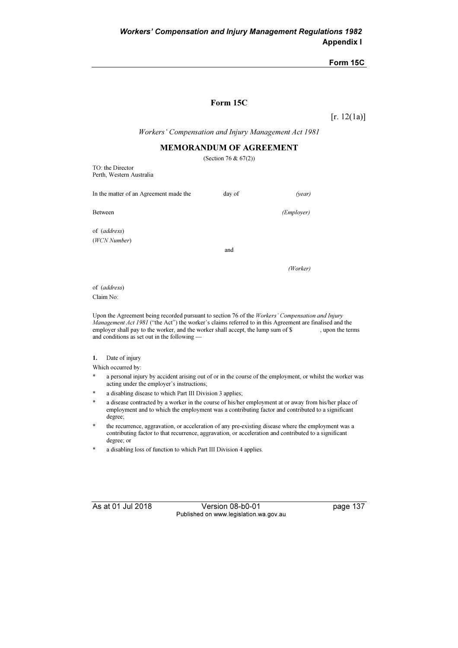#### Form 15C

#### Form 15C

 $[r. 12(1a)]$ 

Workers' Compensation and Injury Management Act 1981

## MEMORANDUM OF AGREEMENT

|                                              | (Section 76 & $67(2)$ ) |                     |  |
|----------------------------------------------|-------------------------|---------------------|--|
| TO: the Director<br>Perth, Western Australia |                         |                     |  |
| In the matter of an Agreement made the       | day of                  | (year)              |  |
| Between                                      |                         | ( <i>Employer</i> ) |  |
| of (address)                                 |                         |                     |  |
| (WCN Number)                                 | and                     |                     |  |
|                                              |                         | (Worker)            |  |
|                                              |                         |                     |  |

of (address) Claim No:

Upon the Agreement being recorded pursuant to section 76 of the Workers' Compensation and Injury Management Act 1981 ("the Act") the worker's claims referred to in this Agreement are finalised and the employer shall pay to the worker, and the worker shall accept, the lump sum of \$, upon the terms and conditions as set out in the following —

#### 1. Date of injury

Which occurred by:

- a personal injury by accident arising out of or in the course of the employment, or whilst the worker was acting under the employer's instructions;
- a disabling disease to which Part III Division 3 applies;
- a disease contracted by a worker in the course of his/her employment at or away from his/her place of employment and to which the employment was a contributing factor and contributed to a significant degree;
- the recurrence, aggravation, or acceleration of any pre-existing disease where the employment was a contributing factor to that recurrence, aggravation, or acceleration and contributed to a significant degree; or
- a disabling loss of function to which Part III Division 4 applies.

As at 01 Jul 2018 Version 08-b0-01 page 137 Published on www.legislation.wa.gov.au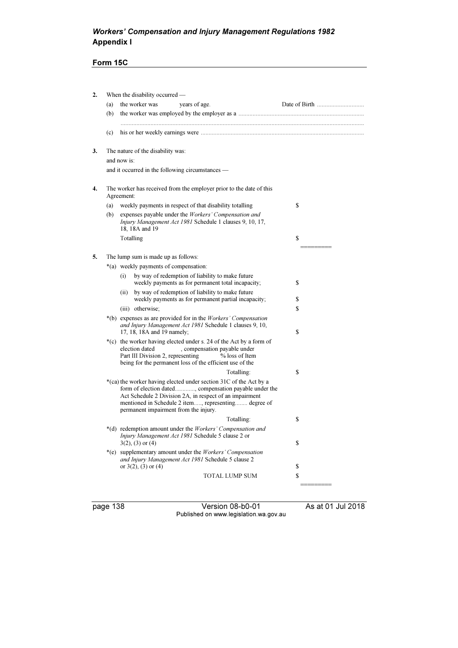# Workers' Compensation and Injury Management Regulations 1982 Appendix I

# Form 15C

| the worker was<br>(a)<br>years of age.<br>(b)<br>(c)<br>3.<br>The nature of the disability was:<br>and now is:<br>and it occurred in the following circumstances —<br>4.<br>The worker has received from the employer prior to the date of this<br>Agreement:<br>\$<br>weekly payments in respect of that disability totalling<br>(a)<br>expenses payable under the Workers' Compensation and<br>(b)<br>Injury Management Act 1981 Schedule 1 clauses 9, 10, 17,<br>18, 18A and 19<br>Totalling<br>\$<br>5.<br>The lump sum is made up as follows:<br>*(a) weekly payments of compensation:<br>by way of redemption of liability to make future<br>(i)<br>weekly payments as for permanent total incapacity;<br>\$<br>by way of redemption of liability to make future<br>(ii)<br>weekly payments as for permanent partial incapacity;<br>\$<br>\$<br>(iii) otherwise;<br>*(b) expenses as are provided for in the <i>Workers' Compensation</i><br>and Injury Management Act 1981 Schedule 1 clauses 9, 10,<br>17, 18, 18A and 19 namely;<br>\$<br>*(c) the worker having elected under s. 24 of the Act by a form of<br>election dated<br>, compensation payable under<br>Part III Division 2, representing<br>% loss of Item<br>being for the permanent loss of the efficient use of the<br>Totalling:<br>\$<br>*(ca) the worker having elected under section 31C of the Act by a<br>form of election dated, compensation payable under the<br>Act Schedule 2 Division 2A, in respect of an impairment<br>mentioned in Schedule 2 item, representing degree of<br>permanent impairment from the injury.<br>Totalling:<br>\$<br>*(d) redemption amount under the Workers' Compensation and<br>Injury Management Act 1981 Schedule 5 clause 2 or<br>$3(2)$ , (3) or (4)<br>\$ |  |
|-------------------------------------------------------------------------------------------------------------------------------------------------------------------------------------------------------------------------------------------------------------------------------------------------------------------------------------------------------------------------------------------------------------------------------------------------------------------------------------------------------------------------------------------------------------------------------------------------------------------------------------------------------------------------------------------------------------------------------------------------------------------------------------------------------------------------------------------------------------------------------------------------------------------------------------------------------------------------------------------------------------------------------------------------------------------------------------------------------------------------------------------------------------------------------------------------------------------------------------------------------------------------------------------------------------------------------------------------------------------------------------------------------------------------------------------------------------------------------------------------------------------------------------------------------------------------------------------------------------------------------------------------------------------------------------------------------------------------------------------------------------------------------|--|
|                                                                                                                                                                                                                                                                                                                                                                                                                                                                                                                                                                                                                                                                                                                                                                                                                                                                                                                                                                                                                                                                                                                                                                                                                                                                                                                                                                                                                                                                                                                                                                                                                                                                                                                                                                               |  |
|                                                                                                                                                                                                                                                                                                                                                                                                                                                                                                                                                                                                                                                                                                                                                                                                                                                                                                                                                                                                                                                                                                                                                                                                                                                                                                                                                                                                                                                                                                                                                                                                                                                                                                                                                                               |  |
|                                                                                                                                                                                                                                                                                                                                                                                                                                                                                                                                                                                                                                                                                                                                                                                                                                                                                                                                                                                                                                                                                                                                                                                                                                                                                                                                                                                                                                                                                                                                                                                                                                                                                                                                                                               |  |
|                                                                                                                                                                                                                                                                                                                                                                                                                                                                                                                                                                                                                                                                                                                                                                                                                                                                                                                                                                                                                                                                                                                                                                                                                                                                                                                                                                                                                                                                                                                                                                                                                                                                                                                                                                               |  |
|                                                                                                                                                                                                                                                                                                                                                                                                                                                                                                                                                                                                                                                                                                                                                                                                                                                                                                                                                                                                                                                                                                                                                                                                                                                                                                                                                                                                                                                                                                                                                                                                                                                                                                                                                                               |  |
|                                                                                                                                                                                                                                                                                                                                                                                                                                                                                                                                                                                                                                                                                                                                                                                                                                                                                                                                                                                                                                                                                                                                                                                                                                                                                                                                                                                                                                                                                                                                                                                                                                                                                                                                                                               |  |
|                                                                                                                                                                                                                                                                                                                                                                                                                                                                                                                                                                                                                                                                                                                                                                                                                                                                                                                                                                                                                                                                                                                                                                                                                                                                                                                                                                                                                                                                                                                                                                                                                                                                                                                                                                               |  |
|                                                                                                                                                                                                                                                                                                                                                                                                                                                                                                                                                                                                                                                                                                                                                                                                                                                                                                                                                                                                                                                                                                                                                                                                                                                                                                                                                                                                                                                                                                                                                                                                                                                                                                                                                                               |  |
|                                                                                                                                                                                                                                                                                                                                                                                                                                                                                                                                                                                                                                                                                                                                                                                                                                                                                                                                                                                                                                                                                                                                                                                                                                                                                                                                                                                                                                                                                                                                                                                                                                                                                                                                                                               |  |
|                                                                                                                                                                                                                                                                                                                                                                                                                                                                                                                                                                                                                                                                                                                                                                                                                                                                                                                                                                                                                                                                                                                                                                                                                                                                                                                                                                                                                                                                                                                                                                                                                                                                                                                                                                               |  |
|                                                                                                                                                                                                                                                                                                                                                                                                                                                                                                                                                                                                                                                                                                                                                                                                                                                                                                                                                                                                                                                                                                                                                                                                                                                                                                                                                                                                                                                                                                                                                                                                                                                                                                                                                                               |  |
|                                                                                                                                                                                                                                                                                                                                                                                                                                                                                                                                                                                                                                                                                                                                                                                                                                                                                                                                                                                                                                                                                                                                                                                                                                                                                                                                                                                                                                                                                                                                                                                                                                                                                                                                                                               |  |
|                                                                                                                                                                                                                                                                                                                                                                                                                                                                                                                                                                                                                                                                                                                                                                                                                                                                                                                                                                                                                                                                                                                                                                                                                                                                                                                                                                                                                                                                                                                                                                                                                                                                                                                                                                               |  |
|                                                                                                                                                                                                                                                                                                                                                                                                                                                                                                                                                                                                                                                                                                                                                                                                                                                                                                                                                                                                                                                                                                                                                                                                                                                                                                                                                                                                                                                                                                                                                                                                                                                                                                                                                                               |  |
|                                                                                                                                                                                                                                                                                                                                                                                                                                                                                                                                                                                                                                                                                                                                                                                                                                                                                                                                                                                                                                                                                                                                                                                                                                                                                                                                                                                                                                                                                                                                                                                                                                                                                                                                                                               |  |
|                                                                                                                                                                                                                                                                                                                                                                                                                                                                                                                                                                                                                                                                                                                                                                                                                                                                                                                                                                                                                                                                                                                                                                                                                                                                                                                                                                                                                                                                                                                                                                                                                                                                                                                                                                               |  |
|                                                                                                                                                                                                                                                                                                                                                                                                                                                                                                                                                                                                                                                                                                                                                                                                                                                                                                                                                                                                                                                                                                                                                                                                                                                                                                                                                                                                                                                                                                                                                                                                                                                                                                                                                                               |  |
|                                                                                                                                                                                                                                                                                                                                                                                                                                                                                                                                                                                                                                                                                                                                                                                                                                                                                                                                                                                                                                                                                                                                                                                                                                                                                                                                                                                                                                                                                                                                                                                                                                                                                                                                                                               |  |
|                                                                                                                                                                                                                                                                                                                                                                                                                                                                                                                                                                                                                                                                                                                                                                                                                                                                                                                                                                                                                                                                                                                                                                                                                                                                                                                                                                                                                                                                                                                                                                                                                                                                                                                                                                               |  |
|                                                                                                                                                                                                                                                                                                                                                                                                                                                                                                                                                                                                                                                                                                                                                                                                                                                                                                                                                                                                                                                                                                                                                                                                                                                                                                                                                                                                                                                                                                                                                                                                                                                                                                                                                                               |  |
|                                                                                                                                                                                                                                                                                                                                                                                                                                                                                                                                                                                                                                                                                                                                                                                                                                                                                                                                                                                                                                                                                                                                                                                                                                                                                                                                                                                                                                                                                                                                                                                                                                                                                                                                                                               |  |
|                                                                                                                                                                                                                                                                                                                                                                                                                                                                                                                                                                                                                                                                                                                                                                                                                                                                                                                                                                                                                                                                                                                                                                                                                                                                                                                                                                                                                                                                                                                                                                                                                                                                                                                                                                               |  |
|                                                                                                                                                                                                                                                                                                                                                                                                                                                                                                                                                                                                                                                                                                                                                                                                                                                                                                                                                                                                                                                                                                                                                                                                                                                                                                                                                                                                                                                                                                                                                                                                                                                                                                                                                                               |  |
| *(e) supplementary amount under the Workers' Compensation<br>and Injury Management Act 1981 Schedule 5 clause 2<br>or $3(2)$ , $(3)$ or $(4)$<br>\$                                                                                                                                                                                                                                                                                                                                                                                                                                                                                                                                                                                                                                                                                                                                                                                                                                                                                                                                                                                                                                                                                                                                                                                                                                                                                                                                                                                                                                                                                                                                                                                                                           |  |
| <b>TOTAL LUMP SUM</b><br>\$                                                                                                                                                                                                                                                                                                                                                                                                                                                                                                                                                                                                                                                                                                                                                                                                                                                                                                                                                                                                                                                                                                                                                                                                                                                                                                                                                                                                                                                                                                                                                                                                                                                                                                                                                   |  |
|                                                                                                                                                                                                                                                                                                                                                                                                                                                                                                                                                                                                                                                                                                                                                                                                                                                                                                                                                                                                                                                                                                                                                                                                                                                                                                                                                                                                                                                                                                                                                                                                                                                                                                                                                                               |  |

page 138 Version 08-b0-01 As at 01 Jul 2018 Published on www.legislation.wa.gov.au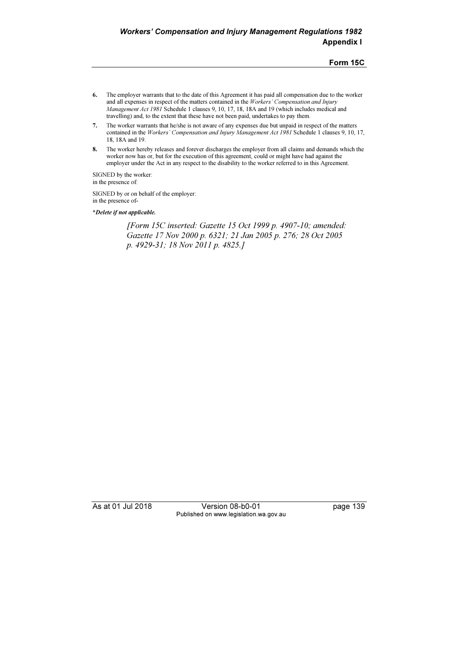Form 15C

- 6. The employer warrants that to the date of this Agreement it has paid all compensation due to the worker and all expenses in respect of the matters contained in the Workers' Compensation and Injury Management Act 1981 Schedule 1 clauses 9, 10, 17, 18, 18A and 19 (which includes medical and travelling) and, to the extent that these have not been paid, undertakes to pay them.
- 7. The worker warrants that he/she is not aware of any expenses due but unpaid in respect of the matters contained in the Workers' Compensation and Injury Management Act 1981 Schedule 1 clauses 9, 10, 17, 18, 18A and 19.
- 8. The worker hereby releases and forever discharges the employer from all claims and demands which the worker now has or, but for the execution of this agreement, could or might have had against the employer under the Act in any respect to the disability to the worker referred to in this Agreement.

SIGNED by the worker: in the presence of:

SIGNED by or on behalf of the employer: in the presence of-

\*Delete if not applicable.

 [Form 15C inserted: Gazette 15 Oct 1999 p. 4907-10; amended: Gazette 17 Nov 2000 p. 6321; 21 Jan 2005 p. 276; 28 Oct 2005 p. 4929-31; 18 Nov 2011 p. 4825.]

As at 01 Jul 2018 **Version 08-b0-01** page 139 Published on www.legislation.wa.gov.au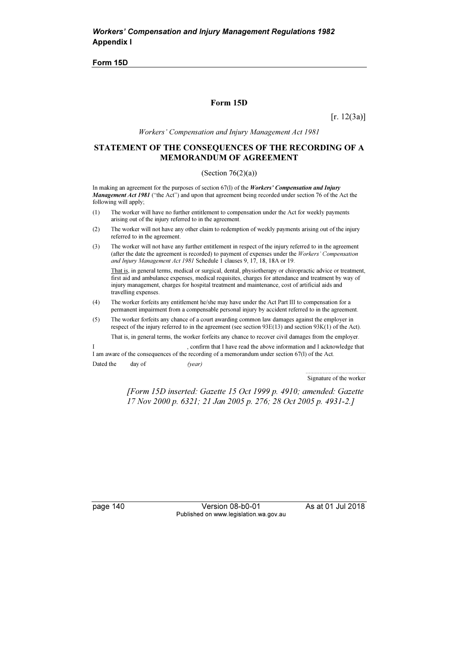Form 15D

#### Form 15D

 $[r. 12(3a)]$ 

Workers' Compensation and Injury Management Act 1981

#### STATEMENT OF THE CONSEQUENCES OF THE RECORDING OF A MEMORANDUM OF AGREEMENT

#### (Section  $76(2)(a)$ )

In making an agreement for the purposes of section  $67(1)$  of the *Workers' Compensation and Injury* Management Act 1981 ("the Act") and upon that agreement being recorded under section 76 of the Act the following will apply;

- (1) The worker will have no further entitlement to compensation under the Act for weekly payments arising out of the injury referred to in the agreement.
- (2) The worker will not have any other claim to redemption of weekly payments arising out of the injury referred to in the agreement.
- (3) The worker will not have any further entitlement in respect of the injury referred to in the agreement (after the date the agreement is recorded) to payment of expenses under the Workers' Compensation and Injury Management Act 1981 Schedule 1 clauses 9, 17, 18, 18A or 19.

 That is, in general terms, medical or surgical, dental, physiotherapy or chiropractic advice or treatment, first aid and ambulance expenses, medical requisites, charges for attendance and treatment by way of injury management, charges for hospital treatment and maintenance, cost of artificial aids and travelling expenses.

- (4) The worker forfeits any entitlement he/she may have under the Act Part III to compensation for a permanent impairment from a compensable personal injury by accident referred to in the agreement.
- (5) The worker forfeits any chance of a court awarding common law damages against the employer in respect of the injury referred to in the agreement (see section 93E(13) and section 93K(1) of the Act). That is, in general terms, the worker forfeits any chance to recover civil damages from the employer.

, confirm that I have read the above information and I acknowledge that I am aware of the consequences of the recording of a memorandum under section 67(l) of the Act. Dated the day of (year)

> ....................................... Signature of the worker

 [Form 15D inserted: Gazette 15 Oct 1999 p. 4910; amended: Gazette 17 Nov 2000 p. 6321; 21 Jan 2005 p. 276; 28 Oct 2005 p. 4931-2.]

page 140 Version 08-b0-01 As at 01 Jul 2018 Published on www.legislation.wa.gov.au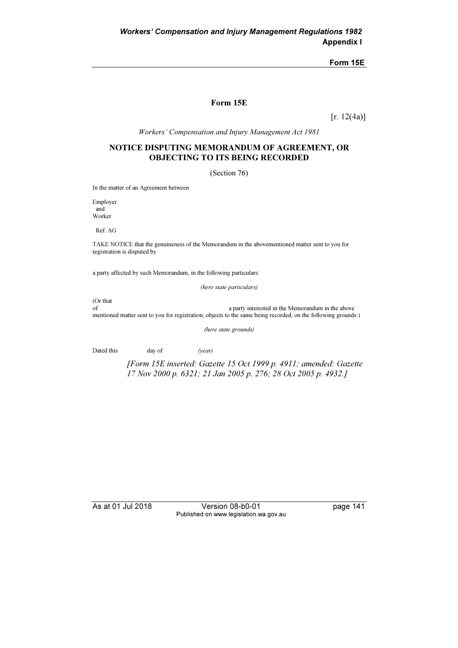Form 15E

#### Form 15E

 $[r. 12(4a)]$ 

Workers' Compensation and Injury Management Act 1981

### NOTICE DISPUTING MEMORANDUM OF AGREEMENT, OR OBJECTING TO ITS BEING RECORDED

(Section 76)

In the matter of an Agreement between

Employer and Worker

Ref. AG

TAKE NOTICE that the genuineness of the Memorandum in the abovementioned matter sent to you for registration is disputed by

a party affected by such Memorandum, in the following particulars:

(here state particulars)

(Or that

of a party interested in the Memorandum in the above mentioned matter sent to you for registration, objects to the same being recorded, on the following grounds:)

(here state grounds)

Dated this day of (year)

 [Form 15E inserted: Gazette 15 Oct 1999 p. 4911; amended: Gazette 17 Nov 2000 p. 6321; 21 Jan 2005 p. 276; 28 Oct 2005 p. 4932.]

As at 01 Jul 2018 Version 08-b0-01 page 141 Published on www.legislation.wa.gov.au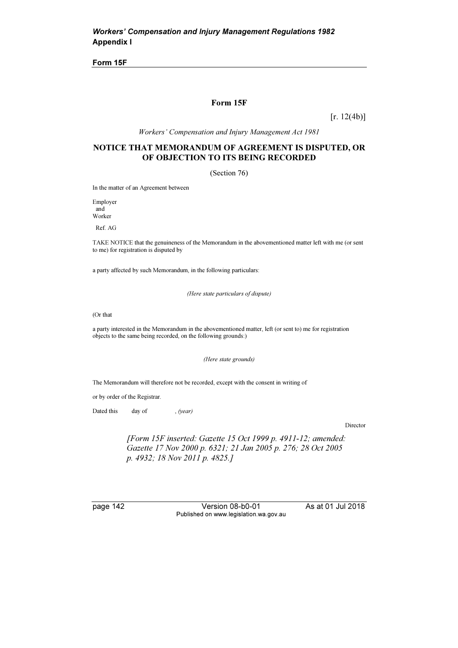Form 15F

#### Form 15F

 $[r. 12(4b)]$ 

Workers' Compensation and Injury Management Act 1981

#### NOTICE THAT MEMORANDUM OF AGREEMENT IS DISPUTED, OR OF OBJECTION TO ITS BEING RECORDED

(Section 76)

In the matter of an Agreement between

Employer and Worker

Ref. AG

TAKE NOTICE that the genuineness of the Memorandum in the abovementioned matter left with me (or sent to me) for registration is disputed by

a party affected by such Memorandum, in the following particulars:

(Here state particulars of dispute)

(Or that

a party interested in the Memorandum in the abovementioned matter, left (or sent to) me for registration objects to the same being recorded, on the following grounds:)

(Here state grounds)

The Memorandum will therefore not be recorded, except with the consent in writing of

or by order of the Registrar.

Dated this day of , (year)

Director

 [Form 15F inserted: Gazette 15 Oct 1999 p. 4911-12; amended: Gazette 17 Nov 2000 p. 6321; 21 Jan 2005 p. 276; 28 Oct 2005 p. 4932; 18 Nov 2011 p. 4825.]

page 142 Version 08-b0-01 As at 01 Jul 2018 Published on www.legislation.wa.gov.au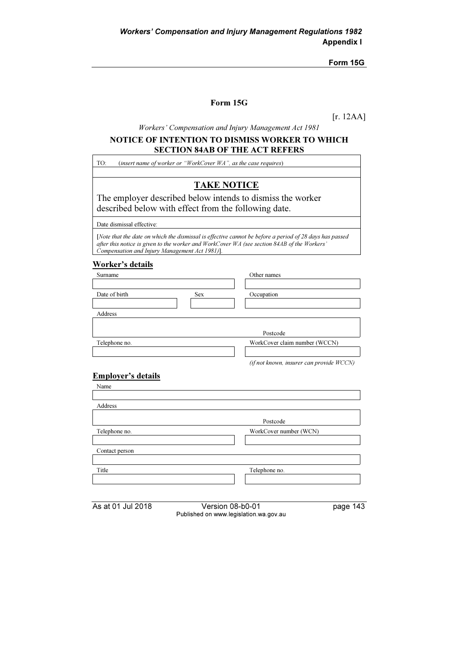Form 15G

### Form 15G

[r. 12AA]

Workers' Compensation and Injury Management Act 1981

### NOTICE OF INTENTION TO DISMISS WORKER TO WHICH SECTION 84AB OF THE ACT REFERS

TO: (insert name of worker or "WorkCover WA", as the case requires)

# TAKE NOTICE

The employer described below intends to dismiss the worker described below with effect from the following date.

Date dismissal effective:

[Note that the date on which the dismissal is effective cannot be before a period of 28 days has passed after this notice is given to the worker and WorkCover WA (see section 84AB of the Workers' Compensation and Injury Management Act 1981)].

#### Worker's details

| Surname       |            | Other names                              |
|---------------|------------|------------------------------------------|
|               |            |                                          |
| Date of birth | <b>Sex</b> | Occupation                               |
|               |            |                                          |
| Address       |            |                                          |
|               |            |                                          |
|               |            | Postcode                                 |
| Telephone no. |            | WorkCover claim number (WCCN)            |
|               |            |                                          |
|               |            | (if not known, insurer can provide WCCN) |

## Employer's details

| Name           |                        |
|----------------|------------------------|
|                |                        |
| Address        |                        |
|                | Postcode               |
| Telephone no.  | WorkCover number (WCN) |
|                |                        |
| Contact person |                        |
|                |                        |
| Title          | Telephone no.          |
|                |                        |
|                |                        |

| As at 01 Jul 2018 |  |  |
|-------------------|--|--|
|-------------------|--|--|

Version 08-b0-01 page 143 Published on www.legislation.wa.gov.au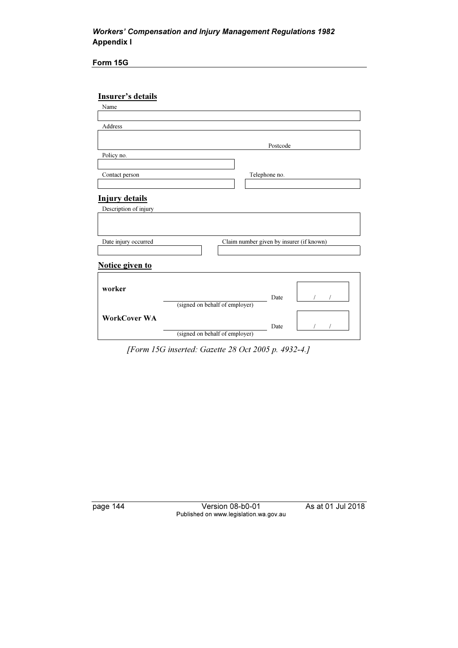## Workers' Compensation and Injury Management Regulations 1982 Appendix I

Form 15G

## Insurer's details

| Name                  |                                |                                          |  |
|-----------------------|--------------------------------|------------------------------------------|--|
|                       |                                |                                          |  |
| Address               |                                |                                          |  |
|                       |                                |                                          |  |
|                       |                                | Postcode                                 |  |
| Policy no.            |                                |                                          |  |
|                       |                                |                                          |  |
| Contact person        |                                | Telephone no.                            |  |
|                       |                                |                                          |  |
| <b>Injury details</b> |                                |                                          |  |
| Description of injury |                                |                                          |  |
|                       |                                |                                          |  |
|                       |                                |                                          |  |
| Date injury occurred  |                                | Claim number given by insurer (if known) |  |
|                       |                                |                                          |  |
|                       |                                |                                          |  |
| Notice given to       |                                |                                          |  |
|                       |                                |                                          |  |
| worker                |                                |                                          |  |
|                       |                                | Date                                     |  |
|                       | (signed on behalf of employer) |                                          |  |
| <b>WorkCover WA</b>   |                                |                                          |  |
|                       |                                | Date                                     |  |
|                       | (signed on behalf of employer) |                                          |  |

[Form 15G inserted: Gazette 28 Oct 2005 p. 4932-4.]

page 144 Version 08-b0-01 As at 01 Jul 2018 Published on www.legislation.wa.gov.au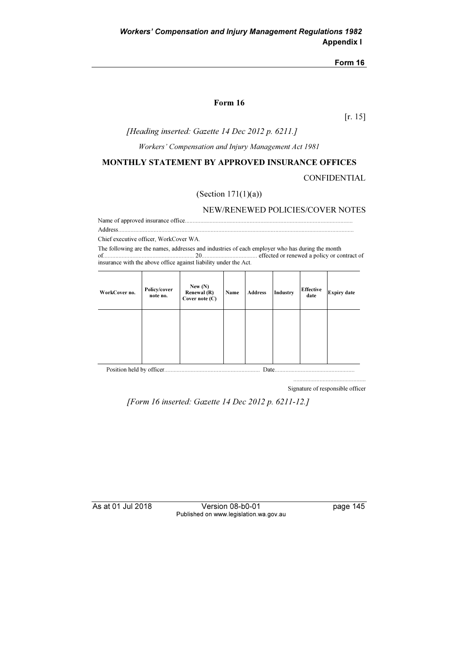#### Form 16

[r. 15]

### [Heading inserted: Gazette 14 Dec 2012 p. 6211.]

Workers' Compensation and Injury Management Act 1981

#### MONTHLY STATEMENT BY APPROVED INSURANCE OFFICES

CONFIDENTIAL

### (Section 171(1)(a))

NEW/RENEWED POLICIES/COVER NOTES

Name of approved insurance office............................................................................................................. Address.........................................................................................................................................................

Chief executive officer, WorkCover WA.

The following are the names, addresses and industries of each employer who has during the month of........................................................... 20.................................... effected or renewed a policy or contract of insurance with the above office against liability under the Act.

| WorkCover no. | Policy/cover<br>note no. | New $(N)$<br>Renewal (R)<br>Cover note $(C)$ | Name | <b>Address</b> | Industry | <b>Effective</b><br>date | <b>Expiry date</b> |
|---------------|--------------------------|----------------------------------------------|------|----------------|----------|--------------------------|--------------------|
|               |                          |                                              |      |                |          |                          |                    |
|               |                          |                                              |      |                |          |                          |                    |
|               |                          |                                              |      |                |          |                          |                    |
|               |                          |                                              |      |                |          |                          |                    |
|               |                          |                                              |      |                |          |                          |                    |

Signature of responsible officer

...............................................

[Form 16 inserted: Gazette 14 Dec 2012 p. 6211-12.]

As at 01 Jul 2018 Version 08-b0-01 page 145 Published on www.legislation.wa.gov.au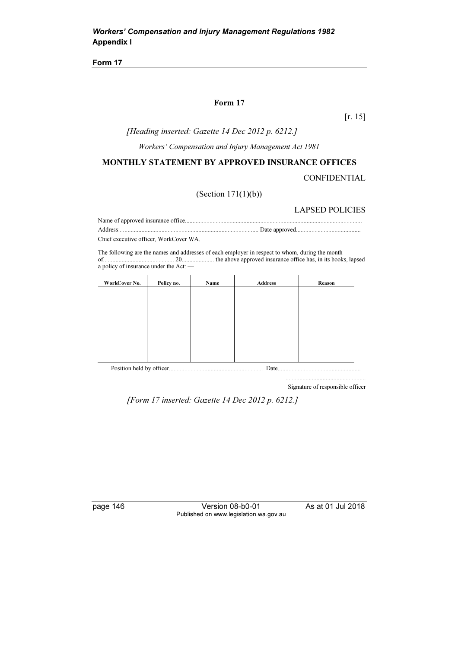#### Form 17

[r. 15]

### [Heading inserted: Gazette 14 Dec 2012 p. 6212.]

Workers' Compensation and Injury Management Act 1981

#### MONTHLY STATEMENT BY APPROVED INSURANCE OFFICES

CONFIDENTIAL

(Section 171(1)(b))

#### LAPSED POLICIES

Name of approved insurance office................................................................................................................... Address:.......................................................................................... Date approved..........................................

Chief executive officer, WorkCover WA.

The following are the names and addresses of each employer in respect to whom, during the month of.............................................. 20..................... the above approved insurance office has, in its books, lapsed a policy of insurance under the Act: —

| WorkCover No. | Policy no. | Name | <b>Address</b> | Reason |
|---------------|------------|------|----------------|--------|
|               |            |      |                |        |
|               |            |      |                |        |
|               |            |      |                |        |
|               |            |      |                |        |
|               |            |      |                |        |
|               |            |      |                |        |
|               |            |      |                |        |
|               |            |      | Date.          |        |

Signature of responsible officer

....................................................

[Form 17 inserted: Gazette 14 Dec 2012 p. 6212.]

page 146 Version 08-b0-01 As at 01 Jul 2018 Published on www.legislation.wa.gov.au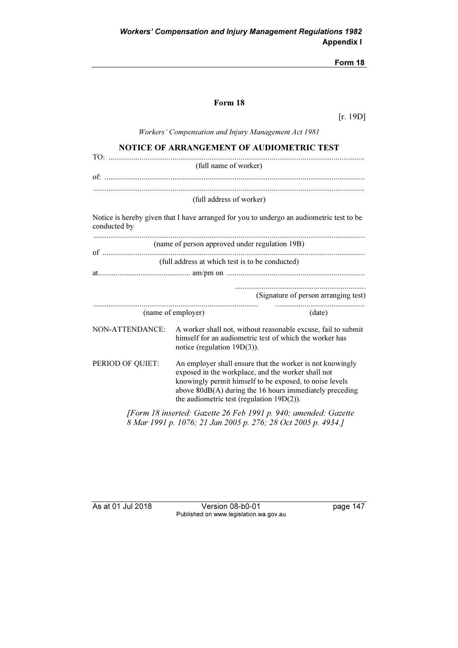## Form 18

[r. 19D]

Workers' Compensation and Injury Management Act 1981

| NOTICE OF ARRANGEMENT OF AUDIOMETRIC TEST                                                                                                                                                                                                                                                                 |                                                 |                                                                                                                          |  |  |  |
|-----------------------------------------------------------------------------------------------------------------------------------------------------------------------------------------------------------------------------------------------------------------------------------------------------------|-------------------------------------------------|--------------------------------------------------------------------------------------------------------------------------|--|--|--|
|                                                                                                                                                                                                                                                                                                           | (full name of worker)                           |                                                                                                                          |  |  |  |
|                                                                                                                                                                                                                                                                                                           |                                                 |                                                                                                                          |  |  |  |
|                                                                                                                                                                                                                                                                                                           |                                                 |                                                                                                                          |  |  |  |
|                                                                                                                                                                                                                                                                                                           | (full address of worker)                        |                                                                                                                          |  |  |  |
| conducted by                                                                                                                                                                                                                                                                                              |                                                 | Notice is hereby given that I have arranged for you to undergo an audiometric test to be                                 |  |  |  |
|                                                                                                                                                                                                                                                                                                           | (name of person approved under regulation 19B)  |                                                                                                                          |  |  |  |
|                                                                                                                                                                                                                                                                                                           | (full address at which test is to be conducted) |                                                                                                                          |  |  |  |
|                                                                                                                                                                                                                                                                                                           |                                                 |                                                                                                                          |  |  |  |
|                                                                                                                                                                                                                                                                                                           |                                                 | (Signature of person arranging test)                                                                                     |  |  |  |
|                                                                                                                                                                                                                                                                                                           | (name of employer)                              | (date)                                                                                                                   |  |  |  |
| NON-ATTENDANCE:                                                                                                                                                                                                                                                                                           | notice (regulation $19D(3)$ ).                  | A worker shall not, without reasonable excuse, fail to submit<br>himself for an audiometric test of which the worker has |  |  |  |
| PERIOD OF QUIET:<br>An employer shall ensure that the worker is not knowingly<br>exposed in the workplace, and the worker shall not<br>knowingly permit himself to be exposed, to noise levels<br>above 80dB(A) during the 16 hours immediately preceding<br>the audiometric test (regulation $19D(2)$ ). |                                                 |                                                                                                                          |  |  |  |
| [Form 18 inserted: Gazette 26 Feb 1991 p. 940; amended: Gazette<br>8 Mar 1991 p. 1076; 21 Jan 2005 p. 276; 28 Oct 2005 p. 4934.]                                                                                                                                                                          |                                                 |                                                                                                                          |  |  |  |

As at 01 Jul 2018 Version 08-b0-01 page 147 Published on www.legislation.wa.gov.au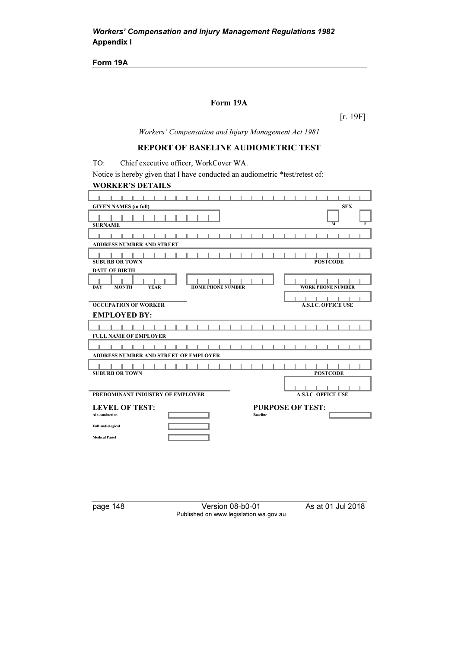Form 19A

## Form 19A

[r. 19F]

Workers' Compensation and Injury Management Act 1981

### REPORT OF BASELINE AUDIOMETRIC TEST

TO: Chief executive officer, WorkCover WA.

Notice is hereby given that I have conducted an audiometric \*test/retest of: WORKER'S DETAILS

| <b>SEX</b><br><b>GIVEN NAMES (in full)</b>                                                        |
|---------------------------------------------------------------------------------------------------|
| $\overline{F}$<br><b>SURNAME</b><br>M                                                             |
| <b>ADDRESS NUMBER AND STREET</b>                                                                  |
| <b>SUBURB OR TOWN</b><br><b>POSTCODE</b><br><b>DATE OF BIRTH</b>                                  |
| <b>HOME PHONE NUMBER</b><br><b>WORK PHONE NUMBER</b><br><b>DAY</b><br><b>MONTH</b><br><b>YEAR</b> |
| <b>A.S.I.C. OFFICE USE</b><br><b>OCCUPATION OF WORKER</b><br><b>EMPLOYED BY:</b>                  |
| <b>FULL NAME OF EMPLOYER</b>                                                                      |
| ADDRESS NUMBER AND STREET OF EMPLOYER                                                             |
| <b>SUBURB OR TOWN</b><br><b>POSTCODE</b>                                                          |
| <b>A.S.I.C. OFFICE USE</b><br>PREDOMINANT INDUSTRY OF EMPLOYER                                    |
| <b>LEVEL OF TEST:</b><br><b>PURPOSE OF TEST:</b>                                                  |
| <b>Baseline</b><br>Air-conduction<br><b>Full audiological</b><br><b>Medical Panel</b>             |

page 148 Version 08-b0-01 As at 01 Jul 2018 Published on www.legislation.wa.gov.au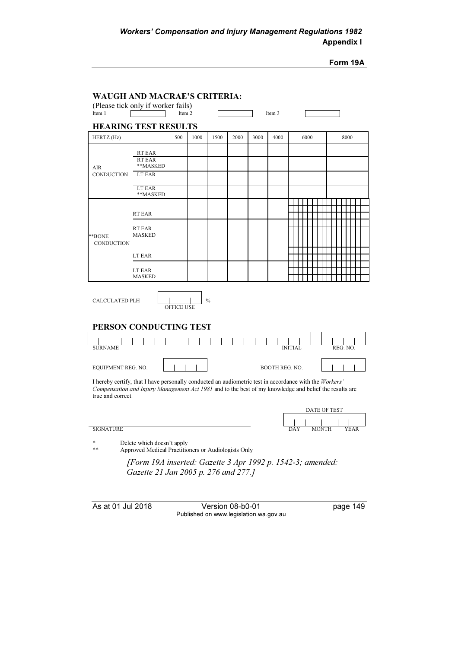Form 19A

|                                      |                             | (Please tick only if worker fails)<br>Item 2 |      |               |      |      | Item 3                |                                                                                                                                                                                                                  |         |
|--------------------------------------|-----------------------------|----------------------------------------------|------|---------------|------|------|-----------------------|------------------------------------------------------------------------------------------------------------------------------------------------------------------------------------------------------------------|---------|
|                                      | <b>HEARING TEST RESULTS</b> |                                              |      |               |      |      |                       |                                                                                                                                                                                                                  |         |
| HERTZ (Hz)                           |                             | 500                                          | 1000 | 1500          | 2000 | 3000 | 4000                  | 6000                                                                                                                                                                                                             | 8000    |
|                                      |                             |                                              |      |               |      |      |                       |                                                                                                                                                                                                                  |         |
|                                      | RT EAR<br>RT EAR            |                                              |      |               |      |      |                       |                                                                                                                                                                                                                  |         |
| <b>AIR</b>                           | **MASKED                    |                                              |      |               |      |      |                       |                                                                                                                                                                                                                  |         |
| <b>CONDUCTION</b>                    | LT EAR                      |                                              |      |               |      |      |                       |                                                                                                                                                                                                                  |         |
|                                      | LT EAR<br>**MASKED          |                                              |      |               |      |      |                       |                                                                                                                                                                                                                  |         |
|                                      |                             |                                              |      |               |      |      |                       |                                                                                                                                                                                                                  |         |
|                                      | RT EAR                      |                                              |      |               |      |      |                       |                                                                                                                                                                                                                  |         |
|                                      |                             |                                              |      |               |      |      |                       |                                                                                                                                                                                                                  |         |
|                                      | RT EAR<br><b>MASKED</b>     |                                              |      |               |      |      |                       |                                                                                                                                                                                                                  |         |
| **BONE<br><b>CONDUCTION</b>          |                             |                                              |      |               |      |      |                       |                                                                                                                                                                                                                  |         |
|                                      | LT EAR                      |                                              |      |               |      |      |                       |                                                                                                                                                                                                                  |         |
|                                      |                             |                                              |      |               |      |      |                       |                                                                                                                                                                                                                  |         |
|                                      | LT EAR                      |                                              |      |               |      |      |                       |                                                                                                                                                                                                                  |         |
|                                      | <b>MASKED</b>               |                                              |      |               |      |      |                       |                                                                                                                                                                                                                  |         |
| <b>CALCULATED PLH</b>                |                             | OFFICE USE                                   |      | $\frac{0}{0}$ |      |      |                       |                                                                                                                                                                                                                  |         |
|                                      |                             |                                              |      |               |      |      |                       |                                                                                                                                                                                                                  |         |
|                                      | PERSON CONDUCTING TEST      |                                              |      |               |      |      |                       |                                                                                                                                                                                                                  |         |
|                                      |                             |                                              |      |               |      |      |                       |                                                                                                                                                                                                                  | REG. NO |
| <b>SURNAME</b><br>EQUIPMENT REG. NO. |                             |                                              |      |               |      |      | <b>BOOTH REG. NO.</b> |                                                                                                                                                                                                                  |         |
| true and correct.                    |                             |                                              |      |               |      |      |                       | I hereby certify, that I have personally conducted an audiometric test in accordance with the Workers'<br>Compensation and Injury Management Act 1981 and to the best of my knowledge and belief the results are |         |
|                                      |                             |                                              |      |               |      |      |                       | DATE OF TEST                                                                                                                                                                                                     |         |
|                                      |                             |                                              |      |               |      |      |                       |                                                                                                                                                                                                                  |         |
| <b>SIGNATURE</b>                     |                             |                                              |      |               |      |      |                       | <b>MONTH</b><br>DAY                                                                                                                                                                                              | YEAR    |

Gazette 21 Jan 2005 p. 276 and 277.]

As at 01 Jul 2018 Version 08-b0-01 page 149 Published on www.legislation.wa.gov.au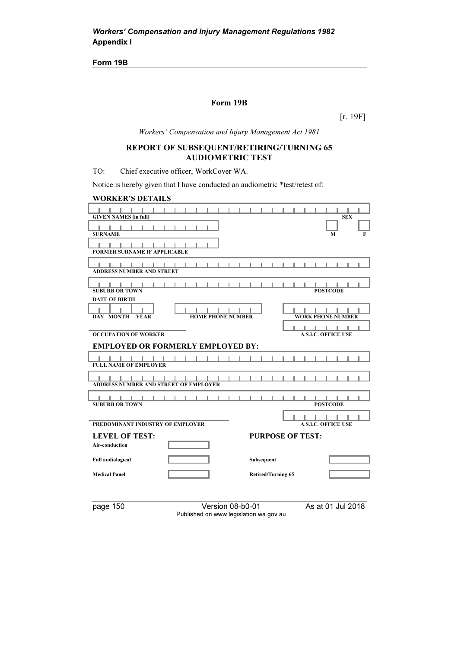Form 19B

### Form 19B

[r. 19F]

Workers' Compensation and Injury Management Act 1981

## REPORT OF SUBSEQUENT/RETIRING/TURNING 65 AUDIOMETRIC TEST

TO: Chief executive officer, WorkCover WA.

Notice is hereby given that I have conducted an audiometric \*test/retest of:

| <b>WORKER'S DETAILS</b>                                                             |                            |
|-------------------------------------------------------------------------------------|----------------------------|
| .<br>.<br><b>GIVEN NAMES (in full)</b>                                              | <b>SEX</b>                 |
| - 1<br><b>SURNAME</b>                                                               | F<br>м                     |
| <b>FORMER SURNAME IF APPLICABLE</b>                                                 |                            |
| <b>ADDRESS NUMBER AND STREET</b>                                                    |                            |
| <b>SUBURB OR TOWN</b>                                                               | <b>POSTCODE</b>            |
| <b>DATE OF BIRTH</b><br><b>DAY MONTH</b><br><b>HOME PHONE NUMBER</b><br><b>YEAR</b> | <b>WORK PHONE NUMBER</b>   |
| <b>OCCUPATION OF WORKER</b>                                                         | <b>A.S.I.C. OFFICE USE</b> |
| <b>EMPLOYED OR FORMERLY EMPLOYED BY:</b>                                            |                            |
| .<br>- 1 - 1<br><b>FULL NAME OF EMPLOYER</b>                                        | .                          |
| a sa Tin<br><b>ADDRESS NUMBER AND STREET OF EMPLOYER</b>                            |                            |
| <b>SUBURB OR TOWN</b>                                                               | <b>POSTCODE</b>            |
| PREDOMINANT INDUSTRY OF EMPLOYER                                                    | <b>A.S.I.C. OFFICE USE</b> |
| <b>LEVEL OF TEST:</b>                                                               | <b>PURPOSE OF TEST:</b>    |
| Air-conduction                                                                      |                            |
| <b>Full audiological</b><br>Subsequent                                              |                            |
| <b>Medical Panel</b>                                                                | Retired/Turning 65         |
|                                                                                     |                            |

page 150 Version 08-b0-01 As at 01 Jul 2018 Published on www.legislation.wa.gov.au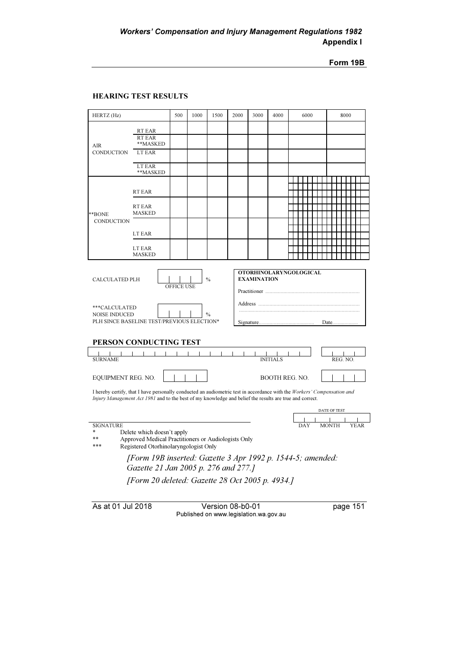Form 19B

#### HEARING TEST RESULTS

| HERTZ (Hz)                                                                                                                                                                    |                                                                                                                                                                                                                                    | 500               | 1000 | 1500                           | 2000 | 3000               | 4000                          |  | 6000 |              |  | 8000    |  |
|-------------------------------------------------------------------------------------------------------------------------------------------------------------------------------|------------------------------------------------------------------------------------------------------------------------------------------------------------------------------------------------------------------------------------|-------------------|------|--------------------------------|------|--------------------|-------------------------------|--|------|--------------|--|---------|--|
| <b>AIR</b><br>CONDUCTION                                                                                                                                                      | RT EAR<br>RT EAR<br>**MASKED<br>LT EAR                                                                                                                                                                                             |                   |      |                                |      |                    |                               |  |      |              |  |         |  |
|                                                                                                                                                                               | LT EAR<br>**MASKED                                                                                                                                                                                                                 |                   |      |                                |      |                    |                               |  |      |              |  |         |  |
|                                                                                                                                                                               | RT EAR                                                                                                                                                                                                                             |                   |      |                                |      |                    |                               |  |      |              |  |         |  |
| **BONE                                                                                                                                                                        | RT EAR<br><b>MASKED</b>                                                                                                                                                                                                            |                   |      |                                |      |                    |                               |  |      |              |  |         |  |
| <b>CONDUCTION</b>                                                                                                                                                             | LT EAR                                                                                                                                                                                                                             |                   |      |                                |      |                    |                               |  |      |              |  |         |  |
|                                                                                                                                                                               | LT EAR<br><b>MASKED</b>                                                                                                                                                                                                            |                   |      |                                |      |                    |                               |  |      |              |  |         |  |
| <b>CALCULATED PLH</b><br>***CALCULATED<br><b>NOISE INDUCED</b>                                                                                                                | PLH SINCE BASELINE TEST/PREVIOUS ELECTION*                                                                                                                                                                                         | <b>OFFICE USE</b> |      | $\frac{0}{0}$<br>$\frac{0}{0}$ |      | <b>EXAMINATION</b> | <b>OTORHINOLARYNGOLOGICAL</b> |  |      |              |  | Date    |  |
| <b>SURNAME</b>                                                                                                                                                                | PERSON CONDUCTING TEST                                                                                                                                                                                                             |                   |      | $\blacksquare$                 |      |                    |                               |  |      |              |  | REG. NO |  |
| EQUIPMENT REG. NO.                                                                                                                                                            |                                                                                                                                                                                                                                    |                   |      |                                |      |                    | <b>BOOTH REG. NO.</b>         |  |      |              |  |         |  |
|                                                                                                                                                                               | I hereby certify, that I have personally conducted an audiometric test in accordance with the Workers' Compensation and<br>Injury Management Act 1981 and to the best of my knowledge and belief the results are true and correct. |                   |      |                                |      |                    |                               |  |      |              |  |         |  |
|                                                                                                                                                                               |                                                                                                                                                                                                                                    |                   |      |                                |      |                    |                               |  |      | DATE OF TEST |  |         |  |
| <b>SIGNATURE</b><br><b>MONTH</b><br>Delete which doesn't apply<br>Approved Medical Practitioners or Audiologists Only<br>$**$<br>***<br>Registered Otorhinolaryngologist Only |                                                                                                                                                                                                                                    |                   |      |                                |      |                    |                               |  |      |              |  |         |  |
| [Form 19B inserted: Gazette 3 Apr 1992 p. 1544-5; amended:<br>Gazette 21 Jan 2005 p. 276 and 277.]<br>[Form 20 deleted: Gazette 28 Oct 2005 p. 4934.]                         |                                                                                                                                                                                                                                    |                   |      |                                |      |                    |                               |  |      |              |  |         |  |
|                                                                                                                                                                               |                                                                                                                                                                                                                                    |                   |      |                                |      |                    |                               |  |      |              |  |         |  |

As at 01 Jul 2018 Version 08-b0-01 page 151 Published on www.legislation.wa.gov.au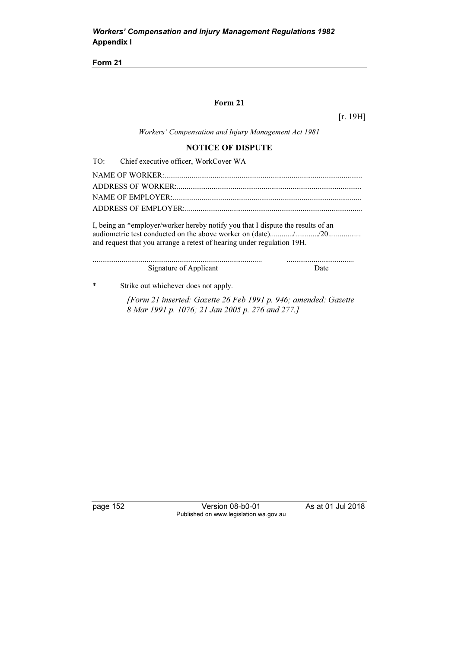## Form 21

 $[r. 19H]$ 

Workers' Compensation and Injury Management Act 1981

## NOTICE OF DISPUTE

| TO: | Chief executive officer, WorkCover WA                                                                                                                     |      |
|-----|-----------------------------------------------------------------------------------------------------------------------------------------------------------|------|
|     |                                                                                                                                                           |      |
|     |                                                                                                                                                           |      |
|     |                                                                                                                                                           |      |
|     |                                                                                                                                                           |      |
|     | I, being an *employer/worker hereby notify you that I dispute the results of an<br>and request that you arrange a retest of hearing under regulation 19H. |      |
|     | Signature of Applicant                                                                                                                                    | Date |
| *   | Strike out whichever does not apply.                                                                                                                      |      |
|     | [Form 21 inserted: Gazette 26 Feb 1991 p. 946; amended: Gazette<br>8 Mar 1991 p. 1076; 21 Jan 2005 p. 276 and 277.]                                       |      |

page 152 Version 08-b0-01 As at 01 Jul 2018 Published on www.legislation.wa.gov.au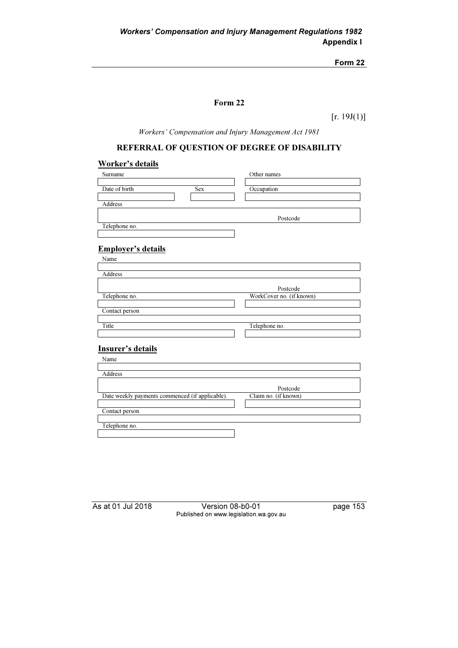## Form 22

 $[r. 19J(1)]$ 

Workers' Compensation and Injury Management Act 1981

# REFERRAL OF QUESTION OF DEGREE OF DISABILITY

## Worker's details

| Surname                                         | Other names              |
|-------------------------------------------------|--------------------------|
|                                                 |                          |
| Date of birth<br><b>Sex</b>                     | Occupation               |
|                                                 |                          |
| Address                                         |                          |
|                                                 |                          |
|                                                 | Postcode                 |
| Telephone no.                                   |                          |
|                                                 |                          |
|                                                 |                          |
| <b>Employer's details</b>                       |                          |
| Name                                            |                          |
|                                                 |                          |
| Address                                         |                          |
|                                                 | Postcode                 |
| Telephone no.                                   | WorkCover no. (if known) |
|                                                 |                          |
| Contact person                                  |                          |
|                                                 |                          |
| Title                                           | Telephone no.            |
|                                                 |                          |
|                                                 |                          |
| Insurer's details                               |                          |
| Name                                            |                          |
|                                                 |                          |
| Address                                         |                          |
|                                                 |                          |
|                                                 | Postcode                 |
| Date weekly payments commenced (if applicable). | Claim no. (if known)     |
|                                                 |                          |
| Contact person                                  |                          |

Telephone no.

As at 01 Jul 2018 Version 08-b0-01 page 153 Published on www.legislation.wa.gov.au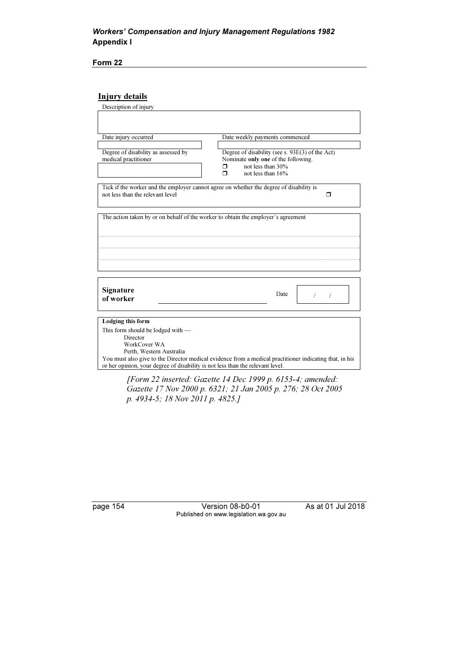## Workers' Compensation and Injury Management Regulations 1982 Appendix I

Form 22

## Injury details

| Description of injury                                                                   |                                                                                                         |
|-----------------------------------------------------------------------------------------|---------------------------------------------------------------------------------------------------------|
|                                                                                         |                                                                                                         |
|                                                                                         |                                                                                                         |
|                                                                                         |                                                                                                         |
| Date injury occurred                                                                    | Date weekly payments commenced                                                                          |
|                                                                                         |                                                                                                         |
| Degree of disability as assessed by                                                     | Degree of disability (see s. 93E(3) of the Act)                                                         |
| medical practitioner                                                                    | Nominate only one of the following.                                                                     |
|                                                                                         | not less than 30%<br>⊓                                                                                  |
|                                                                                         | not less than 16%<br>⊓                                                                                  |
| Tick if the worker and the employer cannot agree on whether the degree of disability is |                                                                                                         |
| not less than the relevant level                                                        | ⊓                                                                                                       |
|                                                                                         |                                                                                                         |
|                                                                                         |                                                                                                         |
| The action taken by or on behalf of the worker to obtain the employer's agreement       |                                                                                                         |
|                                                                                         |                                                                                                         |
|                                                                                         |                                                                                                         |
|                                                                                         |                                                                                                         |
|                                                                                         |                                                                                                         |
|                                                                                         |                                                                                                         |
|                                                                                         |                                                                                                         |
|                                                                                         |                                                                                                         |
|                                                                                         |                                                                                                         |
|                                                                                         |                                                                                                         |
| Signature                                                                               | Date                                                                                                    |
| of worker                                                                               |                                                                                                         |
|                                                                                         |                                                                                                         |
|                                                                                         |                                                                                                         |
| Lodging this form                                                                       |                                                                                                         |
| This form should be lodged with $-$                                                     |                                                                                                         |
| Director                                                                                |                                                                                                         |
| WorkCover WA                                                                            |                                                                                                         |
| Perth. Western Australia                                                                |                                                                                                         |
|                                                                                         | You must also give to the Director medical evidence from a medical practitioner indicating that, in his |
| or her opinion, your degree of disability is not less than the relevant level.          |                                                                                                         |
|                                                                                         |                                                                                                         |

 [Form 22 inserted: Gazette 14 Dec 1999 p. 6153-4; amended: Gazette 17 Nov 2000 p. 6321; 21 Jan 2005 p. 276; 28 Oct 2005 p. 4934-5; 18 Nov 2011 p. 4825.]

page 154 Version 08-b0-01 As at 01 Jul 2018 Published on www.legislation.wa.gov.au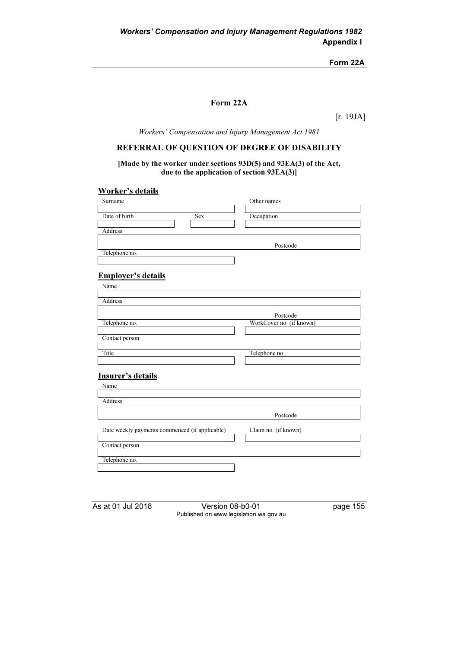Form 22A

### Form 22A

[r. 19JA]

Workers' Compensation and Injury Management Act 1981

## REFERRAL OF QUESTION OF DEGREE OF DISABILITY

[Made by the worker under sections 93D(5) and 93EA(3) of the Act, due to the application of section 93EA(3)]

# Worker's details

| Surname                                        | Other names              |
|------------------------------------------------|--------------------------|
|                                                |                          |
| Date of birth<br><b>Sex</b>                    | Occupation               |
|                                                |                          |
| Address                                        |                          |
|                                                |                          |
|                                                | Postcode                 |
| Telephone no.                                  |                          |
|                                                |                          |
|                                                |                          |
| <b>Employer's details</b>                      |                          |
| Name                                           |                          |
|                                                |                          |
| Address                                        |                          |
|                                                |                          |
|                                                | Postcode                 |
| Telephone no.                                  | WorkCover no. (if known) |
|                                                |                          |
| Contact person                                 |                          |
| Title                                          | Telephone no.            |
|                                                |                          |
|                                                |                          |
| Insurer's details                              |                          |
|                                                |                          |
| Name                                           |                          |
| Address                                        |                          |
|                                                |                          |
|                                                | Postcode                 |
|                                                |                          |
| Date weekly payments commenced (if applicable) | Claim no. (if known)     |
|                                                |                          |
| Contact person                                 |                          |
|                                                |                          |
| Telephone no.                                  |                          |
|                                                |                          |

As at 01 Jul 2018 Version 08-b0-01 page 155 Published on www.legislation.wa.gov.au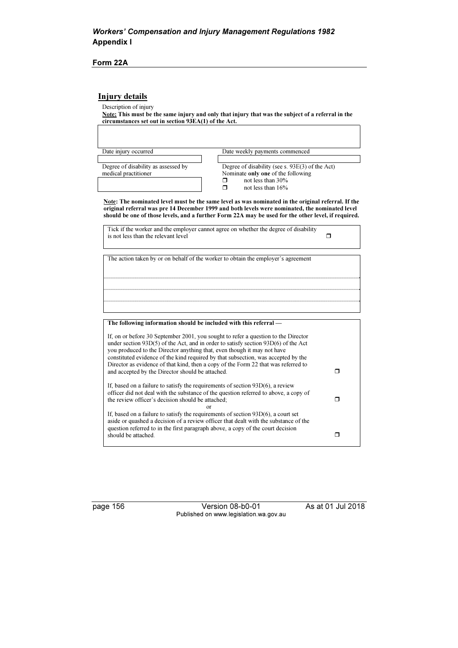#### Form 22A

### Injury details

Description of injury

Note: This must be the same injury and only that injury that was the subject of a referral in the circumstances set out in section 93EA(1) of the Act.

| Date injury occurred                | Date weekly payments commenced                    |
|-------------------------------------|---------------------------------------------------|
|                                     |                                                   |
| Degree of disability as assessed by | Degree of disability (see s. $93E(3)$ of the Act) |
| medical practitioner                | Nominate only one of the following                |
|                                     | not less than 30%                                 |
|                                     | not less than $16%$<br>П                          |
|                                     |                                                   |

Note: The nominated level must be the same level as was nominated in the original referral. If the original referral was pre 14 December 1999 and both levels were nominated, the nominated level should be one of those levels, and a further Form 22A may be used for the other level, if required.

| Tick if the worker and the employer cannot agree on whether the degree of disability<br>is not less than the relevant level |  |
|-----------------------------------------------------------------------------------------------------------------------------|--|
| The action taken by or on behalf of the worker to obtain the employer's agreement                                           |  |
|                                                                                                                             |  |
|                                                                                                                             |  |

| <u>The following filled ination should be included with this referrar-</u>                                                                                                                                                                                                                                                                   |  |
|----------------------------------------------------------------------------------------------------------------------------------------------------------------------------------------------------------------------------------------------------------------------------------------------------------------------------------------------|--|
| If, on or before 30 September 2001, you sought to refer a question to the Director<br>under section $93D(5)$ of the Act, and in order to satisfy section $93D(6)$ of the Act<br>you produced to the Director anything that, even though it may not have<br>constituted evidence of the kind required by that subsection, was accepted by the |  |
| Director as evidence of that kind, then a copy of the Form 22 that was referred to<br>and accepted by the Director should be attached.                                                                                                                                                                                                       |  |
| If, based on a failure to satisfy the requirements of section $93D(6)$ , a review<br>officer did not deal with the substance of the question referred to above, a copy of<br>the review officer's decision should be attached.                                                                                                               |  |
| or                                                                                                                                                                                                                                                                                                                                           |  |
| If, based on a failure to satisfy the requirements of section $93D(6)$ , a court set<br>aside or quashed a decision of a review officer that dealt with the substance of the<br>question referred to in the first paragraph above, a copy of the court decision                                                                              |  |
| should be attached.                                                                                                                                                                                                                                                                                                                          |  |
|                                                                                                                                                                                                                                                                                                                                              |  |

page 156 Version 08-b0-01 As at 01 Jul 2018 Published on www.legislation.wa.gov.au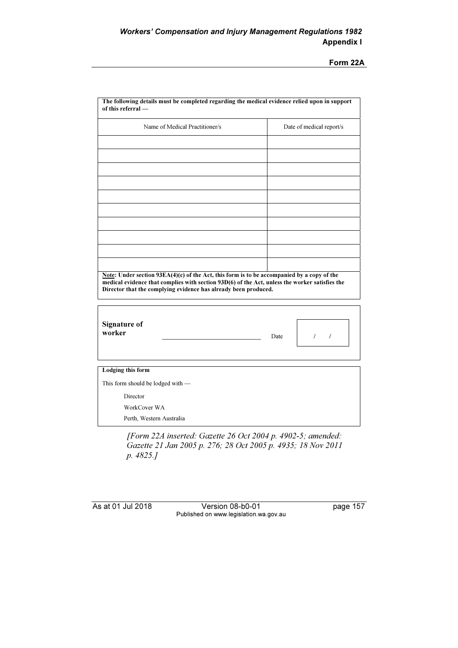Form 22A

| Name of Medical Practitioner/s                                                                                                                                                               |      | Date of medical report/s |
|----------------------------------------------------------------------------------------------------------------------------------------------------------------------------------------------|------|--------------------------|
|                                                                                                                                                                                              |      |                          |
|                                                                                                                                                                                              |      |                          |
|                                                                                                                                                                                              |      |                          |
|                                                                                                                                                                                              |      |                          |
|                                                                                                                                                                                              |      |                          |
|                                                                                                                                                                                              |      |                          |
|                                                                                                                                                                                              |      |                          |
|                                                                                                                                                                                              |      |                          |
|                                                                                                                                                                                              |      |                          |
|                                                                                                                                                                                              |      |                          |
| Note: Under section 93EA(4)(c) of the Act, this form is to be accompanied by a copy of the<br>medical evidence that complies with section 93D(6) of the Act, unless the worker satisfies the |      |                          |
| Director that the complying evidence has already been produced.                                                                                                                              |      |                          |
| <b>Signature of</b><br>worker                                                                                                                                                                | Date | $\sqrt{ }$               |
|                                                                                                                                                                                              |      |                          |
|                                                                                                                                                                                              |      |                          |
|                                                                                                                                                                                              |      |                          |
| <b>Lodging this form</b><br>This form should be lodged with -<br>Director<br>WorkCover WA                                                                                                    |      |                          |

Gazette 21 Jan 2005 p. 276; 28 Oct 2005 p. 4935; 18 Nov 2011 p. 4825.]

As at 01 Jul 2018 Version 08-b0-01 page 157 Published on www.legislation.wa.gov.au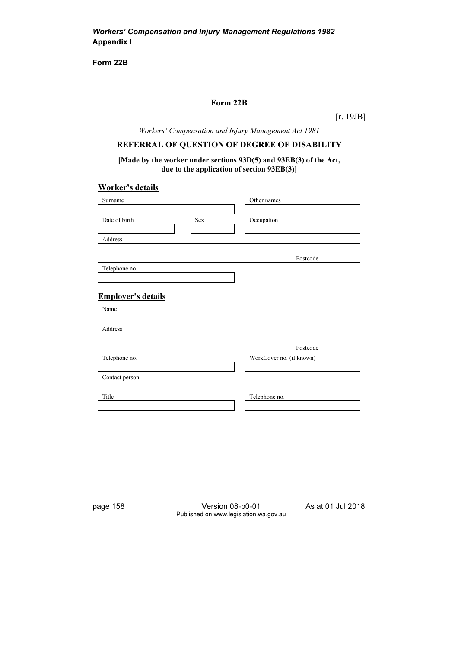#### Form 22B

[r. 19JB]

Workers' Compensation and Injury Management Act 1981

### REFERRAL OF QUESTION OF DEGREE OF DISABILITY

[Made by the worker under sections 93D(5) and 93EB(3) of the Act, due to the application of section 93EB(3)]

#### Worker's details

| Surname                   |     | Other names              |
|---------------------------|-----|--------------------------|
|                           |     |                          |
| Date of birth             | Sex | Occupation               |
|                           |     |                          |
| Address                   |     |                          |
|                           |     |                          |
|                           |     | Postcode                 |
| Telephone no.             |     |                          |
|                           |     |                          |
|                           |     |                          |
| <b>Employer's details</b> |     |                          |
| Name                      |     |                          |
|                           |     |                          |
| Address                   |     |                          |
|                           |     |                          |
|                           |     | Postcode                 |
| Telephone no.             |     | WorkCover no. (if known) |
|                           |     |                          |
| Contact person            |     |                          |
|                           |     |                          |
| Title                     |     | Telephone no.            |

page 158 Version 08-b0-01 As at 01 Jul 2018 Published on www.legislation.wa.gov.au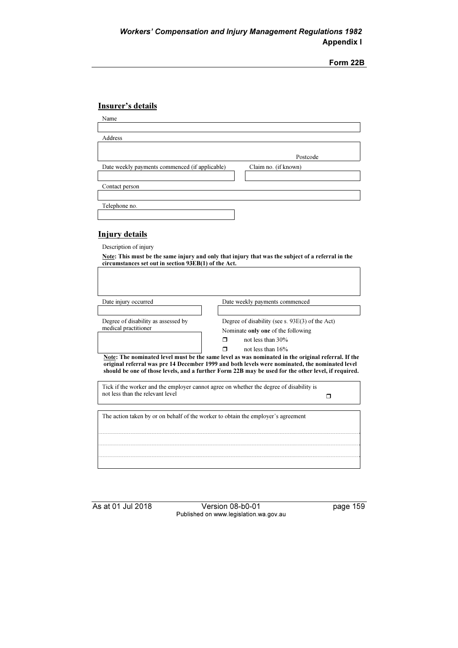# Insurer's details

| Name                                           |                      |
|------------------------------------------------|----------------------|
|                                                |                      |
| Address                                        |                      |
|                                                |                      |
|                                                | Postcode             |
| Date weekly payments commenced (if applicable) | Claim no. (if known) |
|                                                |                      |
| Contact person                                 |                      |
|                                                |                      |
| Telephone no.                                  |                      |
|                                                |                      |

## Injury details

Description of injury

| Note: This must be the same injury and only that injury that was the subject of a referral in the |
|---------------------------------------------------------------------------------------------------|
| circumstances set out in section 93EB(1) of the Act.                                              |

| Date injury occurred                                                              | Date weekly payments commenced                                                                                                                                                                                                                                                                                                                                                                                                                      |
|-----------------------------------------------------------------------------------|-----------------------------------------------------------------------------------------------------------------------------------------------------------------------------------------------------------------------------------------------------------------------------------------------------------------------------------------------------------------------------------------------------------------------------------------------------|
| Degree of disability as assessed by<br>medical practitioner                       | Degree of disability (see s. 93E(3) of the Act)<br>Nominate only one of the following<br>not less than 30%<br>⊓<br>not less than 16%<br>Note: The nominated level must be the same level as was nominated in the original referral. If the<br>original referral was pre 14 December 1999 and both levels were nominated, the nominated level<br>should be one of those levels, and a further Form 22B may be used for the other level, if required. |
| not less than the relevant level                                                  | Tick if the worker and the employer cannot agree on whether the degree of disability is                                                                                                                                                                                                                                                                                                                                                             |
| The action taken by or on behalf of the worker to obtain the employer's agreement |                                                                                                                                                                                                                                                                                                                                                                                                                                                     |
|                                                                                   |                                                                                                                                                                                                                                                                                                                                                                                                                                                     |

As at 01 Jul 2018 Version 08-b0-01 page 159 Published on www.legislation.wa.gov.au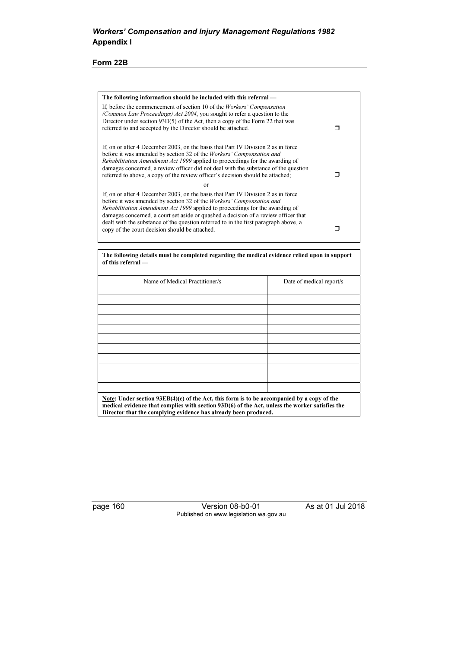| The following information should be included with this referral —                                                                                                                                                                                                                                                                                                                                                                                                                 |  |
|-----------------------------------------------------------------------------------------------------------------------------------------------------------------------------------------------------------------------------------------------------------------------------------------------------------------------------------------------------------------------------------------------------------------------------------------------------------------------------------|--|
| If, before the commencement of section 10 of the <i>Workers' Compensation</i><br>(Common Law Proceedings) Act 2004, you sought to refer a question to the<br>Director under section $93D(5)$ of the Act, then a copy of the Form 22 that was<br>referred to and accepted by the Director should be attached.                                                                                                                                                                      |  |
| If, on or after 4 December 2003, on the basis that Part IV Division 2 as in force<br>before it was amended by section 32 of the <i>Workers' Compensation and</i><br>Rehabilitation Amendment Act 1999 applied to proceedings for the awarding of<br>damages concerned, a review officer did not deal with the substance of the question<br>referred to above, a copy of the review officer's decision should be attached;                                                         |  |
| $\alpha$ r                                                                                                                                                                                                                                                                                                                                                                                                                                                                        |  |
| If, on or after 4 December 2003, on the basis that Part IV Division 2 as in force<br>before it was amended by section 32 of the <i>Workers' Compensation and</i><br>Rehabilitation Amendment Act 1999 applied to proceedings for the awarding of<br>damages concerned, a court set aside or quashed a decision of a review officer that<br>dealt with the substance of the question referred to in the first paragraph above, a<br>copy of the court decision should be attached. |  |
|                                                                                                                                                                                                                                                                                                                                                                                                                                                                                   |  |

The following details must be completed regarding the medical evidence relied upon in support of this referral —

| Name of Medical Practitioner/s                                                               | Date of medical report/s |
|----------------------------------------------------------------------------------------------|--------------------------|
|                                                                                              |                          |
|                                                                                              |                          |
|                                                                                              |                          |
|                                                                                              |                          |
|                                                                                              |                          |
|                                                                                              |                          |
|                                                                                              |                          |
|                                                                                              |                          |
|                                                                                              |                          |
|                                                                                              |                          |
|                                                                                              |                          |
| Note: Under section $93EB(4)(c)$ of the Act, this form is to be accompanied by a copy of the |                          |

Director that the complying evidence has already been produced.

page 160 Version 08-b0-01 As at 01 Jul 2018 Published on www.legislation.wa.gov.au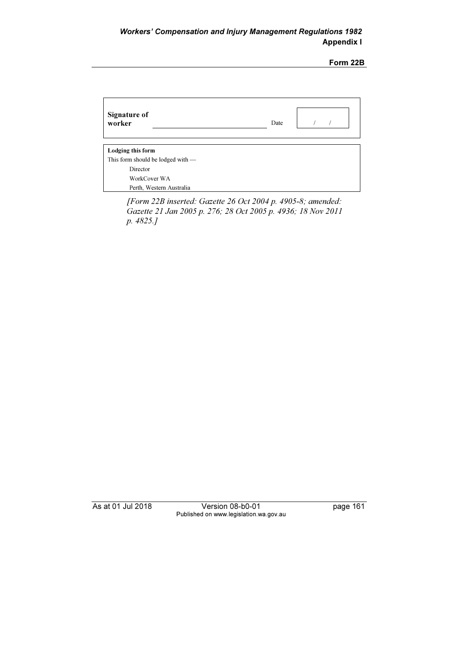| <b>Signature of</b><br>worker       | Date |
|-------------------------------------|------|
| Lodging this form                   |      |
| This form should be lodged with $-$ |      |
| Director                            |      |
| WorkCover WA                        |      |
| Perth, Western Australia            |      |

 [Form 22B inserted: Gazette 26 Oct 2004 p. 4905-8; amended: Gazette 21 Jan 2005 p. 276; 28 Oct 2005 p. 4936; 18 Nov 2011 p. 4825.]

As at 01 Jul 2018 Version 08-b0-01 page 161 Published on www.legislation.wa.gov.au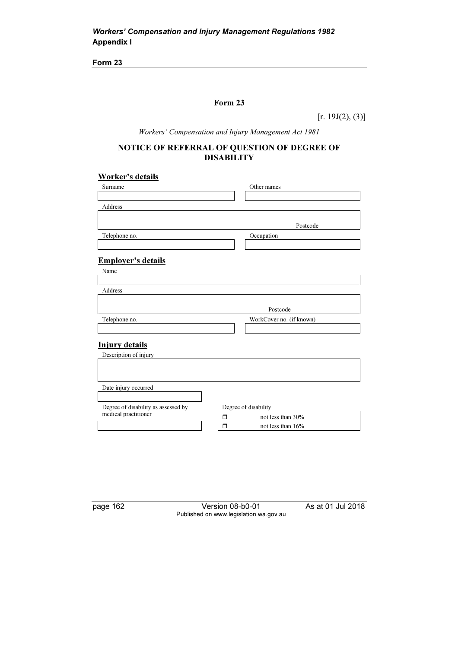## Form 23

 $[r. 19J(2), (3)]$ 

Workers' Compensation and Injury Management Act 1981

## NOTICE OF REFERRAL OF QUESTION OF DEGREE OF DISABILITY

## Worker's details

| Surname                             | Other names                 |
|-------------------------------------|-----------------------------|
|                                     |                             |
| Address                             |                             |
|                                     |                             |
|                                     | Postcode                    |
| Telephone no.                       | Occupation                  |
|                                     |                             |
|                                     |                             |
| <b>Employer's details</b>           |                             |
| Name                                |                             |
|                                     |                             |
| <b>Address</b>                      |                             |
|                                     |                             |
|                                     | Postcode                    |
| Telephone no.                       | WorkCover no. (if known)    |
|                                     |                             |
| <b>Injury details</b>               |                             |
|                                     |                             |
| Description of injury               |                             |
|                                     |                             |
|                                     |                             |
| Date injury occurred                |                             |
|                                     |                             |
| Degree of disability as assessed by | Degree of disability        |
| medical practitioner                | $\Box$<br>not less than 30% |
|                                     | not less than 16%<br>⊓      |
|                                     |                             |

page 162 Version 08-b0-01 As at 01 Jul 2018 Published on www.legislation.wa.gov.au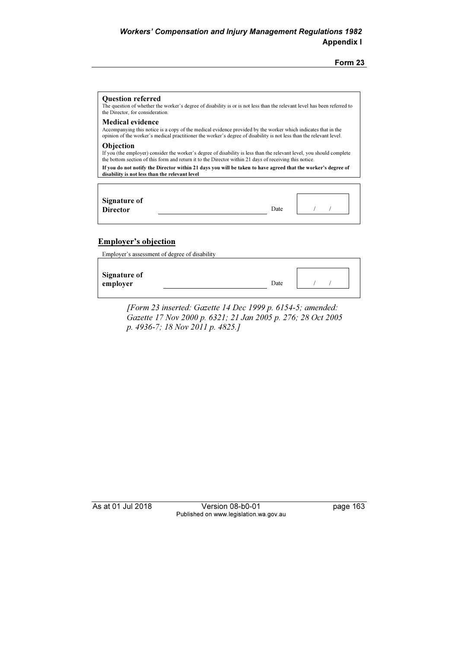| <b>Ouestion referred</b><br>The question of whether the worker's degree of disability is or is not less than the relevant level has been referred to<br>the Director, for consideration.                                                                        |      |  |
|-----------------------------------------------------------------------------------------------------------------------------------------------------------------------------------------------------------------------------------------------------------------|------|--|
| <b>Medical evidence</b><br>Accompanying this notice is a copy of the medical evidence provided by the worker which indicates that in the<br>opinion of the worker's medical practitioner the worker's degree of disability is not less than the relevant level. |      |  |
| <b>Objection</b><br>If you (the employer) consider the worker's degree of disability is less than the relevant level, you should complete<br>the bottom section of this form and return it to the Director within 21 days of receiving this notice.             |      |  |
| If you do not notify the Director within 21 days you will be taken to have agreed that the worker's degree of<br>disability is not less than the relevant level                                                                                                 |      |  |
| Signature of<br><b>Director</b>                                                                                                                                                                                                                                 | Date |  |

## Employer's objection

Employer's assessment of degree of disability

| <b>Signature of</b><br>employer | Date |  |  |
|---------------------------------|------|--|--|
|                                 |      |  |  |

 [Form 23 inserted: Gazette 14 Dec 1999 p. 6154-5; amended: Gazette 17 Nov 2000 p. 6321; 21 Jan 2005 p. 276; 28 Oct 2005 p. 4936-7; 18 Nov 2011 p. 4825.]

As at 01 Jul 2018 Version 08-b0-01 page 163 Published on www.legislation.wa.gov.au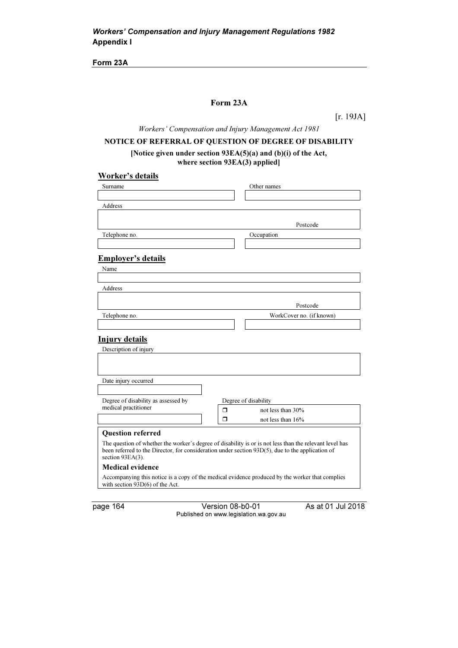Form 23A

#### Form 23A

[r. 19JA]

Workers' Compensation and Injury Management Act 1981

## NOTICE OF REFERRAL OF QUESTION OF DEGREE OF DISABILITY

#### [Notice given under section 93EA(5)(a) and (b)(i) of the Act, where section 93EA(3) applied]

# Worker's details

| Surname                                                                                                                                                                                                                            |   | Other names              |
|------------------------------------------------------------------------------------------------------------------------------------------------------------------------------------------------------------------------------------|---|--------------------------|
|                                                                                                                                                                                                                                    |   |                          |
| Address                                                                                                                                                                                                                            |   |                          |
|                                                                                                                                                                                                                                    |   |                          |
|                                                                                                                                                                                                                                    |   | Postcode                 |
| Telephone no.                                                                                                                                                                                                                      |   | Occupation               |
|                                                                                                                                                                                                                                    |   |                          |
| <b>Employer's details</b>                                                                                                                                                                                                          |   |                          |
| Name                                                                                                                                                                                                                               |   |                          |
|                                                                                                                                                                                                                                    |   |                          |
| <b>Address</b>                                                                                                                                                                                                                     |   |                          |
|                                                                                                                                                                                                                                    |   |                          |
|                                                                                                                                                                                                                                    |   | Postcode                 |
| Telephone no.                                                                                                                                                                                                                      |   | WorkCover no. (if known) |
|                                                                                                                                                                                                                                    |   |                          |
| <b>Injury details</b>                                                                                                                                                                                                              |   |                          |
| Description of injury                                                                                                                                                                                                              |   |                          |
|                                                                                                                                                                                                                                    |   |                          |
|                                                                                                                                                                                                                                    |   |                          |
| Date injury occurred                                                                                                                                                                                                               |   |                          |
|                                                                                                                                                                                                                                    |   |                          |
| Degree of disability as assessed by                                                                                                                                                                                                |   | Degree of disability     |
| medical practitioner                                                                                                                                                                                                               | Π | not less than 30%        |
|                                                                                                                                                                                                                                    | п | not less than 16%        |
|                                                                                                                                                                                                                                    |   |                          |
| <b>Question referred</b>                                                                                                                                                                                                           |   |                          |
| The question of whether the worker's degree of disability is or is not less than the relevant level has<br>been referred to the Director, for consideration under section $93D(5)$ , due to the application of<br>section 93EA(3). |   |                          |
| <b>Medical evidence</b>                                                                                                                                                                                                            |   |                          |
| Accompanying this notice is a copy of the medical evidence produced by the worker that complies<br>with section $93D(6)$ of the Act.                                                                                               |   |                          |

page 164 Version 08-b0-01 As at 01 Jul 2018 Published on www.legislation.wa.gov.au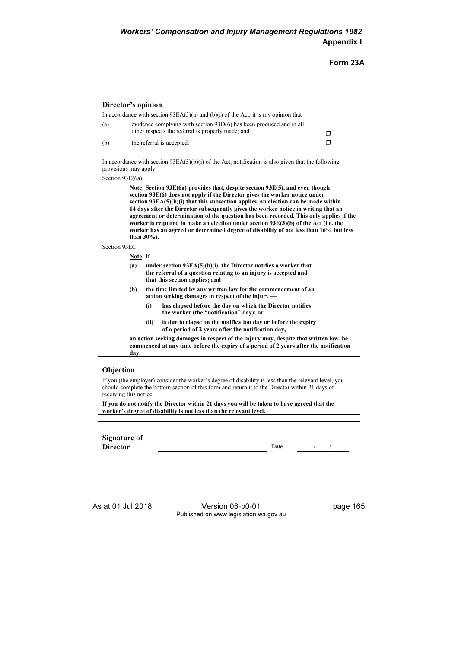| Director's opinion<br>(a)<br>(b)<br>provisions may apply $-$<br>Section 93E(6a)<br>than 30%).<br>Section 93EC<br>Note: $If$ $-$<br>(a) |      | In accordance with section 93EA(5)(a) and (b)(i) of the Act, it is my opinion that —<br>evidence complying with section 93D(6) has been produced and in all<br>other respects the referral is properly made; and<br>the referral is accepted.<br>In accordance with section $93EA(5)(b)(i)$ of the Act, notification is also given that the following<br>Note: Section $93E(6a)$ provides that, despite section $93E(5)$ , and even though<br>section 93E(6) does not apply if the Director gives the worker notice under<br>section $93EA(5)(b)(i)$ that this subsection applies, an election can be made within<br>14 days after the Director subsequently gives the worker notice in writing that an<br>agreement or determination of the question has been recorded. This only applies if the<br>worker is required to make an election under section 93E(3)(b) of the Act (i.e. the<br>worker has an agreed or determined degree of disability of not less than 16% but less | Π<br>$\Box$ |
|----------------------------------------------------------------------------------------------------------------------------------------|------|-----------------------------------------------------------------------------------------------------------------------------------------------------------------------------------------------------------------------------------------------------------------------------------------------------------------------------------------------------------------------------------------------------------------------------------------------------------------------------------------------------------------------------------------------------------------------------------------------------------------------------------------------------------------------------------------------------------------------------------------------------------------------------------------------------------------------------------------------------------------------------------------------------------------------------------------------------------------------------------|-------------|
|                                                                                                                                        |      |                                                                                                                                                                                                                                                                                                                                                                                                                                                                                                                                                                                                                                                                                                                                                                                                                                                                                                                                                                                   |             |
|                                                                                                                                        |      |                                                                                                                                                                                                                                                                                                                                                                                                                                                                                                                                                                                                                                                                                                                                                                                                                                                                                                                                                                                   |             |
|                                                                                                                                        |      |                                                                                                                                                                                                                                                                                                                                                                                                                                                                                                                                                                                                                                                                                                                                                                                                                                                                                                                                                                                   |             |
|                                                                                                                                        |      |                                                                                                                                                                                                                                                                                                                                                                                                                                                                                                                                                                                                                                                                                                                                                                                                                                                                                                                                                                                   |             |
|                                                                                                                                        |      |                                                                                                                                                                                                                                                                                                                                                                                                                                                                                                                                                                                                                                                                                                                                                                                                                                                                                                                                                                                   |             |
|                                                                                                                                        |      |                                                                                                                                                                                                                                                                                                                                                                                                                                                                                                                                                                                                                                                                                                                                                                                                                                                                                                                                                                                   |             |
|                                                                                                                                        |      |                                                                                                                                                                                                                                                                                                                                                                                                                                                                                                                                                                                                                                                                                                                                                                                                                                                                                                                                                                                   |             |
|                                                                                                                                        |      |                                                                                                                                                                                                                                                                                                                                                                                                                                                                                                                                                                                                                                                                                                                                                                                                                                                                                                                                                                                   |             |
|                                                                                                                                        |      |                                                                                                                                                                                                                                                                                                                                                                                                                                                                                                                                                                                                                                                                                                                                                                                                                                                                                                                                                                                   |             |
|                                                                                                                                        |      | under section $93EA(5)(b)(i)$ , the Director notifies a worker that<br>the referral of a question relating to an injury is accepted and<br>that this section applies; and                                                                                                                                                                                                                                                                                                                                                                                                                                                                                                                                                                                                                                                                                                                                                                                                         |             |
| (b)                                                                                                                                    |      | the time limited by any written law for the commencement of an<br>action seeking damages in respect of the injury —                                                                                                                                                                                                                                                                                                                                                                                                                                                                                                                                                                                                                                                                                                                                                                                                                                                               |             |
|                                                                                                                                        | (i)  | has elapsed before the day on which the Director notifies<br>the worker (the "notification" day); or                                                                                                                                                                                                                                                                                                                                                                                                                                                                                                                                                                                                                                                                                                                                                                                                                                                                              |             |
|                                                                                                                                        | (ii) | is due to elapse on the notification day or before the expiry<br>of a period of 2 years after the notification day,                                                                                                                                                                                                                                                                                                                                                                                                                                                                                                                                                                                                                                                                                                                                                                                                                                                               |             |
| dav.                                                                                                                                   |      | an action seeking damages in respect of the injury may, despite that written law, be<br>commenced at any time before the expiry of a period of 2 years after the notification                                                                                                                                                                                                                                                                                                                                                                                                                                                                                                                                                                                                                                                                                                                                                                                                     |             |
|                                                                                                                                        |      |                                                                                                                                                                                                                                                                                                                                                                                                                                                                                                                                                                                                                                                                                                                                                                                                                                                                                                                                                                                   |             |

should complete the bottom section of this form and return it to the Director within 21 days of

receiving this notice. If you do not notify the Director within 21 days you will be taken to have agreed that the worker's degree of disability is not less than the relevant level.

| Signature of<br><b>Director</b> | Date |  |
|---------------------------------|------|--|
|                                 |      |  |

As at 01 Jul 2018 Version 08-b0-01 page 165 Published on www.legislation.wa.gov.au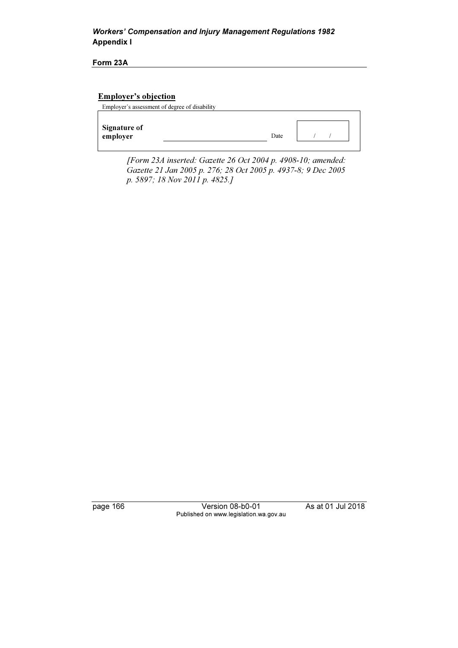## Workers' Compensation and Injury Management Regulations 1982 Appendix I

Form 23A

## Employer's objection

| Employer's assessment of degree of disability |      |  |  |
|-----------------------------------------------|------|--|--|
|                                               |      |  |  |
| Signature of<br>employer                      | Date |  |  |

 [Form 23A inserted: Gazette 26 Oct 2004 p. 4908-10; amended: Gazette 21 Jan 2005 p. 276; 28 Oct 2005 p. 4937-8; 9 Dec 2005 p. 5897; 18 Nov 2011 p. 4825.]

page 166 Version 08-b0-01 As at 01 Jul 2018 Published on www.legislation.wa.gov.au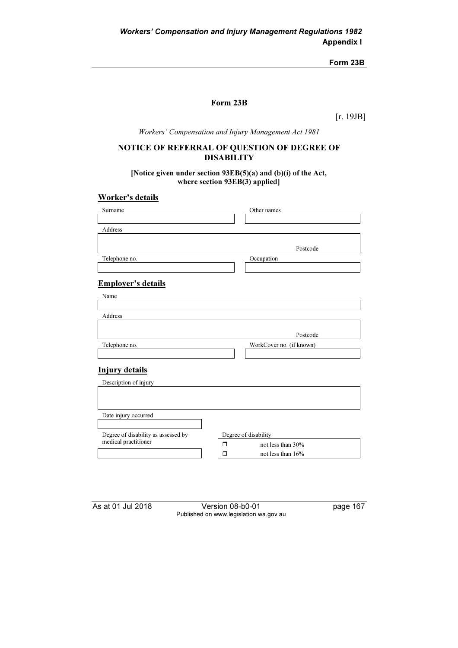Form 23B

## Form 23B

[r. 19JB]

Workers' Compensation and Injury Management Act 1981

## NOTICE OF REFERRAL OF QUESTION OF DEGREE OF DISABILITY

[Notice given under section 93EB(5)(a) and (b)(i) of the Act, where section 93EB(3) applied]

### Worker's details

| Surname                                                     | Other names              |
|-------------------------------------------------------------|--------------------------|
|                                                             |                          |
| Address                                                     |                          |
|                                                             |                          |
|                                                             | Postcode                 |
| Telephone no.                                               | Occupation               |
|                                                             |                          |
|                                                             |                          |
| <b>Employer's details</b>                                   |                          |
| Name                                                        |                          |
|                                                             |                          |
| Address                                                     |                          |
|                                                             |                          |
|                                                             | Postcode                 |
| Telephone no.                                               | WorkCover no. (if known) |
|                                                             |                          |
|                                                             |                          |
| <b>Injury details</b>                                       |                          |
| Description of injury                                       |                          |
|                                                             |                          |
|                                                             |                          |
| Date injury occurred                                        |                          |
|                                                             |                          |
|                                                             |                          |
| Degree of disability as assessed by<br>medical practitioner | Degree of disability     |
|                                                             | not less than 30%<br>Π   |
|                                                             | ⊓<br>not less than $16%$ |

As at 01 Jul 2018 Version 08-b0-01 page 167 Published on www.legislation.wa.gov.au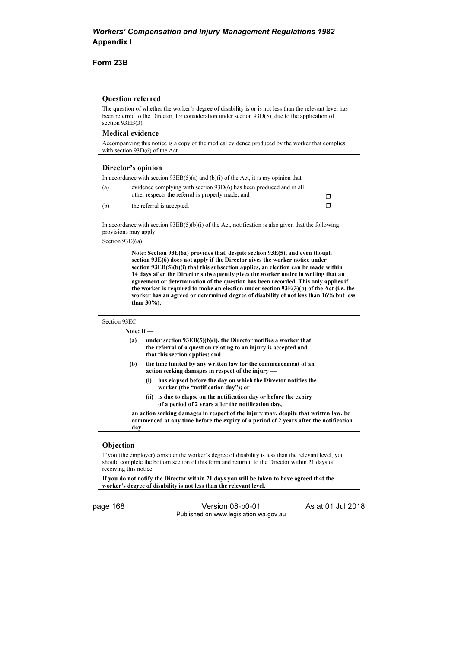#### Form 23B

#### Question referred

The question of whether the worker's degree of disability is or is not less than the relevant level has been referred to the Director, for consideration under section 93D(5), due to the application of section 93EB(3).

Medical evidence

Accompanying this notice is a copy of the medical evidence produced by the worker that complies with section 93D(6) of the Act.

| Director's opinion                          |              |                                                                                                                                                                                                                                                                                                                                                                                                                                                                                                                                                                                                                          |   |
|---------------------------------------------|--------------|--------------------------------------------------------------------------------------------------------------------------------------------------------------------------------------------------------------------------------------------------------------------------------------------------------------------------------------------------------------------------------------------------------------------------------------------------------------------------------------------------------------------------------------------------------------------------------------------------------------------------|---|
|                                             |              | In accordance with section $93EB(5)(a)$ and (b)(i) of the Act, it is my opinion that —                                                                                                                                                                                                                                                                                                                                                                                                                                                                                                                                   |   |
| (a)                                         |              | evidence complying with section 93D(6) has been produced and in all<br>other respects the referral is properly made; and                                                                                                                                                                                                                                                                                                                                                                                                                                                                                                 | Π |
| (b)                                         |              | the referral is accepted.                                                                                                                                                                                                                                                                                                                                                                                                                                                                                                                                                                                                | ⊓ |
| provisions may apply $-$                    |              | In accordance with section $93EB(5)(b)(i)$ of the Act, notification is also given that the following                                                                                                                                                                                                                                                                                                                                                                                                                                                                                                                     |   |
| Section 93E(6a)                             |              |                                                                                                                                                                                                                                                                                                                                                                                                                                                                                                                                                                                                                          |   |
|                                             | than 30%).   | Note: Section $93E(6a)$ provides that, despite section $93E(5)$ , and even though<br>section 93E(6) does not apply if the Director gives the worker notice under<br>section 93EB(5)(b)(i) that this subsection applies, an election can be made within<br>14 days after the Director subsequently gives the worker notice in writing that an<br>agreement or determination of the question has been recorded. This only applies if<br>the worker is required to make an election under section $93E(3)(b)$ of the Act (i.e. the<br>worker has an agreed or determined degree of disability of not less than 16% but less |   |
| Section 93EC                                |              |                                                                                                                                                                                                                                                                                                                                                                                                                                                                                                                                                                                                                          |   |
|                                             | Note: If $-$ |                                                                                                                                                                                                                                                                                                                                                                                                                                                                                                                                                                                                                          |   |
|                                             | (a)          | under section $93EB(5)(b)(i)$ , the Director notifies a worker that<br>the referral of a question relating to an injury is accepted and<br>that this section applies; and                                                                                                                                                                                                                                                                                                                                                                                                                                                |   |
|                                             | (b)          | the time limited by any written law for the commencement of an<br>action seeking damages in respect of the injury —                                                                                                                                                                                                                                                                                                                                                                                                                                                                                                      |   |
|                                             | (i)          | has elapsed before the day on which the Director notifies the<br>worker (the "notification day"); or                                                                                                                                                                                                                                                                                                                                                                                                                                                                                                                     |   |
|                                             |              | (ii) is due to elapse on the notification day or before the expiry<br>of a period of 2 years after the notification day,                                                                                                                                                                                                                                                                                                                                                                                                                                                                                                 |   |
|                                             | day.         | an action seeking damages in respect of the injury may, despite that written law, be<br>commenced at any time before the expiry of a period of 2 years after the notification                                                                                                                                                                                                                                                                                                                                                                                                                                            |   |
|                                             |              |                                                                                                                                                                                                                                                                                                                                                                                                                                                                                                                                                                                                                          |   |
| $\bigcap \mathbf{L}$ : $\bigcup \mathbf{L}$ |              |                                                                                                                                                                                                                                                                                                                                                                                                                                                                                                                                                                                                                          |   |

#### Objection

If you (the employer) consider the worker's degree of disability is less than the relevant level, you should complete the bottom section of this form and return it to the Director within 21 days of receiving this notice.

If you do not notify the Director within 21 days you will be taken to have agreed that the worker's degree of disability is not less than the relevant level.

page 168 Version 08-b0-01 As at 01 Jul 2018 Published on www.legislation.wa.gov.au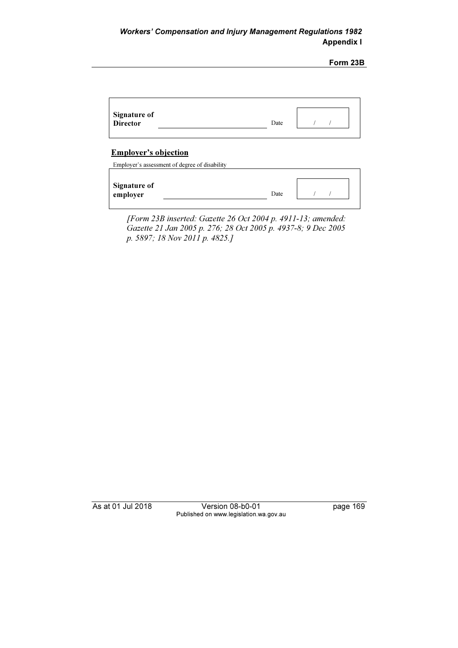Form 23B

| Signature of<br><b>Director</b> | Date |  |
|---------------------------------|------|--|
|                                 |      |  |

## Employer's objection

Employer's assessment of degree of disability

 [Form 23B inserted: Gazette 26 Oct 2004 p. 4911-13; amended: Gazette 21 Jan 2005 p. 276; 28 Oct 2005 p. 4937-8; 9 Dec 2005 p. 5897; 18 Nov 2011 p. 4825.]

As at 01 Jul 2018 Version 08-b0-01 page 169 Published on www.legislation.wa.gov.au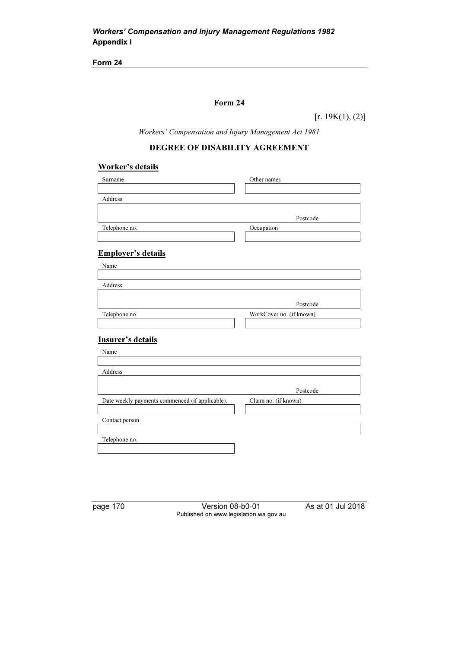## Form 24

 $[r. 19K(1), (2)]$ 

Workers' Compensation and Injury Management Act 1981

## DEGREE OF DISABILITY AGREEMENT

## Worker's details

| Surname                                         | Other names              |
|-------------------------------------------------|--------------------------|
|                                                 |                          |
| Address                                         |                          |
|                                                 |                          |
|                                                 |                          |
|                                                 | Postcode                 |
| Telephone no.                                   | Occupation               |
|                                                 |                          |
|                                                 |                          |
| <b>Employer's details</b>                       |                          |
| Name                                            |                          |
|                                                 |                          |
| Address                                         |                          |
|                                                 |                          |
|                                                 | Postcode                 |
|                                                 |                          |
| Telephone no.                                   | WorkCover no. (if known) |
|                                                 |                          |
| <b>Insurer's details</b>                        |                          |
|                                                 |                          |
| Name                                            |                          |
|                                                 |                          |
| Address                                         |                          |
|                                                 |                          |
|                                                 | Postcode                 |
|                                                 |                          |
| Date weekly payments commenced (if applicable). | Claim no. (if known)     |
|                                                 |                          |
| Contact person                                  |                          |
|                                                 |                          |

Telephone no.

page 170 Version 08-b0-01 As at 01 Jul 2018 Published on www.legislation.wa.gov.au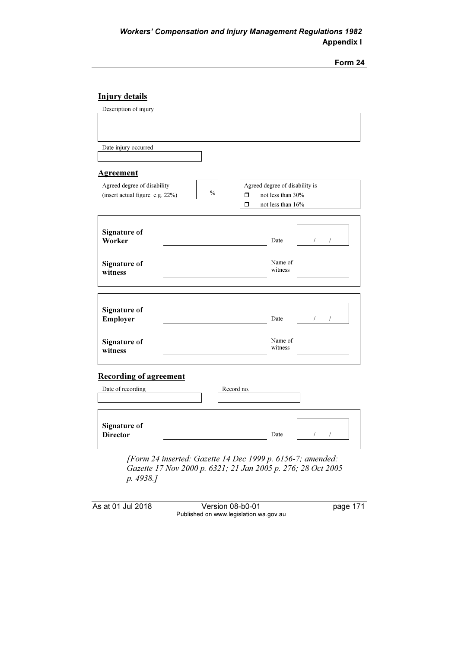| וזו<br>11 |  |
|-----------|--|
|-----------|--|

# Injury details

| Description of injury           |                                              |                                    |
|---------------------------------|----------------------------------------------|------------------------------------|
|                                 |                                              |                                    |
|                                 |                                              |                                    |
|                                 |                                              |                                    |
| Date injury occurred            |                                              |                                    |
|                                 |                                              |                                    |
| Agreement                       |                                              |                                    |
| Agreed degree of disability     | Agreed degree of disability is -             |                                    |
| (insert actual figure e.g. 22%) | $\frac{0}{0}$<br>$\Box$<br>not less than 30% |                                    |
|                                 | $\Box$<br>not less than 16%                  |                                    |
|                                 |                                              |                                    |
| Signature of                    |                                              |                                    |
| Worker                          | Date                                         | $\sqrt{2}$<br>$\sqrt{\phantom{a}}$ |
|                                 |                                              |                                    |
| <b>Signature of</b>             | Name of                                      |                                    |
| witness                         | witness                                      |                                    |
|                                 |                                              |                                    |
|                                 |                                              |                                    |
|                                 |                                              |                                    |
| <b>Signature of</b><br>Employer | Date                                         | $\sqrt{2}$<br>$\sqrt{2}$           |
|                                 |                                              |                                    |
| <b>Signature of</b>             | Name of                                      |                                    |
| witness                         | witness                                      |                                    |
|                                 |                                              |                                    |
|                                 |                                              |                                    |
| <b>Recording of agreement</b>   |                                              |                                    |
| Date of recording               | Record no.                                   |                                    |
|                                 |                                              |                                    |
|                                 |                                              |                                    |
| <b>Signature of</b>             |                                              |                                    |
| <b>Director</b>                 | Date                                         | $\sqrt{2}$<br>$\sqrt{2}$           |
|                                 |                                              |                                    |

 [Form 24 inserted: Gazette 14 Dec 1999 p. 6156-7; amended: Gazette 17 Nov 2000 p. 6321; 21 Jan 2005 p. 276; 28 Oct 2005 p. 4938.]

As at 01 Jul 2018 Version 08-b0-01 page 171 Published on www.legislation.wa.gov.au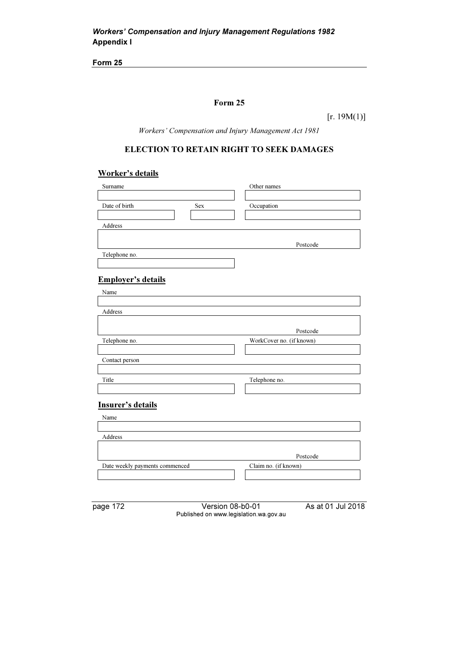## Form 25

 $[r. 19M(1)]$ 

Workers' Compensation and Injury Management Act 1981

# ELECTION TO RETAIN RIGHT TO SEEK DAMAGES

## Worker's details

| Surname                        | Other names              |
|--------------------------------|--------------------------|
|                                |                          |
| Date of birth<br>Sex           | Occupation               |
|                                |                          |
| Address                        |                          |
|                                |                          |
|                                | Postcode                 |
| Telephone no.                  |                          |
|                                |                          |
|                                |                          |
| <b>Employer's details</b>      |                          |
| Name                           |                          |
|                                |                          |
| Address                        |                          |
|                                |                          |
|                                | Postcode                 |
| Telephone no.                  | WorkCover no. (if known) |
|                                |                          |
| Contact person                 |                          |
|                                |                          |
| Title                          | Telephone no.            |
|                                |                          |
|                                |                          |
| Insurer's details              |                          |
| Name                           |                          |
|                                |                          |
| Address                        |                          |
|                                |                          |
|                                | Postcode                 |
| Date weekly payments commenced | Claim no. (if known)     |
|                                |                          |

| page 172 |  |  |  |
|----------|--|--|--|
|----------|--|--|--|

Version 08-b0-01 As at 01 Jul 2018 Published on www.legislation.wa.gov.au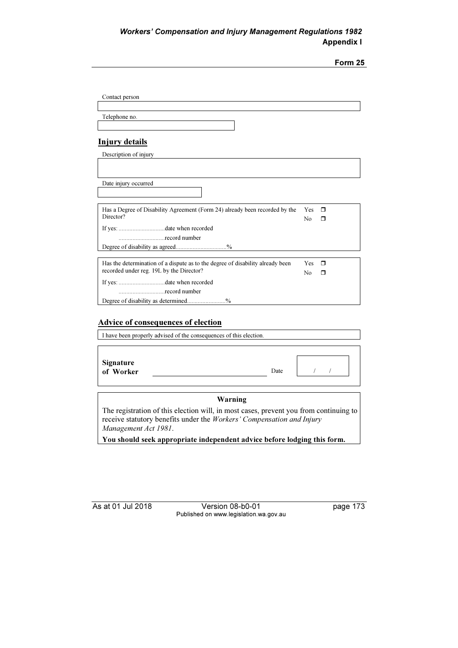|                                                                                |            | Form 25 |
|--------------------------------------------------------------------------------|------------|---------|
|                                                                                |            |         |
|                                                                                |            |         |
| Contact person                                                                 |            |         |
|                                                                                |            |         |
| Telephone no.                                                                  |            |         |
|                                                                                |            |         |
| <b>Injury details</b>                                                          |            |         |
| Description of injury                                                          |            |         |
|                                                                                |            |         |
|                                                                                |            |         |
| Date injury occurred                                                           |            |         |
|                                                                                |            |         |
| Has a Degree of Disability Agreement (Form 24) already been recorded by the    | <b>Yes</b> | $\Box$  |
| Director?                                                                      | No         | ⊓       |
|                                                                                |            |         |
| record number                                                                  |            |         |
| Degree of disability as agreed%                                                |            |         |
| Has the determination of a dispute as to the degree of disability already been | <b>Yes</b> | $\Box$  |
| recorded under reg. 19L by the Director?                                       | No         | ⊓       |
|                                                                                |            |         |
| record number                                                                  |            |         |
| Degree of disability as determined%                                            |            |         |

## Advice of consequences of election

| I have been properly advised of the consequences of this election. |      |  |
|--------------------------------------------------------------------|------|--|
|                                                                    |      |  |
|                                                                    |      |  |
| Signature<br>of Worker                                             | Date |  |
|                                                                    |      |  |

#### Warning

The registration of this election will, in most cases, prevent you from continuing to receive statutory benefits under the Workers' Compensation and Injury Management Act 1981.

You should seek appropriate independent advice before lodging this form.

As at 01 Jul 2018 Version 08-b0-01 page 173 Published on www.legislation.wa.gov.au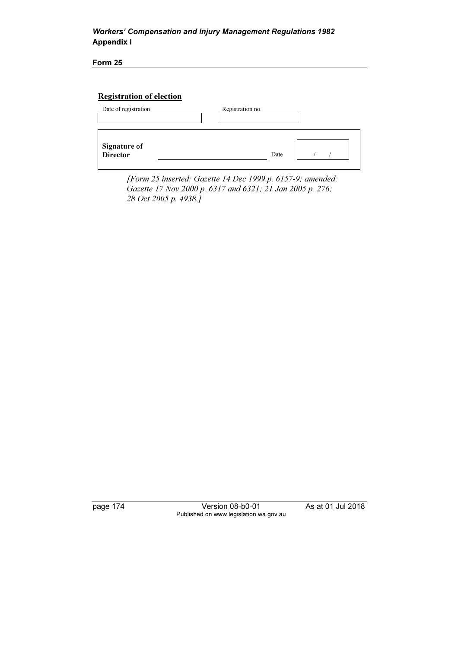Form 25

# Registration of election



 [Form 25 inserted: Gazette 14 Dec 1999 p. 6157-9; amended: Gazette 17 Nov 2000 p. 6317 and 6321; 21 Jan 2005 p. 276; 28 Oct 2005 p. 4938.]

page 174 Version 08-b0-01 As at 01 Jul 2018 Published on www.legislation.wa.gov.au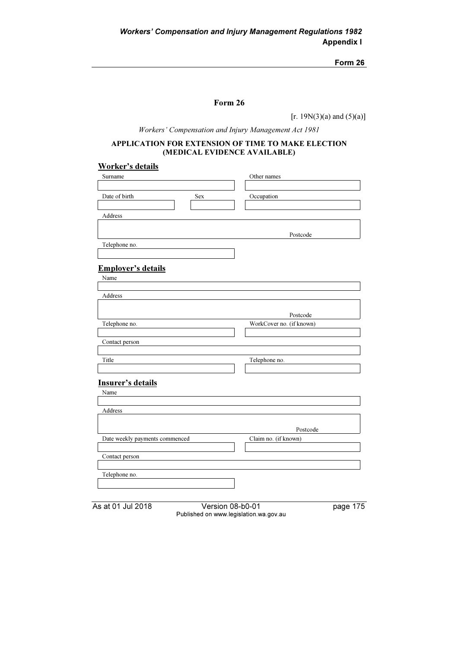Form 26

[r. 19 $N(3)(a)$  and  $(5)(a)$ ]

Workers' Compensation and Injury Management Act 1981

#### APPLICATION FOR EXTENSION OF TIME TO MAKE ELECTION (MEDICAL EVIDENCE AVAILABLE)

## Worker's details

| Surname                        | Other names              |          |
|--------------------------------|--------------------------|----------|
| Date of birth                  | Sex<br>Occupation        |          |
| Address                        |                          |          |
|                                | Postcode                 |          |
| Telephone no.                  |                          |          |
| <b>Employer's details</b>      |                          |          |
| Name                           |                          |          |
| Address                        |                          |          |
|                                | Postcode                 |          |
| Telephone no.                  | WorkCover no. (if known) |          |
| Contact person                 |                          |          |
| Title                          | Telephone no.            |          |
| <b>Insurer's details</b>       |                          |          |
| Name                           |                          |          |
| Address                        |                          |          |
|                                | Postcode                 |          |
| Date weekly payments commenced | Claim no. (if known)     |          |
| Contact person                 |                          |          |
| Telephone no.                  |                          |          |
|                                |                          |          |
| As at 01 Jul 2018              | Version 08-b0-01         | page 175 |

Published on www.legislation.wa.gov.au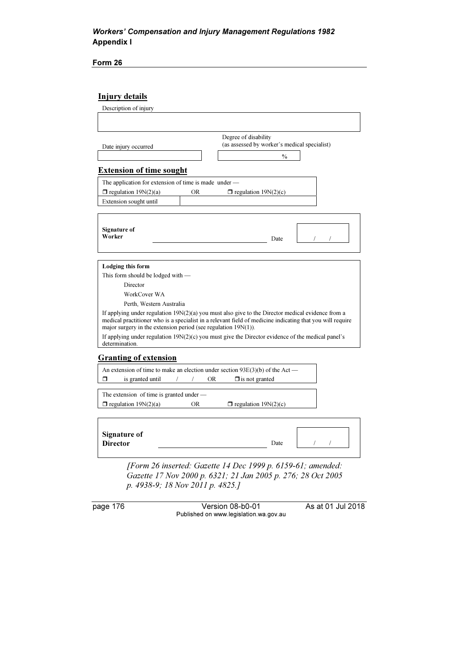Form 26

## Injury details

| Description of injury                                             |                                                                                                                                                                                                                  |
|-------------------------------------------------------------------|------------------------------------------------------------------------------------------------------------------------------------------------------------------------------------------------------------------|
|                                                                   |                                                                                                                                                                                                                  |
|                                                                   |                                                                                                                                                                                                                  |
|                                                                   | Degree of disability                                                                                                                                                                                             |
| Date injury occurred                                              | (as assessed by worker's medical specialist)                                                                                                                                                                     |
|                                                                   | $\frac{0}{0}$                                                                                                                                                                                                    |
| <b>Extension of time sought</b>                                   |                                                                                                                                                                                                                  |
| The application for extension of time is made under -             |                                                                                                                                                                                                                  |
| $\Box$ regulation 19N(2)(a)                                       | <b>OR</b><br>$\Box$ regulation 19N(2)(c)                                                                                                                                                                         |
| Extension sought until                                            |                                                                                                                                                                                                                  |
|                                                                   |                                                                                                                                                                                                                  |
|                                                                   |                                                                                                                                                                                                                  |
| Signature of                                                      |                                                                                                                                                                                                                  |
| Worker                                                            | Date                                                                                                                                                                                                             |
|                                                                   |                                                                                                                                                                                                                  |
|                                                                   |                                                                                                                                                                                                                  |
| <b>Lodging this form</b>                                          |                                                                                                                                                                                                                  |
| This form should be lodged with —                                 |                                                                                                                                                                                                                  |
| Director                                                          |                                                                                                                                                                                                                  |
| WorkCover WA                                                      |                                                                                                                                                                                                                  |
| Perth, Western Australia                                          |                                                                                                                                                                                                                  |
| major surgery in the extension period (see regulation $19N(1)$ ). | If applying under regulation $19N(2)(a)$ you must also give to the Director medical evidence from a<br>medical practitioner who is a specialist in a relevant field of medicine indicating that you will require |
| determination.                                                    | If applying under regulation $19N(2)(c)$ you must give the Director evidence of the medical panel's                                                                                                              |
| <b>Granting of extension</b>                                      |                                                                                                                                                                                                                  |
|                                                                   | An extension of time to make an election under section $93E(3)(b)$ of the Act —                                                                                                                                  |
| σ<br>is granted until                                             | <b>OR</b><br>$\Box$ is not granted<br>$\sqrt{2}$                                                                                                                                                                 |
| The extension of time is granted under $-$                        |                                                                                                                                                                                                                  |
| $\Box$ regulation 19N(2)(a)                                       | $\Box$ regulation 19N(2)(c)<br>OR.                                                                                                                                                                               |
|                                                                   |                                                                                                                                                                                                                  |
| <b>Signature of</b>                                               |                                                                                                                                                                                                                  |
| <b>Director</b>                                                   | Date                                                                                                                                                                                                             |
|                                                                   |                                                                                                                                                                                                                  |

 [Form 26 inserted: Gazette 14 Dec 1999 p. 6159-61; amended: Gazette 17 Nov 2000 p. 6321; 21 Jan 2005 p. 276; 28 Oct 2005 p. 4938-9; 18 Nov 2011 p. 4825.]

page 176 Version 08-b0-01 As at 01 Jul 2018 Published on www.legislation.wa.gov.au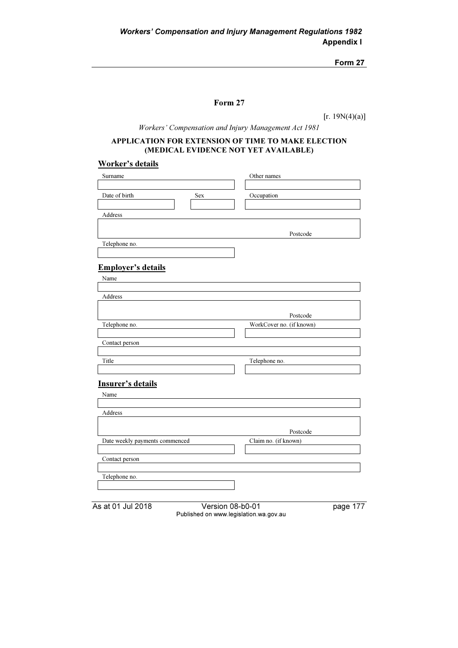## Form 27

 $[r. 19N(4)(a)]$ 

Workers' Compensation and Injury Management Act 1981

### APPLICATION FOR EXTENSION OF TIME TO MAKE ELECTION (MEDICAL EVIDENCE NOT YET AVAILABLE)

### Worker's details

| Surname                          | Other names              |                       |
|----------------------------------|--------------------------|-----------------------|
| Date of birth                    | Sex<br>Occupation        |                       |
| Address                          |                          |                       |
|                                  |                          |                       |
| Telephone no.                    | Postcode                 |                       |
|                                  |                          |                       |
| <b>Employer's details</b>        |                          |                       |
| Name                             |                          |                       |
|                                  |                          |                       |
| Address                          |                          |                       |
|                                  | Postcode                 |                       |
| Telephone no.                    | WorkCover no. (if known) |                       |
| Contact person                   |                          |                       |
|                                  |                          |                       |
| Title                            | Telephone no.            |                       |
|                                  |                          |                       |
| <b>Insurer's details</b><br>Name |                          |                       |
|                                  |                          |                       |
| Address                          |                          |                       |
|                                  | Postcode                 |                       |
| Date weekly payments commenced   | Claim no. (if known)     |                       |
|                                  |                          |                       |
| Contact person                   |                          |                       |
| Telephone no.                    |                          |                       |
|                                  |                          |                       |
| As at 01 Jul 2018                | Version 08-b0-01         | page $\overline{177}$ |

Published on www.legislation.wa.gov.au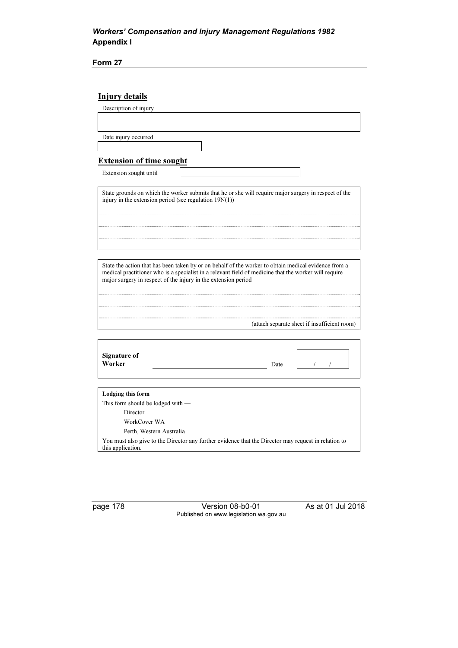Form 27

## Injury details

Description of injury

Date injury occurred

### Extension of time sought

Extension sought until

State grounds on which the worker submits that he or she will require major surgery in respect of the injury in the extension period (see regulation 19N(1))

State the action that has been taken by or on behalf of the worker to obtain medical evidence from a medical practitioner who is a specialist in a relevant field of medicine that the worker will require major surgery in respect of the injury in the extension period

(attach separate sheet if insufficient room)

| <b>Signature of</b><br>Worker | Date |  |
|-------------------------------|------|--|
|                               |      |  |
|                               |      |  |

| Lodging this form                                                                                    |
|------------------------------------------------------------------------------------------------------|
| This form should be lodged with $-$                                                                  |
| Director                                                                                             |
| WorkCover WA                                                                                         |
| Perth, Western Australia                                                                             |
| You must also give to the Director any further evidence that the Director may request in relation to |
| this application.                                                                                    |

page 178 Version 08-b0-01 As at 01 Jul 2018 Published on www.legislation.wa.gov.au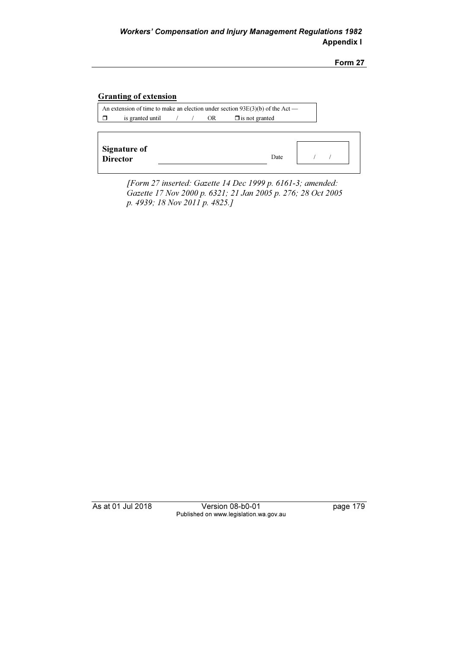### Granting of extension

An extension of time to make an election under section 93E(3)(b) of the Act —  $\Box$  is granted until  $\Box$  / OR  $\Box$  $\Box$  is not granted

| <b>Signature of</b><br><b>Director</b> | Date |  |
|----------------------------------------|------|--|
|                                        |      |  |

 [Form 27 inserted: Gazette 14 Dec 1999 p. 6161-3; amended: Gazette 17 Nov 2000 p. 6321; 21 Jan 2005 p. 276; 28 Oct 2005 p. 4939; 18 Nov 2011 p. 4825.]

As at 01 Jul 2018 Version 08-b0-01 page 179 Published on www.legislation.wa.gov.au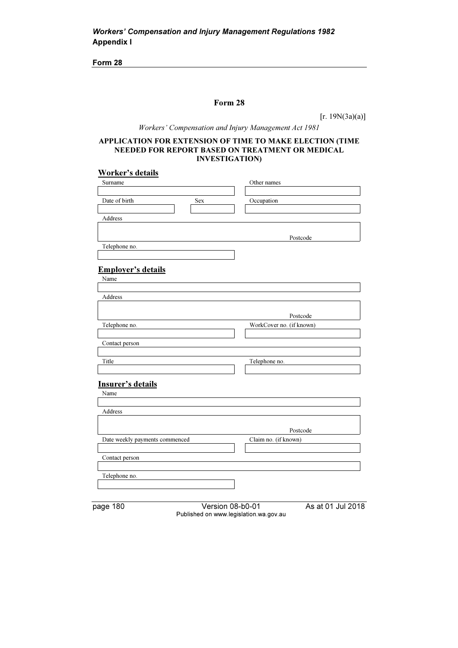### Form 28

 $[r. 19N(3a)(a)]$ 

Workers' Compensation and Injury Management Act 1981

#### APPLICATION FOR EXTENSION OF TIME TO MAKE ELECTION (TIME NEEDED FOR REPORT BASED ON TREATMENT OR MEDICAL INVESTIGATION)

### Worker's details

| Surname                           |                  | Other names              |
|-----------------------------------|------------------|--------------------------|
| Date of birth                     | Sex              | Occupation               |
| Address                           |                  |                          |
|                                   |                  | Postcode                 |
| Telephone no.                     |                  |                          |
| <b>Employer's details</b><br>Name |                  |                          |
| Address                           |                  |                          |
|                                   |                  | Postcode                 |
| Telephone no.                     |                  | WorkCover no. (if known) |
| Contact person                    |                  |                          |
| Title                             |                  | Telephone no.            |
| <b>Insurer's details</b>          |                  |                          |
| Name                              |                  |                          |
| Address                           |                  |                          |
|                                   |                  | Postcode                 |
| Date weekly payments commenced    |                  | Claim no. (if known)     |
| Contact person                    |                  |                          |
| Telephone no.                     |                  |                          |
| page 180                          | Version 08-b0-01 | As at 01 Jul 2018        |

Published on www.legislation.wa.gov.au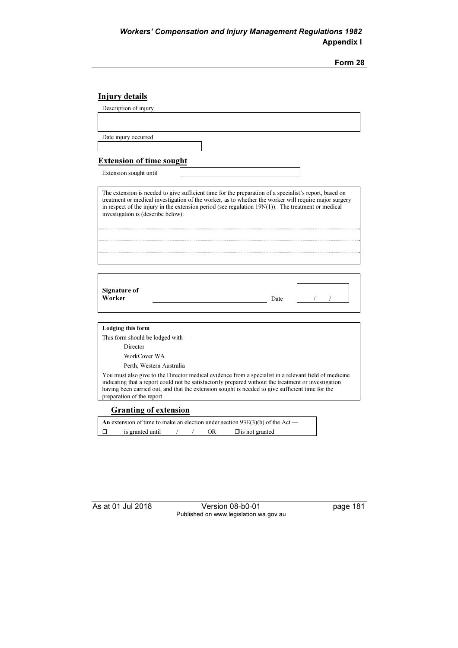### Injury details

Description of injury

Date injury occurred

#### Extension of time sought

Extension sought until

The extension is needed to give sufficient time for the preparation of a specialist's report, based on treatment or medical investigation of the worker, as to whether the worker will require major surgery in respect of the injury in the extension period (see regulation 19N(1)). The treatment or medical investigation is (describe below):

| <b>Signature of</b> |      |  |  |
|---------------------|------|--|--|
| Worker              | Date |  |  |
|                     |      |  |  |

Lodging this form This form should be lodged with — Director WorkCover WA Perth, Western Australia

You must also give to the Director medical evidence from a specialist in a relevant field of medicine indicating that a report could not be satisfactorily prepared without the treatment or investigation having been carried out, and that the extension sought is needed to give sufficient time for the preparation of the report

#### Granting of extension

An extension of time to make an election under section 93E(3)(b) of the Act —  $\Box$ is granted until  $/$  /  $\overline{OR}$  $\Box$  is not granted

As at 01 Jul 2018 Version 08-b0-01 page 181 Published on www.legislation.wa.gov.au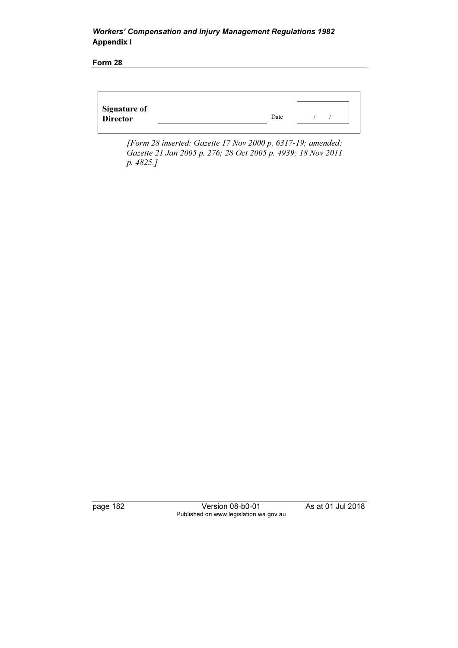Form 28

| <b>Signature of</b><br><b>Director</b> | Date |  |
|----------------------------------------|------|--|
|                                        |      |  |

 [Form 28 inserted: Gazette 17 Nov 2000 p. 6317-19; amended: Gazette 21 Jan 2005 p. 276; 28 Oct 2005 p. 4939; 18 Nov 2011 p. 4825.]

page 182 Version 08-b0-01 As at 01 Jul 2018 Published on www.legislation.wa.gov.au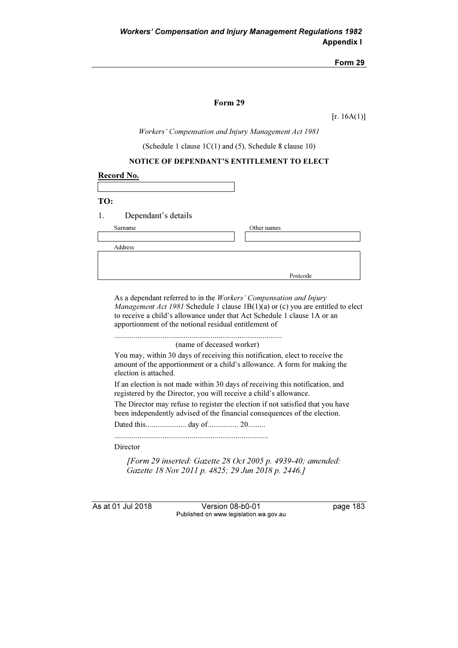#### Form 29

 $[r. 16A(1)]$ 

Workers' Compensation and Injury Management Act 1981

(Schedule 1 clause 1C(1) and (5), Schedule 8 clause 10)

#### NOTICE OF DEPENDANT'S ENTITLEMENT TO ELECT

| Record No.                |             |
|---------------------------|-------------|
|                           |             |
| TO:                       |             |
| 1.<br>Dependant's details |             |
| Surname                   | Other names |
|                           |             |
| Address                   |             |
|                           |             |
|                           | Postcode    |

As a dependant referred to in the Workers' Compensation and Injury Management Act 1981 Schedule 1 clause 1B(1)(a) or (c) you are entitled to elect to receive a child's allowance under that Act Schedule 1 clause 1A or an apportionment of the notional residual entitlement of

....................................................................................... (name of deceased worker)

You may, within 30 days of receiving this notification, elect to receive the amount of the apportionment or a child's allowance. A form for making the election is attached.

If an election is not made within 30 days of receiving this notification, and registered by the Director, you will receive a child's allowance.

The Director may refuse to register the election if not satisfied that you have been independently advised of the financial consequences of the election.

Dated this..................... day of................ 20.........

................................................................................

Director

 [Form 29 inserted: Gazette 28 Oct 2005 p. 4939-40; amended: Gazette 18 Nov 2011 p. 4825; 29 Jun 2018 p. 2446.]

As at 01 Jul 2018 Version 08-b0-01 page 183 Published on www.legislation.wa.gov.au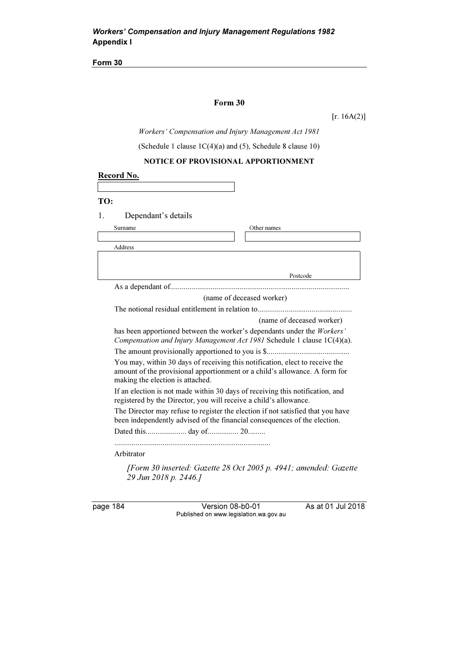### Form 30

 $[r. 16A(2)]$ 

Workers' Compensation and Injury Management Act 1981

(Schedule 1 clause 1C(4)(a) and (5), Schedule 8 clause 10)

## NOTICE OF PROVISIONAL APPORTIONMENT

| Record No.                       |                                                                                                                                                              |
|----------------------------------|--------------------------------------------------------------------------------------------------------------------------------------------------------------|
|                                  |                                                                                                                                                              |
| TO:                              |                                                                                                                                                              |
| 1.<br>Dependant's details        |                                                                                                                                                              |
| Surname                          | Other names                                                                                                                                                  |
|                                  |                                                                                                                                                              |
| Address                          |                                                                                                                                                              |
|                                  |                                                                                                                                                              |
|                                  | Postcode                                                                                                                                                     |
|                                  |                                                                                                                                                              |
|                                  | (name of deceased worker)                                                                                                                                    |
|                                  |                                                                                                                                                              |
|                                  | (name of deceased worker)                                                                                                                                    |
|                                  | has been apportioned between the worker's dependants under the Workers'<br>Compensation and Injury Management Act 1981 Schedule 1 clause 1C(4)(a).           |
|                                  |                                                                                                                                                              |
| making the election is attached. | You may, within 30 days of receiving this notification, elect to receive the<br>amount of the provisional apportionment or a child's allowance. A form for   |
|                                  | If an election is not made within 30 days of receiving this notification, and<br>registered by the Director, you will receive a child's allowance.           |
|                                  | The Director may refuse to register the election if not satisfied that you have<br>been independently advised of the financial consequences of the election. |
|                                  |                                                                                                                                                              |
| Arbitrator                       |                                                                                                                                                              |
| 29 Jun 2018 p. 2446.]            | [Form 30 inserted: Gazette 28 Oct 2005 p. 4941; amended: Gazette                                                                                             |

page 184 Version 08-b0-01 As at 01 Jul 2018 Published on www.legislation.wa.gov.au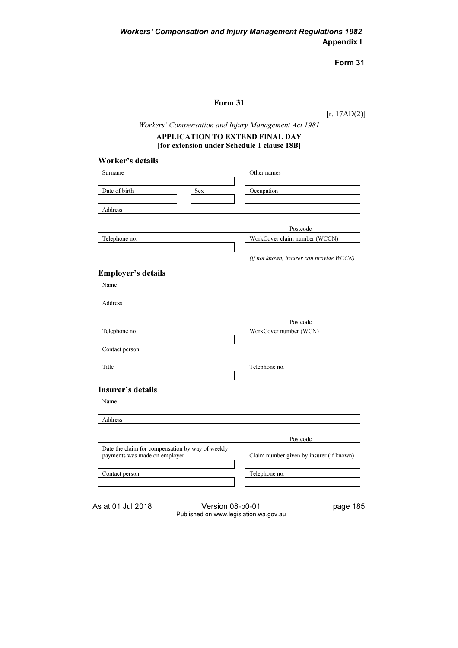## Form 31

[r. 17AD(2)]

Workers' Compensation and Injury Management Act 1981

### APPLICATION TO EXTEND FINAL DAY [for extension under Schedule 1 clause 18B]

## Worker's details

| Surname       |     | Other names                   |
|---------------|-----|-------------------------------|
|               |     |                               |
| Date of birth | Sex | Occupation                    |
|               |     |                               |
| Address       |     |                               |
|               |     |                               |
|               |     | Postcode                      |
| Telephone no. |     | WorkCover claim number (WCCN) |
|               |     |                               |
|               |     |                               |

(if not known, insurer can provide WCCN)

## Employer's details

| Name                                             |                                          |
|--------------------------------------------------|------------------------------------------|
|                                                  |                                          |
| Address                                          |                                          |
|                                                  |                                          |
|                                                  | Postcode                                 |
| Telephone no.                                    | WorkCover number (WCN)                   |
|                                                  |                                          |
| Contact person                                   |                                          |
|                                                  |                                          |
| Title                                            | Telephone no.                            |
|                                                  |                                          |
| Insurer's details                                |                                          |
| Name                                             |                                          |
|                                                  |                                          |
| Address                                          |                                          |
|                                                  |                                          |
|                                                  | Postcode                                 |
| Date the claim for compensation by way of weekly |                                          |
| payments was made on employer                    | Claim number given by insurer (if known) |
|                                                  |                                          |
| Contact person                                   | Telephone no.                            |
|                                                  |                                          |
|                                                  |                                          |

As at 01 Jul 2018 Version 08-b0-01 page 185 Published on www.legislation.wa.gov.au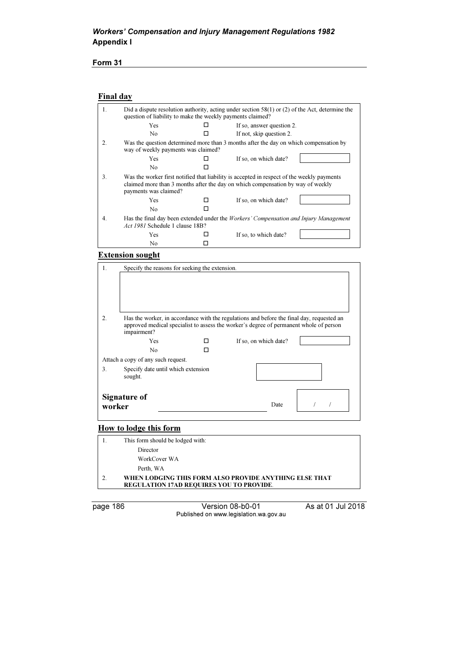## Form 31

## Final day

| 1.               | question of liability to make the weekly payments claimed?                                                                                                                                             |   | Did a dispute resolution authority, acting under section $58(1)$ or (2) of the Act, determine the |  |
|------------------|--------------------------------------------------------------------------------------------------------------------------------------------------------------------------------------------------------|---|---------------------------------------------------------------------------------------------------|--|
|                  | <b>Yes</b>                                                                                                                                                                                             |   | If so, answer question 2.                                                                         |  |
|                  | No.                                                                                                                                                                                                    |   | If not, skip question 2.                                                                          |  |
| $\overline{2}$ . | way of weekly payments was claimed?                                                                                                                                                                    |   | Was the question determined more than 3 months after the day on which compensation by             |  |
|                  | Yes.                                                                                                                                                                                                   |   | If so, on which date?                                                                             |  |
|                  | No                                                                                                                                                                                                     |   |                                                                                                   |  |
| 3.               | Was the worker first notified that liability is accepted in respect of the weekly payments<br>claimed more than 3 months after the day on which compensation by way of weekly<br>payments was claimed? |   |                                                                                                   |  |
|                  | Yes                                                                                                                                                                                                    | H | If so, on which date?                                                                             |  |
|                  | No.                                                                                                                                                                                                    |   |                                                                                                   |  |
| 4.               | Act 1981 Schedule 1 clause 18B?                                                                                                                                                                        |   | Has the final day been extended under the <i>Workers' Compensation and Injury Management</i>      |  |
|                  | Yes                                                                                                                                                                                                    |   | If so, to which date?                                                                             |  |
|                  | No                                                                                                                                                                                                     |   |                                                                                                   |  |

### Extension sought

| 1.               |                                               | Specify the reasons for seeking the extension. |                                                                                           |  |
|------------------|-----------------------------------------------|------------------------------------------------|-------------------------------------------------------------------------------------------|--|
| $\overline{2}$ . |                                               |                                                | Has the worker, in accordance with the regulations and before the final day, requested an |  |
|                  | impairment?                                   |                                                | approved medical specialist to assess the worker's degree of permanent whole of person    |  |
|                  | <b>Yes</b>                                    | П                                              | If so, on which date?                                                                     |  |
|                  | N <sub>0</sub>                                | П                                              |                                                                                           |  |
|                  | Attach a copy of any such request.            |                                                |                                                                                           |  |
| 3.               | Specify date until which extension<br>sought. |                                                |                                                                                           |  |
| worker           | <b>Signature of</b>                           |                                                | Date                                                                                      |  |

## How to lodge this form

| This form should be lodged with:                                                                          |
|-----------------------------------------------------------------------------------------------------------|
| Director                                                                                                  |
| WorkCover WA                                                                                              |
| Perth, WA                                                                                                 |
| WHEN LODGING THIS FORM ALSO PROVIDE ANYTHING ELSE THAT<br><b>REGULATION 17AD REQUIRES YOU TO PROVIDE.</b> |

page 186 Version 08-b0-01 As at 01 Jul 2018 Published on www.legislation.wa.gov.au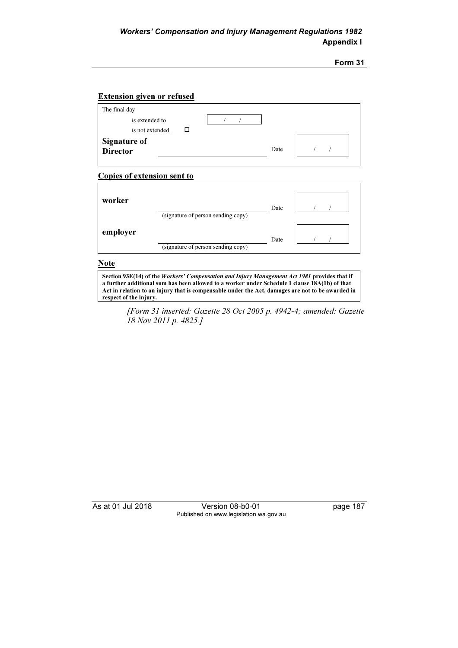### Extension given or refused

| The final day                    |      |  |
|----------------------------------|------|--|
| is extended to                   |      |  |
| is not extended.                 |      |  |
| <b>Signature of<br/>Director</b> |      |  |
|                                  | Date |  |

#### Copies of extension sent to

| worker   | (signature of person sending copy) | Date |  |
|----------|------------------------------------|------|--|
| employer | (signature of person sending copy) | Date |  |

### **Note**

Section 93E(14) of the Workers' Compensation and Injury Management Act 1981 provides that if a further additional sum has been allowed to a worker under Schedule 1 clause 18A(1b) of that Act in relation to an injury that is compensable under the Act, damages are not to be awarded in respect of the injury.

 [Form 31 inserted: Gazette 28 Oct 2005 p. 4942-4; amended: Gazette 18 Nov 2011 p. 4825.]

As at 01 Jul 2018 Version 08-b0-01 page 187 Published on www.legislation.wa.gov.au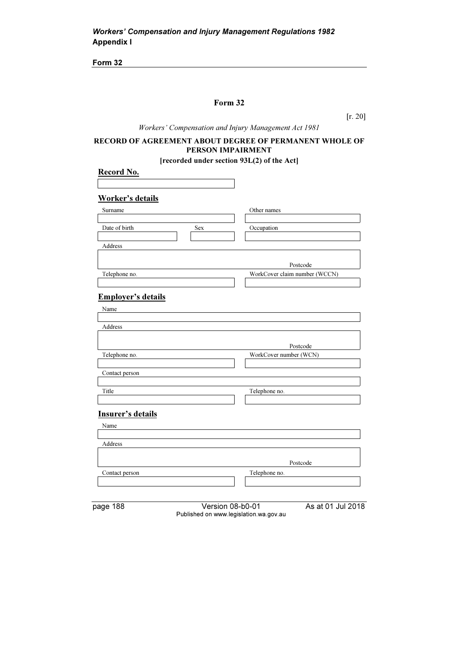## Form 32

[r. 20]

Workers' Compensation and Injury Management Act 1981

## RECORD OF AGREEMENT ABOUT DEGREE OF PERMANENT WHOLE OF PERSON IMPAIRMENT

[recorded under section 93L(2) of the Act]

| Other names<br>Occupation             |
|---------------------------------------|
|                                       |
|                                       |
|                                       |
|                                       |
|                                       |
|                                       |
|                                       |
| Postcode                              |
| WorkCover claim number (WCCN)         |
|                                       |
|                                       |
|                                       |
|                                       |
|                                       |
|                                       |
| Postcode                              |
| WorkCover number (WCN)                |
|                                       |
|                                       |
| Telephone no.                         |
|                                       |
|                                       |
|                                       |
|                                       |
|                                       |
|                                       |
|                                       |
|                                       |
| Postcode                              |
| Telephone no.                         |
|                                       |
| As at 01 Jul 2018<br>Version 08-b0-01 |
|                                       |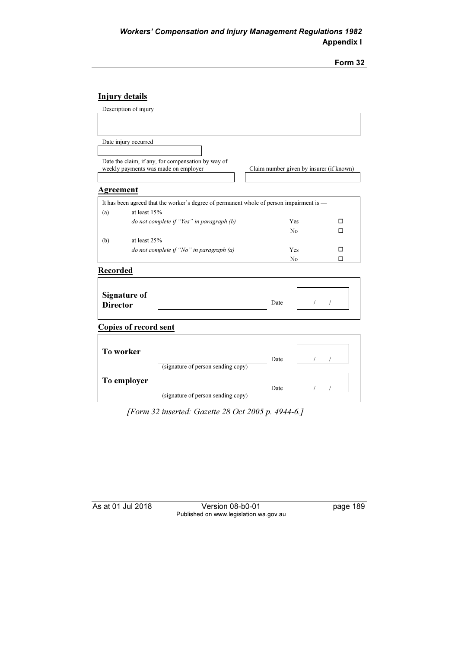# Injury details

|                 | Description of injury                |                                                                                          |                                          |          |            |
|-----------------|--------------------------------------|------------------------------------------------------------------------------------------|------------------------------------------|----------|------------|
|                 |                                      |                                                                                          |                                          |          |            |
|                 |                                      |                                                                                          |                                          |          |            |
|                 | Date injury occurred                 |                                                                                          |                                          |          |            |
|                 |                                      |                                                                                          |                                          |          |            |
|                 | weekly payments was made on employer | Date the claim, if any, for compensation by way of                                       | Claim number given by insurer (if known) |          |            |
|                 |                                      |                                                                                          |                                          |          |            |
| Agreement       |                                      |                                                                                          |                                          |          |            |
|                 |                                      | It has been agreed that the worker's degree of permanent whole of person impairment is - |                                          |          |            |
| (a)             | at least 15%                         |                                                                                          |                                          |          |            |
|                 |                                      | do not complete if "Yes" in paragraph (b)                                                | <b>Yes</b>                               |          | п          |
|                 |                                      |                                                                                          | N <sub>0</sub>                           |          | п          |
| (b)             | at least 25%                         | do not complete if "No" in paragraph (a)                                                 | Yes                                      |          | п          |
|                 |                                      |                                                                                          | N <sub>0</sub>                           |          | п          |
| <b>Recorded</b> |                                      |                                                                                          |                                          |          |            |
|                 |                                      |                                                                                          |                                          |          |            |
|                 | <b>Signature of</b>                  |                                                                                          |                                          |          |            |
| <b>Director</b> |                                      |                                                                                          | Date                                     | $\prime$ | $\sqrt{2}$ |
|                 |                                      |                                                                                          |                                          |          |            |
|                 | <b>Copies of record sent</b>         |                                                                                          |                                          |          |            |
|                 |                                      |                                                                                          |                                          |          |            |
| To worker       |                                      |                                                                                          |                                          |          |            |
|                 |                                      | (signature of person sending copy)                                                       | Date                                     |          |            |
|                 |                                      |                                                                                          |                                          |          |            |
|                 | To employer                          |                                                                                          | Date                                     |          |            |
|                 |                                      | (signature of person sending copy)                                                       |                                          |          |            |
|                 |                                      |                                                                                          |                                          |          |            |

[Form 32 inserted: Gazette 28 Oct 2005 p. 4944-6.]

As at 01 Jul 2018 Version 08-b0-01 page 189 Published on www.legislation.wa.gov.au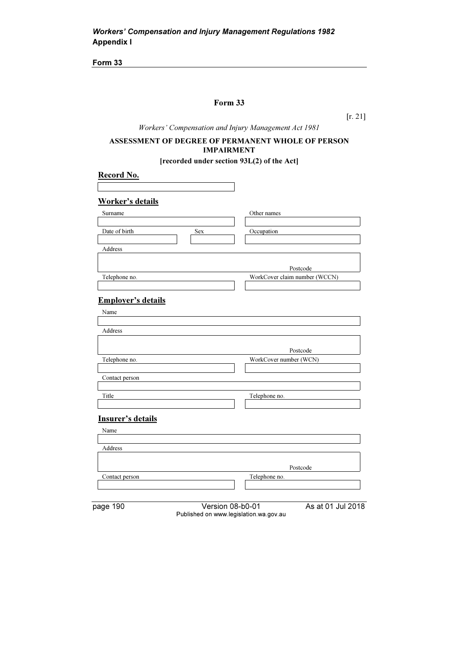## Form 33

[r. 21]

Workers' Compensation and Injury Management Act 1981

### ASSESSMENT OF DEGREE OF PERMANENT WHOLE OF PERSON IMPAIRMENT

[recorded under section 93L(2) of the Act]

| Record No.                |                                        |                               |
|---------------------------|----------------------------------------|-------------------------------|
|                           |                                        |                               |
| <b>Worker's details</b>   |                                        |                               |
| Surname                   |                                        | Other names                   |
|                           |                                        |                               |
| Date of birth             | Sex                                    | Occupation                    |
| Address                   |                                        |                               |
|                           |                                        |                               |
|                           |                                        | Postcode                      |
| Telephone no.             |                                        | WorkCover claim number (WCCN) |
|                           |                                        |                               |
| <b>Employer's details</b> |                                        |                               |
| Name                      |                                        |                               |
|                           |                                        |                               |
| Address                   |                                        |                               |
|                           |                                        |                               |
|                           |                                        | Postcode                      |
| Telephone no.             |                                        | WorkCover number (WCN)        |
| Contact person            |                                        |                               |
|                           |                                        |                               |
| Title                     |                                        | Telephone no.                 |
|                           |                                        |                               |
| <b>Insurer's details</b>  |                                        |                               |
| Name                      |                                        |                               |
|                           |                                        |                               |
| Address                   |                                        |                               |
|                           |                                        |                               |
|                           |                                        | Postcode                      |
| Contact person            |                                        | Telephone no.                 |
|                           |                                        |                               |
| page 190                  | Version 08-b0-01                       | As at 01 Jul 2018             |
|                           | Published on www.legislation.wa.gov.au |                               |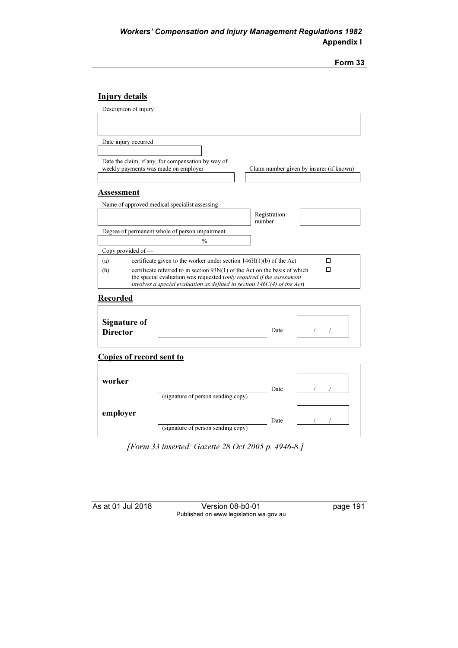| orm |  |
|-----|--|
|     |  |

## Injury details

|                                    | number                                                                                                                                                                                                                                     |                                                                                                                                                                                                                                                                                                                                                                                                             |  |
|------------------------------------|--------------------------------------------------------------------------------------------------------------------------------------------------------------------------------------------------------------------------------------------|-------------------------------------------------------------------------------------------------------------------------------------------------------------------------------------------------------------------------------------------------------------------------------------------------------------------------------------------------------------------------------------------------------------|--|
|                                    |                                                                                                                                                                                                                                            |                                                                                                                                                                                                                                                                                                                                                                                                             |  |
|                                    |                                                                                                                                                                                                                                            |                                                                                                                                                                                                                                                                                                                                                                                                             |  |
|                                    |                                                                                                                                                                                                                                            |                                                                                                                                                                                                                                                                                                                                                                                                             |  |
|                                    |                                                                                                                                                                                                                                            | п                                                                                                                                                                                                                                                                                                                                                                                                           |  |
|                                    |                                                                                                                                                                                                                                            | п                                                                                                                                                                                                                                                                                                                                                                                                           |  |
|                                    |                                                                                                                                                                                                                                            |                                                                                                                                                                                                                                                                                                                                                                                                             |  |
|                                    |                                                                                                                                                                                                                                            |                                                                                                                                                                                                                                                                                                                                                                                                             |  |
|                                    |                                                                                                                                                                                                                                            |                                                                                                                                                                                                                                                                                                                                                                                                             |  |
|                                    |                                                                                                                                                                                                                                            |                                                                                                                                                                                                                                                                                                                                                                                                             |  |
|                                    |                                                                                                                                                                                                                                            |                                                                                                                                                                                                                                                                                                                                                                                                             |  |
|                                    |                                                                                                                                                                                                                                            |                                                                                                                                                                                                                                                                                                                                                                                                             |  |
|                                    | Date                                                                                                                                                                                                                                       | $\sqrt{2}$<br>7                                                                                                                                                                                                                                                                                                                                                                                             |  |
|                                    |                                                                                                                                                                                                                                            |                                                                                                                                                                                                                                                                                                                                                                                                             |  |
|                                    |                                                                                                                                                                                                                                            |                                                                                                                                                                                                                                                                                                                                                                                                             |  |
|                                    |                                                                                                                                                                                                                                            |                                                                                                                                                                                                                                                                                                                                                                                                             |  |
|                                    |                                                                                                                                                                                                                                            |                                                                                                                                                                                                                                                                                                                                                                                                             |  |
|                                    |                                                                                                                                                                                                                                            |                                                                                                                                                                                                                                                                                                                                                                                                             |  |
|                                    | Date                                                                                                                                                                                                                                       |                                                                                                                                                                                                                                                                                                                                                                                                             |  |
|                                    |                                                                                                                                                                                                                                            |                                                                                                                                                                                                                                                                                                                                                                                                             |  |
|                                    |                                                                                                                                                                                                                                            |                                                                                                                                                                                                                                                                                                                                                                                                             |  |
|                                    |                                                                                                                                                                                                                                            |                                                                                                                                                                                                                                                                                                                                                                                                             |  |
|                                    |                                                                                                                                                                                                                                            |                                                                                                                                                                                                                                                                                                                                                                                                             |  |
| (signature of person sending copy) | Date                                                                                                                                                                                                                                       |                                                                                                                                                                                                                                                                                                                                                                                                             |  |
|                                    | Date the claim, if any, for compensation by way of<br>weekly payments was made on employer<br>Name of approved medical specialist assessing<br>Degree of permanent whole of person impairment<br>$\frac{0}{0}$<br>Copies of record sent to | Claim number given by insurer (if known)<br>Registration<br>certificate given to the worker under section 146H(1)(b) of the Act<br>certificate referred to in section $93N(1)$ of the Act on the basis of which<br>the special evaluation was requested (only required if the assessment<br>involves a special evaluation as defined in section $146C(4)$ of the Act)<br>(signature of person sending copy) |  |

[Form 33 inserted: Gazette 28 Oct 2005 p. 4946-8.]

As at 01 Jul 2018 Version 08-b0-01 page 191 Published on www.legislation.wa.gov.au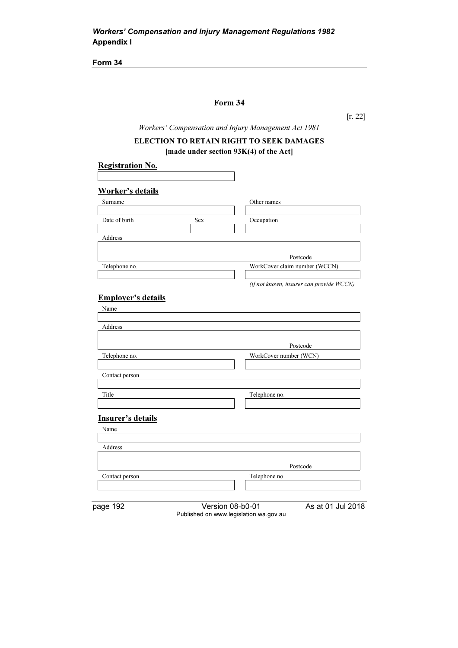## Form 34

[r. 22]

Workers' Compensation and Injury Management Act 1981

## ELECTION TO RETAIN RIGHT TO SEEK DAMAGES [made under section 93K(4) of the Act]

| <b>Registration No.</b>     |                                          |
|-----------------------------|------------------------------------------|
| Worker's details            |                                          |
| Surname                     | Other names                              |
|                             |                                          |
| Date of birth<br><b>Sex</b> | Occupation                               |
|                             |                                          |
| <b>Address</b>              |                                          |
|                             |                                          |
|                             | Postcode                                 |
| Telephone no.               | WorkCover claim number (WCCN)            |
|                             |                                          |
|                             | (if not known, insurer can provide WCCN) |

## Employer's details

| Name              |                                                                                 |  |
|-------------------|---------------------------------------------------------------------------------|--|
| Address           |                                                                                 |  |
|                   | Postcode                                                                        |  |
| Telephone no.     | WorkCover number (WCN)                                                          |  |
| Contact person    |                                                                                 |  |
| Title             | Telephone no.                                                                   |  |
| Insurer's details |                                                                                 |  |
| Name              |                                                                                 |  |
| Address           |                                                                                 |  |
|                   | Postcode                                                                        |  |
| Contact person    | Telephone no.                                                                   |  |
|                   |                                                                                 |  |
| page 192          | Version 08-b0-01<br>As at 01 Jul 2018<br>Published on www.legislation.wa.gov.au |  |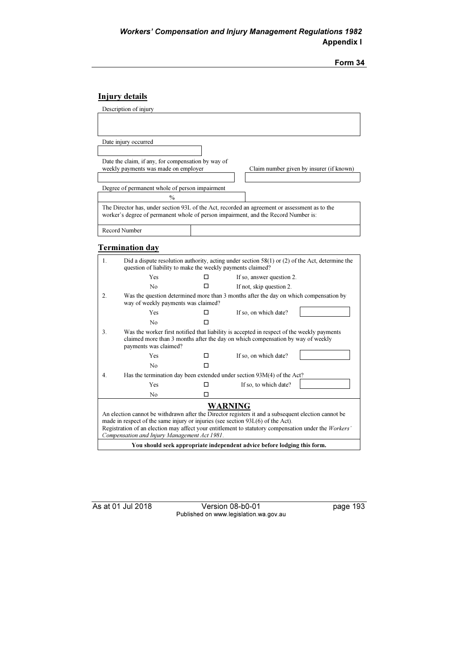| orm |  |
|-----|--|
|     |  |

## Injury details

| Description of injury                                                                                                                                                               |  |                                          |
|-------------------------------------------------------------------------------------------------------------------------------------------------------------------------------------|--|------------------------------------------|
|                                                                                                                                                                                     |  |                                          |
|                                                                                                                                                                                     |  |                                          |
| Date injury occurred                                                                                                                                                                |  |                                          |
|                                                                                                                                                                                     |  |                                          |
| Date the claim, if any, for compensation by way of                                                                                                                                  |  |                                          |
| weekly payments was made on employer                                                                                                                                                |  | Claim number given by insurer (if known) |
|                                                                                                                                                                                     |  |                                          |
| Degree of permanent whole of person impairment                                                                                                                                      |  |                                          |
| $\frac{0}{0}$                                                                                                                                                                       |  |                                          |
| The Director has, under section 93L of the Act, recorded an agreement or assessment as to the<br>worker's degree of permanent whole of person impairment, and the Record Number is: |  |                                          |
| Record Number                                                                                                                                                                       |  |                                          |

# Termination day

| 1.                                                                                                                                                                                                                                                                                                                                                                 | Did a dispute resolution authority, acting under section $58(1)$ or (2) of the Act, determine the<br>question of liability to make the weekly payments claimed? |   |                                                                                       |
|--------------------------------------------------------------------------------------------------------------------------------------------------------------------------------------------------------------------------------------------------------------------------------------------------------------------------------------------------------------------|-----------------------------------------------------------------------------------------------------------------------------------------------------------------|---|---------------------------------------------------------------------------------------|
|                                                                                                                                                                                                                                                                                                                                                                    | Yes                                                                                                                                                             | п | If so, answer question 2.                                                             |
|                                                                                                                                                                                                                                                                                                                                                                    | N <sub>0</sub>                                                                                                                                                  | п | If not, skip question 2.                                                              |
| $\overline{2}$ .                                                                                                                                                                                                                                                                                                                                                   | way of weekly payments was claimed?                                                                                                                             |   | Was the question determined more than 3 months after the day on which compensation by |
|                                                                                                                                                                                                                                                                                                                                                                    | Yes                                                                                                                                                             | П | If so, on which date?                                                                 |
|                                                                                                                                                                                                                                                                                                                                                                    | No                                                                                                                                                              | п |                                                                                       |
| 3.<br>Was the worker first notified that liability is accepted in respect of the weekly payments<br>claimed more than 3 months after the day on which compensation by way of weekly<br>payments was claimed?                                                                                                                                                       |                                                                                                                                                                 |   |                                                                                       |
|                                                                                                                                                                                                                                                                                                                                                                    | Yes                                                                                                                                                             | ◻ | If so, on which date?                                                                 |
|                                                                                                                                                                                                                                                                                                                                                                    | No                                                                                                                                                              | п |                                                                                       |
| 4.                                                                                                                                                                                                                                                                                                                                                                 |                                                                                                                                                                 |   | Has the termination day been extended under section 93M(4) of the Act?                |
|                                                                                                                                                                                                                                                                                                                                                                    | Yes                                                                                                                                                             | □ | If so, to which date?                                                                 |
|                                                                                                                                                                                                                                                                                                                                                                    | No                                                                                                                                                              | п |                                                                                       |
| <b>WARNING</b><br>An election cannot be withdrawn after the Director registers it and a subsequent election cannot be<br>made in respect of the same injury or injuries (see section $93L(6)$ of the Act).<br>Registration of an election may affect your entitlement to statutory compensation under the Workers'<br>Compensation and Injury Management Act 1981. |                                                                                                                                                                 |   |                                                                                       |
| You should seek appropriate independent advice before lodging this form.                                                                                                                                                                                                                                                                                           |                                                                                                                                                                 |   |                                                                                       |

As at 01 Jul 2018 Version 08-b0-01 page 193 Published on www.legislation.wa.gov.au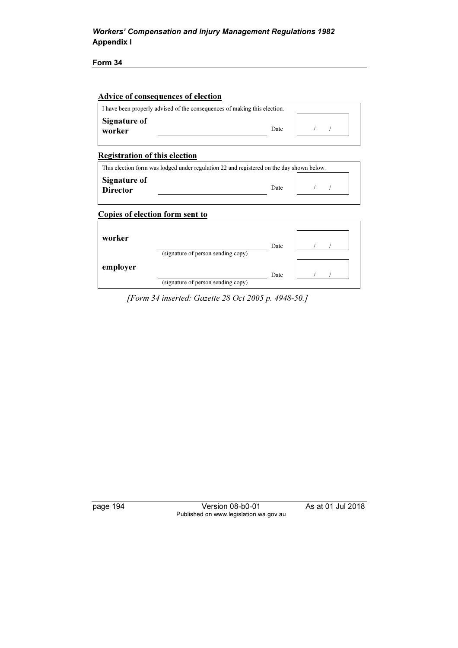Form 34

#### Advice of consequences of election

|                               | I have been properly advised of the consequences of making this election. |  |  |
|-------------------------------|---------------------------------------------------------------------------|--|--|
| <b>Signature of</b><br>worker | Date                                                                      |  |  |

## Registration of this election

| This election form was lodged under regulation 22 and registered on the day shown below. |      |  |
|------------------------------------------------------------------------------------------|------|--|
| Signature of<br><b>Director</b>                                                          | Date |  |

### Copies of election form sent to

| worker   | (signature of person sending copy) | Date |  |
|----------|------------------------------------|------|--|
| employer | (signature of person sending copy) | Date |  |

[Form 34 inserted: Gazette 28 Oct 2005 p. 4948-50.]

page 194 Version 08-b0-01 As at 01 Jul 2018 Published on www.legislation.wa.gov.au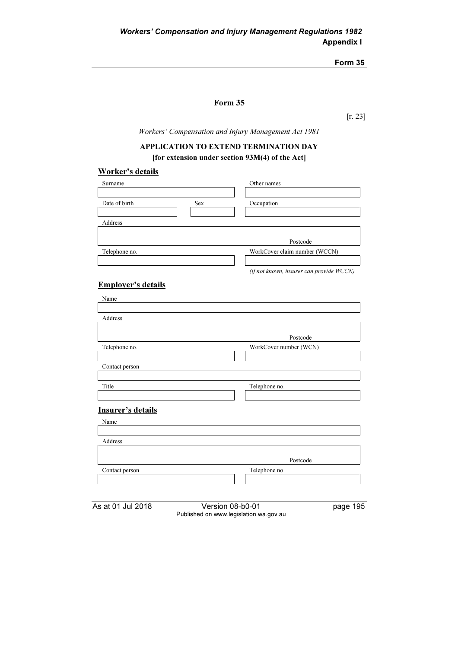## Form 35

[r. 23]

Workers' Compensation and Injury Management Act 1981

### APPLICATION TO EXTEND TERMINATION DAY

[for extension under section 93M(4) of the Act]

#### Worker's details

| Surname       |            | Other names                              |
|---------------|------------|------------------------------------------|
|               |            |                                          |
| Date of birth | <b>Sex</b> | Occupation                               |
|               |            |                                          |
| Address       |            |                                          |
|               |            |                                          |
|               |            | Postcode                                 |
| Telephone no. |            | WorkCover claim number (WCCN)            |
|               |            |                                          |
|               |            | (if not known, insurer can provide WCCN) |

## Employer's details

| Name              |                        |
|-------------------|------------------------|
|                   |                        |
| Address           |                        |
|                   |                        |
|                   | Postcode               |
| Telephone no.     | WorkCover number (WCN) |
|                   |                        |
| Contact person    |                        |
|                   |                        |
| Title             | Telephone no.          |
|                   |                        |
| Insurer's details |                        |
| Name              |                        |
|                   |                        |
| Address           |                        |
|                   |                        |
|                   | Postcode               |
| Contact person    | Telephone no.          |
|                   |                        |
|                   |                        |
|                   |                        |

|  |  |  |  | As at 01 Jul 2018 |  |  |
|--|--|--|--|-------------------|--|--|
|--|--|--|--|-------------------|--|--|

Report 5 Version 08-b0-01 page 195 Published on www.legislation.wa.gov.au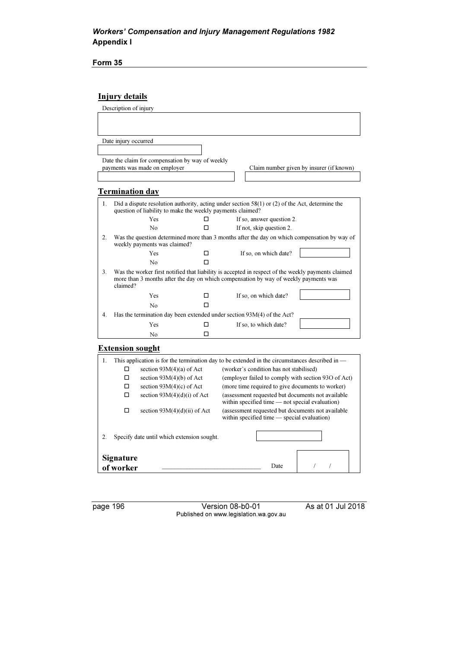Form 35

# Injury details

|                | Description of injury                                                                                                                                                                                  |                                                                                   |    |  |                                                                                                   |                                                                                              |
|----------------|--------------------------------------------------------------------------------------------------------------------------------------------------------------------------------------------------------|-----------------------------------------------------------------------------------|----|--|---------------------------------------------------------------------------------------------------|----------------------------------------------------------------------------------------------|
|                |                                                                                                                                                                                                        |                                                                                   |    |  |                                                                                                   |                                                                                              |
|                |                                                                                                                                                                                                        |                                                                                   |    |  |                                                                                                   |                                                                                              |
|                |                                                                                                                                                                                                        |                                                                                   |    |  |                                                                                                   |                                                                                              |
|                | Date injury occurred                                                                                                                                                                                   |                                                                                   |    |  |                                                                                                   |                                                                                              |
|                |                                                                                                                                                                                                        |                                                                                   |    |  |                                                                                                   |                                                                                              |
|                |                                                                                                                                                                                                        | Date the claim for compensation by way of weekly<br>payments was made on employer |    |  |                                                                                                   | Claim number given by insurer (if known)                                                     |
|                |                                                                                                                                                                                                        |                                                                                   |    |  |                                                                                                   |                                                                                              |
|                |                                                                                                                                                                                                        |                                                                                   |    |  |                                                                                                   |                                                                                              |
|                | <b>Termination day</b>                                                                                                                                                                                 |                                                                                   |    |  |                                                                                                   |                                                                                              |
| $\mathbf{1}$ . |                                                                                                                                                                                                        |                                                                                   |    |  | Did a dispute resolution authority, acting under section $58(1)$ or (2) of the Act, determine the |                                                                                              |
|                |                                                                                                                                                                                                        | question of liability to make the weekly payments claimed?                        |    |  |                                                                                                   |                                                                                              |
|                |                                                                                                                                                                                                        | Yes                                                                               | □  |  | If so, answer question 2.                                                                         |                                                                                              |
|                |                                                                                                                                                                                                        | No                                                                                | П  |  | If not, skip question 2.                                                                          |                                                                                              |
| 2.             |                                                                                                                                                                                                        | weekly payments was claimed?                                                      |    |  |                                                                                                   | Was the question determined more than 3 months after the day on which compensation by way of |
|                |                                                                                                                                                                                                        | Yes                                                                               | □  |  | If so, on which date?                                                                             |                                                                                              |
|                |                                                                                                                                                                                                        | No                                                                                | П  |  |                                                                                                   |                                                                                              |
| 3.             | Was the worker first notified that liability is accepted in respect of the weekly payments claimed<br>more than 3 months after the day on which compensation by way of weekly payments was<br>claimed? |                                                                                   |    |  |                                                                                                   |                                                                                              |
|                |                                                                                                                                                                                                        | Yes                                                                               | П. |  | If so, on which date?                                                                             |                                                                                              |
|                |                                                                                                                                                                                                        | N <sub>0</sub>                                                                    | п  |  |                                                                                                   |                                                                                              |
| 4.             | Has the termination day been extended under section 93M(4) of the Act?                                                                                                                                 |                                                                                   |    |  |                                                                                                   |                                                                                              |
|                |                                                                                                                                                                                                        | Yes                                                                               | □  |  | If so, to which date?                                                                             |                                                                                              |
|                |                                                                                                                                                                                                        | N <sub>0</sub>                                                                    | □  |  |                                                                                                   |                                                                                              |
|                | <b>Extension sought</b>                                                                                                                                                                                |                                                                                   |    |  |                                                                                                   |                                                                                              |
| $\mathbf{1}$ . |                                                                                                                                                                                                        |                                                                                   |    |  | This application is for the termination day to be extended in the circumstances described in —    |                                                                                              |
|                | □                                                                                                                                                                                                      | section $93M(4)(a)$ of Act                                                        |    |  | (worker's condition has not stabilised)                                                           |                                                                                              |
|                |                                                                                                                                                                                                        | section $93M(4)(b)$ of Act                                                        |    |  |                                                                                                   | (employer failed to comply with section 930 of Act)                                          |
|                |                                                                                                                                                                                                        | section $93M(4)(c)$ of Act                                                        |    |  | (more time required to give documents to worker)                                                  |                                                                                              |
|                | п                                                                                                                                                                                                      | section $93M(4)(d)(i)$ of Act                                                     |    |  |                                                                                                   | (assessment requested but documents not available                                            |
|                |                                                                                                                                                                                                        |                                                                                   |    |  | within specified time $-$ not special evaluation)                                                 |                                                                                              |
|                | п                                                                                                                                                                                                      | section $93M(4)(d)(ii)$ of Act                                                    |    |  | within specified time - special evaluation)                                                       | (assessment requested but documents not available                                            |
| 2.             |                                                                                                                                                                                                        | Specify date until which extension sought.                                        |    |  |                                                                                                   |                                                                                              |
|                |                                                                                                                                                                                                        |                                                                                   |    |  |                                                                                                   |                                                                                              |
|                | <b>Signature</b>                                                                                                                                                                                       |                                                                                   |    |  |                                                                                                   |                                                                                              |
|                | $\sqrt{ }$<br>$\sqrt{2}$<br>Date<br>of worker                                                                                                                                                          |                                                                                   |    |  |                                                                                                   |                                                                                              |

page 196 Version 08-b0-01 As at 01 Jul 2018 Published on www.legislation.wa.gov.au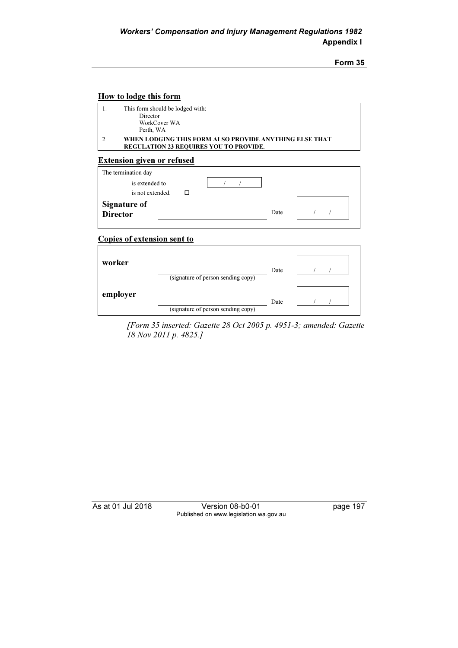### How to lodge this form

| This form should be lodged with:<br>Director                                                            |
|---------------------------------------------------------------------------------------------------------|
| WorkCover WA<br>Perth, WA                                                                               |
| WHEN LODGING THIS FORM ALSO PROVIDE ANYTHING ELSE THAT<br><b>REGULATION 23 REQUIRES YOU TO PROVIDE.</b> |

### Extension given or refused

| The termination day   |      |
|-----------------------|------|
| is extended to        |      |
| is not extended.<br>П |      |
| <b>Signature of</b>   |      |
| Director              | Date |
|                       |      |

## Copies of extension sent to

| worker   | (signature of person sending copy) | Date |  |
|----------|------------------------------------|------|--|
| employer | (signature of person sending copy) | Date |  |

 [Form 35 inserted: Gazette 28 Oct 2005 p. 4951-3; amended: Gazette 18 Nov 2011 p. 4825.]

As at 01 Jul 2018 Version 08-b0-01 page 197 Published on www.legislation.wa.gov.au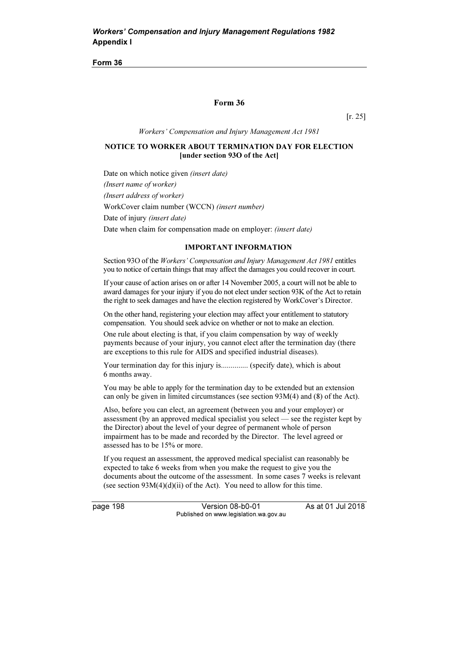#### Form 36

[r. 25]

Workers' Compensation and Injury Management Act 1981

### NOTICE TO WORKER ABOUT TERMINATION DAY FOR ELECTION [under section 93O of the Act]

Date on which notice given (insert date) (Insert name of worker) (Insert address of worker) WorkCover claim number (WCCN) (insert number) Date of injury *(insert date)* Date when claim for compensation made on employer: *(insert date)* 

#### IMPORTANT INFORMATION

Section 93O of the Workers' Compensation and Injury Management Act 1981 entitles you to notice of certain things that may affect the damages you could recover in court.

If your cause of action arises on or after 14 November 2005, a court will not be able to award damages for your injury if you do not elect under section 93K of the Act to retain the right to seek damages and have the election registered by WorkCover's Director.

On the other hand, registering your election may affect your entitlement to statutory compensation. You should seek advice on whether or not to make an election.

One rule about electing is that, if you claim compensation by way of weekly payments because of your injury, you cannot elect after the termination day (there are exceptions to this rule for AIDS and specified industrial diseases).

Your termination day for this injury is............... (specify date), which is about 6 months away.

You may be able to apply for the termination day to be extended but an extension can only be given in limited circumstances (see section 93M(4) and (8) of the Act).

Also, before you can elect, an agreement (between you and your employer) or assessment (by an approved medical specialist you select — see the register kept by the Director) about the level of your degree of permanent whole of person impairment has to be made and recorded by the Director. The level agreed or assessed has to be 15% or more.

If you request an assessment, the approved medical specialist can reasonably be expected to take 6 weeks from when you make the request to give you the documents about the outcome of the assessment. In some cases 7 weeks is relevant (see section  $93M(4)(d)(ii)$  of the Act). You need to allow for this time.

page 198 Version 08-b0-01 As at 01 Jul 2018 Published on www.legislation.wa.gov.au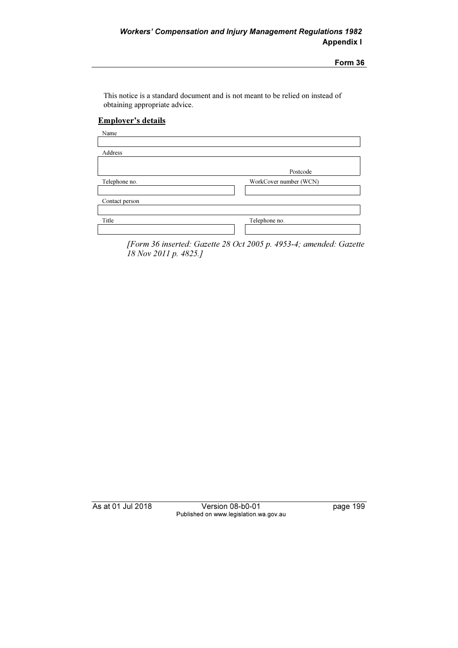This notice is a standard document and is not meant to be relied on instead of obtaining appropriate advice.

### Employer's details

| Name           |                        |
|----------------|------------------------|
|                |                        |
| Address        |                        |
|                |                        |
|                | Postcode               |
| Telephone no.  | WorkCover number (WCN) |
|                |                        |
| Contact person |                        |
|                |                        |
| Title          | Telephone no.          |
|                |                        |
|                |                        |

 [Form 36 inserted: Gazette 28 Oct 2005 p. 4953-4; amended: Gazette 18 Nov 2011 p. 4825.]

As at 01 Jul 2018 Version 08-b0-01 page 199 Published on www.legislation.wa.gov.au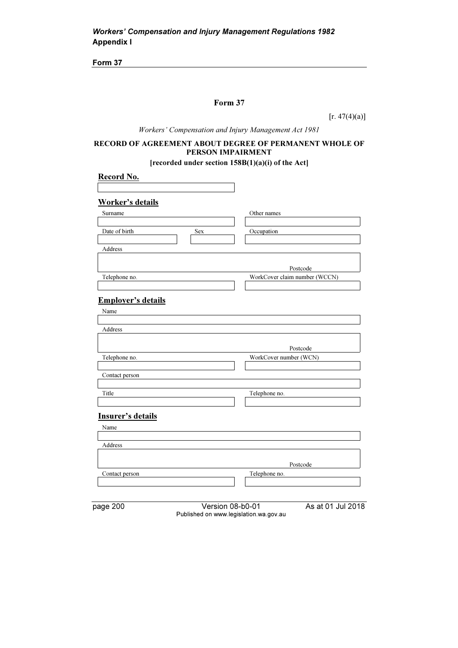## Form 37

 $[r. 47(4)(a)]$ 

Workers' Compensation and Injury Management Act 1981

## RECORD OF AGREEMENT ABOUT DEGREE OF PERMANENT WHOLE OF PERSON IMPAIRMENT

[recorded under section 158B(1)(a)(i) of the Act]

| <b>Record No.</b>                  |                                                                                 |
|------------------------------------|---------------------------------------------------------------------------------|
|                                    |                                                                                 |
| <b>Worker's details</b><br>Surname | Other names                                                                     |
|                                    |                                                                                 |
| Date of birth                      | Occupation<br>Sex                                                               |
| Address                            |                                                                                 |
|                                    | Postcode                                                                        |
| Telephone no.                      | WorkCover claim number (WCCN)                                                   |
|                                    |                                                                                 |
| <b>Employer's details</b>          |                                                                                 |
| Name                               |                                                                                 |
| Address                            |                                                                                 |
|                                    |                                                                                 |
|                                    | Postcode                                                                        |
| Telephone no.                      | WorkCover number (WCN)                                                          |
| Contact person                     |                                                                                 |
|                                    |                                                                                 |
| Title                              | Telephone no.                                                                   |
| <b>Insurer's details</b>           |                                                                                 |
| Name                               |                                                                                 |
|                                    |                                                                                 |
| Address                            |                                                                                 |
|                                    | Postcode                                                                        |
| Contact person                     | Telephone no.                                                                   |
|                                    |                                                                                 |
|                                    |                                                                                 |
| page 200                           | As at 01 Jul 2018<br>Version 08-b0-01<br>Published on www.legislation.wa.gov.au |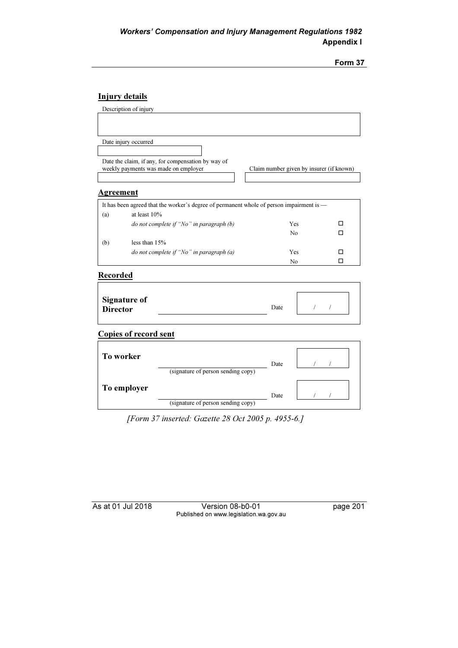# Injury details

|                  | Description of injury                                                                    |                                          |                          |
|------------------|------------------------------------------------------------------------------------------|------------------------------------------|--------------------------|
|                  |                                                                                          |                                          |                          |
|                  |                                                                                          |                                          |                          |
|                  | Date injury occurred                                                                     |                                          |                          |
|                  |                                                                                          |                                          |                          |
|                  | Date the claim, if any, for compensation by way of                                       |                                          |                          |
|                  | weekly payments was made on employer                                                     | Claim number given by insurer (if known) |                          |
|                  |                                                                                          |                                          |                          |
| <u>Agreement</u> |                                                                                          |                                          |                          |
|                  | It has been agreed that the worker's degree of permanent whole of person impairment is - |                                          |                          |
| (a)              | at least 10%                                                                             |                                          |                          |
|                  | do not complete if "No" in paragraph (b)                                                 | <b>Yes</b>                               | п                        |
|                  |                                                                                          | N <sub>0</sub>                           | п                        |
| (b)              | less than $15%$                                                                          |                                          |                          |
|                  | do not complete if "No" in paragraph (a)                                                 | Yes                                      | □                        |
|                  |                                                                                          | N <sub>0</sub>                           | □                        |
| Recorded         |                                                                                          |                                          |                          |
|                  |                                                                                          |                                          |                          |
|                  | <b>Signature of</b>                                                                      |                                          |                          |
| <b>Director</b>  |                                                                                          | Date                                     | $\sqrt{2}$<br>$\sqrt{2}$ |
|                  |                                                                                          |                                          |                          |
|                  | <b>Copies of record sent</b>                                                             |                                          |                          |
|                  |                                                                                          |                                          |                          |
|                  | <b>To worker</b>                                                                         |                                          |                          |
|                  |                                                                                          | Date                                     |                          |
|                  | (signature of person sending copy)                                                       |                                          |                          |
|                  |                                                                                          |                                          |                          |
|                  | To employer                                                                              | Date                                     |                          |
|                  | (signature of person sending copy)                                                       |                                          |                          |

[Form 37 inserted: Gazette 28 Oct 2005 p. 4955-6.]

As at 01 Jul 2018 Version 08-b0-01 page 201 Published on www.legislation.wa.gov.au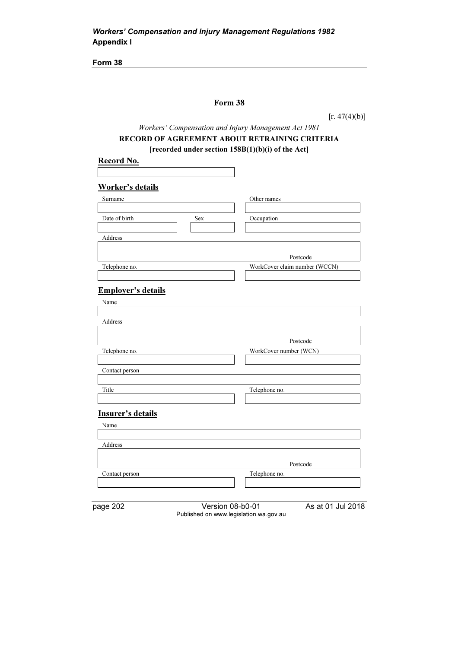## Form 38

 $[r. 47(4)(b)]$ 

# Workers' Compensation and Injury Management Act 1981 RECORD OF AGREEMENT ABOUT RETRAINING CRITERIA [recorded under section 158B(1)(b)(i) of the Act]

| <b>Worker's details</b>   |                               |
|---------------------------|-------------------------------|
| Surname                   | Other names                   |
| Date of birth             | Occupation<br>Sex             |
|                           |                               |
| Address                   |                               |
|                           |                               |
|                           | Postcode                      |
| Telephone no.             | WorkCover claim number (WCCN) |
|                           |                               |
| <b>Employer's details</b> |                               |
| Name                      |                               |
|                           |                               |
| Address                   |                               |
|                           |                               |
|                           | Postcode                      |
| Telephone no.             | WorkCover number (WCN)        |
| Contact person            |                               |
|                           |                               |
| Title                     | Telephone no.                 |
|                           |                               |
| <b>Insurer's details</b>  |                               |
| Name                      |                               |
|                           |                               |
| Address                   |                               |
|                           |                               |
|                           | Postcode                      |
|                           |                               |
| Contact person            | Telephone no.                 |
|                           |                               |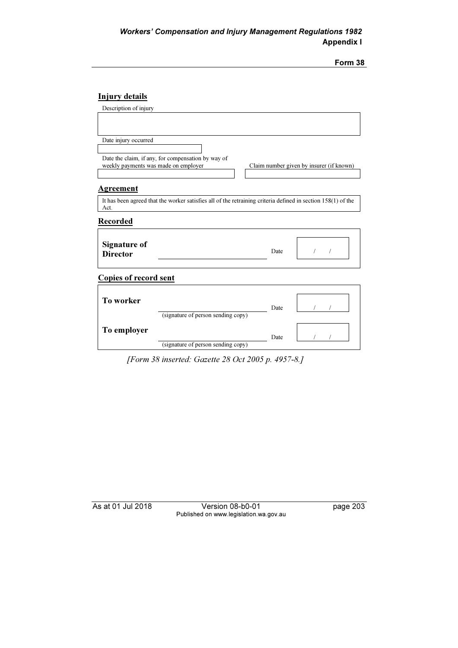| orm |
|-----|
|     |

# Injury details

| Description of injury                |                                                                                                              |      |                                          |  |
|--------------------------------------|--------------------------------------------------------------------------------------------------------------|------|------------------------------------------|--|
|                                      |                                                                                                              |      |                                          |  |
|                                      |                                                                                                              |      |                                          |  |
| Date injury occurred                 |                                                                                                              |      |                                          |  |
|                                      |                                                                                                              |      |                                          |  |
|                                      | Date the claim, if any, for compensation by way of                                                           |      |                                          |  |
| weekly payments was made on employer |                                                                                                              |      | Claim number given by insurer (if known) |  |
|                                      |                                                                                                              |      |                                          |  |
| <b>Agreement</b>                     |                                                                                                              |      |                                          |  |
| Act.                                 | It has been agreed that the worker satisfies all of the retraining criteria defined in section 158(1) of the |      |                                          |  |
| <b>Recorded</b>                      |                                                                                                              |      |                                          |  |
|                                      |                                                                                                              |      |                                          |  |
| <b>Signature of</b>                  |                                                                                                              |      |                                          |  |
| <b>Director</b>                      |                                                                                                              | Date |                                          |  |
|                                      |                                                                                                              |      |                                          |  |
| <b>Copies of record sent</b>         |                                                                                                              |      |                                          |  |
|                                      |                                                                                                              |      |                                          |  |
| To worker                            |                                                                                                              |      |                                          |  |
|                                      | (signature of person sending copy)                                                                           | Date |                                          |  |
|                                      |                                                                                                              |      |                                          |  |
| To employer                          |                                                                                                              |      |                                          |  |
|                                      |                                                                                                              | Date |                                          |  |
|                                      | (signature of person sending copy)                                                                           |      |                                          |  |

[Form 38 inserted: Gazette 28 Oct 2005 p. 4957-8.]

As at 01 Jul 2018 Version 08-b0-01 page 203 Published on www.legislation.wa.gov.au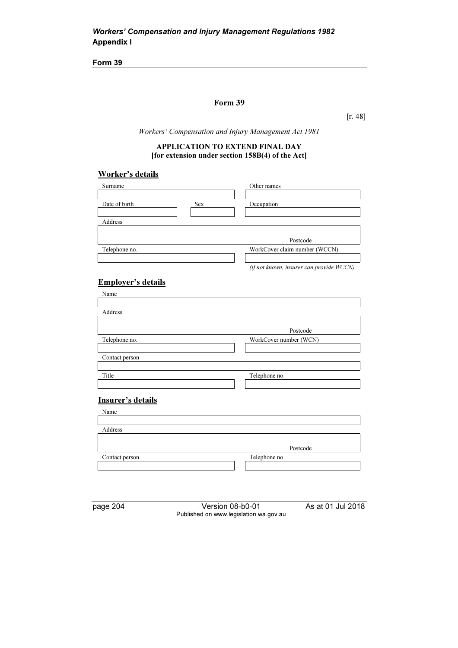### Form 39

[r. 48]

Workers' Compensation and Injury Management Act 1981

### APPLICATION TO EXTEND FINAL DAY [for extension under section 158B(4) of the Act]

## Worker's details

| Surname                   | Other names                              |
|---------------------------|------------------------------------------|
|                           |                                          |
| Date of birth<br>Sex      | Occupation                               |
|                           |                                          |
| Address                   |                                          |
|                           |                                          |
|                           | Postcode                                 |
| Telephone no.             | WorkCover claim number (WCCN)            |
|                           |                                          |
|                           | (if not known, insurer can provide WCCN) |
|                           |                                          |
| <b>Employer's details</b> |                                          |
| Name                      |                                          |
|                           |                                          |
| Address                   |                                          |
|                           |                                          |
|                           | Postcode                                 |
| Telephone no.             | WorkCover number (WCN)                   |
|                           |                                          |
| Contact person            |                                          |
|                           |                                          |
| Title                     | Telephone no.                            |
|                           |                                          |
|                           |                                          |
| Insurer's details         |                                          |
| Name                      |                                          |
|                           |                                          |
| Address                   |                                          |

page 204 Version 08-b0-01 As at 01 Jul 2018 Published on www.legislation.wa.gov.au

Contact person Telephone no.

Postcode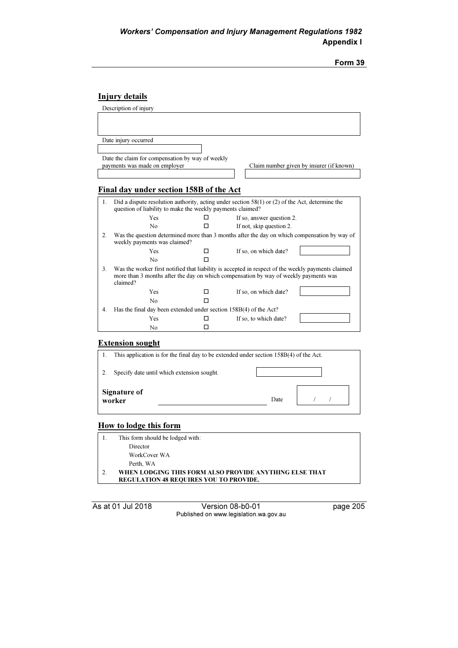| orm |  |
|-----|--|
|     |  |

# Injury details

|                | Description of injury                                                                                                                                                                                  |   |                                                                                                   |
|----------------|--------------------------------------------------------------------------------------------------------------------------------------------------------------------------------------------------------|---|---------------------------------------------------------------------------------------------------|
|                |                                                                                                                                                                                                        |   |                                                                                                   |
|                |                                                                                                                                                                                                        |   |                                                                                                   |
|                | Date injury occurred                                                                                                                                                                                   |   |                                                                                                   |
|                |                                                                                                                                                                                                        |   |                                                                                                   |
|                | Date the claim for compensation by way of weekly                                                                                                                                                       |   |                                                                                                   |
|                | payments was made on employer                                                                                                                                                                          |   | Claim number given by insurer (if known)                                                          |
|                |                                                                                                                                                                                                        |   |                                                                                                   |
|                | Final day under section 158B of the Act                                                                                                                                                                |   |                                                                                                   |
|                |                                                                                                                                                                                                        |   |                                                                                                   |
| 1.             |                                                                                                                                                                                                        |   | Did a dispute resolution authority, acting under section $58(1)$ or (2) of the Act, determine the |
|                | question of liability to make the weekly payments claimed?<br>Yes                                                                                                                                      | п |                                                                                                   |
|                |                                                                                                                                                                                                        |   | If so, answer question 2.                                                                         |
|                | $\mathbf{N}$                                                                                                                                                                                           | П | If not, skip question 2.                                                                          |
| 2.             | weekly payments was claimed?                                                                                                                                                                           |   | Was the question determined more than 3 months after the day on which compensation by way of      |
|                | Yes                                                                                                                                                                                                    | П | If so, on which date?                                                                             |
|                | No                                                                                                                                                                                                     | п |                                                                                                   |
| 3 <sub>1</sub> | Was the worker first notified that liability is accepted in respect of the weekly payments claimed<br>more than 3 months after the day on which compensation by way of weekly payments was<br>claimed? |   |                                                                                                   |
|                | Yes                                                                                                                                                                                                    | П | If so, on which date?                                                                             |
|                | No                                                                                                                                                                                                     |   |                                                                                                   |
|                |                                                                                                                                                                                                        |   |                                                                                                   |
| 4.             | Has the final day been extended under section 158B(4) of the Act?                                                                                                                                      |   |                                                                                                   |
|                | Yes                                                                                                                                                                                                    | п | If so, to which date?                                                                             |

#### Extension sought

| This application is for the final day to be extended under section $158B(4)$ of the Act. |      |  |  |
|------------------------------------------------------------------------------------------|------|--|--|
| Specify date until which extension sought.                                               |      |  |  |
| <b>Signature of</b><br>worker                                                            | Date |  |  |

## How to lodge this form

| This form should be lodged with:                       |
|--------------------------------------------------------|
| Director                                               |
| WorkCover WA                                           |
| Perth, WA                                              |
| WHEN LODGING THIS FORM ALSO PROVIDE ANYTHING ELSE THAT |
| <b>REGULATION 48 REQUIRES YOU TO PROVIDE.</b>          |

As at 01 Jul 2018 Version 08-b0-01 page 205 Published on www.legislation.wa.gov.au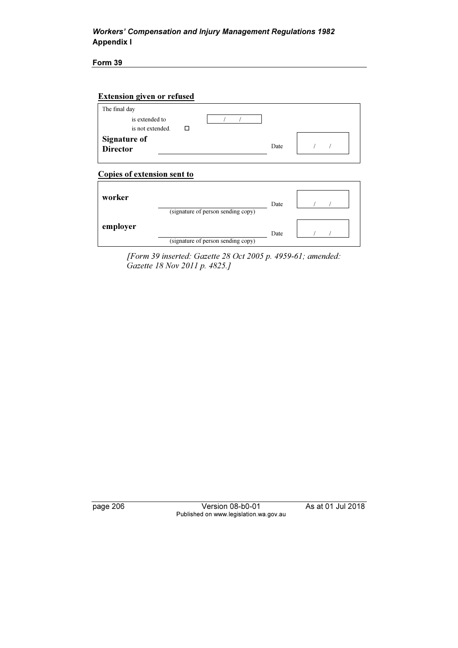Form 39

| The final day                           |      |  |
|-----------------------------------------|------|--|
| is extended to<br>is not extended.<br>П |      |  |
| <b>Signature of</b><br><b>Director</b>  | Date |  |

# Copies of extension sent to

| worker   | (signature of person sending copy) | Date |  |
|----------|------------------------------------|------|--|
| employer | (signature of person sending copy) | Date |  |

 [Form 39 inserted: Gazette 28 Oct 2005 p. 4959-61; amended: Gazette 18 Nov 2011 p. 4825.]

page 206 Version 08-b0-01 As at 01 Jul 2018 Published on www.legislation.wa.gov.au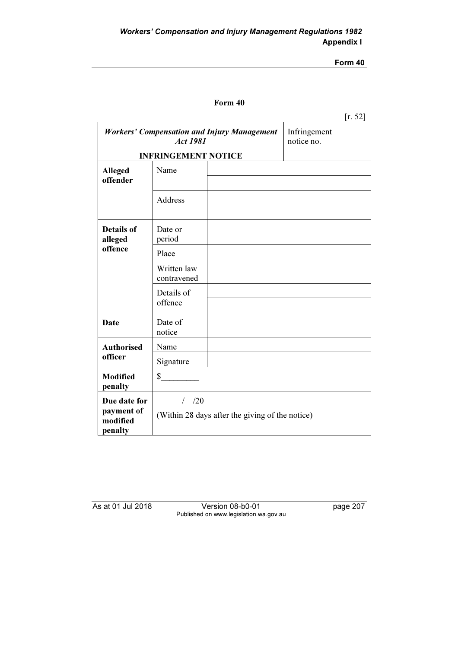## Form 40

|                                                                       |                                                            |  |                            | [r. 52] |
|-----------------------------------------------------------------------|------------------------------------------------------------|--|----------------------------|---------|
| <b>Workers' Compensation and Injury Management</b><br><b>Act 1981</b> |                                                            |  | Infringement<br>notice no. |         |
|                                                                       | <b>INFRINGEMENT NOTICE</b>                                 |  |                            |         |
| <b>Alleged</b><br>offender                                            | Name                                                       |  |                            |         |
|                                                                       | Address                                                    |  |                            |         |
| <b>Details of</b><br>alleged                                          | Date or<br>period                                          |  |                            |         |
| offence                                                               | Place                                                      |  |                            |         |
|                                                                       | Written law<br>contravened                                 |  |                            |         |
|                                                                       | Details of<br>offence                                      |  |                            |         |
| <b>Date</b>                                                           | Date of<br>notice                                          |  |                            |         |
| <b>Authorised</b>                                                     | Name                                                       |  |                            |         |
| officer                                                               | Signature                                                  |  |                            |         |
| <b>Modified</b><br>penalty                                            | \$                                                         |  |                            |         |
| Due date for<br>payment of<br>modified<br>penalty                     | $/$ /20<br>(Within 28 days after the giving of the notice) |  |                            |         |

As at 01 Jul 2018 Version 08-b0-01 page 207 Published on www.legislation.wa.gov.au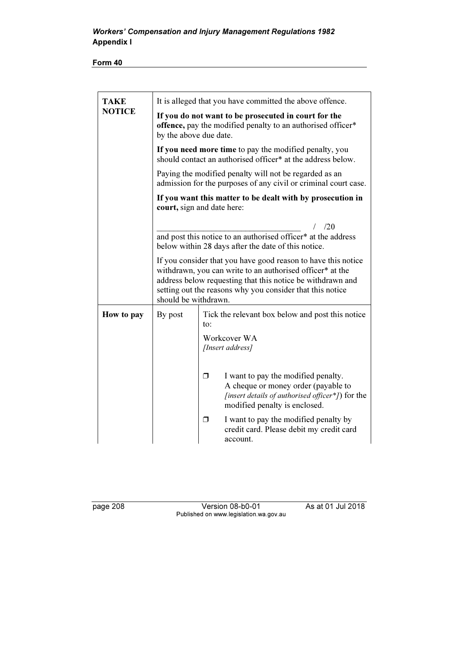Form 40

| <b>TAKE</b>   |                                                                                                                                                                                                                                                                               | It is alleged that you have committed the above offence.                                                                                                             |  |  |
|---------------|-------------------------------------------------------------------------------------------------------------------------------------------------------------------------------------------------------------------------------------------------------------------------------|----------------------------------------------------------------------------------------------------------------------------------------------------------------------|--|--|
| <b>NOTICE</b> | If you do not want to be prosecuted in court for the<br>offence, pay the modified penalty to an authorised officer*<br>by the above due date.                                                                                                                                 |                                                                                                                                                                      |  |  |
|               | If you need more time to pay the modified penalty, you<br>should contact an authorised officer* at the address below.                                                                                                                                                         |                                                                                                                                                                      |  |  |
|               | Paying the modified penalty will not be regarded as an<br>admission for the purposes of any civil or criminal court case.                                                                                                                                                     |                                                                                                                                                                      |  |  |
|               | If you want this matter to be dealt with by prosecution in<br>court, sign and date here:                                                                                                                                                                                      |                                                                                                                                                                      |  |  |
|               | /20<br>and post this notice to an authorised officer* at the address<br>below within 28 days after the date of this notice.                                                                                                                                                   |                                                                                                                                                                      |  |  |
|               | If you consider that you have good reason to have this notice<br>withdrawn, you can write to an authorised officer* at the<br>address below requesting that this notice be withdrawn and<br>setting out the reasons why you consider that this notice<br>should be withdrawn. |                                                                                                                                                                      |  |  |
| How to pay    | By post                                                                                                                                                                                                                                                                       | Tick the relevant box below and post this notice<br>to:                                                                                                              |  |  |
|               |                                                                                                                                                                                                                                                                               | Workcover WA<br>[Insert address]                                                                                                                                     |  |  |
|               |                                                                                                                                                                                                                                                                               | I want to pay the modified penalty.<br>⊓<br>A cheque or money order (payable to<br>[insert details of authorised officer*]) for the<br>modified penalty is enclosed. |  |  |
|               |                                                                                                                                                                                                                                                                               | I want to pay the modified penalty by<br>σ<br>credit card. Please debit my credit card<br>account.                                                                   |  |  |

page 208 Version 08-b0-01 As at 01 Jul 2018 Published on www.legislation.wa.gov.au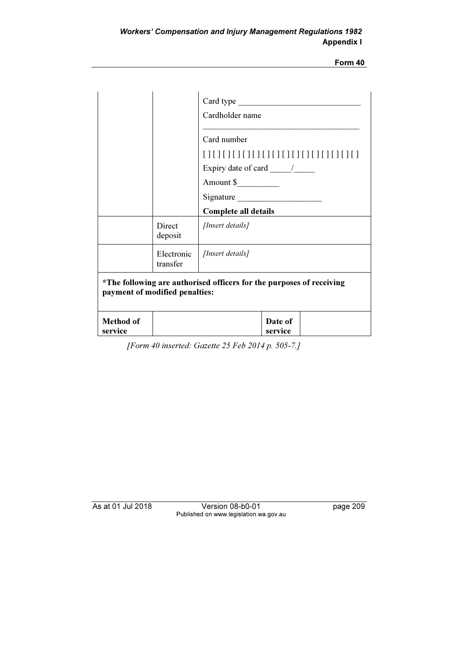Form 40

|                                |                          | Cardholder name                                                      |  |  |  |  |  |  |  |  |
|--------------------------------|--------------------------|----------------------------------------------------------------------|--|--|--|--|--|--|--|--|
|                                |                          | Card number                                                          |  |  |  |  |  |  |  |  |
|                                |                          |                                                                      |  |  |  |  |  |  |  |  |
|                                |                          | Expiry date of card $\frac{\ }{\ }$                                  |  |  |  |  |  |  |  |  |
|                                |                          | Amount \$                                                            |  |  |  |  |  |  |  |  |
|                                |                          | Signature                                                            |  |  |  |  |  |  |  |  |
|                                |                          | <b>Complete all details</b>                                          |  |  |  |  |  |  |  |  |
|                                | <b>Direct</b><br>deposit | [Insert details]                                                     |  |  |  |  |  |  |  |  |
|                                | Electronic<br>transfer   | [Insert details]                                                     |  |  |  |  |  |  |  |  |
| payment of modified penalties: |                          | *The following are authorised officers for the purposes of receiving |  |  |  |  |  |  |  |  |
| <b>Method of</b><br>service    |                          | Date of<br>service                                                   |  |  |  |  |  |  |  |  |

[Form 40 inserted: Gazette 25 Feb 2014 p. 505-7.]

As at 01 Jul 2018 Version 08-b0-01 page 209 Published on www.legislation.wa.gov.au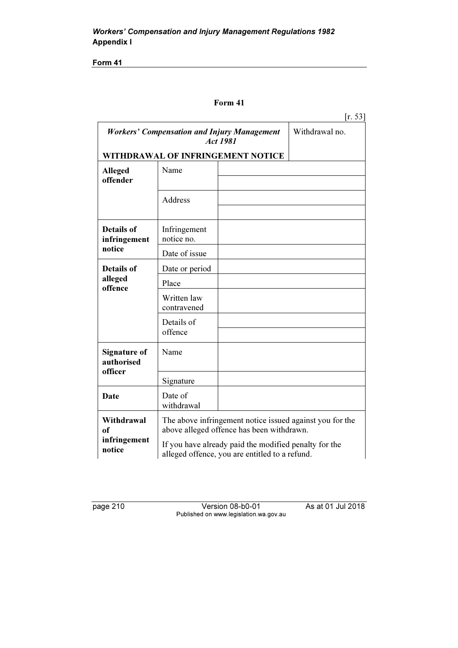Form 41

## Form 41

|                                   |                                                                                                         |  | [r. 53]                                                  |  |  |  |  |  |
|-----------------------------------|---------------------------------------------------------------------------------------------------------|--|----------------------------------------------------------|--|--|--|--|--|
|                                   | <b>Workers' Compensation and Injury Management</b><br>Act 1981                                          |  | Withdrawal no.                                           |  |  |  |  |  |
|                                   | WITHDRAWAL OF INFRINGEMENT NOTICE                                                                       |  |                                                          |  |  |  |  |  |
| <b>Alleged</b><br>offender        | Name                                                                                                    |  |                                                          |  |  |  |  |  |
|                                   | Address                                                                                                 |  |                                                          |  |  |  |  |  |
| <b>Details of</b><br>infringement | Infringement<br>notice no.                                                                              |  |                                                          |  |  |  |  |  |
| notice                            | Date of issue                                                                                           |  |                                                          |  |  |  |  |  |
| <b>Details of</b>                 | Date or period                                                                                          |  |                                                          |  |  |  |  |  |
| alleged                           | Place                                                                                                   |  |                                                          |  |  |  |  |  |
| offence                           | Written law<br>contravened                                                                              |  |                                                          |  |  |  |  |  |
|                                   | Details of<br>offence                                                                                   |  |                                                          |  |  |  |  |  |
| <b>Signature of</b><br>authorised | Name                                                                                                    |  |                                                          |  |  |  |  |  |
| officer                           | Signature                                                                                               |  |                                                          |  |  |  |  |  |
| <b>Date</b>                       | Date of<br>withdrawal                                                                                   |  |                                                          |  |  |  |  |  |
| Withdrawal<br>of                  | above alleged offence has been withdrawn.                                                               |  | The above infringement notice issued against you for the |  |  |  |  |  |
| infringement<br>notice            | If you have already paid the modified penalty for the<br>alleged offence, you are entitled to a refund. |  |                                                          |  |  |  |  |  |

| page | 10 |  |
|------|----|--|
|      |    |  |

**Version 08-b0-01** As at 01 Jul 2018 Published on www.legislation.wa.gov.au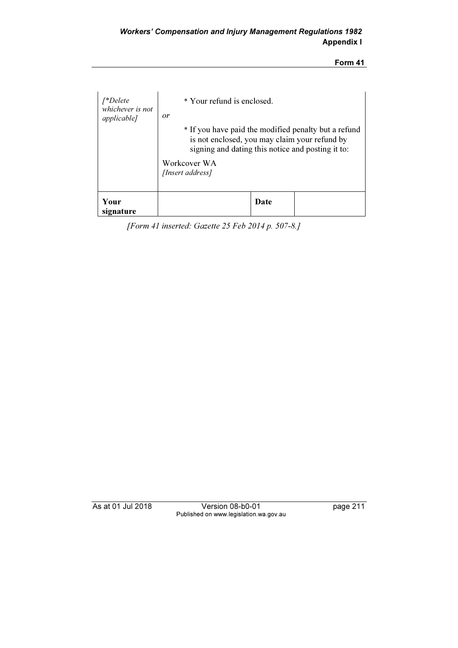## Form 41

| [*Delete<br>whichever is not<br><i>applicable]</i> | * Your refund is enclosed.<br>or |                                                                                                                                                            |  |  |  |  |  |  |  |  |  |
|----------------------------------------------------|----------------------------------|------------------------------------------------------------------------------------------------------------------------------------------------------------|--|--|--|--|--|--|--|--|--|
|                                                    |                                  | * If you have paid the modified penalty but a refund<br>is not enclosed, you may claim your refund by<br>signing and dating this notice and posting it to: |  |  |  |  |  |  |  |  |  |
|                                                    | Workcover WA<br>[Insert address] |                                                                                                                                                            |  |  |  |  |  |  |  |  |  |
| Your<br>signature                                  | Date                             |                                                                                                                                                            |  |  |  |  |  |  |  |  |  |

[Form 41 inserted: Gazette 25 Feb 2014 p. 507-8.]

As at 01 Jul 2018 Version 08-b0-01 page 211 Published on www.legislation.wa.gov.au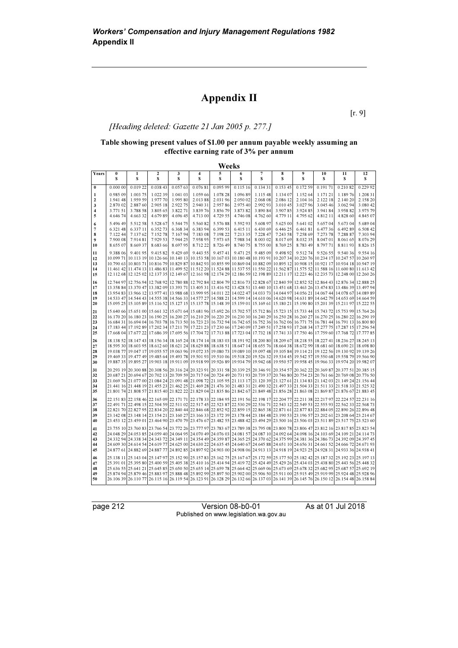# Appendix II

[r. 9]

## [Heading deleted: Gazette 21 Jan 2005 p. 277.]

### Table showing present values of \$1.00 per annum payable weekly assuming an effective earning rate of 3% per annum

|                         | Weeks    |                     |                        |                                                                                                                         |          |          |          |                     |          |          |          |                                                                                                                                                                                                                                                                               |           |  |
|-------------------------|----------|---------------------|------------------------|-------------------------------------------------------------------------------------------------------------------------|----------|----------|----------|---------------------|----------|----------|----------|-------------------------------------------------------------------------------------------------------------------------------------------------------------------------------------------------------------------------------------------------------------------------------|-----------|--|
| Years                   | 0<br>\$  | 1<br>\$             | $\boldsymbol{2}$<br>\$ | 3<br>\$                                                                                                                 | 4<br>s   | 5<br>S   | 6<br>\$  | $\overline{7}$<br>s | 8<br>S   | 9<br>S   | 10<br>\$ | 11<br>S                                                                                                                                                                                                                                                                       | 12<br>s   |  |
| $\bf{0}$                | 0.000 00 | 0.019 22            | 0.038 43               | 0.057 63                                                                                                                | 0.07681  | 0.095 99 | 0.115 16 | 0.13431             | 0.153 45 | 0.172 59 | 0.19171  | 0.21082                                                                                                                                                                                                                                                                       | 0.229 92  |  |
| 1                       | 0.985 09 | 1.003 75            | 1.022 39               | 1.041 03                                                                                                                | 1.059 66 | 1.078 28 | 1.096 89 | 1.115 48            | 1.134 07 | 1.152 64 | 1.171 21 | 1.18976                                                                                                                                                                                                                                                                       | 1.208 31  |  |
| $\mathbf{2}$            | 1.941 48 | 1.959 59            | 1.977 70               | 1.995 80                                                                                                                | 2.013 88 | 2.031 96 | 2.050 02 | 2.068 08            | 2.086 12 | 2.104 16 | 2.122 18 | 2.140 20                                                                                                                                                                                                                                                                      | 2.158 20  |  |
| 3                       | 2.870 02 | 2.887 60            | 2.905 18               | 2.922 75                                                                                                                | 2.940 31 | 2.95786  | 2.975 40 | 2.992 93            | 3.010 45 | 3.02796  | 3.045 46 | 3.06294                                                                                                                                                                                                                                                                       | 3.080 42  |  |
| $\overline{\mathbf{4}}$ | 3.771 51 | 3.788 58            | 3.805 65               | 3.822 71                                                                                                                | 3.83976  | 3.856 79 | 3.873 82 | 3.890 84            | 3.90785  | 3.924 85 | 3.94184  | 3.958 82                                                                                                                                                                                                                                                                      | 3.975 79  |  |
| 5                       | 4.646 74 | 4.663 32            | 4.679 89               | 4.696 45                                                                                                                | 4.713 00 | 4.729 55 | 4.746 08 | 4.762 60            | 4.779 11 | 4.795 62 | 4.812 11 | 4.828 60                                                                                                                                                                                                                                                                      | 4.845 07  |  |
| 6                       | 5.496 49 | 5.512 58            | 5.528 67               | 5.544 75                                                                                                                | 5.560 82 | 5.57688  | 5.592 93 | 5.608 97            | 5.625 00 | 5.641 02 | 5.65704  | 5.673 04                                                                                                                                                                                                                                                                      | 5.689 04  |  |
| $\overline{7}$          | 6.321 48 | 6.337 11            | 6.352 73               | 6.368 34                                                                                                                | 6.383 94 | 6.399 53 | 6.415 11 | 6.430 69            | 6.446 25 | 6.46181  | 6.47736  | 6.49289                                                                                                                                                                                                                                                                       | 6.508 42  |  |
| 8                       | 7.122 44 | 7.137 62            | 7.152 78               | 7.16794                                                                                                                 | 7.183 08 | 7.198 22 | 7.213 35 | 7.228 47            | 7.243 58 | 7.258 69 | 7.273 78 | 7.288 87                                                                                                                                                                                                                                                                      | 7.303 94  |  |
| $\boldsymbol{9}$        | 7.900 08 | 7.91481             | 7.929 53               | 7.944 25                                                                                                                | 7.958 95 | 7.973 65 | 7.988 34 | 8.003 02            | 8.01769  | 8.03235  | 8.047 01 | 8.061 65                                                                                                                                                                                                                                                                      | 8.076 29  |  |
| 10                      | 8.655 07 | 8.66937             | 8.683 66               | 8.697 95                                                                                                                | 8.712 22 | 8.726 49 | 8.740 75 | 8.755 00            | 8.769 25 | 8.783 49 | 8.797 71 | 8.81193                                                                                                                                                                                                                                                                       | 8.826 15  |  |
| 11                      | 9.388 06 | 9.40195             | 9.41582                | 9.429 69                                                                                                                | 9.443 55 | 9.45741  | 9.471 25 | 9.485 09            | 9.498 92 | 9.51274  | 9.526 55 | 9.540 36                                                                                                                                                                                                                                                                      | 9.554 16  |  |
| 12                      |          |                     |                        |                                                                                                                         |          |          |          |                     |          |          |          | 10.099 71 10.113 19 10.126 66 10.140 13 10.153 58 10.167 03 10.180 48 10.193 91 10.207 34 10.220 76 10.234 17 10.247 57 10.260 97                                                                                                                                             |           |  |
| 13                      |          | 10.790 63 10.803 71 |                        |                                                                                                                         |          |          |          |                     |          |          |          | 10,816 79 10.829 87 10.842 93 10.855 99 10.869 04 10.882 09 10.895 12 10.908 15 10.921 17 10.934 18 10.947 19                                                                                                                                                                 |           |  |
| 14                      |          |                     |                        |                                                                                                                         |          |          |          |                     |          |          |          | 11,461 42 11,474 13 11,486 83 11,499 52 11,512 20 11,524 88 11,537 55 11,550 22 11,562 87 11,575 52 11,588 16 11,600 80 11,613 42                                                                                                                                             |           |  |
| 15                      |          |                     |                        |                                                                                                                         |          |          |          |                     |          |          |          | 12,112,68 12,125 02 12,137 35 12,149 67 12,161 98 12,174 29 12,186 59 12,198 89 12,211 17 12,223 46 12,235 73 12,248 00 12,260 26                                                                                                                                             |           |  |
| 16                      |          |                     |                        |                                                                                                                         |          |          |          |                     |          |          |          | 12,744 97 12,756.94 12,768 92 12,780 88 12,792 84 12,804 79 12,816 73 12,828 67 12,840 59 12,852 52 12,864 43 12,876 34 12,888 25                                                                                                                                             |           |  |
| 17                      |          |                     |                        |                                                                                                                         |          |          |          |                     |          |          |          | 13,358 84 13,370 47 13,382 09 13,393 71 13,405 31 13,416 92 13,428 51 13,440 10 13,451 68 13,463 26 13,474 83 13,486 39 13,497 94                                                                                                                                             |           |  |
| 18                      |          |                     |                        |                                                                                                                         |          |          |          |                     |          |          |          | 13,956 12 13,967 14,078 67 14,089 89 14,011 22 14,022 47 14,033 73 14,044 97 14,056 21 14,067 44 14,078 67 14,089 89                                                                                                                                                          |           |  |
| 19<br>20                |          |                     |                        |                                                                                                                         |          |          |          |                     |          |          |          | 14,533 47 14,544 43 14,555 38 14,566 33 14,577 27 14,588 21 14,599 14 14,610 06 14,620 98 14,631 89 14,642 79 14,653 69 14,664 59<br>15,095 25 15,105 89 15,116 52 15,127 15 15,137 78 15,148 39 15,159 01 15,169 61 15,180 21 15,190 80 15,201 39 15,211 97 15,222 55        |           |  |
|                         |          |                     |                        |                                                                                                                         |          |          |          |                     |          |          |          |                                                                                                                                                                                                                                                                               |           |  |
| 21                      |          |                     |                        |                                                                                                                         |          |          |          |                     |          |          |          | 15,641 15,743 72 15,753 99 15,764 26 15,671 164 17,681 96 15,692 26 15,702 57 15,712 86 15,723 15 15,733 44 15,743 72 15,753 99 15,764 26                                                                                                                                     |           |  |
| 22                      |          |                     |                        |                                                                                                                         |          |          |          |                     |          |          |          | 16.170 20 16.180 23 16.190 25 16.200 27 16.210 29 16.220 29 16.230 30 16.240 29 16.250 28 16.260 27 16.270 25 16.280 22 16.290 19                                                                                                                                             |           |  |
| 23<br>24                |          |                     |                        |                                                                                                                         |          |          |          |                     |          |          |          | 16.800 80 16.771 75 16.781 44 16.791 13 16.800 16.723 23 16.732 94 16.742 65 16.752 36 16.762 06 16.771 75 16.781 44 16.791 13 16.800 80<br>17.183 44 17.192 89 17.202 34 17.211 79 17.221 23 17.230 66 17.240 09 17.249 51 17.258 93 17.268 34 17.277 75 17.287 15 17.296 54 |           |  |
| 25                      |          |                     |                        |                                                                                                                         |          |          |          |                     |          |          |          | 17,668 04 17,677 22 17,686 39 17,695 56 17,704 72 17,713 88 17,723 04 17,732 18 17,741 33 17,750 46 17,759 60 17,768 72 17,777 85                                                                                                                                             |           |  |
|                         |          |                     |                        |                                                                                                                         |          |          |          |                     |          |          |          |                                                                                                                                                                                                                                                                               |           |  |
| 26<br>27                |          |                     |                        | 18.138 52 18.147 43 18.156 34 18.165 24 18.174 14 18.183 03 18.191 92 18.200 80 18.209 67 18.218 55 18.227 41 18.236 27 |          |          |          |                     |          |          |          | 18,603 95 18,612 60 18,622 94 18,629 88 18,638 51 18,647 14 18,655 76 18,664 38 18,672 99 18,681 60 18,690 21 18,698 80                                                                                                                                                       | 18.245 13 |  |
| 28                      |          |                     |                        |                                                                                                                         |          |          |          |                     |          |          |          | 19.038 77 19.047 17 19.055 57 19.063 96 19.072 35 19.080 73 19.089 10 19.097 48 19.105 84 19.114 21 19.122 56 19.130 92 19.139 26                                                                                                                                             |           |  |
| 29                      |          |                     |                        |                                                                                                                         |          |          |          |                     |          |          |          | 19,465 19,558 79 19.566 90 19.588 78 19.591 93 19.510 96 19.518 20 19.526 32 19.534 45 19.542 57 19.550 68 19.558 79 19.566 90                                                                                                                                                |           |  |
| 30                      |          |                     |                        |                                                                                                                         |          |          |          |                     |          |          |          | 19,887 35 19,895 27 19,903 18 19,911 09 19,918 99 19,926 89 19,934 79 19,942 68 19,950 57 19,958 45 19,966 33 19,974 20 19,982 07                                                                                                                                             |           |  |
| 31                      |          |                     |                        |                                                                                                                         |          |          |          |                     |          |          |          | 20.293 19 20.300 88 20.308 56 20.316 24 20.323 91 20.331 58 20.339 25 20.346 91 20.354 57 20.362 22 20.369 87 20.377 51 20.385 15                                                                                                                                             |           |  |
| 32                      |          |                     |                        |                                                                                                                         |          |          |          |                     |          |          |          | 20,687 21 20,694 67 20,702 13 20,709 59 20,717 04 20,724 49 20,731 93 20,739 37 20,746 80 20,754 23 20,761 66 20,769 08 20,776 50                                                                                                                                             |           |  |
| 33                      |          |                     |                        |                                                                                                                         |          |          |          |                     |          |          |          | 21.069 76 21.077 00 21.084 24 21.091 48 21.098 72 21.105 95 21.113 17 21.120 39 21.127 61 21.134 83 21.142 03 21.149 24 21.156 44                                                                                                                                             |           |  |
| 34                      |          |                     |                        |                                                                                                                         |          |          |          |                     |          |          |          | 21.441 16 21.448 19 21.455 23 21.462 25 21.469 28 21.476 30 21.483 31 21.490 32 21.497 33 21.504 33 21.511 33 21.518 33 21.525 32                                                                                                                                             |           |  |
| 35                      |          |                     |                        |                                                                                                                         |          |          |          |                     |          |          |          | 21.801 74 21.808 57 21.815 40 21.822 22 21.829 04 21.835 86 21.842 67 21.849 48 21.856 28 21.863 08 21.869 87 21.876 67 21.883 45                                                                                                                                             |           |  |
| 36                      |          |                     |                        |                                                                                                                         |          |          |          |                     |          |          |          | 22.151 83 22.158 46 22.165 09 22.171 71 22.178 33 22.184 95 22.191 56 22.198 17 22.204 77 22.211 38 22.217 97 22.224 57 22.231 16                                                                                                                                             |           |  |
| 37                      |          |                     |                        |                                                                                                                         |          |          |          |                     |          |          |          | 22.491 71 22.498 15 22.504 59 22.511 02 22.517 45 22.523 87 22.530 29 22.536 71 22.543 12 22.549 53 22.555 93 22.568 23 22.568 73                                                                                                                                             |           |  |
| 38                      |          |                     |                        |                                                                                                                         |          |          |          |                     |          |          |          | 22.821 70 22.827 95 22.834 20 22.840 44 22.846 68 22.852 92 22.859 15 22.865 38 22.871 61 22.877 83 22.884 05 22.890 26 22.896 48                                                                                                                                             |           |  |
| 39                      |          |                     |                        |                                                                                                                         |          |          |          |                     |          |          |          | 23, 142 08 23, 148 14 23, 154 21 23, 160 27 23, 166 33 23, 172 39 23, 178 44 23, 184 48 23, 190 53 23, 196 57 23, 202 61 23, 208 64 23, 214 67                                                                                                                                |           |  |
| 40                      |          |                     |                        |                                                                                                                         |          |          |          |                     |          |          |          | 23,459 01 23,464 90 23,470 79 23,476 67 23,482 55 23,488 42 23,494 49 23,500 16 23,506 03 23,511 89 23,517 75 23,523 60                                                                                                                                                       |           |  |
| 41                      |          |                     |                        |                                                                                                                         |          |          |          |                     |          |          |          | 23,755 10 23,760 83 23,766 54 23,772 26 23,777 97 23,783 67 23,789 38 23,795 08 23,800 78 23,806 47 23,812 16 23,817 85 23,823 54                                                                                                                                             |           |  |
| 42                      |          |                     |                        |                                                                                                                         |          |          |          |                     |          |          |          | 24.041 24.059 24.059 24.059 24.064 24.070 24.070 24.070 24.070 24.070 24.087 24.087 24.087 26 24.092 26 26 27                                                                                                                                                                 |           |  |
| 43                      |          |                     |                        |                                                                                                                         |          |          |          |                     |          |          |          | 24.332 94 24.338 34 24.343 72 24.349 11 24.354 49 24.359 87 24.365 25 24.370 62 24.375 99 24.381 36 24.386 73 24.392 09 24.397 45                                                                                                                                             |           |  |
| 44                      |          |                     |                        |                                                                                                                         |          |          |          |                     |          |          |          | 24.609 30 24.614 54 24.619 77 24.625 00 24.630 22 24.635 45 24.640 67 24.645 88 24.651 10 24.656 31 24.661 52 24.666 72 24.671 93                                                                                                                                             |           |  |
| 45                      |          |                     |                        |                                                                                                                         |          |          |          |                     |          |          |          | 24.877 61 24.882 69 24.887 77 24.892 85 24.897 92 24.903 00 24.908 06 24.913 13 24.918 19 24.923 25 24.928 31 24.933 36 24.938 41                                                                                                                                             |           |  |
| 46                      |          |                     |                        |                                                                                                                         |          |          |          |                     |          |          |          | 25, 138 11 25, 143 04 25, 147 97 25, 152 90 25, 157 83 25, 162 75 25, 167 67 25, 172 59 25, 177 50 25, 182 42 25, 187 32 25, 192 23 25, 197 13                                                                                                                                |           |  |
| 47                      |          |                     |                        |                                                                                                                         |          |          |          |                     |          |          |          | 25.400 59 25.400 25.400 25.400 25.400 38 25.410 16 25.414 94 25.419 72 25.424 49 25.429 26 25.434 03 25.438 80 25.443 56 25.448 32                                                                                                                                            |           |  |
| 48                      |          |                     |                        |                                                                                                                         |          |          |          |                     |          |          |          | 25.682 95 25.682 95 25.687 57 25.692 91 25.658 25.659 14 25.659 78 25.664 42 25.669 06 25.673 69 25.678 32 25.682 95 25.687 57 25.692 91                                                                                                                                      |           |  |
| 49                      |          |                     |                        |                                                                                                                         |          |          |          |                     |          |          |          | 25.874 94 25.879 46 25.883 97 25.888 48 25.892 99 25.897 50 25.902 00 25.906 50 25.911 00 25.915 49 25.919 99 25.924 48 25.928 96                                                                                                                                             |           |  |
| 50                      |          |                     |                        |                                                                                                                         |          |          |          |                     |          |          |          | 26, 106 39 26, 110 77 26, 115 16 26, 119 54 26, 123 91 26, 128 29 26, 132 66 26, 137 03 26, 141 39 26, 145 76 26, 150 12 26, 154 48 26, 158 84                                                                                                                                |           |  |

page 212 Version 08-b0-01 As at 01 Jul 2018 Published on www.legislation.wa.gov.au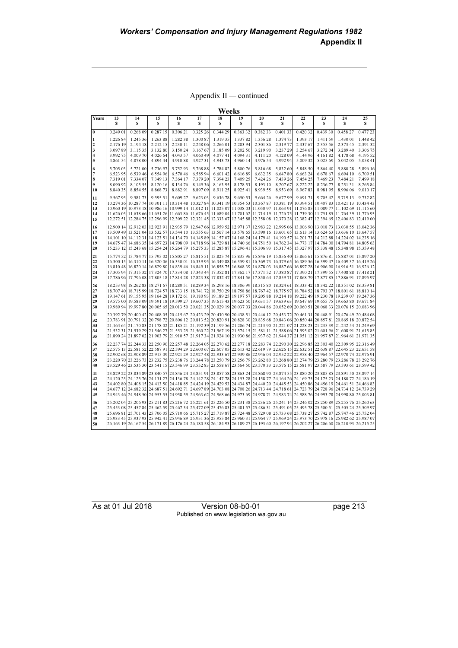Appendix II — continued

|          |                      |                      |                      |                                                                                                                                                                                                                                                                                     |                      | Weeks                |                      |                      |                      |                      |                      |                      |                      |
|----------|----------------------|----------------------|----------------------|-------------------------------------------------------------------------------------------------------------------------------------------------------------------------------------------------------------------------------------------------------------------------------------|----------------------|----------------------|----------------------|----------------------|----------------------|----------------------|----------------------|----------------------|----------------------|
| Years    | 13<br>S              | 14<br>\$             | 15<br>S              | 16<br>s                                                                                                                                                                                                                                                                             | 17<br>s              | 18<br>S              | 19<br>\$             | 20<br>s              | 21<br>s              | 22<br>s              | 23<br>s              | 24<br>S              | 25<br>s              |
| $\bf{0}$ | 0.249 01             | 0.268 09             | 0.28715              | 0.306 21                                                                                                                                                                                                                                                                            | 0.325 26             | 0.344 29             | 0.363 32             | 0.38233              | 0.40133              | 0.42032              | 0.43930              | 0.458 27             | 0.477 23             |
| 1        | 1.226 84             | 1.245 36             | 1.263 88             | 1.282 38                                                                                                                                                                                                                                                                            | 1.300 87             | 1.319 35             | 1.33782              | 1.356 28             | 1.374 73             | 1.393 17             | 1.411 59             | 1.430 01             | 1.448 42             |
| 2        | 2.176 19<br>3.09789  | 2.194 18<br>3.115 35 | 2.212 15<br>3.132 80 | 2.230 11<br>3.150 24                                                                                                                                                                                                                                                                | 2.248 06<br>3.167 67 | 2.266 01<br>3.185 09 | 2.283 94<br>3.202 50 | 2.301 86<br>3.219 90 | 2.31977<br>3.237 29  | 2.337 67<br>3.254 67 | 2.355 56<br>3.272 04 | 2.373 45<br>3.289 40 | 2.39132<br>3.306 75  |
| 3<br>4   | 3.992 75             | 4.009 70             | 4.026 64             | 4.043 57                                                                                                                                                                                                                                                                            | 4.060 49             | 4.07741              | 4.094 31             | 4.111 20             | 4.128 09             | 4.144 96             | 4.16182              | 4.178 68             | 4.195 52             |
| 5        | 4.861 54             | 4.878 00             | 4.894 44             | 4.91088                                                                                                                                                                                                                                                                             | 4.92731              | 4.943 73             | 4.960 14             | 4.976 54             | 4.992 94             | 5.00932              | 5.025 69             | 5.042 05             | 5.058 41             |
| 6        | 5.705 03             | 5.721 00             | 5.736 97             | 5.75293                                                                                                                                                                                                                                                                             | 5.768 88             | 5.784 82             | 5.800 76             | 5.816 68             | 5.832 60             | 5.848 50             | 5.864 40             | 5.88028              | 5.896 16             |
| 7        | 6.523 95             | 6.539 46             | 6.554 96             | 6.570 46                                                                                                                                                                                                                                                                            | 6.585 94             | 6.601 42             | 6.61689              | 6.632 35             | 6.64780              | 6.663 24             | 6.678 67             | 6.694 10             | 6.709 51             |
| 8<br>9   | 7.319 01<br>8.090 92 | 7.334 07<br>8.105 55 | 7.349 13<br>8.120 16 | 7.364 17<br>8.13476                                                                                                                                                                                                                                                                 | 7.379 20<br>8.14936  | 7.394 23<br>8.163 95 | 7.409 25<br>8.178.53 | 7.424 26<br>8.193 10 | 7.439 26<br>8.207 67 | 7.454 25<br>8.222 22 | 7.469 23<br>8.236 77 | 7.484 21<br>8.25131  | 7.499 18<br>8.265 84 |
| 10       | 8.84035              | 8.854 55             | 8.86873              | 8.882 91                                                                                                                                                                                                                                                                            | 8.897 09             | 8.911 25             | 8.925 41             | 8.939 55             | 8.953 69             | 8.96783              | 8.98195              | 8.996 06             | 9.010 17             |
| 11       | 9.56795              | 9.581 73             | 9.595 51             | 9.609 27                                                                                                                                                                                                                                                                            | 9.623 03             | 9.636 78             | 9.650 53             | 9.664 26             | 9.67799              | 9.69171              | 9.705 42             | 9.719 13             | 9.73282              |
| 12       |                      |                      |                      | 10.274 36 10.287 74 10.301 11 10.314 48 10.327 84 10.341 19 10.354 53 10.367 87 10.381 19 10.394 51 10.407 83 10.421 13 10.434 43                                                                                                                                                   |                      |                      |                      |                      |                      |                      |                      |                      |                      |
| 13       |                      |                      |                      | 10.960 19 10.973 18 10.986 16 10.999 14 11.012 11 11.025 07 11.038 03 11.050 97 11.063 91 11.076 85 11.089 77 11.102 69 11.115 60                                                                                                                                                   |                      |                      |                      |                      |                      |                      |                      |                      |                      |
| 14<br>15 | 11.626 05            |                      |                      | 11,638 66 11,651 26 11,663 86 11,676 45 11,689 04 11,701 62 11,714 19 11,726 75 11,739 30 11,751 85 11,764 39 11,776 93<br>12,272 51 12,284 75 12,296 99 12,309 22 12,321 45 12,333 67 12,345 88 12,358 08 12,370 28 12,382 47 12,394 65 12,406 83 12,419 00                        |                      |                      |                      |                      |                      |                      |                      |                      |                      |
|          |                      |                      |                      |                                                                                                                                                                                                                                                                                     |                      |                      |                      |                      |                      |                      |                      |                      |                      |
| 16<br>17 |                      |                      |                      | 12,900 14 12,912 03 12,923 91 12,935 79 12,947 66 12,959 52 12,971 37 12,983 22 12,995 06 13,006 90 13,018 73 13,030 55 13,042 36<br>13,509 49 13,521 04 13,532 57 13,544 10 13,555 63 13,567 14 13,578 65 13,590 16 13,601 65 13,613 14 13,624 63 13,636 10 13,647 57              |                      |                      |                      |                      |                      |                      |                      |                      |                      |
| 18       |                      |                      |                      | 14.101 10 14.112 31 14.123 51 14.134 70 14.145 89 14.157 07 14.168 24 14.179 41 14.190 57 14.201 73 14.212 88 14.224 02 14.235 16                                                                                                                                                   |                      |                      |                      |                      |                      |                      |                      |                      |                      |
| 19       |                      |                      |                      | 14.675 47 14.686 35 14.697 23 14.708 09 14.718 96 14.729 81 14.740 66 14.751 50 14.762 34 14.773 17 14.784 00 14.794 81 14.805 63                                                                                                                                                   |                      |                      |                      |                      |                      |                      |                      |                      |                      |
| 20       |                      |                      |                      | 15.233 12 15.243 68 15.254 24 15.264 79 15.275 33 15.285 87 15.296 41 15.306 93 15.317 45 15.327 97 15.338 48 15.348 98 15.359 48                                                                                                                                                   |                      |                      |                      |                      |                      |                      |                      |                      |                      |
| 21       |                      |                      |                      | 15.774 52 15.784 77 15.795 02 15.805 27 15.815 51 15.825 74 15.835 96 15.846 19 15.856 40 15.866 61 15.876 81 15.887 01 15.897 20                                                                                                                                                   |                      |                      |                      |                      |                      |                      |                      |                      |                      |
| 22<br>23 |                      |                      |                      | 16,300 15 16,310 11 16,320 06 16,330 01 16,339 95 16,349 88 16,359 81 16,369 73 16,379 65 16,389 56 16,399 47 16,409 37 16,419 26<br>16.810 48 16.820 14 16.829 80 16.839 46 16.849 11 16.858 75 16.868 39 16.878 03 16.887 66 16.897 28 16.906 90 16.916 51 16.926 12              |                      |                      |                      |                      |                      |                      |                      |                      |                      |
| 24       |                      |                      |                      | 17.305 94 17.315 32 17.324 70 17.334 08 17.343 44 17.352 81 17.362 17 17.371 52 17.380 87 17.390 21 17.399 55 17.408 88 17.418 21                                                                                                                                                   |                      |                      |                      |                      |                      |                      |                      |                      |                      |
| 25       |                      |                      |                      | 17,869 (17,796 08 17,805 18 17,814 28 17,823 38 17,832 47 17,841 56 17,850 64 17,859 71 17,868 79 17,877 85 17,886 91 17,895 97                                                                                                                                                     |                      |                      |                      |                      |                      |                      |                      |                      |                      |
| 26       |                      |                      |                      | 18.253 98 18.262 83 18.271 67 18.280 51 18.289 34 18.298 16 18.306 99 18.315 80 18.324 61 18.333 42 18.342 22 18.351 02 18.359 81                                                                                                                                                   |                      |                      |                      |                      |                      |                      |                      |                      |                      |
| 27       |                      |                      |                      | 18.707 40 18.715 99 18.724 57 18.733 15 18.741 72 18.750 29 18.758 86 18.767 42 18.775 97 18.784 52 18.793 07 18.801 61 18.810 14<br>19, 147 61 19, 155 95 19, 164 28 19, 172 61 19, 180 93 19, 189 25 19, 197 57 19, 205 88 19, 214 18 19, 222 49 19, 230 78 19, 230 97 19, 247 36 |                      |                      |                      |                      |                      |                      |                      |                      |                      |
| 28<br>29 |                      |                      |                      | 19,575 00 19,583 09 19,591 18 19,599 27 19,607 35 19,615 43 19,623 50 19,631 57 19,639 63 19,647 69 19,655 75 19,663 80 19,671 84                                                                                                                                                   |                      |                      |                      |                      |                      |                      |                      |                      |                      |
| 30       |                      |                      |                      | 19.989 94 19.997 80 20.005 65 20.013 50 20.021 35 20.029 19 20.037 03 20.044 86 20.052 69 20.060 51 20.068 33 20.076 15 20.083 96                                                                                                                                                   |                      |                      |                      |                      |                      |                      |                      |                      |                      |
| 31       |                      |                      |                      | 20.484 08 20.496 120.406 120.408 120.415 120.423 29 20.430 20.438 21 20.446 12 20.453 72 20.461 31 20.468 21 20.476 49 20.484 08                                                                                                                                                    |                      |                      |                      |                      |                      |                      |                      |                      |                      |
| 32       |                      |                      |                      | 20.783 91 20.791 32 20.798 72 20.806 12 20.813 52 20.820 91 20.828 30 20.835 68 20.843 06 20.850 44 20.857 81 20.865 18 20.872 54                                                                                                                                                   |                      |                      |                      |                      |                      |                      |                      |                      |                      |
| 33<br>34 |                      |                      |                      | 21.164 64 21.170 83 21.178 02 21.185 21 21.192 39 21.199 56 21.206 74 21.213 90 21.221 07 21.228 23 21.235 39 21.242 54 21.249 69<br>21.532 31 21.539 29 21.546 27 21.553 25 21.560 22 21.567 19 21.574 15 21.581 11 21.588 06 21.595 02 21.601 96 21.608 91 21.615 85              |                      |                      |                      |                      |                      |                      |                      |                      |                      |
| 35       |                      |                      |                      | 21.890 24 21.897 02 21.903 79 21.910 57 21.917 34 21.924 10 21.930 86 21.937 62 21.944 37 21.951 12 21.957 87 21.964 61 21.971 35                                                                                                                                                   |                      |                      |                      |                      |                      |                      |                      |                      |                      |
| 36       |                      |                      |                      | 22.237 74 22.244 33 22.250 90 22.257 48 22.264 05 22.270 62 22.277 18 22.283 74 22.290 30 22.296 85 22.303 40 22.309 95 22.316 49                                                                                                                                                   |                      |                      |                      |                      |                      |                      |                      |                      |                      |
| 37       |                      |                      |                      | 22.575 13 22.581 52 22.587 91 22.594 29 22.600 67 22.607 05 22.613 42 22.619 79 22.626 15 22.632 51 22.638 87 22.645 23 22.651 58                                                                                                                                                   |                      |                      |                      |                      |                      |                      |                      |                      |                      |
| 38       |                      |                      |                      | 22,902 68 22,908 89 22,915 09 22,921 29 22,927 48 22,933 67 22,939 86 22,946 04 22,952 22 22,958 40 22,964 57 22,970 74 22,976 91                                                                                                                                                   |                      |                      |                      |                      |                      |                      |                      |                      |                      |
| 39<br>40 | 23.220 70            |                      |                      | 23,226 73 23,232 75 23,238 76 23,244 78 23,250 79 23,256 79 23,262 80 23,268 80 23,274 79 23,280 79 23,286 78 23 292 76<br>23,529 46 23,535 30 23,541 15 23,546 99 23,552 83 23,558 67 23,564 50 23,570 33 23,576 15 23,581 97 23,587 79 23,593 61 23,599 42                        |                      |                      |                      |                      |                      |                      |                      |                      |                      |
| 41       |                      |                      |                      | 23,829 22 23,834 89 23,840 57 23,846 24 23,851 91 23,857 58 23,863 24 23,868 90 23,874 55 23,880 20 23,885 85 23,891 50 23,897 14                                                                                                                                                   |                      |                      |                      |                      |                      |                      |                      |                      |                      |
| 42       |                      |                      |                      | 24.126.197 24.127 25 24.127 24.128 24.149 27 24.142 28 24.147 28 24.147 28 24.153 28 24.158 27 24.164 26 24.169 27 24.169 27 24.175 23 24.180 22 24.186 19                                                                                                                          |                      |                      |                      |                      |                      |                      |                      |                      |                      |
| 43       |                      |                      |                      | 24.402 80 24.408 15 24.413 50 24.418 85 24.424 19 24.429 53 24.434 87 24.440 20 24.445 53 24.450 86 24.456 19 24.466 13 24.466 83                                                                                                                                                   |                      |                      |                      |                      |                      |                      |                      |                      |                      |
| 44       |                      |                      |                      | 24.677 12 24.682 32 24.687 51 24.692 71 24.697 89 24.703 08 24.708 26 24.713 44 24.718 61 24.723 79 24.723 96 24.723 12 24.734 12 24.739 29                                                                                                                                         |                      |                      |                      |                      |                      |                      |                      |                      |                      |
| 45       |                      |                      |                      | 24.943 46 24.948 50 24.953 55 24.958 59 24.963 62 24.968 66 24.973 69 24.978 71 24.983 74 24.988 76 24.993 78 24.998 80 25.003 81                                                                                                                                                   |                      |                      |                      |                      |                      |                      |                      |                      |                      |
| 46       |                      |                      |                      | 25.200 93 25.211 83 25.216 72 25.226 10 25.226 50 25 231 38 25.236 26 25.241 14 25.246 02 25.250 89 25.255 76 25.260 63<br>25.457 84 25.462 59 25.467 34 25.472 09 25.476 83 25.481 57 25.486 31 25.491 05 25.495 78 25.500 51 25.505 24 25.509 97                                  |                      |                      |                      |                      |                      |                      |                      |                      |                      |
| 47<br>48 |                      |                      |                      | 25,696 81 25,701 43 25,706 05 25,710 66 25,715 27 25,719 87 25,724 48 25,729 08 25,733 68 25,738 27 25,742 87 25,747 46 25,752 04                                                                                                                                                   |                      |                      |                      |                      |                      |                      |                      |                      |                      |
| 49       |                      |                      |                      | 25.933 45 25.937 93 25.942 41 25.946 89 25.951 36 25.955 84 25.960 31 25.964 77 25.969 24 25.973 70 25.978 16 25.982 62 25.987 07                                                                                                                                                   |                      |                      |                      |                      |                      |                      |                      |                      |                      |
| 50       |                      |                      |                      | 26, 163 19 26, 167 54 26, 171 89 26, 176 24 26, 180 58 26, 184 93 26, 189 27 26, 193 60 26, 197 94 26, 202 27 26, 206 60 26, 210 93 26, 215 25                                                                                                                                      |                      |                      |                      |                      |                      |                      |                      |                      |                      |

As at 01 Jul 2018 Version 08-b0-01 page 213 Published on www.legislation.wa.gov.au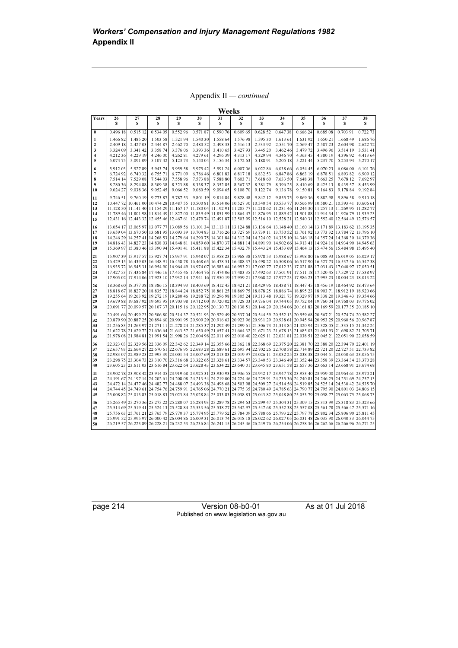Appendix II — continued

| Years        | 26                   | 27                   | 28                   | 29                   | 30                   | 31                   | 32                  | 33                   | 34                                                                                                                                                                                                                                                                       | 35                   | 36                   | 37                   | 38                  |
|--------------|----------------------|----------------------|----------------------|----------------------|----------------------|----------------------|---------------------|----------------------|--------------------------------------------------------------------------------------------------------------------------------------------------------------------------------------------------------------------------------------------------------------------------|----------------------|----------------------|----------------------|---------------------|
|              | S                    | s                    | s                    | s                    | s                    | S                    | s                   | s                    | s                                                                                                                                                                                                                                                                        | s                    | s                    | s                    | s                   |
| $\bf{0}$     | 0.496 18             | 0.515 12             | 0.534 05             | 0.55296              | 0.57187              | 0.590 76             | 0.609 65            | 0.628 52             | 0.64738                                                                                                                                                                                                                                                                  | 0.666 24             | 0.685 08             | 0.703 91             | 0.722 73            |
| 1            | 1.46682              | 1.485 20             | 1.503 58             | 1.521 94             | 1.540 30             | 1.558 64             | 1.576 98            | 1.595 30             | 1.613 61                                                                                                                                                                                                                                                                 | 1.63192              | 1.650 21             | 1.668 49             | 1.686 76            |
| $\mathbf{2}$ | 2.409 18             | 2.427 03             | 2.444 87             | 2.462 70             | 2.480 52             | 2.498 33             | 2.516 13            | 2.533 92             | 2.551 70                                                                                                                                                                                                                                                                 | 2.569 47             | 2.58723              | 2.604 98             | 2.622 72            |
| 3<br>4       | 3.324 09<br>4.212 36 | 3.341 42<br>4.229 19 | 3.358 74<br>4.246 00 | 3.376 06<br>4.262 81 | 3.393 36<br>4.279 61 | 3.410 65<br>4.296 39 | 3.42793<br>4.313 17 | 3.445 20<br>4.329 94 | 3.462 46<br>4.346 70                                                                                                                                                                                                                                                     | 3.479 72<br>4.363 45 | 3.496 96<br>4.380 19 | 3.514 19<br>4.396 92 | 3.53141<br>4.413 64 |
| 5            | 5.074 75             | 5.091 09             | 5.10742              | 5.123 73             | 5.140 04             | 5.15634              | 5.172 63            | 5.18891              | 5.205 18                                                                                                                                                                                                                                                                 | 5.221 44             | 5.237 70             | 5.253 94             | 5.270 17            |
| 6            | 5.91203              | 5.92789              | 5.943 74             | 5.959 58             | 5.975 42             | 5.991 24             | 6.007 06            | 6.022 86             | 6.038 66                                                                                                                                                                                                                                                                 | 6.054 45             | 6.070 23             | 6.086.00             | 6.10176             |
| 7            | 6.724 92             | 6.740 32             | 6.755 71             | 6.771 09             | 6.786 46             | 6.80183              | 6.81718             | 6.832 53             | 6.84786                                                                                                                                                                                                                                                                  | 6.863 19             | 6.878 51             | 6.89382              | 6.909 12            |
| 8            | 7.514 14             | 7.529 08             | 7.544 03             | 7.558 96             | 7.573 88             | 7.588 80             | 7.603 71            | 7.618 60             | 7.633 50                                                                                                                                                                                                                                                                 | 7.64838              | 7.663 25             | 7.678 12             | 7.692 97            |
| 9            | 8.280 36             | 8.294 88             | 8.30938              | 8.323 88             | 8.338 37             | 8.35285              | 8.36732             | 8.38179              | 8.396 25                                                                                                                                                                                                                                                                 | 8.410 69             | 8.425 13             | 8.439 57             | 8.453 99            |
| 10           | 9.024 27             | 9.038 36             | 9.052 45             | 9.066 52             | 9.080 59             | 9.094 65             | 9.108 70            | 9.122 74             | 9.13678                                                                                                                                                                                                                                                                  | 9.150 81             | 9.16483              | 9.178 84             | 9.19284             |
| 11           | 9.746 51             | 9.760 19             | 9.773 87             | 9.787 53             | 9.801 19             | 9.814 84             | 9.828 48            | 9.842 12             | 9.855 75                                                                                                                                                                                                                                                                 | 9.86936              | 9.88298              | 9.896 58             | 9.910 18            |
| 12<br>13     | 10.44772             |                      |                      |                      |                      |                      |                     |                      | 10.606 61 10.401 00 10.474 28 10.487 55 10.500 81 10.514 06 10.527 30 10.540 54 10.553 77 10.566 99 10.580 21 10.593 41 10.606 61<br>11.128 50 11.141 40 11.154 29 11.167 17 11.180 04 11.192 91 11.205 77 11.218 62 11.231 46 11.244 30 11.257 13 11.269 95 11.282 77   |                      |                      |                      |                     |
| 14           |                      |                      |                      |                      |                      |                      |                     |                      | 11,789 46 11,801 98 11,814 49 11,827 00 11,839 49 11,851 99 11,864 47 11,876 95 11,889 42 11,901 88 11,914 34 11,926 79 11,939 23                                                                                                                                        |                      |                      |                      |                     |
| 15           |                      |                      |                      |                      |                      |                      |                     |                      | 12,431 16 12,443 32 12,455 46 12,467 61 12,479 74 12,491 87 12,503 99 12,516 10 12,528 21 12,540 31 12,552 40 12,564 49 12,576 57                                                                                                                                        |                      |                      |                      |                     |
| 16           |                      |                      |                      |                      |                      |                      |                     |                      | 13,054 17 13,065 97 13,077 77 13,089 56 13,101 34 13,113 11 13,124 88 13,136 64 13,148 40 13,160 14 13,171 89 13,183 62 13,195 35                                                                                                                                        |                      |                      |                      |                     |
| 17           |                      |                      |                      |                      |                      |                      |                     |                      | 13,650 13,670 13,681 13,681 13,693 13,704 13,704 13,716 26 13,727 69 13.729 11 13,750 52 13,761 92 13,773 32 13,784 72 13,796 10                                                                                                                                         |                      |                      |                      |                     |
| 18           |                      |                      |                      |                      |                      |                      |                     |                      | 14.246 29 14.257 41 14.268 53 14.279 64 14.290 75 14.301 84 14.312 94 14.324 02 14.335 10 14.346 18 14.357 24 14.368 30 14.379 36                                                                                                                                        |                      |                      |                      |                     |
| 19           |                      |                      |                      |                      |                      |                      |                     |                      | 14.816 43 14.827 23 14.838 03 14.848 81 14.859 60 14.870 37 14.881 14 14.891 90 14.902 66 14.913 41 14.924 16 14.934 90 14.945 63                                                                                                                                        |                      |                      |                      |                     |
| 20           |                      |                      |                      |                      |                      |                      |                     |                      | 15.484 98 15.495 69 15.464 13 15.474 56 15.484 15.401 17.49 17.492 18 17.423 18 17.423 18 17.423 18 17.423 18 17.423 18 17.464 13 15.474 56 15.484 98 15.495 40                                                                                                          |                      |                      |                      |                     |
| 21           |                      |                      |                      |                      |                      |                      |                     |                      | 15.907 39 15.917 57 15.927 74 15.937 91 15.948 07 15.958 23 15.968 38 15.978 53 15.988 67 15.998 80 16.008 93 16.019 05 16.029 17                                                                                                                                        |                      |                      |                      |                     |
| 22<br>23     |                      |                      |                      |                      |                      |                      |                     |                      | 16.429 15 16.439 03 16.448 91 16.458 78 16.468 65 16.478 51 16.488 37 16.498 22 16.508 06 16.517 90 16.527 73 16.537 56 16.547 38<br>16.935 72 16.945 31 16.954 90 16.964 49 16.974 07 16.983 64 16.993 21 17.002 77 17.012 33 17.021 88 17.031 43 17.040 97 17.050 51   |                      |                      |                      |                     |
| 24           |                      |                      |                      |                      |                      |                      |                     |                      | 17.427 53 17.436 84 17.446 16 17.455 46 17.464 76 17.474 06 17.483 35 17.492 63 17.501 91 17.511 18 17.520 45 17.529 72 17.538 97                                                                                                                                        |                      |                      |                      |                     |
| 25           |                      |                      |                      |                      |                      |                      |                     |                      | 17,905 02 17,914 06 17,923 10 17,932 14 17,941 16 17,950 19 17,959 21 17,968 22 17,977 23 17,986 23 17,995 23 18,004 23 18,013 22                                                                                                                                        |                      |                      |                      |                     |
| 26           |                      |                      |                      |                      |                      |                      |                     |                      | 18,368 60 18,377 38 18,386 15 18,394 93 18,403 69 18,412 45 18,421 21 18,429 96 18,438 71 18,447 45 18,456 19 18,464 92 18,473 64                                                                                                                                        |                      |                      |                      |                     |
| 27           |                      |                      |                      |                      |                      |                      |                     |                      | 18,812 19 18:92 19 18:92 19 18:92 18:84 18:85 18:861 17:86 18:06 17:07 18:869 17:07 18:87 18:87 18:07 18:87 18:90 18:91 18:91 18:920 66                                                                                                                                  |                      |                      |                      |                     |
| 28<br>29     |                      |                      |                      |                      |                      |                      |                     |                      | 19.255 64 19.263 92 19.272 19 19.280 46 19.288 72 19.296 98 19.305 24 19.313 48 19.321 73 19.329 97 19.338 20 19.346 43 19.354 66<br>19,678 03 19,687 92 19,695 95 19,703 98 19,712 00 19,720 02 19,728 03 19,736 04 19,744 05 19,752 04 19,760 04 19,768 03 19,776 02   |                      |                      |                      |                     |
| 30           |                      |                      |                      |                      |                      |                      |                     |                      | 20.091 77 20.099 57 20.107 37 20.115 16 20.122 95 20.130 73 20.138 51 20.146 29 20.154 06 20.161 83 20.169 59 20.177 35 20.185 10                                                                                                                                        |                      |                      |                      |                     |
| 31           |                      |                      |                      |                      |                      |                      |                     |                      | 20.596 20.499 23 20.506 80 20.514 37 20.521 93 20.529 49 20.537 04 20.544 59 20.552 13 20.559 68 20.567 21 20.574 74 20.582 27                                                                                                                                           |                      |                      |                      |                     |
| 32           |                      |                      |                      |                      |                      |                      |                     |                      | 20.879 90 20.887 25 20.894 60 20.901 95 20.909 29 20.916 63 20.923 96 20.931 29 20.938 61 20.945 94 20.953 25 20.960 56 20.967 87                                                                                                                                        |                      |                      |                      |                     |
| 33           |                      |                      |                      |                      |                      |                      |                     |                      | 21.256 83 21.263 97 21.271 11 21.278 24 21.285 37 21.292 49 21.299 61 21.306 73 21.313 84 21.320 94 21.328 05 21.335 15 21.342 24                                                                                                                                        |                      |                      |                      |                     |
| 34           |                      |                      |                      |                      |                      |                      |                     |                      | 21.622 78 21.629 72 21.636 64 21.643 57 21.650 49 21.657 41 21.664 32 21.671 23 21.678 13 21.685 03 21.691 93 21.698 82 21.705 71                                                                                                                                        |                      |                      |                      |                     |
| 35           |                      |                      |                      |                      |                      |                      |                     |                      | 21.978 08 21.984 81 21.991 54 21.998 26 22.004 98 22.011 69 22.018 40 22.025 11 22.031 81 22.038 51 22.045 21 22.051 90 22.058 59                                                                                                                                        |                      |                      |                      |                     |
| 36           |                      |                      |                      |                      |                      |                      |                     |                      | 22.323 03 22.329 56 22.336 09 22.342 62 22.349 14 22.355 66 22.362 18 22.368 69 22.375 20 22.381 70 22.388 20 22.394 70 22.401 19                                                                                                                                        |                      |                      |                      |                     |
| 37<br>38     |                      |                      |                      |                      |                      |                      |                     |                      | 22.657 93 22.664 27 22.670 61 22.676 95 22.683 28 22.689 61 22.695 94 22.702 26 22.708 58 22.714 89 22.721 20 22.727 51 22.733 82<br>22.989 23 22.989 23 22.995 39 23.001 54 23.007 69 23.013 83 23.019 97 23.026 11 23.032 25 23.038 38 23.044 51 23.050 63 23.056 75   |                      |                      |                      |                     |
| 39           |                      |                      |                      |                      |                      |                      |                     |                      | 23,298 75 23,304 73 23,310 70 23,316 68 23,322 65 23,328 61 23,334 57 23,346 53 23,346 49 23,352 44 23,358 39 23,364 34 23,370 28                                                                                                                                        |                      |                      |                      |                     |
| 40           |                      |                      |                      |                      |                      |                      |                     |                      | 23,668 91 23,616 84 23,622 64 23,628 43 23,628 44 23,634 22 23,640 01 23,645 80 23,651 58 23,657 36 23,653 14 23,668 91 23,674 68                                                                                                                                        |                      |                      |                      |                     |
| 41           |                      |                      |                      |                      |                      |                      |                     |                      | 23.902 78 23.908 42 23.914 05 23.919 68 23.925 31 23.930 93 23.936 55 23.942 17 23.947 78 23.953 40 23.959 00 23.964 61 23.970 21                                                                                                                                        |                      |                      |                      |                     |
| 42           |                      |                      |                      |                      |                      |                      |                     |                      | 24.197 14 24.202 61 24.203 08 24.213 54 24.219 00 24.224 46 24.229 91 24.225 36 24.240 81 24.246 25 24.251 69 24.257 13                                                                                                                                                  |                      |                      |                      |                     |
| 43           |                      |                      |                      |                      |                      |                      |                     |                      | 24.472 14 24.577 46 24.482 77 24.488 07 24.493 38 24.498 68 24.503 98 24.509 27 24.514 56 24.519 85 24.525 14 24.530 42 24.535 70                                                                                                                                        |                      |                      |                      |                     |
| 44           |                      |                      |                      |                      |                      |                      |                     |                      | 24.749 124.749 124.749 124.754 16 24.759 124.765 16 24.770 21 24.775 35 24.780 49 24.785 63 24.790 77 24.795 90 24.801 03 24.806 15<br>25,008 82 25,013 83 25,018 83 25,023 84 25,028 84 25,033 83 25,038 83 25,043 82 25,048 80 25,053 79 25,058 77 25,063 75 25,068 73 |                      |                      |                      |                     |
| 45           |                      |                      |                      |                      |                      |                      |                     |                      |                                                                                                                                                                                                                                                                          |                      |                      |                      |                     |
| 46<br>47     |                      |                      |                      |                      |                      |                      |                     |                      | 25.265 49 25.270 36 25.275 22 25.280 07 25.284 93 25.289 78 25.294 63 25.299 47 25.304 31 25.309 15 25.313 99 25.318 83 25.323 66<br>25.519 41 25.524 13 25.528 84 25.533 56 25.538 27 25.542 97 25.547 68 25.552 38 25.557 08 25.561 78 25.566 47 25.571 16             |                      |                      |                      |                     |
| 48           |                      |                      |                      |                      |                      |                      |                     |                      | 25.766 63 25.761 21 25.765 79 25.770 37 25.774 95 25.779 52 25.784 09 25.788 66 25.793 22 25.797 78 25.802 34 25.806 90 25.811 45                                                                                                                                        |                      |                      |                      |                     |
| 49           |                      |                      |                      |                      |                      |                      |                     |                      | 25.991 52 25.995 97 26.000 42 26.004 86 26.009 31 26.013 74 26.018 18 26.022 62 26.027 05 26.031 48 26.035 90 26.040 33 26.044 75                                                                                                                                        |                      |                      |                      |                     |
| 50           |                      |                      |                      |                      |                      |                      |                     |                      | 26.219 57 26.223 89 26.228 21 26.232 53 26.236 84 26.241 15 26.245 46 26.249 76 26.254 06 26.258 36 26.262 66 26.260 96 26.271 25                                                                                                                                        |                      |                      |                      |                     |

page 214 Version 08-b0-01 As at 01 Jul 2018 Published on www.legislation.wa.gov.au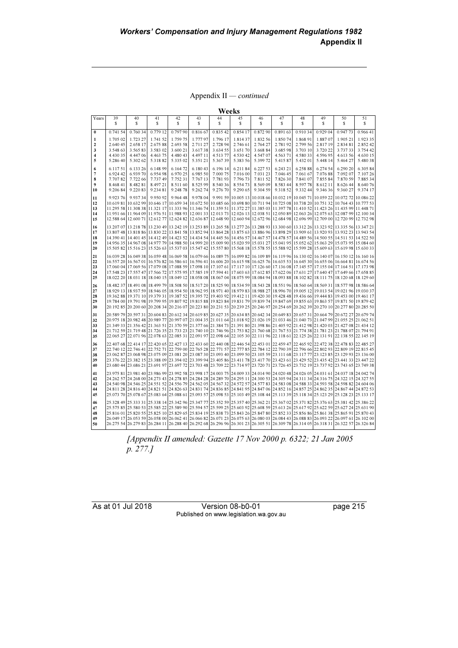Appendix II — continued

| I<br>۰, |  |
|---------|--|
|---------|--|

| s<br>S<br>S<br>S<br>S<br>S<br>S<br>S<br>S<br>S<br>s<br>s<br>s<br>0.741 54<br>0.760 34<br>0.779 12<br>0.79790<br>0.835 42<br>0.87290<br>0.891 63<br>0.91034<br>0.929 04<br>0.947 73<br>0.966 41<br>0.816 67<br>0.854 17<br>0<br>1.723 27<br>1.777 97<br>1.796 17<br>1.85074<br>1.923 35<br>1.705 02<br>1.741 52<br>1.759 75<br>1.81437<br>1.832 56<br>1.868 91<br>1.88707<br>1.905 21<br>1<br>2.658 17<br>2.675 88<br>2.693 58<br>2.711 27<br>2.728 94<br>2.746 61<br>2.764 27<br>2.78192<br>2.799 56<br>2.817 19<br>2.834 81<br>2.852 42<br>$\mathbf{2}$<br>2.640 45<br>3<br>3.548 63<br>3.56583<br>3.583 02<br>3.600 21<br>3.61738<br>3.634 55<br>3.651 70<br>3.668 84<br>3.68598<br>3.703 10<br>3.720 22<br>3.73733<br>3.754 42<br>4.447 06<br>4.497 11<br>4.563 71<br>4.430 35<br>4.463 75<br>4.480 43<br>4.513 77<br>4.530 42<br>4.547 07<br>4.58033<br>4.59695<br>4.613 56<br>4.630 15<br>4<br>5.302 62<br>5.335 02<br>5.351 21<br>5.39972<br>5.41587<br>5.48038<br>5<br>5.286 40<br>5.31882<br>5.36739<br>5.383 56<br>5.432 01<br>5.448 14<br>5.464 27<br>6.148 99<br>6.196 14<br>6.243 21<br>6.258 88<br>6.290 20<br>6.305 84<br>6.11751<br>6.133 26<br>6.16472<br>6.18043<br>6.21184<br>6.227 53<br>6.274 54<br>6<br>6.939 70<br>7<br>6.924 42<br>6.954 98<br>6.970 25<br>6.985 50<br>7.000 75<br>7.016 00<br>7.031 23<br>7.046 45<br>7.061 67<br>7.076 88<br>7.092 07<br>7.107 26<br>7.70782<br>7.722 66<br>7.737 49<br>7.767 13<br>7.78193<br>7.796 73<br>7.811 52<br>7.826 30<br>7.841 07<br>7.855 84<br>7.870 59<br>7.88534<br>8<br>7.752 31<br>8.525 99<br>8.468 41<br>8.482 81<br>8.497 21<br>8.511 60<br>8.54036<br>8.55473<br>8.569 09<br>8.583 44<br>8.59778<br>8.612 11<br>8.626 44<br>8.64076<br>$\boldsymbol{9}$<br>10<br>9.206 84<br>9.22083<br>9.234 81<br>9.248 78<br>9.262 74<br>9.276 70<br>9.290 65<br>9.304 59<br>9.318 52<br>9.332 44<br>9.34636<br>9.360 27<br>9.374 17<br>9.93734<br>9.964 48<br>9.978 04<br>9.991 59 10.005 13 10.018 66 10.032 19 10.045 71 10.059 22 10.072 72 10.086 22<br>11<br>9.923 76<br>9.950 92<br>10.619 81 10.632 99 10.646 17 10.659 34 10.672 50 10.685 66 10.698 80 10.711 94 10.725 08 10.738 20 10.751 32 10.764 43 10.777 53<br>12<br>11.295 58 11.308 38 11.321 17 11.333 96 11.346 74 11.359 51 11.372 27 11.385 03 11.397 78 11.410 52 11.423 26 11.435 99 11.448 71<br>13<br>11,951 66 11,964 09 11,976 51 11,988 93 12,001 33 12,013 73 12,026 13 12,028 51 12,030 89 12,063 26 12,075 63 12,087 99 12,100 34<br>14<br>12,588 64 12,600 71 12,612 77 12,624 82 12,636 87 12,648 90 12,660 94 12,672 96 12,684 98 12,696 99 12,709 00 12,720 99 12,732 98<br>15<br>13,207 07 13,218 78 13,230 49 13,242 19 13,253 89 13,265 58 13,277 26 13,278 93 13,300 60 13,312 26 13,323 92 13,335 56 13,347 21<br>16<br>13,807 48 13.818 86 13.830 22 13.841 58 13.852 94 13.864 28 13.875 63 13.886 96 13.898 29 13.909 61 13.920 93 13.932 23 13.943 54<br>17<br>14.522 50 14.511 14.401 45 14.511 153 14.522 16 17:433 17:433 17:434 17:445 17:446 17:57 17:446 17:57 17:478 17:478 17:478 17:57 17:478 17:57 17:478 17:57 17:478 17:57 17:478 17:57 17:57 17:57 17:57 17:57 17:57 17:57 17:57<br>18<br>14.957 15.084 60 14.957 15.084 60 14.998 10 14.999 20 15.009 90 15.020 59 15.031 27 15.041 95 15.052 62 15.063 29 15.073 95 15.084 60<br>19<br>15.500 82 15.516 23 15.526 63 15.537 03 15.547 42 15.557 80 15.568 18 15.578 55 15.588 92 15.599 28 15.609 63 15.619 98 15.630 33<br>20<br>16.039 28 16.049 38 16.059 48 16.069 58 16.079 66 16.089 75 16.099 82 16.109 89 16.119 96 16.130 02 16.140 07 16.150 12 16.160 16<br>21<br>22<br>16.57 20 16.567 01 16.576 82 16.586 61 16.596 41 16.606 20 16.615 98 16.625 76 16.635 53 16.645 30 16.655 06 16.664 81 16.674 56<br>23<br>17.060 04 17.069 56 17.079 08 17.088 59 17.098 10 17.107 61 17.117 10 17.126 60 17.136 08 17.145 57 17.155 04 17.164 51 17.173 98<br>24<br>17.548 23 17.557 47 17.566 72 17.575 95 17.585 19 17.594 41 17.603 63 17.612 85 17.622 06 17.631 27 17.640 47 17.649 66 17.658 85<br>25<br>18,022 20 18,031 18 18,040 15 18,049 12 18,058 08 18,067 04 18,075 99 18,084 94 18,093 88 18,102 82 18,111 75 18,120 68 18,129 60<br>18,482 37 18,491 08 18,499 79 18,508 50 18,517 20 18,525 90 18,534 59 18,543 28 18,551 96 18,560 64 18,569 31 18,577 98 18,586 64<br>26<br>27<br>18,929 13 18,937 59 18,946 05 18,954 50 18,962 95 18,971 40 18,979 83 18,988 27 18,996 70 19,005 12 19,013 54 19,021 96 19,030 37<br>19.362 88 19.371 10 19.379 31 19.387 52 19.395 72 19.403 92 19.412 11 19.420 30 19.428 48 19.436 66 19.444 83 19.453 00 19.461 17<br>28<br>19,784 00 19,791 98 19,799 95 19,807 92 19,815 88 19,823 84 19,831 79 19,839 74 19,847 69 19,855 63 19,863 57 19,871 50 19,879 42<br>29<br>20, 20, 277 80 20, 208 34 20, 216 07 20, 223 80 20, 231 53 20, 239 25 20, 246 97 20, 254 69 20, 262 39 20, 270 10 20, 277 80 20, 285 50<br>30<br>20.589 79 20.597 31 20.604 83 20.612 34 20.619 85 20.627 35 20.634 85 20.642 34 20.649 83 20.657 31 20.664 79 20.672 27 20.679 74<br>31<br>32<br>20.975 18 20.982 48 20.989 77 20.997 07 21.004 35 21.011 64 21.018 92 21.026 19 21.033 46 21.040 73 21.047 99 21.055 25 21.062 51<br>21.349 33 21.356 42 21.363 51 21.370 59 21.377 66 21.384 73 21.391 80 21.398 86 21.405 92 21.412 98 21.420 03 21.427 08 21.434 12<br>33<br>34<br>21.712 59 21.719 48 21.726 35 21.733 23 21.740 10 21.746 96 21.753 82 21.760 68 21.767 53 21.774 38 21.781 23 21.788 07 21.794 91<br>35<br>22.065 27 22.071 96 22.078 63 22.085 31 22.091 97 22.098 64 22.105 30 22.111 96 22.118 61 22.125 26 22.131 91 22.138 55 22.145 19<br>22.407 68 22.414 17 22.420 65 22.427 13 22.433 60 22.440 08 22.446 54 22.453 01 22.459 47 22.465 92 22.472 38 22.478 83 22.485 27<br>36<br>22.740 12 22.746 41 22.752 71 22.759 00 22.765 28 22.771 57 22.777 85 22.784 12 22.790 39 22.796 66 22.802 93 22.809 19 22.815 45<br>37<br>23,062 87 23,068 98 23,075 09 23,081 20 23,087 30 23,093 40 23,099 50 23,105 59 23,111 68 23,117 77 23,123 85 23,129 93 23,136 00<br>38<br>39<br>23,376 22 23,382 15 23,388 09 23,394 02 23,399 94 23,405 86 23,411 78 23,417 70 23,423 61 23,429 52 23,435 42 23,441 33 23,447 22<br>40<br>23,680 44 23,686 21 23,691 97 23,697 72 23,703 48 23,709 22 23,714 97 23,720 71 23,726 45 23,732 19 23,737 92 23,743 65 23,749 38<br>23.97 81 23.981 40 23.986 99 23.992 58 23.998 17 24.003 75 24.009 33 24.014 90 24.020 48 24.020 65 24.031 61 24.037 18 24.042 74<br>41<br>42<br>24.262 57 24.368 00 24.273 43 24.278 85 24.284 28 24.289 70 24.295 11 24.300 53 24.305 94 24.311 34 24.316 75 24.322 15 24.327 55<br>24.546 28 24.546 25 24.546 25 24.556 29 24.556 29 24.562 25 24.567 26 26:57 24.572 24.577 24.577 24.577 24.578 24.588 27 24.588 37 24.593 24.593 28 24.598 27 24.604 06<br>43<br>24.811 28 24.816 40 24.821 51 24.826 63 24.831 74 24.836 85 24.841 95 24.847 06 24.852 16 24.857 25 24.862 35 24.867 44 24.872 53<br>44<br>25,073 70 25,078 67 25,083 64 25,088 61 25,093 57 25,098 53 25,103 49 25,108 44 25,113 39 25,118 34 25,123 29 25,128 23 25,133 17<br>45<br>25.328 49 25.333 31 25.338 14 25.342 96 25.347 77 25.352 59 25.357 40 25.362 21 25.367 02 25.371 82 25.376 63 25.381 42 25.386 22<br>46<br>25.575 85 25.580 53 25.585 22 25.589 90 25.594 57 25.599 25 25.603 92 25.608 59 25.613 26 25.617 92 25.622 59 25.627 24 25.631 90<br>47<br>25,816 01 25,820 55 25,825 10 25,829 65 25,834 19 25,838 73 25,843 26 25,847 80 25,852 33 25,856 86 25,861 38 25,865 91 25,870 43<br>48<br>49<br>26.049 17 26.053 59 26.058 00 26.062 41 26.066 82 26.071 23 26.075 63 26.080 03 26.084 43 26.088 83 26.093 22 26.097 61 26.102 00<br>50<br>26.279 83 26.284 11 26.288 40 26.292 68 26.296 96 26.301 23 26.305 51 26.309 78 26.314 05 26.318 31 26.322 57 26.326 84 | Years | 39 | 40 | 41 | 42 | 43 | 44 | 45 | 46 | 47 | 48 | 49 | 50 | 51 |
|---------------------------------------------------------------------------------------------------------------------------------------------------------------------------------------------------------------------------------------------------------------------------------------------------------------------------------------------------------------------------------------------------------------------------------------------------------------------------------------------------------------------------------------------------------------------------------------------------------------------------------------------------------------------------------------------------------------------------------------------------------------------------------------------------------------------------------------------------------------------------------------------------------------------------------------------------------------------------------------------------------------------------------------------------------------------------------------------------------------------------------------------------------------------------------------------------------------------------------------------------------------------------------------------------------------------------------------------------------------------------------------------------------------------------------------------------------------------------------------------------------------------------------------------------------------------------------------------------------------------------------------------------------------------------------------------------------------------------------------------------------------------------------------------------------------------------------------------------------------------------------------------------------------------------------------------------------------------------------------------------------------------------------------------------------------------------------------------------------------------------------------------------------------------------------------------------------------------------------------------------------------------------------------------------------------------------------------------------------------------------------------------------------------------------------------------------------------------------------------------------------------------------------------------------------------------------------------------------------------------------------------------------------------------------------------------------------------------------------------------------------------------------------------------------------------------------------------------------------------------------------------------------------------------------------------------------------------------------------------------------------------------------------------------------------------------------------------------------------------------------------------------------------------------------------------------------------------------------------------------------------------------------------------------------------------------------------------------------------------------------------------------------------------------------------------------------------------------------------------------------------------------------------------------------------------------------------------------------------------------------------------------------------------------------------------------------------------------------------------------------------------------------------------------------------------------------------------------------------------------------------------------------------------------------------------------------------------------------------------------------------------------------------------------------------------------------------------------------------------------------------------------------------------------------------------------------------------------------------------------------------------------------------------------------------------------------------------------------------------------------------------------------------------------------------------------------------------------------------------------------------------------------------------------------------------------------------------------------------------------------------------------------------------------------------------------------------------------------------------------------------------------------------------------------------------------------------------------------------------------------------------------------------------------------------------------------------------------------------------------------------------------------------------------------------------------------------------------------------------------------------------------------------------------------------------------------------------------------------------------------------------------------------------------------------------------------------------------------------------------------------------------------------------------------------------------------------------------------------------------------------------------------------------------------------------------------------------------------------------------------------------------------------------------------------------------------------------------------------------------------------------------------------------------------------------------------------------------------------------------------------------------------------------------------------------------------------------------------------------------------------------------------------------------------------------------------------------------------------------------------------------------------------------------------------------------------------------------------------------------------------------------------------------------------------------------------------------------------------------------------------------------------------------------------------------------------------------------------------------------------------------------------------------------------------------------------------------------------------------------------------------------------------------------------------------------------------------------------------------------------------------------------------------------------------------------------------------------------------------------------------------------------------------------------------------------------------------------------------------------------------------------------------------------------------------------------------------------------------------------------------------------------------------------------------------------------------------------------------------------------------------------------------------------------------------------------------------------------------------------------------------------------------------------------------------------------------------------------------------------------------------------------------------------------------------------------------------------------------------------------------------------------------------------------------------------------------------------------------------------------------------------------------------------------------------------------------------|-------|----|----|----|----|----|----|----|----|----|----|----|----|----|
|                                                                                                                                                                                                                                                                                                                                                                                                                                                                                                                                                                                                                                                                                                                                                                                                                                                                                                                                                                                                                                                                                                                                                                                                                                                                                                                                                                                                                                                                                                                                                                                                                                                                                                                                                                                                                                                                                                                                                                                                                                                                                                                                                                                                                                                                                                                                                                                                                                                                                                                                                                                                                                                                                                                                                                                                                                                                                                                                                                                                                                                                                                                                                                                                                                                                                                                                                                                                                                                                                                                                                                                                                                                                                                                                                                                                                                                                                                                                                                                                                                                                                                                                                                                                                                                                                                                                                                                                                                                                                                                                                                                                                                                                                                                                                                                                                                                                                                                                                                                                                                                                                                                                                                                                                                                                                                                                                                                                                                                                                                                                                                                                                                                                                                                                                                                                                                                                                                                                                                                                                                                                                                                                                                                                                                                                                                                                                                                                                                                                                                                                                                                                                                                                                                                                                                                                                                                                                                                                                                                                                                                                                                                                                                                                                                                                                                                                                                                                                                                                                                                                                                                                                                                                                                                                                                                                                                       |       |    |    |    |    |    |    |    |    |    |    |    |    |    |
|                                                                                                                                                                                                                                                                                                                                                                                                                                                                                                                                                                                                                                                                                                                                                                                                                                                                                                                                                                                                                                                                                                                                                                                                                                                                                                                                                                                                                                                                                                                                                                                                                                                                                                                                                                                                                                                                                                                                                                                                                                                                                                                                                                                                                                                                                                                                                                                                                                                                                                                                                                                                                                                                                                                                                                                                                                                                                                                                                                                                                                                                                                                                                                                                                                                                                                                                                                                                                                                                                                                                                                                                                                                                                                                                                                                                                                                                                                                                                                                                                                                                                                                                                                                                                                                                                                                                                                                                                                                                                                                                                                                                                                                                                                                                                                                                                                                                                                                                                                                                                                                                                                                                                                                                                                                                                                                                                                                                                                                                                                                                                                                                                                                                                                                                                                                                                                                                                                                                                                                                                                                                                                                                                                                                                                                                                                                                                                                                                                                                                                                                                                                                                                                                                                                                                                                                                                                                                                                                                                                                                                                                                                                                                                                                                                                                                                                                                                                                                                                                                                                                                                                                                                                                                                                                                                                                                                       |       |    |    |    |    |    |    |    |    |    |    |    |    |    |
|                                                                                                                                                                                                                                                                                                                                                                                                                                                                                                                                                                                                                                                                                                                                                                                                                                                                                                                                                                                                                                                                                                                                                                                                                                                                                                                                                                                                                                                                                                                                                                                                                                                                                                                                                                                                                                                                                                                                                                                                                                                                                                                                                                                                                                                                                                                                                                                                                                                                                                                                                                                                                                                                                                                                                                                                                                                                                                                                                                                                                                                                                                                                                                                                                                                                                                                                                                                                                                                                                                                                                                                                                                                                                                                                                                                                                                                                                                                                                                                                                                                                                                                                                                                                                                                                                                                                                                                                                                                                                                                                                                                                                                                                                                                                                                                                                                                                                                                                                                                                                                                                                                                                                                                                                                                                                                                                                                                                                                                                                                                                                                                                                                                                                                                                                                                                                                                                                                                                                                                                                                                                                                                                                                                                                                                                                                                                                                                                                                                                                                                                                                                                                                                                                                                                                                                                                                                                                                                                                                                                                                                                                                                                                                                                                                                                                                                                                                                                                                                                                                                                                                                                                                                                                                                                                                                                                                       |       |    |    |    |    |    |    |    |    |    |    |    |    |    |
|                                                                                                                                                                                                                                                                                                                                                                                                                                                                                                                                                                                                                                                                                                                                                                                                                                                                                                                                                                                                                                                                                                                                                                                                                                                                                                                                                                                                                                                                                                                                                                                                                                                                                                                                                                                                                                                                                                                                                                                                                                                                                                                                                                                                                                                                                                                                                                                                                                                                                                                                                                                                                                                                                                                                                                                                                                                                                                                                                                                                                                                                                                                                                                                                                                                                                                                                                                                                                                                                                                                                                                                                                                                                                                                                                                                                                                                                                                                                                                                                                                                                                                                                                                                                                                                                                                                                                                                                                                                                                                                                                                                                                                                                                                                                                                                                                                                                                                                                                                                                                                                                                                                                                                                                                                                                                                                                                                                                                                                                                                                                                                                                                                                                                                                                                                                                                                                                                                                                                                                                                                                                                                                                                                                                                                                                                                                                                                                                                                                                                                                                                                                                                                                                                                                                                                                                                                                                                                                                                                                                                                                                                                                                                                                                                                                                                                                                                                                                                                                                                                                                                                                                                                                                                                                                                                                                                                       |       |    |    |    |    |    |    |    |    |    |    |    |    |    |
|                                                                                                                                                                                                                                                                                                                                                                                                                                                                                                                                                                                                                                                                                                                                                                                                                                                                                                                                                                                                                                                                                                                                                                                                                                                                                                                                                                                                                                                                                                                                                                                                                                                                                                                                                                                                                                                                                                                                                                                                                                                                                                                                                                                                                                                                                                                                                                                                                                                                                                                                                                                                                                                                                                                                                                                                                                                                                                                                                                                                                                                                                                                                                                                                                                                                                                                                                                                                                                                                                                                                                                                                                                                                                                                                                                                                                                                                                                                                                                                                                                                                                                                                                                                                                                                                                                                                                                                                                                                                                                                                                                                                                                                                                                                                                                                                                                                                                                                                                                                                                                                                                                                                                                                                                                                                                                                                                                                                                                                                                                                                                                                                                                                                                                                                                                                                                                                                                                                                                                                                                                                                                                                                                                                                                                                                                                                                                                                                                                                                                                                                                                                                                                                                                                                                                                                                                                                                                                                                                                                                                                                                                                                                                                                                                                                                                                                                                                                                                                                                                                                                                                                                                                                                                                                                                                                                                                       |       |    |    |    |    |    |    |    |    |    |    |    |    |    |
|                                                                                                                                                                                                                                                                                                                                                                                                                                                                                                                                                                                                                                                                                                                                                                                                                                                                                                                                                                                                                                                                                                                                                                                                                                                                                                                                                                                                                                                                                                                                                                                                                                                                                                                                                                                                                                                                                                                                                                                                                                                                                                                                                                                                                                                                                                                                                                                                                                                                                                                                                                                                                                                                                                                                                                                                                                                                                                                                                                                                                                                                                                                                                                                                                                                                                                                                                                                                                                                                                                                                                                                                                                                                                                                                                                                                                                                                                                                                                                                                                                                                                                                                                                                                                                                                                                                                                                                                                                                                                                                                                                                                                                                                                                                                                                                                                                                                                                                                                                                                                                                                                                                                                                                                                                                                                                                                                                                                                                                                                                                                                                                                                                                                                                                                                                                                                                                                                                                                                                                                                                                                                                                                                                                                                                                                                                                                                                                                                                                                                                                                                                                                                                                                                                                                                                                                                                                                                                                                                                                                                                                                                                                                                                                                                                                                                                                                                                                                                                                                                                                                                                                                                                                                                                                                                                                                                                       |       |    |    |    |    |    |    |    |    |    |    |    |    |    |
|                                                                                                                                                                                                                                                                                                                                                                                                                                                                                                                                                                                                                                                                                                                                                                                                                                                                                                                                                                                                                                                                                                                                                                                                                                                                                                                                                                                                                                                                                                                                                                                                                                                                                                                                                                                                                                                                                                                                                                                                                                                                                                                                                                                                                                                                                                                                                                                                                                                                                                                                                                                                                                                                                                                                                                                                                                                                                                                                                                                                                                                                                                                                                                                                                                                                                                                                                                                                                                                                                                                                                                                                                                                                                                                                                                                                                                                                                                                                                                                                                                                                                                                                                                                                                                                                                                                                                                                                                                                                                                                                                                                                                                                                                                                                                                                                                                                                                                                                                                                                                                                                                                                                                                                                                                                                                                                                                                                                                                                                                                                                                                                                                                                                                                                                                                                                                                                                                                                                                                                                                                                                                                                                                                                                                                                                                                                                                                                                                                                                                                                                                                                                                                                                                                                                                                                                                                                                                                                                                                                                                                                                                                                                                                                                                                                                                                                                                                                                                                                                                                                                                                                                                                                                                                                                                                                                                                       |       |    |    |    |    |    |    |    |    |    |    |    |    |    |
|                                                                                                                                                                                                                                                                                                                                                                                                                                                                                                                                                                                                                                                                                                                                                                                                                                                                                                                                                                                                                                                                                                                                                                                                                                                                                                                                                                                                                                                                                                                                                                                                                                                                                                                                                                                                                                                                                                                                                                                                                                                                                                                                                                                                                                                                                                                                                                                                                                                                                                                                                                                                                                                                                                                                                                                                                                                                                                                                                                                                                                                                                                                                                                                                                                                                                                                                                                                                                                                                                                                                                                                                                                                                                                                                                                                                                                                                                                                                                                                                                                                                                                                                                                                                                                                                                                                                                                                                                                                                                                                                                                                                                                                                                                                                                                                                                                                                                                                                                                                                                                                                                                                                                                                                                                                                                                                                                                                                                                                                                                                                                                                                                                                                                                                                                                                                                                                                                                                                                                                                                                                                                                                                                                                                                                                                                                                                                                                                                                                                                                                                                                                                                                                                                                                                                                                                                                                                                                                                                                                                                                                                                                                                                                                                                                                                                                                                                                                                                                                                                                                                                                                                                                                                                                                                                                                                                                       |       |    |    |    |    |    |    |    |    |    |    |    |    |    |
|                                                                                                                                                                                                                                                                                                                                                                                                                                                                                                                                                                                                                                                                                                                                                                                                                                                                                                                                                                                                                                                                                                                                                                                                                                                                                                                                                                                                                                                                                                                                                                                                                                                                                                                                                                                                                                                                                                                                                                                                                                                                                                                                                                                                                                                                                                                                                                                                                                                                                                                                                                                                                                                                                                                                                                                                                                                                                                                                                                                                                                                                                                                                                                                                                                                                                                                                                                                                                                                                                                                                                                                                                                                                                                                                                                                                                                                                                                                                                                                                                                                                                                                                                                                                                                                                                                                                                                                                                                                                                                                                                                                                                                                                                                                                                                                                                                                                                                                                                                                                                                                                                                                                                                                                                                                                                                                                                                                                                                                                                                                                                                                                                                                                                                                                                                                                                                                                                                                                                                                                                                                                                                                                                                                                                                                                                                                                                                                                                                                                                                                                                                                                                                                                                                                                                                                                                                                                                                                                                                                                                                                                                                                                                                                                                                                                                                                                                                                                                                                                                                                                                                                                                                                                                                                                                                                                                                       |       |    |    |    |    |    |    |    |    |    |    |    |    |    |
|                                                                                                                                                                                                                                                                                                                                                                                                                                                                                                                                                                                                                                                                                                                                                                                                                                                                                                                                                                                                                                                                                                                                                                                                                                                                                                                                                                                                                                                                                                                                                                                                                                                                                                                                                                                                                                                                                                                                                                                                                                                                                                                                                                                                                                                                                                                                                                                                                                                                                                                                                                                                                                                                                                                                                                                                                                                                                                                                                                                                                                                                                                                                                                                                                                                                                                                                                                                                                                                                                                                                                                                                                                                                                                                                                                                                                                                                                                                                                                                                                                                                                                                                                                                                                                                                                                                                                                                                                                                                                                                                                                                                                                                                                                                                                                                                                                                                                                                                                                                                                                                                                                                                                                                                                                                                                                                                                                                                                                                                                                                                                                                                                                                                                                                                                                                                                                                                                                                                                                                                                                                                                                                                                                                                                                                                                                                                                                                                                                                                                                                                                                                                                                                                                                                                                                                                                                                                                                                                                                                                                                                                                                                                                                                                                                                                                                                                                                                                                                                                                                                                                                                                                                                                                                                                                                                                                                       |       |    |    |    |    |    |    |    |    |    |    |    |    |    |
|                                                                                                                                                                                                                                                                                                                                                                                                                                                                                                                                                                                                                                                                                                                                                                                                                                                                                                                                                                                                                                                                                                                                                                                                                                                                                                                                                                                                                                                                                                                                                                                                                                                                                                                                                                                                                                                                                                                                                                                                                                                                                                                                                                                                                                                                                                                                                                                                                                                                                                                                                                                                                                                                                                                                                                                                                                                                                                                                                                                                                                                                                                                                                                                                                                                                                                                                                                                                                                                                                                                                                                                                                                                                                                                                                                                                                                                                                                                                                                                                                                                                                                                                                                                                                                                                                                                                                                                                                                                                                                                                                                                                                                                                                                                                                                                                                                                                                                                                                                                                                                                                                                                                                                                                                                                                                                                                                                                                                                                                                                                                                                                                                                                                                                                                                                                                                                                                                                                                                                                                                                                                                                                                                                                                                                                                                                                                                                                                                                                                                                                                                                                                                                                                                                                                                                                                                                                                                                                                                                                                                                                                                                                                                                                                                                                                                                                                                                                                                                                                                                                                                                                                                                                                                                                                                                                                                                       |       |    |    |    |    |    |    |    |    |    |    |    |    |    |
|                                                                                                                                                                                                                                                                                                                                                                                                                                                                                                                                                                                                                                                                                                                                                                                                                                                                                                                                                                                                                                                                                                                                                                                                                                                                                                                                                                                                                                                                                                                                                                                                                                                                                                                                                                                                                                                                                                                                                                                                                                                                                                                                                                                                                                                                                                                                                                                                                                                                                                                                                                                                                                                                                                                                                                                                                                                                                                                                                                                                                                                                                                                                                                                                                                                                                                                                                                                                                                                                                                                                                                                                                                                                                                                                                                                                                                                                                                                                                                                                                                                                                                                                                                                                                                                                                                                                                                                                                                                                                                                                                                                                                                                                                                                                                                                                                                                                                                                                                                                                                                                                                                                                                                                                                                                                                                                                                                                                                                                                                                                                                                                                                                                                                                                                                                                                                                                                                                                                                                                                                                                                                                                                                                                                                                                                                                                                                                                                                                                                                                                                                                                                                                                                                                                                                                                                                                                                                                                                                                                                                                                                                                                                                                                                                                                                                                                                                                                                                                                                                                                                                                                                                                                                                                                                                                                                                                       |       |    |    |    |    |    |    |    |    |    |    |    |    |    |
|                                                                                                                                                                                                                                                                                                                                                                                                                                                                                                                                                                                                                                                                                                                                                                                                                                                                                                                                                                                                                                                                                                                                                                                                                                                                                                                                                                                                                                                                                                                                                                                                                                                                                                                                                                                                                                                                                                                                                                                                                                                                                                                                                                                                                                                                                                                                                                                                                                                                                                                                                                                                                                                                                                                                                                                                                                                                                                                                                                                                                                                                                                                                                                                                                                                                                                                                                                                                                                                                                                                                                                                                                                                                                                                                                                                                                                                                                                                                                                                                                                                                                                                                                                                                                                                                                                                                                                                                                                                                                                                                                                                                                                                                                                                                                                                                                                                                                                                                                                                                                                                                                                                                                                                                                                                                                                                                                                                                                                                                                                                                                                                                                                                                                                                                                                                                                                                                                                                                                                                                                                                                                                                                                                                                                                                                                                                                                                                                                                                                                                                                                                                                                                                                                                                                                                                                                                                                                                                                                                                                                                                                                                                                                                                                                                                                                                                                                                                                                                                                                                                                                                                                                                                                                                                                                                                                                                       |       |    |    |    |    |    |    |    |    |    |    |    |    |    |
|                                                                                                                                                                                                                                                                                                                                                                                                                                                                                                                                                                                                                                                                                                                                                                                                                                                                                                                                                                                                                                                                                                                                                                                                                                                                                                                                                                                                                                                                                                                                                                                                                                                                                                                                                                                                                                                                                                                                                                                                                                                                                                                                                                                                                                                                                                                                                                                                                                                                                                                                                                                                                                                                                                                                                                                                                                                                                                                                                                                                                                                                                                                                                                                                                                                                                                                                                                                                                                                                                                                                                                                                                                                                                                                                                                                                                                                                                                                                                                                                                                                                                                                                                                                                                                                                                                                                                                                                                                                                                                                                                                                                                                                                                                                                                                                                                                                                                                                                                                                                                                                                                                                                                                                                                                                                                                                                                                                                                                                                                                                                                                                                                                                                                                                                                                                                                                                                                                                                                                                                                                                                                                                                                                                                                                                                                                                                                                                                                                                                                                                                                                                                                                                                                                                                                                                                                                                                                                                                                                                                                                                                                                                                                                                                                                                                                                                                                                                                                                                                                                                                                                                                                                                                                                                                                                                                                                       |       |    |    |    |    |    |    |    |    |    |    |    |    |    |
|                                                                                                                                                                                                                                                                                                                                                                                                                                                                                                                                                                                                                                                                                                                                                                                                                                                                                                                                                                                                                                                                                                                                                                                                                                                                                                                                                                                                                                                                                                                                                                                                                                                                                                                                                                                                                                                                                                                                                                                                                                                                                                                                                                                                                                                                                                                                                                                                                                                                                                                                                                                                                                                                                                                                                                                                                                                                                                                                                                                                                                                                                                                                                                                                                                                                                                                                                                                                                                                                                                                                                                                                                                                                                                                                                                                                                                                                                                                                                                                                                                                                                                                                                                                                                                                                                                                                                                                                                                                                                                                                                                                                                                                                                                                                                                                                                                                                                                                                                                                                                                                                                                                                                                                                                                                                                                                                                                                                                                                                                                                                                                                                                                                                                                                                                                                                                                                                                                                                                                                                                                                                                                                                                                                                                                                                                                                                                                                                                                                                                                                                                                                                                                                                                                                                                                                                                                                                                                                                                                                                                                                                                                                                                                                                                                                                                                                                                                                                                                                                                                                                                                                                                                                                                                                                                                                                                                       |       |    |    |    |    |    |    |    |    |    |    |    |    |    |
|                                                                                                                                                                                                                                                                                                                                                                                                                                                                                                                                                                                                                                                                                                                                                                                                                                                                                                                                                                                                                                                                                                                                                                                                                                                                                                                                                                                                                                                                                                                                                                                                                                                                                                                                                                                                                                                                                                                                                                                                                                                                                                                                                                                                                                                                                                                                                                                                                                                                                                                                                                                                                                                                                                                                                                                                                                                                                                                                                                                                                                                                                                                                                                                                                                                                                                                                                                                                                                                                                                                                                                                                                                                                                                                                                                                                                                                                                                                                                                                                                                                                                                                                                                                                                                                                                                                                                                                                                                                                                                                                                                                                                                                                                                                                                                                                                                                                                                                                                                                                                                                                                                                                                                                                                                                                                                                                                                                                                                                                                                                                                                                                                                                                                                                                                                                                                                                                                                                                                                                                                                                                                                                                                                                                                                                                                                                                                                                                                                                                                                                                                                                                                                                                                                                                                                                                                                                                                                                                                                                                                                                                                                                                                                                                                                                                                                                                                                                                                                                                                                                                                                                                                                                                                                                                                                                                                                       |       |    |    |    |    |    |    |    |    |    |    |    |    |    |
|                                                                                                                                                                                                                                                                                                                                                                                                                                                                                                                                                                                                                                                                                                                                                                                                                                                                                                                                                                                                                                                                                                                                                                                                                                                                                                                                                                                                                                                                                                                                                                                                                                                                                                                                                                                                                                                                                                                                                                                                                                                                                                                                                                                                                                                                                                                                                                                                                                                                                                                                                                                                                                                                                                                                                                                                                                                                                                                                                                                                                                                                                                                                                                                                                                                                                                                                                                                                                                                                                                                                                                                                                                                                                                                                                                                                                                                                                                                                                                                                                                                                                                                                                                                                                                                                                                                                                                                                                                                                                                                                                                                                                                                                                                                                                                                                                                                                                                                                                                                                                                                                                                                                                                                                                                                                                                                                                                                                                                                                                                                                                                                                                                                                                                                                                                                                                                                                                                                                                                                                                                                                                                                                                                                                                                                                                                                                                                                                                                                                                                                                                                                                                                                                                                                                                                                                                                                                                                                                                                                                                                                                                                                                                                                                                                                                                                                                                                                                                                                                                                                                                                                                                                                                                                                                                                                                                                       |       |    |    |    |    |    |    |    |    |    |    |    |    |    |
|                                                                                                                                                                                                                                                                                                                                                                                                                                                                                                                                                                                                                                                                                                                                                                                                                                                                                                                                                                                                                                                                                                                                                                                                                                                                                                                                                                                                                                                                                                                                                                                                                                                                                                                                                                                                                                                                                                                                                                                                                                                                                                                                                                                                                                                                                                                                                                                                                                                                                                                                                                                                                                                                                                                                                                                                                                                                                                                                                                                                                                                                                                                                                                                                                                                                                                                                                                                                                                                                                                                                                                                                                                                                                                                                                                                                                                                                                                                                                                                                                                                                                                                                                                                                                                                                                                                                                                                                                                                                                                                                                                                                                                                                                                                                                                                                                                                                                                                                                                                                                                                                                                                                                                                                                                                                                                                                                                                                                                                                                                                                                                                                                                                                                                                                                                                                                                                                                                                                                                                                                                                                                                                                                                                                                                                                                                                                                                                                                                                                                                                                                                                                                                                                                                                                                                                                                                                                                                                                                                                                                                                                                                                                                                                                                                                                                                                                                                                                                                                                                                                                                                                                                                                                                                                                                                                                                                       |       |    |    |    |    |    |    |    |    |    |    |    |    |    |
|                                                                                                                                                                                                                                                                                                                                                                                                                                                                                                                                                                                                                                                                                                                                                                                                                                                                                                                                                                                                                                                                                                                                                                                                                                                                                                                                                                                                                                                                                                                                                                                                                                                                                                                                                                                                                                                                                                                                                                                                                                                                                                                                                                                                                                                                                                                                                                                                                                                                                                                                                                                                                                                                                                                                                                                                                                                                                                                                                                                                                                                                                                                                                                                                                                                                                                                                                                                                                                                                                                                                                                                                                                                                                                                                                                                                                                                                                                                                                                                                                                                                                                                                                                                                                                                                                                                                                                                                                                                                                                                                                                                                                                                                                                                                                                                                                                                                                                                                                                                                                                                                                                                                                                                                                                                                                                                                                                                                                                                                                                                                                                                                                                                                                                                                                                                                                                                                                                                                                                                                                                                                                                                                                                                                                                                                                                                                                                                                                                                                                                                                                                                                                                                                                                                                                                                                                                                                                                                                                                                                                                                                                                                                                                                                                                                                                                                                                                                                                                                                                                                                                                                                                                                                                                                                                                                                                                       |       |    |    |    |    |    |    |    |    |    |    |    |    |    |
|                                                                                                                                                                                                                                                                                                                                                                                                                                                                                                                                                                                                                                                                                                                                                                                                                                                                                                                                                                                                                                                                                                                                                                                                                                                                                                                                                                                                                                                                                                                                                                                                                                                                                                                                                                                                                                                                                                                                                                                                                                                                                                                                                                                                                                                                                                                                                                                                                                                                                                                                                                                                                                                                                                                                                                                                                                                                                                                                                                                                                                                                                                                                                                                                                                                                                                                                                                                                                                                                                                                                                                                                                                                                                                                                                                                                                                                                                                                                                                                                                                                                                                                                                                                                                                                                                                                                                                                                                                                                                                                                                                                                                                                                                                                                                                                                                                                                                                                                                                                                                                                                                                                                                                                                                                                                                                                                                                                                                                                                                                                                                                                                                                                                                                                                                                                                                                                                                                                                                                                                                                                                                                                                                                                                                                                                                                                                                                                                                                                                                                                                                                                                                                                                                                                                                                                                                                                                                                                                                                                                                                                                                                                                                                                                                                                                                                                                                                                                                                                                                                                                                                                                                                                                                                                                                                                                                                       |       |    |    |    |    |    |    |    |    |    |    |    |    |    |
|                                                                                                                                                                                                                                                                                                                                                                                                                                                                                                                                                                                                                                                                                                                                                                                                                                                                                                                                                                                                                                                                                                                                                                                                                                                                                                                                                                                                                                                                                                                                                                                                                                                                                                                                                                                                                                                                                                                                                                                                                                                                                                                                                                                                                                                                                                                                                                                                                                                                                                                                                                                                                                                                                                                                                                                                                                                                                                                                                                                                                                                                                                                                                                                                                                                                                                                                                                                                                                                                                                                                                                                                                                                                                                                                                                                                                                                                                                                                                                                                                                                                                                                                                                                                                                                                                                                                                                                                                                                                                                                                                                                                                                                                                                                                                                                                                                                                                                                                                                                                                                                                                                                                                                                                                                                                                                                                                                                                                                                                                                                                                                                                                                                                                                                                                                                                                                                                                                                                                                                                                                                                                                                                                                                                                                                                                                                                                                                                                                                                                                                                                                                                                                                                                                                                                                                                                                                                                                                                                                                                                                                                                                                                                                                                                                                                                                                                                                                                                                                                                                                                                                                                                                                                                                                                                                                                                                       |       |    |    |    |    |    |    |    |    |    |    |    |    |    |
|                                                                                                                                                                                                                                                                                                                                                                                                                                                                                                                                                                                                                                                                                                                                                                                                                                                                                                                                                                                                                                                                                                                                                                                                                                                                                                                                                                                                                                                                                                                                                                                                                                                                                                                                                                                                                                                                                                                                                                                                                                                                                                                                                                                                                                                                                                                                                                                                                                                                                                                                                                                                                                                                                                                                                                                                                                                                                                                                                                                                                                                                                                                                                                                                                                                                                                                                                                                                                                                                                                                                                                                                                                                                                                                                                                                                                                                                                                                                                                                                                                                                                                                                                                                                                                                                                                                                                                                                                                                                                                                                                                                                                                                                                                                                                                                                                                                                                                                                                                                                                                                                                                                                                                                                                                                                                                                                                                                                                                                                                                                                                                                                                                                                                                                                                                                                                                                                                                                                                                                                                                                                                                                                                                                                                                                                                                                                                                                                                                                                                                                                                                                                                                                                                                                                                                                                                                                                                                                                                                                                                                                                                                                                                                                                                                                                                                                                                                                                                                                                                                                                                                                                                                                                                                                                                                                                                                       |       |    |    |    |    |    |    |    |    |    |    |    |    |    |
|                                                                                                                                                                                                                                                                                                                                                                                                                                                                                                                                                                                                                                                                                                                                                                                                                                                                                                                                                                                                                                                                                                                                                                                                                                                                                                                                                                                                                                                                                                                                                                                                                                                                                                                                                                                                                                                                                                                                                                                                                                                                                                                                                                                                                                                                                                                                                                                                                                                                                                                                                                                                                                                                                                                                                                                                                                                                                                                                                                                                                                                                                                                                                                                                                                                                                                                                                                                                                                                                                                                                                                                                                                                                                                                                                                                                                                                                                                                                                                                                                                                                                                                                                                                                                                                                                                                                                                                                                                                                                                                                                                                                                                                                                                                                                                                                                                                                                                                                                                                                                                                                                                                                                                                                                                                                                                                                                                                                                                                                                                                                                                                                                                                                                                                                                                                                                                                                                                                                                                                                                                                                                                                                                                                                                                                                                                                                                                                                                                                                                                                                                                                                                                                                                                                                                                                                                                                                                                                                                                                                                                                                                                                                                                                                                                                                                                                                                                                                                                                                                                                                                                                                                                                                                                                                                                                                                                       |       |    |    |    |    |    |    |    |    |    |    |    |    |    |
|                                                                                                                                                                                                                                                                                                                                                                                                                                                                                                                                                                                                                                                                                                                                                                                                                                                                                                                                                                                                                                                                                                                                                                                                                                                                                                                                                                                                                                                                                                                                                                                                                                                                                                                                                                                                                                                                                                                                                                                                                                                                                                                                                                                                                                                                                                                                                                                                                                                                                                                                                                                                                                                                                                                                                                                                                                                                                                                                                                                                                                                                                                                                                                                                                                                                                                                                                                                                                                                                                                                                                                                                                                                                                                                                                                                                                                                                                                                                                                                                                                                                                                                                                                                                                                                                                                                                                                                                                                                                                                                                                                                                                                                                                                                                                                                                                                                                                                                                                                                                                                                                                                                                                                                                                                                                                                                                                                                                                                                                                                                                                                                                                                                                                                                                                                                                                                                                                                                                                                                                                                                                                                                                                                                                                                                                                                                                                                                                                                                                                                                                                                                                                                                                                                                                                                                                                                                                                                                                                                                                                                                                                                                                                                                                                                                                                                                                                                                                                                                                                                                                                                                                                                                                                                                                                                                                                                       |       |    |    |    |    |    |    |    |    |    |    |    |    |    |
|                                                                                                                                                                                                                                                                                                                                                                                                                                                                                                                                                                                                                                                                                                                                                                                                                                                                                                                                                                                                                                                                                                                                                                                                                                                                                                                                                                                                                                                                                                                                                                                                                                                                                                                                                                                                                                                                                                                                                                                                                                                                                                                                                                                                                                                                                                                                                                                                                                                                                                                                                                                                                                                                                                                                                                                                                                                                                                                                                                                                                                                                                                                                                                                                                                                                                                                                                                                                                                                                                                                                                                                                                                                                                                                                                                                                                                                                                                                                                                                                                                                                                                                                                                                                                                                                                                                                                                                                                                                                                                                                                                                                                                                                                                                                                                                                                                                                                                                                                                                                                                                                                                                                                                                                                                                                                                                                                                                                                                                                                                                                                                                                                                                                                                                                                                                                                                                                                                                                                                                                                                                                                                                                                                                                                                                                                                                                                                                                                                                                                                                                                                                                                                                                                                                                                                                                                                                                                                                                                                                                                                                                                                                                                                                                                                                                                                                                                                                                                                                                                                                                                                                                                                                                                                                                                                                                                                       |       |    |    |    |    |    |    |    |    |    |    |    |    |    |
|                                                                                                                                                                                                                                                                                                                                                                                                                                                                                                                                                                                                                                                                                                                                                                                                                                                                                                                                                                                                                                                                                                                                                                                                                                                                                                                                                                                                                                                                                                                                                                                                                                                                                                                                                                                                                                                                                                                                                                                                                                                                                                                                                                                                                                                                                                                                                                                                                                                                                                                                                                                                                                                                                                                                                                                                                                                                                                                                                                                                                                                                                                                                                                                                                                                                                                                                                                                                                                                                                                                                                                                                                                                                                                                                                                                                                                                                                                                                                                                                                                                                                                                                                                                                                                                                                                                                                                                                                                                                                                                                                                                                                                                                                                                                                                                                                                                                                                                                                                                                                                                                                                                                                                                                                                                                                                                                                                                                                                                                                                                                                                                                                                                                                                                                                                                                                                                                                                                                                                                                                                                                                                                                                                                                                                                                                                                                                                                                                                                                                                                                                                                                                                                                                                                                                                                                                                                                                                                                                                                                                                                                                                                                                                                                                                                                                                                                                                                                                                                                                                                                                                                                                                                                                                                                                                                                                                       |       |    |    |    |    |    |    |    |    |    |    |    |    |    |
|                                                                                                                                                                                                                                                                                                                                                                                                                                                                                                                                                                                                                                                                                                                                                                                                                                                                                                                                                                                                                                                                                                                                                                                                                                                                                                                                                                                                                                                                                                                                                                                                                                                                                                                                                                                                                                                                                                                                                                                                                                                                                                                                                                                                                                                                                                                                                                                                                                                                                                                                                                                                                                                                                                                                                                                                                                                                                                                                                                                                                                                                                                                                                                                                                                                                                                                                                                                                                                                                                                                                                                                                                                                                                                                                                                                                                                                                                                                                                                                                                                                                                                                                                                                                                                                                                                                                                                                                                                                                                                                                                                                                                                                                                                                                                                                                                                                                                                                                                                                                                                                                                                                                                                                                                                                                                                                                                                                                                                                                                                                                                                                                                                                                                                                                                                                                                                                                                                                                                                                                                                                                                                                                                                                                                                                                                                                                                                                                                                                                                                                                                                                                                                                                                                                                                                                                                                                                                                                                                                                                                                                                                                                                                                                                                                                                                                                                                                                                                                                                                                                                                                                                                                                                                                                                                                                                                                       |       |    |    |    |    |    |    |    |    |    |    |    |    |    |
|                                                                                                                                                                                                                                                                                                                                                                                                                                                                                                                                                                                                                                                                                                                                                                                                                                                                                                                                                                                                                                                                                                                                                                                                                                                                                                                                                                                                                                                                                                                                                                                                                                                                                                                                                                                                                                                                                                                                                                                                                                                                                                                                                                                                                                                                                                                                                                                                                                                                                                                                                                                                                                                                                                                                                                                                                                                                                                                                                                                                                                                                                                                                                                                                                                                                                                                                                                                                                                                                                                                                                                                                                                                                                                                                                                                                                                                                                                                                                                                                                                                                                                                                                                                                                                                                                                                                                                                                                                                                                                                                                                                                                                                                                                                                                                                                                                                                                                                                                                                                                                                                                                                                                                                                                                                                                                                                                                                                                                                                                                                                                                                                                                                                                                                                                                                                                                                                                                                                                                                                                                                                                                                                                                                                                                                                                                                                                                                                                                                                                                                                                                                                                                                                                                                                                                                                                                                                                                                                                                                                                                                                                                                                                                                                                                                                                                                                                                                                                                                                                                                                                                                                                                                                                                                                                                                                                                       |       |    |    |    |    |    |    |    |    |    |    |    |    |    |
|                                                                                                                                                                                                                                                                                                                                                                                                                                                                                                                                                                                                                                                                                                                                                                                                                                                                                                                                                                                                                                                                                                                                                                                                                                                                                                                                                                                                                                                                                                                                                                                                                                                                                                                                                                                                                                                                                                                                                                                                                                                                                                                                                                                                                                                                                                                                                                                                                                                                                                                                                                                                                                                                                                                                                                                                                                                                                                                                                                                                                                                                                                                                                                                                                                                                                                                                                                                                                                                                                                                                                                                                                                                                                                                                                                                                                                                                                                                                                                                                                                                                                                                                                                                                                                                                                                                                                                                                                                                                                                                                                                                                                                                                                                                                                                                                                                                                                                                                                                                                                                                                                                                                                                                                                                                                                                                                                                                                                                                                                                                                                                                                                                                                                                                                                                                                                                                                                                                                                                                                                                                                                                                                                                                                                                                                                                                                                                                                                                                                                                                                                                                                                                                                                                                                                                                                                                                                                                                                                                                                                                                                                                                                                                                                                                                                                                                                                                                                                                                                                                                                                                                                                                                                                                                                                                                                                                       |       |    |    |    |    |    |    |    |    |    |    |    |    |    |
|                                                                                                                                                                                                                                                                                                                                                                                                                                                                                                                                                                                                                                                                                                                                                                                                                                                                                                                                                                                                                                                                                                                                                                                                                                                                                                                                                                                                                                                                                                                                                                                                                                                                                                                                                                                                                                                                                                                                                                                                                                                                                                                                                                                                                                                                                                                                                                                                                                                                                                                                                                                                                                                                                                                                                                                                                                                                                                                                                                                                                                                                                                                                                                                                                                                                                                                                                                                                                                                                                                                                                                                                                                                                                                                                                                                                                                                                                                                                                                                                                                                                                                                                                                                                                                                                                                                                                                                                                                                                                                                                                                                                                                                                                                                                                                                                                                                                                                                                                                                                                                                                                                                                                                                                                                                                                                                                                                                                                                                                                                                                                                                                                                                                                                                                                                                                                                                                                                                                                                                                                                                                                                                                                                                                                                                                                                                                                                                                                                                                                                                                                                                                                                                                                                                                                                                                                                                                                                                                                                                                                                                                                                                                                                                                                                                                                                                                                                                                                                                                                                                                                                                                                                                                                                                                                                                                                                       |       |    |    |    |    |    |    |    |    |    |    |    |    |    |
|                                                                                                                                                                                                                                                                                                                                                                                                                                                                                                                                                                                                                                                                                                                                                                                                                                                                                                                                                                                                                                                                                                                                                                                                                                                                                                                                                                                                                                                                                                                                                                                                                                                                                                                                                                                                                                                                                                                                                                                                                                                                                                                                                                                                                                                                                                                                                                                                                                                                                                                                                                                                                                                                                                                                                                                                                                                                                                                                                                                                                                                                                                                                                                                                                                                                                                                                                                                                                                                                                                                                                                                                                                                                                                                                                                                                                                                                                                                                                                                                                                                                                                                                                                                                                                                                                                                                                                                                                                                                                                                                                                                                                                                                                                                                                                                                                                                                                                                                                                                                                                                                                                                                                                                                                                                                                                                                                                                                                                                                                                                                                                                                                                                                                                                                                                                                                                                                                                                                                                                                                                                                                                                                                                                                                                                                                                                                                                                                                                                                                                                                                                                                                                                                                                                                                                                                                                                                                                                                                                                                                                                                                                                                                                                                                                                                                                                                                                                                                                                                                                                                                                                                                                                                                                                                                                                                                                       |       |    |    |    |    |    |    |    |    |    |    |    |    |    |
|                                                                                                                                                                                                                                                                                                                                                                                                                                                                                                                                                                                                                                                                                                                                                                                                                                                                                                                                                                                                                                                                                                                                                                                                                                                                                                                                                                                                                                                                                                                                                                                                                                                                                                                                                                                                                                                                                                                                                                                                                                                                                                                                                                                                                                                                                                                                                                                                                                                                                                                                                                                                                                                                                                                                                                                                                                                                                                                                                                                                                                                                                                                                                                                                                                                                                                                                                                                                                                                                                                                                                                                                                                                                                                                                                                                                                                                                                                                                                                                                                                                                                                                                                                                                                                                                                                                                                                                                                                                                                                                                                                                                                                                                                                                                                                                                                                                                                                                                                                                                                                                                                                                                                                                                                                                                                                                                                                                                                                                                                                                                                                                                                                                                                                                                                                                                                                                                                                                                                                                                                                                                                                                                                                                                                                                                                                                                                                                                                                                                                                                                                                                                                                                                                                                                                                                                                                                                                                                                                                                                                                                                                                                                                                                                                                                                                                                                                                                                                                                                                                                                                                                                                                                                                                                                                                                                                                       |       |    |    |    |    |    |    |    |    |    |    |    |    |    |
|                                                                                                                                                                                                                                                                                                                                                                                                                                                                                                                                                                                                                                                                                                                                                                                                                                                                                                                                                                                                                                                                                                                                                                                                                                                                                                                                                                                                                                                                                                                                                                                                                                                                                                                                                                                                                                                                                                                                                                                                                                                                                                                                                                                                                                                                                                                                                                                                                                                                                                                                                                                                                                                                                                                                                                                                                                                                                                                                                                                                                                                                                                                                                                                                                                                                                                                                                                                                                                                                                                                                                                                                                                                                                                                                                                                                                                                                                                                                                                                                                                                                                                                                                                                                                                                                                                                                                                                                                                                                                                                                                                                                                                                                                                                                                                                                                                                                                                                                                                                                                                                                                                                                                                                                                                                                                                                                                                                                                                                                                                                                                                                                                                                                                                                                                                                                                                                                                                                                                                                                                                                                                                                                                                                                                                                                                                                                                                                                                                                                                                                                                                                                                                                                                                                                                                                                                                                                                                                                                                                                                                                                                                                                                                                                                                                                                                                                                                                                                                                                                                                                                                                                                                                                                                                                                                                                                                       |       |    |    |    |    |    |    |    |    |    |    |    |    |    |
|                                                                                                                                                                                                                                                                                                                                                                                                                                                                                                                                                                                                                                                                                                                                                                                                                                                                                                                                                                                                                                                                                                                                                                                                                                                                                                                                                                                                                                                                                                                                                                                                                                                                                                                                                                                                                                                                                                                                                                                                                                                                                                                                                                                                                                                                                                                                                                                                                                                                                                                                                                                                                                                                                                                                                                                                                                                                                                                                                                                                                                                                                                                                                                                                                                                                                                                                                                                                                                                                                                                                                                                                                                                                                                                                                                                                                                                                                                                                                                                                                                                                                                                                                                                                                                                                                                                                                                                                                                                                                                                                                                                                                                                                                                                                                                                                                                                                                                                                                                                                                                                                                                                                                                                                                                                                                                                                                                                                                                                                                                                                                                                                                                                                                                                                                                                                                                                                                                                                                                                                                                                                                                                                                                                                                                                                                                                                                                                                                                                                                                                                                                                                                                                                                                                                                                                                                                                                                                                                                                                                                                                                                                                                                                                                                                                                                                                                                                                                                                                                                                                                                                                                                                                                                                                                                                                                                                       |       |    |    |    |    |    |    |    |    |    |    |    |    |    |
|                                                                                                                                                                                                                                                                                                                                                                                                                                                                                                                                                                                                                                                                                                                                                                                                                                                                                                                                                                                                                                                                                                                                                                                                                                                                                                                                                                                                                                                                                                                                                                                                                                                                                                                                                                                                                                                                                                                                                                                                                                                                                                                                                                                                                                                                                                                                                                                                                                                                                                                                                                                                                                                                                                                                                                                                                                                                                                                                                                                                                                                                                                                                                                                                                                                                                                                                                                                                                                                                                                                                                                                                                                                                                                                                                                                                                                                                                                                                                                                                                                                                                                                                                                                                                                                                                                                                                                                                                                                                                                                                                                                                                                                                                                                                                                                                                                                                                                                                                                                                                                                                                                                                                                                                                                                                                                                                                                                                                                                                                                                                                                                                                                                                                                                                                                                                                                                                                                                                                                                                                                                                                                                                                                                                                                                                                                                                                                                                                                                                                                                                                                                                                                                                                                                                                                                                                                                                                                                                                                                                                                                                                                                                                                                                                                                                                                                                                                                                                                                                                                                                                                                                                                                                                                                                                                                                                                       |       |    |    |    |    |    |    |    |    |    |    |    |    |    |
|                                                                                                                                                                                                                                                                                                                                                                                                                                                                                                                                                                                                                                                                                                                                                                                                                                                                                                                                                                                                                                                                                                                                                                                                                                                                                                                                                                                                                                                                                                                                                                                                                                                                                                                                                                                                                                                                                                                                                                                                                                                                                                                                                                                                                                                                                                                                                                                                                                                                                                                                                                                                                                                                                                                                                                                                                                                                                                                                                                                                                                                                                                                                                                                                                                                                                                                                                                                                                                                                                                                                                                                                                                                                                                                                                                                                                                                                                                                                                                                                                                                                                                                                                                                                                                                                                                                                                                                                                                                                                                                                                                                                                                                                                                                                                                                                                                                                                                                                                                                                                                                                                                                                                                                                                                                                                                                                                                                                                                                                                                                                                                                                                                                                                                                                                                                                                                                                                                                                                                                                                                                                                                                                                                                                                                                                                                                                                                                                                                                                                                                                                                                                                                                                                                                                                                                                                                                                                                                                                                                                                                                                                                                                                                                                                                                                                                                                                                                                                                                                                                                                                                                                                                                                                                                                                                                                                                       |       |    |    |    |    |    |    |    |    |    |    |    |    |    |
|                                                                                                                                                                                                                                                                                                                                                                                                                                                                                                                                                                                                                                                                                                                                                                                                                                                                                                                                                                                                                                                                                                                                                                                                                                                                                                                                                                                                                                                                                                                                                                                                                                                                                                                                                                                                                                                                                                                                                                                                                                                                                                                                                                                                                                                                                                                                                                                                                                                                                                                                                                                                                                                                                                                                                                                                                                                                                                                                                                                                                                                                                                                                                                                                                                                                                                                                                                                                                                                                                                                                                                                                                                                                                                                                                                                                                                                                                                                                                                                                                                                                                                                                                                                                                                                                                                                                                                                                                                                                                                                                                                                                                                                                                                                                                                                                                                                                                                                                                                                                                                                                                                                                                                                                                                                                                                                                                                                                                                                                                                                                                                                                                                                                                                                                                                                                                                                                                                                                                                                                                                                                                                                                                                                                                                                                                                                                                                                                                                                                                                                                                                                                                                                                                                                                                                                                                                                                                                                                                                                                                                                                                                                                                                                                                                                                                                                                                                                                                                                                                                                                                                                                                                                                                                                                                                                                                                       |       |    |    |    |    |    |    |    |    |    |    |    |    |    |
|                                                                                                                                                                                                                                                                                                                                                                                                                                                                                                                                                                                                                                                                                                                                                                                                                                                                                                                                                                                                                                                                                                                                                                                                                                                                                                                                                                                                                                                                                                                                                                                                                                                                                                                                                                                                                                                                                                                                                                                                                                                                                                                                                                                                                                                                                                                                                                                                                                                                                                                                                                                                                                                                                                                                                                                                                                                                                                                                                                                                                                                                                                                                                                                                                                                                                                                                                                                                                                                                                                                                                                                                                                                                                                                                                                                                                                                                                                                                                                                                                                                                                                                                                                                                                                                                                                                                                                                                                                                                                                                                                                                                                                                                                                                                                                                                                                                                                                                                                                                                                                                                                                                                                                                                                                                                                                                                                                                                                                                                                                                                                                                                                                                                                                                                                                                                                                                                                                                                                                                                                                                                                                                                                                                                                                                                                                                                                                                                                                                                                                                                                                                                                                                                                                                                                                                                                                                                                                                                                                                                                                                                                                                                                                                                                                                                                                                                                                                                                                                                                                                                                                                                                                                                                                                                                                                                                                       |       |    |    |    |    |    |    |    |    |    |    |    |    |    |
|                                                                                                                                                                                                                                                                                                                                                                                                                                                                                                                                                                                                                                                                                                                                                                                                                                                                                                                                                                                                                                                                                                                                                                                                                                                                                                                                                                                                                                                                                                                                                                                                                                                                                                                                                                                                                                                                                                                                                                                                                                                                                                                                                                                                                                                                                                                                                                                                                                                                                                                                                                                                                                                                                                                                                                                                                                                                                                                                                                                                                                                                                                                                                                                                                                                                                                                                                                                                                                                                                                                                                                                                                                                                                                                                                                                                                                                                                                                                                                                                                                                                                                                                                                                                                                                                                                                                                                                                                                                                                                                                                                                                                                                                                                                                                                                                                                                                                                                                                                                                                                                                                                                                                                                                                                                                                                                                                                                                                                                                                                                                                                                                                                                                                                                                                                                                                                                                                                                                                                                                                                                                                                                                                                                                                                                                                                                                                                                                                                                                                                                                                                                                                                                                                                                                                                                                                                                                                                                                                                                                                                                                                                                                                                                                                                                                                                                                                                                                                                                                                                                                                                                                                                                                                                                                                                                                                                       |       |    |    |    |    |    |    |    |    |    |    |    |    |    |
|                                                                                                                                                                                                                                                                                                                                                                                                                                                                                                                                                                                                                                                                                                                                                                                                                                                                                                                                                                                                                                                                                                                                                                                                                                                                                                                                                                                                                                                                                                                                                                                                                                                                                                                                                                                                                                                                                                                                                                                                                                                                                                                                                                                                                                                                                                                                                                                                                                                                                                                                                                                                                                                                                                                                                                                                                                                                                                                                                                                                                                                                                                                                                                                                                                                                                                                                                                                                                                                                                                                                                                                                                                                                                                                                                                                                                                                                                                                                                                                                                                                                                                                                                                                                                                                                                                                                                                                                                                                                                                                                                                                                                                                                                                                                                                                                                                                                                                                                                                                                                                                                                                                                                                                                                                                                                                                                                                                                                                                                                                                                                                                                                                                                                                                                                                                                                                                                                                                                                                                                                                                                                                                                                                                                                                                                                                                                                                                                                                                                                                                                                                                                                                                                                                                                                                                                                                                                                                                                                                                                                                                                                                                                                                                                                                                                                                                                                                                                                                                                                                                                                                                                                                                                                                                                                                                                                                       |       |    |    |    |    |    |    |    |    |    |    |    |    |    |
|                                                                                                                                                                                                                                                                                                                                                                                                                                                                                                                                                                                                                                                                                                                                                                                                                                                                                                                                                                                                                                                                                                                                                                                                                                                                                                                                                                                                                                                                                                                                                                                                                                                                                                                                                                                                                                                                                                                                                                                                                                                                                                                                                                                                                                                                                                                                                                                                                                                                                                                                                                                                                                                                                                                                                                                                                                                                                                                                                                                                                                                                                                                                                                                                                                                                                                                                                                                                                                                                                                                                                                                                                                                                                                                                                                                                                                                                                                                                                                                                                                                                                                                                                                                                                                                                                                                                                                                                                                                                                                                                                                                                                                                                                                                                                                                                                                                                                                                                                                                                                                                                                                                                                                                                                                                                                                                                                                                                                                                                                                                                                                                                                                                                                                                                                                                                                                                                                                                                                                                                                                                                                                                                                                                                                                                                                                                                                                                                                                                                                                                                                                                                                                                                                                                                                                                                                                                                                                                                                                                                                                                                                                                                                                                                                                                                                                                                                                                                                                                                                                                                                                                                                                                                                                                                                                                                                                       |       |    |    |    |    |    |    |    |    |    |    |    |    |    |
|                                                                                                                                                                                                                                                                                                                                                                                                                                                                                                                                                                                                                                                                                                                                                                                                                                                                                                                                                                                                                                                                                                                                                                                                                                                                                                                                                                                                                                                                                                                                                                                                                                                                                                                                                                                                                                                                                                                                                                                                                                                                                                                                                                                                                                                                                                                                                                                                                                                                                                                                                                                                                                                                                                                                                                                                                                                                                                                                                                                                                                                                                                                                                                                                                                                                                                                                                                                                                                                                                                                                                                                                                                                                                                                                                                                                                                                                                                                                                                                                                                                                                                                                                                                                                                                                                                                                                                                                                                                                                                                                                                                                                                                                                                                                                                                                                                                                                                                                                                                                                                                                                                                                                                                                                                                                                                                                                                                                                                                                                                                                                                                                                                                                                                                                                                                                                                                                                                                                                                                                                                                                                                                                                                                                                                                                                                                                                                                                                                                                                                                                                                                                                                                                                                                                                                                                                                                                                                                                                                                                                                                                                                                                                                                                                                                                                                                                                                                                                                                                                                                                                                                                                                                                                                                                                                                                                                       |       |    |    |    |    |    |    |    |    |    |    |    |    |    |
|                                                                                                                                                                                                                                                                                                                                                                                                                                                                                                                                                                                                                                                                                                                                                                                                                                                                                                                                                                                                                                                                                                                                                                                                                                                                                                                                                                                                                                                                                                                                                                                                                                                                                                                                                                                                                                                                                                                                                                                                                                                                                                                                                                                                                                                                                                                                                                                                                                                                                                                                                                                                                                                                                                                                                                                                                                                                                                                                                                                                                                                                                                                                                                                                                                                                                                                                                                                                                                                                                                                                                                                                                                                                                                                                                                                                                                                                                                                                                                                                                                                                                                                                                                                                                                                                                                                                                                                                                                                                                                                                                                                                                                                                                                                                                                                                                                                                                                                                                                                                                                                                                                                                                                                                                                                                                                                                                                                                                                                                                                                                                                                                                                                                                                                                                                                                                                                                                                                                                                                                                                                                                                                                                                                                                                                                                                                                                                                                                                                                                                                                                                                                                                                                                                                                                                                                                                                                                                                                                                                                                                                                                                                                                                                                                                                                                                                                                                                                                                                                                                                                                                                                                                                                                                                                                                                                                                       |       |    |    |    |    |    |    |    |    |    |    |    |    |    |
|                                                                                                                                                                                                                                                                                                                                                                                                                                                                                                                                                                                                                                                                                                                                                                                                                                                                                                                                                                                                                                                                                                                                                                                                                                                                                                                                                                                                                                                                                                                                                                                                                                                                                                                                                                                                                                                                                                                                                                                                                                                                                                                                                                                                                                                                                                                                                                                                                                                                                                                                                                                                                                                                                                                                                                                                                                                                                                                                                                                                                                                                                                                                                                                                                                                                                                                                                                                                                                                                                                                                                                                                                                                                                                                                                                                                                                                                                                                                                                                                                                                                                                                                                                                                                                                                                                                                                                                                                                                                                                                                                                                                                                                                                                                                                                                                                                                                                                                                                                                                                                                                                                                                                                                                                                                                                                                                                                                                                                                                                                                                                                                                                                                                                                                                                                                                                                                                                                                                                                                                                                                                                                                                                                                                                                                                                                                                                                                                                                                                                                                                                                                                                                                                                                                                                                                                                                                                                                                                                                                                                                                                                                                                                                                                                                                                                                                                                                                                                                                                                                                                                                                                                                                                                                                                                                                                                                       |       |    |    |    |    |    |    |    |    |    |    |    |    |    |
|                                                                                                                                                                                                                                                                                                                                                                                                                                                                                                                                                                                                                                                                                                                                                                                                                                                                                                                                                                                                                                                                                                                                                                                                                                                                                                                                                                                                                                                                                                                                                                                                                                                                                                                                                                                                                                                                                                                                                                                                                                                                                                                                                                                                                                                                                                                                                                                                                                                                                                                                                                                                                                                                                                                                                                                                                                                                                                                                                                                                                                                                                                                                                                                                                                                                                                                                                                                                                                                                                                                                                                                                                                                                                                                                                                                                                                                                                                                                                                                                                                                                                                                                                                                                                                                                                                                                                                                                                                                                                                                                                                                                                                                                                                                                                                                                                                                                                                                                                                                                                                                                                                                                                                                                                                                                                                                                                                                                                                                                                                                                                                                                                                                                                                                                                                                                                                                                                                                                                                                                                                                                                                                                                                                                                                                                                                                                                                                                                                                                                                                                                                                                                                                                                                                                                                                                                                                                                                                                                                                                                                                                                                                                                                                                                                                                                                                                                                                                                                                                                                                                                                                                                                                                                                                                                                                                                                       |       |    |    |    |    |    |    |    |    |    |    |    |    |    |
|                                                                                                                                                                                                                                                                                                                                                                                                                                                                                                                                                                                                                                                                                                                                                                                                                                                                                                                                                                                                                                                                                                                                                                                                                                                                                                                                                                                                                                                                                                                                                                                                                                                                                                                                                                                                                                                                                                                                                                                                                                                                                                                                                                                                                                                                                                                                                                                                                                                                                                                                                                                                                                                                                                                                                                                                                                                                                                                                                                                                                                                                                                                                                                                                                                                                                                                                                                                                                                                                                                                                                                                                                                                                                                                                                                                                                                                                                                                                                                                                                                                                                                                                                                                                                                                                                                                                                                                                                                                                                                                                                                                                                                                                                                                                                                                                                                                                                                                                                                                                                                                                                                                                                                                                                                                                                                                                                                                                                                                                                                                                                                                                                                                                                                                                                                                                                                                                                                                                                                                                                                                                                                                                                                                                                                                                                                                                                                                                                                                                                                                                                                                                                                                                                                                                                                                                                                                                                                                                                                                                                                                                                                                                                                                                                                                                                                                                                                                                                                                                                                                                                                                                                                                                                                                                                                                                                                       |       |    |    |    |    |    |    |    |    |    |    |    |    |    |
|                                                                                                                                                                                                                                                                                                                                                                                                                                                                                                                                                                                                                                                                                                                                                                                                                                                                                                                                                                                                                                                                                                                                                                                                                                                                                                                                                                                                                                                                                                                                                                                                                                                                                                                                                                                                                                                                                                                                                                                                                                                                                                                                                                                                                                                                                                                                                                                                                                                                                                                                                                                                                                                                                                                                                                                                                                                                                                                                                                                                                                                                                                                                                                                                                                                                                                                                                                                                                                                                                                                                                                                                                                                                                                                                                                                                                                                                                                                                                                                                                                                                                                                                                                                                                                                                                                                                                                                                                                                                                                                                                                                                                                                                                                                                                                                                                                                                                                                                                                                                                                                                                                                                                                                                                                                                                                                                                                                                                                                                                                                                                                                                                                                                                                                                                                                                                                                                                                                                                                                                                                                                                                                                                                                                                                                                                                                                                                                                                                                                                                                                                                                                                                                                                                                                                                                                                                                                                                                                                                                                                                                                                                                                                                                                                                                                                                                                                                                                                                                                                                                                                                                                                                                                                                                                                                                                                                       |       |    |    |    |    |    |    |    |    |    |    |    |    |    |
|                                                                                                                                                                                                                                                                                                                                                                                                                                                                                                                                                                                                                                                                                                                                                                                                                                                                                                                                                                                                                                                                                                                                                                                                                                                                                                                                                                                                                                                                                                                                                                                                                                                                                                                                                                                                                                                                                                                                                                                                                                                                                                                                                                                                                                                                                                                                                                                                                                                                                                                                                                                                                                                                                                                                                                                                                                                                                                                                                                                                                                                                                                                                                                                                                                                                                                                                                                                                                                                                                                                                                                                                                                                                                                                                                                                                                                                                                                                                                                                                                                                                                                                                                                                                                                                                                                                                                                                                                                                                                                                                                                                                                                                                                                                                                                                                                                                                                                                                                                                                                                                                                                                                                                                                                                                                                                                                                                                                                                                                                                                                                                                                                                                                                                                                                                                                                                                                                                                                                                                                                                                                                                                                                                                                                                                                                                                                                                                                                                                                                                                                                                                                                                                                                                                                                                                                                                                                                                                                                                                                                                                                                                                                                                                                                                                                                                                                                                                                                                                                                                                                                                                                                                                                                                                                                                                                                                       |       |    |    |    |    |    |    |    |    |    |    |    |    |    |

 [Appendix II amended: Gazette 17 Nov 2000 p. 6322; 21 Jan 2005  $p. 277.$ 

As at 01 Jul 2018 Version 08-b0-01 page 215 Published on www.legislation.wa.gov.au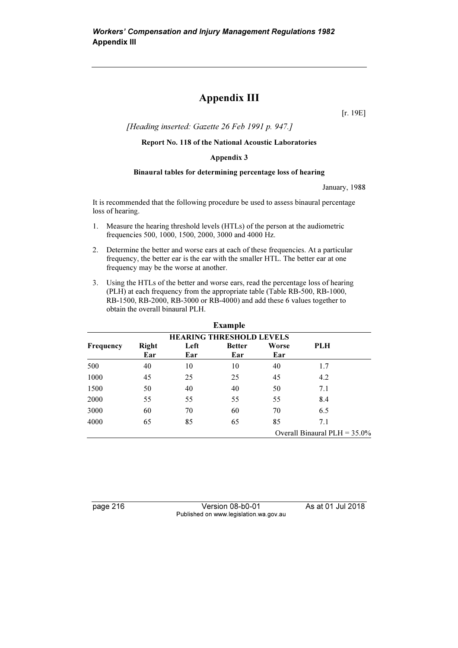## Appendix III

[r. 19E]

[Heading inserted: Gazette 26 Feb 1991 p. 947.]

Report No. 118 of the National Acoustic Laboratories

#### Appendix 3

#### Binaural tables for determining percentage loss of hearing

January, 1988

It is recommended that the following procedure be used to assess binaural percentage loss of hearing.

- 1. Measure the hearing threshold levels (HTLs) of the person at the audiometric frequencies 500, 1000, 1500, 2000, 3000 and 4000 Hz.
- 2. Determine the better and worse ears at each of these frequencies. At a particular frequency, the better ear is the ear with the smaller HTL. The better ear at one frequency may be the worse at another.
- 3. Using the HTLs of the better and worse ears, read the percentage loss of hearing (PLH) at each frequency from the appropriate table (Table RB-500, RB-1000, RB-1500, RB-2000, RB-3000 or RB-4000) and add these 6 values together to obtain the overall binaural PLH.

|                  |                                 |      | <b>Example</b> |       |                                 |  |  |  |  |  |  |  |  |  |
|------------------|---------------------------------|------|----------------|-------|---------------------------------|--|--|--|--|--|--|--|--|--|
|                  | <b>HEARING THRESHOLD LEVELS</b> |      |                |       |                                 |  |  |  |  |  |  |  |  |  |
| <b>Frequency</b> | <b>Right</b>                    | Left | <b>Better</b>  | Worse | <b>PLH</b>                      |  |  |  |  |  |  |  |  |  |
|                  | Ear                             | Ear  | Ear            | Ear   |                                 |  |  |  |  |  |  |  |  |  |
| 500              | 40                              | 10   | 10             | 40    | 1.7                             |  |  |  |  |  |  |  |  |  |
| 1000             | 45                              | 25   | 25             | 45    | 4.2                             |  |  |  |  |  |  |  |  |  |
| 1500             | 50                              | 40   | 40             | 50    | 7.1                             |  |  |  |  |  |  |  |  |  |
| 2000             | 55                              | 55   | 55             | 55    | 8.4                             |  |  |  |  |  |  |  |  |  |
| 3000             | 60                              | 70   | 60             | 70    | 6.5                             |  |  |  |  |  |  |  |  |  |
| 4000             | 65                              | 85   | 65             | 85    | 7.1                             |  |  |  |  |  |  |  |  |  |
|                  |                                 |      |                |       | Overall Binaural PLH = $35.0\%$ |  |  |  |  |  |  |  |  |  |

page 216 Version 08-b0-01 As at 01 Jul 2018 Published on www.legislation.wa.gov.au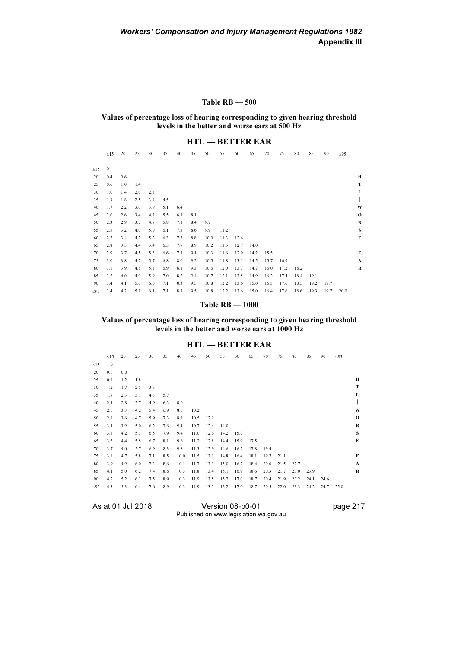#### Table RB — 500

Values of percentage loss of hearing corresponding to given hearing threshold levels in the better and worse ears at 500 Hz

## HTL — BETTER EAR

|           | $\leq15$    | 20  | 25  | 30  | 35  | 40  | 45  | 50   | 55   | 60   | 65   | 70   | 75   | 80   | 85   | 90   | $\leq 95$ |              |
|-----------|-------------|-----|-----|-----|-----|-----|-----|------|------|------|------|------|------|------|------|------|-----------|--------------|
|           |             |     |     |     |     |     |     |      |      |      |      |      |      |      |      |      |           |              |
| $\leq$ 15 | $\mathbf 0$ |     |     |     |     |     |     |      |      |      |      |      |      |      |      |      |           |              |
| 20        | 0.4         | 0.6 |     |     |     |     |     |      |      |      |      |      |      |      |      |      |           | н            |
| 25        | 0.6         | 1.0 | 1.4 |     |     |     |     |      |      |      |      |      |      |      |      |      |           | $\mathbf T$  |
| 30        | 1.0         | 1.4 | 2.0 | 2.8 |     |     |     |      |      |      |      |      |      |      |      |      |           | L            |
| 35        | 1.3         | 1.8 | 2.5 | 3.4 | 4.5 |     |     |      |      |      |      |      |      |      |      |      |           | $\mathsf{I}$ |
| 40        | 1.7         | 2.2 | 3.0 | 3.9 | 5.1 | 6.4 |     |      |      |      |      |      |      |      |      |      |           | W            |
| 45        | 2.0         | 2.6 | 3.4 | 4.3 | 5.5 | 6.8 | 8.1 |      |      |      |      |      |      |      |      |      |           | $\mathbf{o}$ |
| 50        | 2.3         | 2.9 | 3.7 | 4.7 | 5.8 | 7.1 | 8.4 | 9.7  |      |      |      |      |      |      |      |      |           | $\mathbf R$  |
| 55        | 2.5         | 3.2 | 4.0 | 5.0 | 6.1 | 7.3 | 8.6 | 9.9  | 11.2 |      |      |      |      |      |      |      |           | $\mathbf{s}$ |
| 60        | 2.7         | 3.4 | 4.2 | 5.2 | 6.3 | 7.5 | 8.8 | 10.0 | 11.3 | 12.6 |      |      |      |      |      |      |           | $\bf E$      |
| 65        | 2.8         | 3.5 | 4.4 | 5.4 | 6.5 | 7.7 | 8.9 | 10.2 | 11.5 | 12.7 | 14.0 |      |      |      |      |      |           |              |
| 70        | 2.9         | 3.7 | 4.5 | 5.5 | 6.6 | 7.8 | 9.1 | 10.3 | 11.6 | 12.9 | 14.2 | 15.5 |      |      |      |      |           | $\bf E$      |
| 75        | 3.0         | 3.8 | 4.7 | 5.7 | 6.8 | 8.0 | 9.2 | 10.5 | 11.8 | 13.1 | 14.5 | 15.7 | 16.9 |      |      |      |           | $\mathbf{A}$ |
| 80        | 3.1         | 3.9 | 4.8 | 5.8 | 6.9 | 8.1 | 9.3 | 10.6 | 12.0 | 13.3 | 14.7 | 16.0 | 17.2 | 18.2 |      |      |           | $\bf R$      |
| 85        | 3.2         | 4.0 | 4.9 | 5.9 | 7.0 | 8.2 | 9.4 | 10.7 | 12.1 | 13.5 | 14.9 | 16.2 | 17.4 | 18.4 | 19.1 |      |           |              |
| 90        | 3.4         | 4.1 | 5.0 | 6.0 | 7.1 | 8.3 | 9.5 | 10.8 | 12.2 | 13.6 | 15.0 | 16.3 | 17.6 | 18.5 | 19.2 | 19.7 |           |              |
| $\leq 95$ | 3.4         | 4.2 | 5.1 | 6.1 | 7.1 | 8.3 | 9.5 | 10.8 | 12.2 | 13.6 | 15.0 | 16.4 | 17.6 | 18.6 | 19.3 | 19.7 | 20.0      |              |
|           |             |     |     |     |     |     |     |      |      |      |      |      |      |      |      |      |           |              |

#### Table RB — 1000

Values of percentage loss of hearing corresponding to given hearing threshold levels in the better and worse ears at 1000 Hz

#### HTL — BETTER EAR

|           | $\leq$ 15    | 20  | 25  | 30  | 35  | 40   | 45   | 50   | 55   | 60   | 65   | 70   | 75   | 80   | 85   | 90   | $\leq 95$ |             |
|-----------|--------------|-----|-----|-----|-----|------|------|------|------|------|------|------|------|------|------|------|-----------|-------------|
| $\leq$ 15 | $\mathbf{0}$ |     |     |     |     |      |      |      |      |      |      |      |      |      |      |      |           |             |
| 20        | 0.5          | 0.8 |     |     |     |      |      |      |      |      |      |      |      |      |      |      |           |             |
| 25        | 0.8          | 1.2 | 1.8 |     |     |      |      |      |      |      |      |      |      |      |      |      |           | н           |
| 30        | 1.2          | 1.7 | 2.5 | 3.5 |     |      |      |      |      |      |      |      |      |      |      |      |           | T           |
| 35        | 1.7          | 2.3 | 3.1 | 4.3 | 5.7 |      |      |      |      |      |      |      |      |      |      |      |           | L           |
| 40        | 2.1          | 2.8 | 3.7 | 4.9 | 6.3 | 8.0  |      |      |      |      |      |      |      |      |      |      |           |             |
| 45        | 2.5          | 3.3 | 4.2 | 5.4 | 6.9 | 8.5  | 10.2 |      |      |      |      |      |      |      |      |      |           | W           |
| 50        | 2.8          | 3.6 | 4.7 | 5.9 | 7.3 | 8.8  | 10.5 | 12.1 |      |      |      |      |      |      |      |      |           | $\mathbf 0$ |
| 55        | 3.1          | 3.9 | 5.0 | 6.2 | 7.6 | 9.1  | 10.7 | 12.4 | 14.0 |      |      |      |      |      |      |      |           | $\bf R$     |
| 60        | 3.3          | 4.2 | 5.3 | 6.5 | 7.9 | 9.4  | 11.0 | 12.6 | 14.2 | 15.7 |      |      |      |      |      |      |           | S           |
| 65        | 3.5          | 4.4 | 5.5 | 6.7 | 8.1 | 9.6  | 11.2 | 12.8 | 14.4 | 15.9 | 17.5 |      |      |      |      |      |           | E           |
| 70        | 3.7          | 4.6 | 5.7 | 6.9 | 8.3 | 9.8  | 11.3 | 12.9 | 14.6 | 16.2 | 17.8 | 19.4 |      |      |      |      |           |             |
| 75        | 3.8          | 4.7 | 5.8 | 7.1 | 8.5 | 10.0 | 11.5 | 13.1 | 14.8 | 16.4 | 18.1 | 19.7 | 21.1 |      |      |      |           | E           |
| 80        | 3.9          | 4.9 | 6.0 | 7.3 | 8.6 | 10.1 | 11.7 | 13.3 | 15.0 | 16.7 | 18.4 | 20.0 | 21.5 | 22.7 |      |      |           | A           |
| 85        | 4.1          | 5.0 | 6.2 | 7.4 | 8.8 | 10.3 | 11.8 | 13.4 | 15.1 | 16.9 | 18.6 | 20.3 | 21.7 | 23.0 | 23.9 |      |           | R           |
| 90        | 4.2          | 5.2 | 6.3 | 7.5 | 8.9 | 10.3 | 11.9 | 13.5 | 15.2 | 17.0 | 18.7 | 20.4 | 21.9 | 23.2 | 24.1 | 24.6 |           |             |
| $\leq$ 95 | 4.3          | 5.3 | 6.4 | 7.6 | 8.9 | 10.3 | 11.9 | 13.5 | 15.2 | 17.0 | 18.7 | 20.5 | 22.0 | 23.3 | 24.2 | 24.7 | 25.0      |             |
|           |              |     |     |     |     |      |      |      |      |      |      |      |      |      |      |      |           |             |

As at 01 Jul 2018 Version 08-b0-01 page 217 Published on www.legislation.wa.gov.au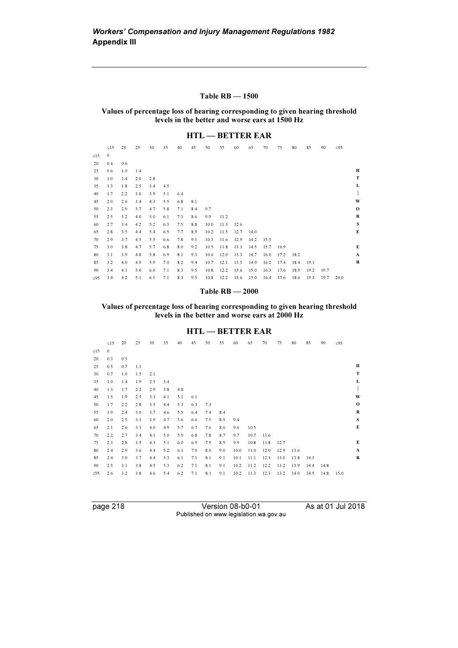#### Table RB — 1500

Values of percentage loss of hearing corresponding to given hearing threshold levels in the better and worse ears at 1500 Hz

#### HTL — BETTER EAR

| $\leq$ 15 | $\leq$ 15<br>$\boldsymbol{0}$ | 20  | 25  | 30  | 35  | 40  | 45  | 50   | 55   |      | 65   | 70   | 75   | 80   | 85   | 90   | $\leq 95$ |
|-----------|-------------------------------|-----|-----|-----|-----|-----|-----|------|------|------|------|------|------|------|------|------|-----------|
|           |                               |     |     |     |     |     |     |      |      | 60   |      |      |      |      |      |      |           |
|           |                               |     |     |     |     |     |     |      |      |      |      |      |      |      |      |      |           |
| 20        | 0.4                           | 0.6 |     |     |     |     |     |      |      |      |      |      |      |      |      |      |           |
| 25        | 0.6                           | 1.0 | 1.4 |     |     |     |     |      |      |      |      |      |      |      |      |      |           |
| 30        | 1.0                           | 1.4 | 2.0 | 2.8 |     |     |     |      |      |      |      |      |      |      |      |      |           |
| 35        | 1.3                           | 1.8 | 2.5 | 3.4 | 4.5 |     |     |      |      |      |      |      |      |      |      |      |           |
| 40        | 1.7                           | 2.2 | 3.0 | 3.9 | 5.1 | 6.4 |     |      |      |      |      |      |      |      |      |      |           |
| 45        | 2.0                           | 2.6 | 3.4 | 4.3 | 5.5 | 6.8 | 8.1 |      |      |      |      |      |      |      |      |      |           |
| 50        | 2.3                           | 2.9 | 3.7 | 4.7 | 5.8 | 7.1 | 8.4 | 9.7  |      |      |      |      |      |      |      |      |           |
| 55        | 2.5                           | 3.2 | 4.0 | 5.0 | 6.1 | 7.3 | 8.6 | 9.9  | 11.2 |      |      |      |      |      |      |      |           |
| 60        | 2.7                           | 3.4 | 4.2 | 5.2 | 6.3 | 7.5 | 8.8 | 10.0 | 11.3 | 12.6 |      |      |      |      |      |      |           |
| 65        | 2.8                           | 3.5 | 4.4 | 5.4 | 6.5 | 7.7 | 8.9 | 10.2 | 11.5 | 12.7 | 14.0 |      |      |      |      |      |           |
| 70        | 2.9                           | 3.7 | 4.5 | 5.5 | 6.6 | 7.8 | 9.1 | 10.3 | 11.6 | 12.9 | 14.2 | 15.5 |      |      |      |      |           |
| 75        | 3.0                           | 3.8 | 4.7 | 5.7 | 6.8 | 8.0 | 9.2 | 10.5 | 11.8 | 13.1 | 14.5 | 15.7 | 16.9 |      |      |      |           |
| 80        | 3.1                           | 3.9 | 4.8 | 5.8 | 6.9 | 8.1 | 9.3 | 10.6 | 12.0 | 13.3 | 14.7 | 16.0 | 17.2 | 18.2 |      |      |           |
| 85        | 3.2                           | 4.0 | 4.9 | 5.9 | 7.0 | 8.2 | 9.4 | 10.7 | 12.1 | 13.5 | 14.9 | 16.2 | 17.4 | 18.4 | 19.1 |      |           |
| 90        | 3.4                           | 4.1 | 5.0 | 6.0 | 7.1 | 8.3 | 9.5 | 10.8 | 12.2 | 13.6 | 15.0 | 16.3 | 17.6 | 18.5 | 19.2 | 19.7 |           |
| $\leq 95$ | 3.4                           | 4.2 | 5.1 | 6.1 | 7.1 | 8.3 | 9.5 | 10.8 | 12.2 | 13.6 | 15.0 | 16.4 | 17.6 | 18.6 | 19.3 | 19.7 | 20.0      |

#### Table RB — 2000

Values of percentage loss of hearing corresponding to given hearing threshold levels in the better and worse ears at 2000 Hz

#### HTL — BETTER EAR

| $\leq$ 15    | 20  | 25  | 30  | 35  | 40  | 45  | 50  | 55  | 60   | 65   | 70   | 75   | 80   | 85   | 90   | $\leq 95$ |              |
|--------------|-----|-----|-----|-----|-----|-----|-----|-----|------|------|------|------|------|------|------|-----------|--------------|
| $\mathbf{0}$ |     |     |     |     |     |     |     |     |      |      |      |      |      |      |      |           |              |
| 0.3          | 0.5 |     |     |     |     |     |     |     |      |      |      |      |      |      |      |           |              |
| 0.5          | 0.7 | 1.1 |     |     |     |     |     |     |      |      |      |      |      |      |      |           | н            |
| 0.7          | 1.0 | 1.5 | 2.1 |     |     |     |     |     |      |      |      |      |      |      |      |           | T            |
| 1.0          | 1.4 | 1.9 | 2.5 | 3.4 |     |     |     |     |      |      |      |      |      |      |      |           | L            |
| 1.3          | 1.7 | 2.2 | 2.9 | 3.8 | 4.8 |     |     |     |      |      |      |      |      |      |      |           | $\mathbf{r}$ |
| 1.5          | 1.9 | 2.5 | 3.3 | 4.1 | 5.1 | 6.1 |     |     |      |      |      |      |      |      |      |           | W            |
| 1.7          | 2.2 | 2.8 | 3.5 | 4.4 | 5.3 | 6.3 | 7.3 |     |      |      |      |      |      |      |      |           | $\mathbf 0$  |
| 1.9          | 2.4 | 3.0 | 3.7 | 4.6 | 5.5 | 6.4 | 7.4 | 8.4 |      |      |      |      |      |      |      |           | $\mathbf R$  |
| 2.0          | 2.5 | 3.1 | 3.9 | 4.7 | 5.6 | 6.6 | 7.5 | 8.5 | 9.4  |      |      |      |      |      |      |           | S            |
| 2.1          | 2.6 | 3.3 | 4.0 | 4.9 | 5.7 | 6.7 | 7.6 | 8.6 | 9.6  | 10.5 |      |      |      |      |      |           | E            |
| 2.2          | 2.7 | 3.4 | 4.1 | 5.0 | 5.9 | 6.8 | 7.8 | 8.7 | 9.7  | 10.7 | 11.6 |      |      |      |      |           |              |
| 2.3          | 2.8 | 3.5 | 4.3 | 5.1 | 6.0 | 6.9 | 7.9 | 8.9 | 9.9  | 10.8 | 11.8 | 12.7 |      |      |      |           | E            |
| 2.4          | 2.9 | 3.6 | 4.4 | 5.2 | 6.1 | 7.0 | 8.0 | 9.0 | 10.0 | 11.0 | 12.0 | 12.9 | 13.6 |      |      |           | $\mathbf{A}$ |
| 2.4          | 3.0 | 3.7 | 4.4 | 5.3 | 6.1 | 7.1 | 8.1 | 9.1 | 10.1 | 11.1 | 12.1 | 13.0 | 13.8 | 14.3 |      |           | R            |
| 2.5          | 3.1 | 3.8 | 4.5 | 5.3 | 6.2 | 7.1 | 8.1 | 9.1 | 10.2 | 11.2 | 12.2 | 13.2 | 13.9 | 14.4 | 14.8 |           |              |
| 2.6          | 3.2 | 3.8 | 4.6 | 5.4 | 6.2 | 7.1 | 8.1 | 9.1 | 10.2 | 11.3 | 12.3 | 13.2 | 14.0 | 14.5 | 14.8 | 15.0      |              |
|              |     |     |     |     |     |     |     |     |      |      |      |      |      |      |      |           |              |

| page 218 |
|----------|
|----------|

page 218 Version 08-b0-01 As at 01 Jul 2018 Published on www.legislation.wa.gov.au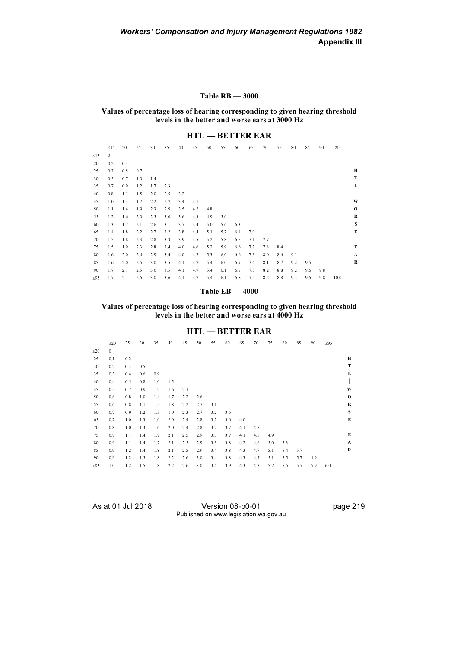#### Table RB — 3000

Values of percentage loss of hearing corresponding to given hearing threshold levels in the better and worse ears at 3000 Hz

#### HTL — BETTER EAR

|           | $\leq$ 15    | 20  | 25  | 30  | 35  | 40  | 45  | 50  | 55  | 60  | 65  | 70  | 75  | 80  | 85  | 90  | $\leq 95$ |              |
|-----------|--------------|-----|-----|-----|-----|-----|-----|-----|-----|-----|-----|-----|-----|-----|-----|-----|-----------|--------------|
| $\leq 15$ | $\mathbf{0}$ |     |     |     |     |     |     |     |     |     |     |     |     |     |     |     |           |              |
| 20        | 0.2          | 0.3 |     |     |     |     |     |     |     |     |     |     |     |     |     |     |           |              |
| 25        | 0.3          | 0.5 | 0.7 |     |     |     |     |     |     |     |     |     |     |     |     |     |           | Н            |
| 30        | 0.5          | 0.7 | 1.0 | 1.4 |     |     |     |     |     |     |     |     |     |     |     |     |           | $\mathbf T$  |
| 35        | 0.7          | 0.9 | 1.2 | 1.7 | 2.3 |     |     |     |     |     |     |     |     |     |     |     |           | L            |
| 40        | 0.8          | 1.1 | 1.5 | 2.0 | 2.5 | 3.2 |     |     |     |     |     |     |     |     |     |     |           |              |
| 45        | 1.0          | 1.3 | 1.7 | 2.2 | 2.7 | 3.4 | 4.1 |     |     |     |     |     |     |     |     |     |           | W            |
| 50        | 1.1          | 1.4 | 1.9 | 2.3 | 2.9 | 3.5 | 4.2 | 4.8 |     |     |     |     |     |     |     |     |           | $\mathbf 0$  |
| 55        | 1.2          | 1.6 | 2.0 | 2.5 | 3.0 | 3.6 | 4.3 | 4.9 | 5.6 |     |     |     |     |     |     |     |           | $\bf R$      |
| 60        | 1.3          | 1.7 | 2.1 | 2.6 | 3.1 | 3.7 | 4.4 | 5.0 | 5.6 | 6.3 |     |     |     |     |     |     |           | ${\bf S}$    |
| 65        | 1.4          | 1.8 | 2.2 | 2.7 | 3.2 | 3.8 | 4.4 | 5.1 | 5.7 | 6.4 | 7.0 |     |     |     |     |     |           | E            |
| 70        | 1.5          | 1.8 | 2.3 | 2.8 | 3.3 | 3.9 | 4.5 | 5.2 | 5.8 | 6.5 | 7.1 | 7.7 |     |     |     |     |           |              |
| 75        | 1.5          | 1.9 | 2.3 | 2.8 | 3.4 | 4.0 | 4.6 | 5.2 | 5.9 | 6.6 | 7.2 | 7.8 | 8.4 |     |     |     |           | E            |
| 80        | 1.6          | 2.0 | 2.4 | 2.9 | 3.4 | 4.0 | 4.7 | 5.3 | 6.0 | 6.6 | 7.3 | 8.0 | 8.6 | 9.1 |     |     |           | $\mathbf{A}$ |
| 85        | 1.6          | 2.0 | 2.5 | 3.0 | 3.5 | 4.1 | 4.7 | 5.4 | 6.0 | 6.7 | 7.4 | 8.1 | 8.7 | 9.2 | 9.5 |     |           | $\bf{R}$     |
| 90        | 1.7          | 2.1 | 2.5 | 3.0 | 3.5 | 4.1 | 4.7 | 5.4 | 6.1 | 6.8 | 7.5 | 8.2 | 8.8 | 9.2 | 9.6 | 9.8 |           |              |
| $\leq$ 95 | 1.7          | 2.1 | 2.6 | 3.0 | 3.6 | 4.1 | 4.7 | 5.4 | 6.1 | 6.8 | 7.5 | 8.2 | 8.8 | 9.3 | 9.6 | 9.8 | 10.0      |              |

#### Table EB — 4000

Values of percentage loss of hearing corresponding to given hearing threshold levels in the better and worse ears at 4000 Hz

#### HTL — BETTER EAR

|           | $\leq$ 20    | 25      | 30  | 35  | 40  | 45  | 50  | 55  | 60  | 65  | 70  | 75  | 80  | 85  | 90  | $\leq 95$ |              |
|-----------|--------------|---------|-----|-----|-----|-----|-----|-----|-----|-----|-----|-----|-----|-----|-----|-----------|--------------|
| $\leq$ 20 | $\mathbf{0}$ |         |     |     |     |     |     |     |     |     |     |     |     |     |     |           |              |
| 25        | 0.1          | 0.2     |     |     |     |     |     |     |     |     |     |     |     |     |     |           | Н            |
| 30        | 0.2          | 0.3     | 0.5 |     |     |     |     |     |     |     |     |     |     |     |     |           | T            |
| 35        | 0.3          | 0.4     | 0.6 | 0.9 |     |     |     |     |     |     |     |     |     |     |     |           | L            |
| 40        | 0.4          | 0.5     | 0.8 | 1.0 | 1.5 |     |     |     |     |     |     |     |     |     |     |           | L            |
| 45        | 0.5          | 0.7     | 0.9 | 1.2 | 1.6 | 2.1 |     |     |     |     |     |     |     |     |     |           | W            |
| 50        | 0.6          | 0.8     | 1.0 | 1.4 | 1.7 | 2.2 | 2.6 |     |     |     |     |     |     |     |     |           | $\mathbf{o}$ |
| 55        | 0.6          | 0.8     | 1.1 | 1.5 | 1.8 | 2.2 | 2.7 | 3.1 |     |     |     |     |     |     |     |           | $\mathbf R$  |
| 60        | 0.7          | 0.9     | 1.2 | 1.5 | 1.9 | 2.3 | 2.7 | 3.2 | 3.6 |     |     |     |     |     |     |           | S            |
| 65        | 0.7          | 1.0     | 1.3 | 1.6 | 2.0 | 2.4 | 2.8 | 3.2 | 3.6 | 4.0 |     |     |     |     |     |           | $\bf E$      |
| 70        | 0.8          | 1.0     | 1.3 | 1.6 | 2.0 | 2.4 | 2.8 | 3.2 | 3.7 | 4.1 | 4.5 |     |     |     |     |           |              |
| 75        | 0.8          | 1.1     | 1.4 | 1.7 | 2.1 | 2.5 | 2.9 | 3.3 | 3.7 | 4.1 | 4.5 | 4.9 |     |     |     |           | E            |
| 80        | 0.9          | 1.1     | 1.4 | 1.7 | 2.1 | 2.5 | 2.9 | 3.3 | 3.8 | 4.2 | 4.6 | 5.0 | 5.3 |     |     |           | $\mathbf{A}$ |
| 85        | 0.9          | 1.2     | 1.4 | 1.8 | 2.1 | 2.5 | 2.9 | 3.4 | 3.8 | 4.3 | 4.7 | 5.1 | 5.4 | 5.7 |     |           | $\mathbf R$  |
| 90        | 0.9          | $1.2\,$ | 1.5 | 1.8 | 2.2 | 2.6 | 3.0 | 3.4 | 3.8 | 4.3 | 4.7 | 5.1 | 5.5 | 5.7 | 5.9 |           |              |
| $\leq 95$ | 1.0          | 1.2     | 1.5 | 1.8 | 2.2 | 2.6 | 3.0 | 3.4 | 3.9 | 4.3 | 4.8 | 5.2 | 5.5 | 5.7 | 5.9 | 6.0       |              |
|           |              |         |     |     |     |     |     |     |     |     |     |     |     |     |     |           |              |

|  |  |  |  | As at 01 Jul 2018 |  |
|--|--|--|--|-------------------|--|
|--|--|--|--|-------------------|--|

Version 08-b0-01 page 219 Published on www.legislation.wa.gov.au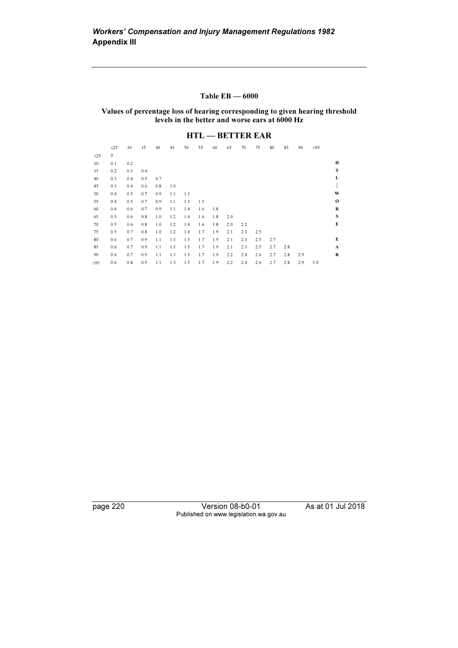#### Table EB — 6000

Values of percentage loss of hearing corresponding to given hearing threshold levels in the better and worse ears at 6000 Hz

#### HTL — BETTER EAR

|           | $\leq$ 25    | 30  | 35  | 40  | 45  | 50  | 55  | 60  | 65  | 70  | 75  | 80  | 85  | 90  | $\leq 95$ |              |
|-----------|--------------|-----|-----|-----|-----|-----|-----|-----|-----|-----|-----|-----|-----|-----|-----------|--------------|
| $\leq$ 25 | $\mathbf{0}$ |     |     |     |     |     |     |     |     |     |     |     |     |     |           |              |
| 30        | 0.1          | 0.2 |     |     |     |     |     |     |     |     |     |     |     |     |           | Н            |
| 35        | 0.2          | 0.3 | 0.4 |     |     |     |     |     |     |     |     |     |     |     |           | T            |
| 40        | 0.3          | 0.4 | 0.5 | 0.7 |     |     |     |     |     |     |     |     |     |     |           | L            |
| 45        | 0.3          | 0.4 | 0.6 | 0.8 | 1.0 |     |     |     |     |     |     |     |     |     |           | $\mathbf{I}$ |
| 50        | 0.4          | 0.5 | 0.7 | 0.9 | 1.1 | 1.3 |     |     |     |     |     |     |     |     |           | W            |
| 55        | 0.4          | 0.5 | 0.7 | 0.9 | 1.1 | 1.3 | 1.5 |     |     |     |     |     |     |     |           | $\mathbf{o}$ |
| 60        | 0.4          | 0.6 | 0.7 | 0.9 | 1.1 | 1.4 | 1.6 | 1.8 |     |     |     |     |     |     |           | R            |
| 65        | 0.5          | 0.6 | 0.8 | 1.0 | 1.2 | 1.4 | 1.6 | 1.8 | 2.0 |     |     |     |     |     |           | S            |
| 70        | 0.5          | 0.6 | 0.8 | 1.0 | 1.2 | 1.4 | 1.6 | 1.8 | 2.0 | 2.2 |     |     |     |     |           | E            |
| 75        | 0.5          | 0.7 | 0.8 | 1.0 | 1.2 | 1.4 | 1.7 | 1.9 | 2.1 | 2.3 | 2.5 |     |     |     |           |              |
| 80        | 0.6          | 0.7 | 0.9 | 1.1 | 1.3 | 1.5 | 1.7 | 1.9 | 2.1 | 2.3 | 2.5 | 2.7 |     |     |           | E            |
| 85        | 0.6          | 0.7 | 0.9 | 1.1 | 1.3 | 1.5 | 1.7 | 1.9 | 2.1 | 2.3 | 2.5 | 2.7 | 2.8 |     |           | A            |
| 90        | 0.6          | 0.7 | 0.9 | 1.1 | 1.3 | 1.5 | 1.7 | 1.9 | 2.2 | 2.4 | 2.6 | 2.7 | 2.8 | 2.9 |           | R            |
| $\leq$ 95 | 0.6          | 0.8 | 0.9 | 1.1 | 1.3 | 1.5 | 1.7 | 1.9 | 2.2 | 2.4 | 2.6 | 2.7 | 2.8 | 2.9 | 3.0       |              |

page 220 Version 08-b0-01 As at 01 Jul 2018 Published on www.legislation.wa.gov.au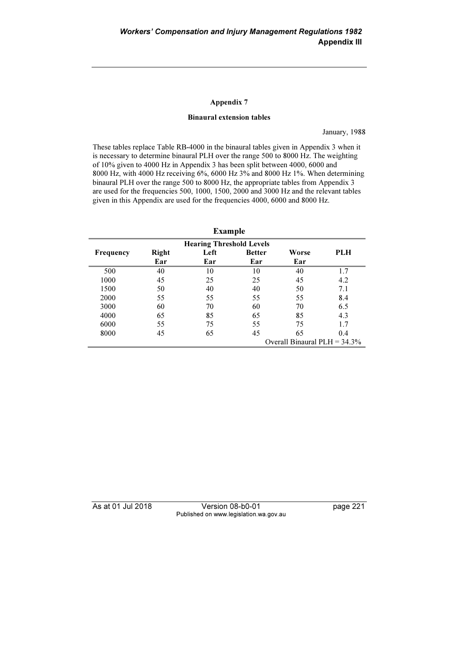#### Appendix 7

#### Binaural extension tables

January, 1988

These tables replace Table RB-4000 in the binaural tables given in Appendix 3 when it is necessary to determine binaural PLH over the range 500 to 8000 Hz. The weighting of 10% given to 4000 Hz in Appendix 3 has been split between 4000, 6000 and 8000 Hz, with 4000 Hz receiving 6%, 6000 Hz 3% and 8000 Hz 1%. When determining binaural PLH over the range 500 to 8000 Hz, the appropriate tables from Appendix 3 are used for the frequencies 500, 1000, 1500, 2000 and 3000 Hz and the relevant tables given in this Appendix are used for the frequencies 4000, 6000 and 8000 Hz.

| Example |
|---------|
|---------|

| <b>Hearing Threshold Levels</b> |                     |             |                      |                                 |            |  |  |  |  |  |
|---------------------------------|---------------------|-------------|----------------------|---------------------------------|------------|--|--|--|--|--|
| <b>Frequency</b>                | <b>Right</b><br>Ear | Left<br>Ear | <b>Better</b><br>Ear | Worse<br>Ear                    | <b>PLH</b> |  |  |  |  |  |
| 500                             | 40                  | 10          | 10                   | 40                              | 1.7        |  |  |  |  |  |
| 1000                            | 45                  | 25          | 25                   | 45                              | 4.2        |  |  |  |  |  |
| 1500                            | 50                  | 40          | 40                   | 50                              | 7.1        |  |  |  |  |  |
| 2000                            | 55                  | 55          | 55                   | 55                              | 8.4        |  |  |  |  |  |
| 3000                            | 60                  | 70          | 60                   | 70                              | 6.5        |  |  |  |  |  |
| 4000                            | 65                  | 85          | 65                   | 85                              | 4.3        |  |  |  |  |  |
| 6000                            | 55                  | 75          | 55                   | 75                              | 1.7        |  |  |  |  |  |
| 8000                            | 45                  | 65          | 45                   | 65                              | 0.4        |  |  |  |  |  |
|                                 |                     |             |                      | Overall Binaural $PLH = 34.3\%$ |            |  |  |  |  |  |

As at 01 Jul 2018 Version 08-b0-01 page 221 Published on www.legislation.wa.gov.au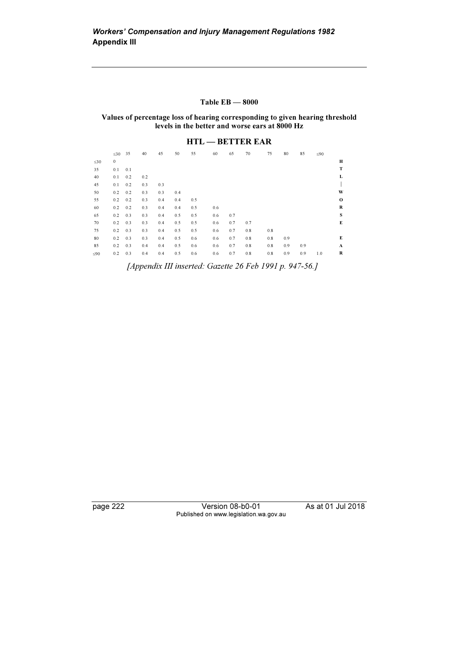#### Table EB — 8000

Values of percentage loss of hearing corresponding to given hearing threshold levels in the better and worse ears at 8000 Hz

## HTL — BETTER EAR

|           | $\leq 30$ 35 |     | 40  | 45  | 50  | 55  | 60  | 65  | 70  | 75  | 80  | 85  | $\leq 90$ |             |
|-----------|--------------|-----|-----|-----|-----|-----|-----|-----|-----|-----|-----|-----|-----------|-------------|
| $\leq 30$ | $\bf{0}$     |     |     |     |     |     |     |     |     |     |     |     |           | Н           |
| 35        | 0.1          | 0.1 |     |     |     |     |     |     |     |     |     |     |           | T           |
| 40        | 0.1          | 0.2 | 0.2 |     |     |     |     |     |     |     |     |     |           | L           |
| 45        | 0.1          | 0.2 | 0.3 | 0.3 |     |     |     |     |     |     |     |     |           |             |
| 50        | 0.2          | 0.2 | 0.3 | 0.3 | 0.4 |     |     |     |     |     |     |     |           | W           |
| 55        | 0.2          | 0.2 | 0.3 | 0.4 | 0.4 | 0.5 |     |     |     |     |     |     |           | $\mathbf 0$ |
| 60        | 0.2          | 0.2 | 0.3 | 0.4 | 0.4 | 0.5 | 0.6 |     |     |     |     |     |           | R           |
| 65        | 0.2          | 0.3 | 0.3 | 0.4 | 0.5 | 0.5 | 0.6 | 0.7 |     |     |     |     |           | S           |
| 70        | 0.2          | 0.3 | 0.3 | 0.4 | 0.5 | 0.5 | 0.6 | 0.7 | 0.7 |     |     |     |           | E           |
| 75        | 0.2          | 0.3 | 0.3 | 0.4 | 0.5 | 0.5 | 0.6 | 0.7 | 0.8 | 0.8 |     |     |           |             |
| 80        | 0.2          | 0.3 | 0.3 | 0.4 | 0.5 | 0.6 | 0.6 | 0.7 | 0.8 | 0.8 | 0.9 |     |           | E           |
| 85        | 0.2          | 0.3 | 0.4 | 0.4 | 0.5 | 0.6 | 0.6 | 0.7 | 0.8 | 0.8 | 0.9 | 0.9 |           | A           |
| $\leq 90$ | 0.2          | 0.3 | 0.4 | 0.4 | 0.5 | 0.6 | 0.6 | 0.7 | 0.8 | 0.8 | 0.9 | 0.9 | 1.0       | R           |

[Appendix III inserted: Gazette 26 Feb 1991 p. 947-56.]

page 222 Version 08-b0-01 As at 01 Jul 2018 Published on www.legislation.wa.gov.au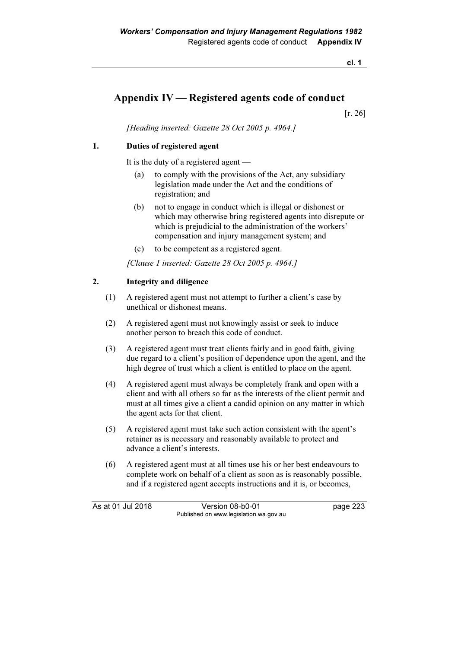cl. 1

# Appendix IV — Registered agents code of conduct

[r. 26]

[Heading inserted: Gazette 28 Oct 2005 p. 4964.]

## 1. Duties of registered agent

It is the duty of a registered agent —

- (a) to comply with the provisions of the Act, any subsidiary legislation made under the Act and the conditions of registration; and
- (b) not to engage in conduct which is illegal or dishonest or which may otherwise bring registered agents into disrepute or which is prejudicial to the administration of the workers' compensation and injury management system; and
- (c) to be competent as a registered agent.

[Clause 1 inserted: Gazette 28 Oct 2005 p. 4964.]

## 2. Integrity and diligence

- (1) A registered agent must not attempt to further a client's case by unethical or dishonest means.
- (2) A registered agent must not knowingly assist or seek to induce another person to breach this code of conduct.
- (3) A registered agent must treat clients fairly and in good faith, giving due regard to a client's position of dependence upon the agent, and the high degree of trust which a client is entitled to place on the agent.
- (4) A registered agent must always be completely frank and open with a client and with all others so far as the interests of the client permit and must at all times give a client a candid opinion on any matter in which the agent acts for that client.
- (5) A registered agent must take such action consistent with the agent's retainer as is necessary and reasonably available to protect and advance a client's interests.
- (6) A registered agent must at all times use his or her best endeavours to complete work on behalf of a client as soon as is reasonably possible, and if a registered agent accepts instructions and it is, or becomes,

As at 01 Jul 2018 Version 08-b0-01 page 223 Published on www.legislation.wa.gov.au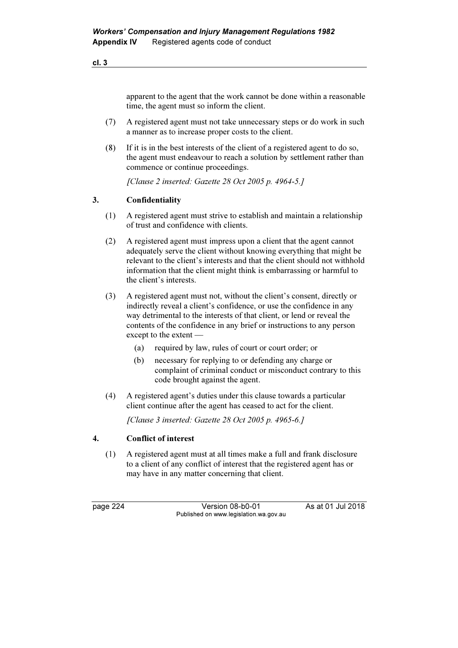apparent to the agent that the work cannot be done within a reasonable time, the agent must so inform the client.

- (7) A registered agent must not take unnecessary steps or do work in such a manner as to increase proper costs to the client.
- (8) If it is in the best interests of the client of a registered agent to do so, the agent must endeavour to reach a solution by settlement rather than commence or continue proceedings.

[Clause 2 inserted: Gazette 28 Oct 2005 p. 4964-5.]

## 3. Confidentiality

- (1) A registered agent must strive to establish and maintain a relationship of trust and confidence with clients.
- (2) A registered agent must impress upon a client that the agent cannot adequately serve the client without knowing everything that might be relevant to the client's interests and that the client should not withhold information that the client might think is embarrassing or harmful to the client's interests.
- (3) A registered agent must not, without the client's consent, directly or indirectly reveal a client's confidence, or use the confidence in any way detrimental to the interests of that client, or lend or reveal the contents of the confidence in any brief or instructions to any person except to the extent —
	- (a) required by law, rules of court or court order; or
	- (b) necessary for replying to or defending any charge or complaint of criminal conduct or misconduct contrary to this code brought against the agent.
- (4) A registered agent's duties under this clause towards a particular client continue after the agent has ceased to act for the client.

[Clause 3 inserted: Gazette 28 Oct 2005 p. 4965-6.]

### 4. Conflict of interest

 (1) A registered agent must at all times make a full and frank disclosure to a client of any conflict of interest that the registered agent has or may have in any matter concerning that client.

page 224 Version 08-b0-01 As at 01 Jul 2018 Published on www.legislation.wa.gov.au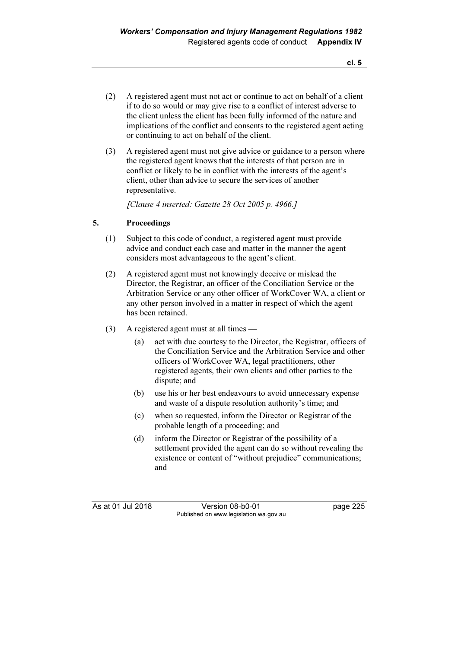- (2) A registered agent must not act or continue to act on behalf of a client if to do so would or may give rise to a conflict of interest adverse to the client unless the client has been fully informed of the nature and implications of the conflict and consents to the registered agent acting or continuing to act on behalf of the client.
- (3) A registered agent must not give advice or guidance to a person where the registered agent knows that the interests of that person are in conflict or likely to be in conflict with the interests of the agent's client, other than advice to secure the services of another representative.

[Clause 4 inserted: Gazette 28 Oct 2005 p. 4966.]

## 5. Proceedings

- (1) Subject to this code of conduct, a registered agent must provide advice and conduct each case and matter in the manner the agent considers most advantageous to the agent's client.
- (2) A registered agent must not knowingly deceive or mislead the Director, the Registrar, an officer of the Conciliation Service or the Arbitration Service or any other officer of WorkCover WA, a client or any other person involved in a matter in respect of which the agent has been retained.
- (3) A registered agent must at all times
	- (a) act with due courtesy to the Director, the Registrar, officers of the Conciliation Service and the Arbitration Service and other officers of WorkCover WA, legal practitioners, other registered agents, their own clients and other parties to the dispute; and
	- (b) use his or her best endeavours to avoid unnecessary expense and waste of a dispute resolution authority's time; and
	- (c) when so requested, inform the Director or Registrar of the probable length of a proceeding; and
	- (d) inform the Director or Registrar of the possibility of a settlement provided the agent can do so without revealing the existence or content of "without prejudice" communications; and

As at 01 Jul 2018 Version 08-b0-01 page 225 Published on www.legislation.wa.gov.au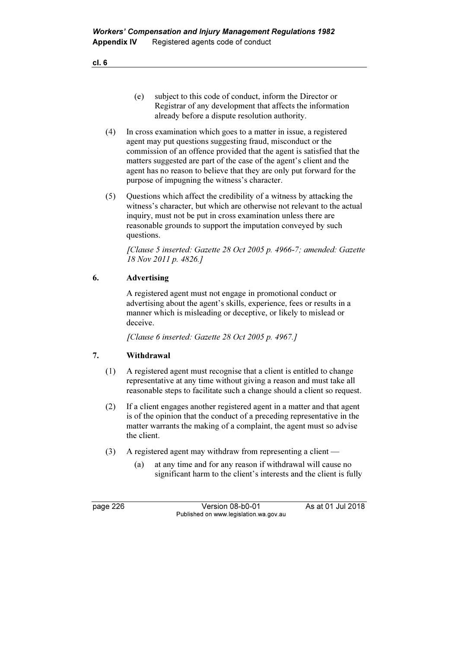- (e) subject to this code of conduct, inform the Director or Registrar of any development that affects the information already before a dispute resolution authority.
- (4) In cross examination which goes to a matter in issue, a registered agent may put questions suggesting fraud, misconduct or the commission of an offence provided that the agent is satisfied that the matters suggested are part of the case of the agent's client and the agent has no reason to believe that they are only put forward for the purpose of impugning the witness's character.
- (5) Questions which affect the credibility of a witness by attacking the witness's character, but which are otherwise not relevant to the actual inquiry, must not be put in cross examination unless there are reasonable grounds to support the imputation conveyed by such questions.

 [Clause 5 inserted: Gazette 28 Oct 2005 p. 4966-7; amended: Gazette 18 Nov 2011 p. 4826.]

## 6. Advertising

 A registered agent must not engage in promotional conduct or advertising about the agent's skills, experience, fees or results in a manner which is misleading or deceptive, or likely to mislead or deceive.

[Clause 6 inserted: Gazette 28 Oct 2005 p. 4967.]

### 7. Withdrawal

- (1) A registered agent must recognise that a client is entitled to change representative at any time without giving a reason and must take all reasonable steps to facilitate such a change should a client so request.
- (2) If a client engages another registered agent in a matter and that agent is of the opinion that the conduct of a preceding representative in the matter warrants the making of a complaint, the agent must so advise the client.
- (3) A registered agent may withdraw from representing a client
	- (a) at any time and for any reason if withdrawal will cause no significant harm to the client's interests and the client is fully

page 226 Version 08-b0-01 As at 01 Jul 2018 Published on www.legislation.wa.gov.au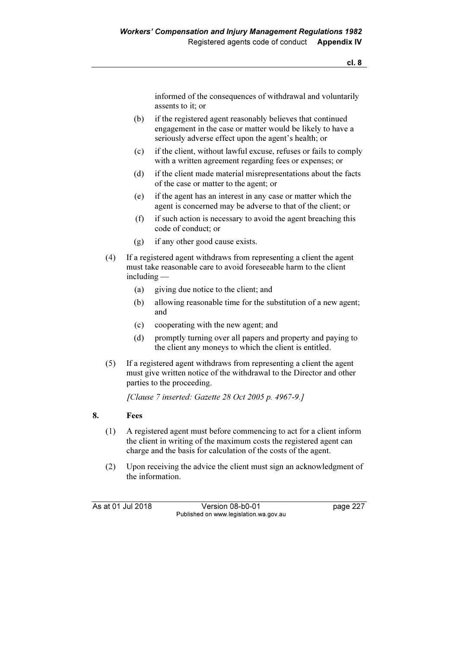informed of the consequences of withdrawal and voluntarily assents to it; or

- (b) if the registered agent reasonably believes that continued engagement in the case or matter would be likely to have a seriously adverse effect upon the agent's health; or
- (c) if the client, without lawful excuse, refuses or fails to comply with a written agreement regarding fees or expenses; or
- (d) if the client made material misrepresentations about the facts of the case or matter to the agent; or
- (e) if the agent has an interest in any case or matter which the agent is concerned may be adverse to that of the client; or
- (f) if such action is necessary to avoid the agent breaching this code of conduct; or
- (g) if any other good cause exists.
- (4) If a registered agent withdraws from representing a client the agent must take reasonable care to avoid foreseeable harm to the client including —
	- (a) giving due notice to the client; and
	- (b) allowing reasonable time for the substitution of a new agent; and
	- (c) cooperating with the new agent; and
	- (d) promptly turning over all papers and property and paying to the client any moneys to which the client is entitled.
- (5) If a registered agent withdraws from representing a client the agent must give written notice of the withdrawal to the Director and other parties to the proceeding.

[Clause 7 inserted: Gazette 28 Oct 2005 p. 4967-9.]

### 8. Fees

- (1) A registered agent must before commencing to act for a client inform the client in writing of the maximum costs the registered agent can charge and the basis for calculation of the costs of the agent.
- (2) Upon receiving the advice the client must sign an acknowledgment of the information.

As at 01 Jul 2018 Version 08-b0-01 page 227 Published on www.legislation.wa.gov.au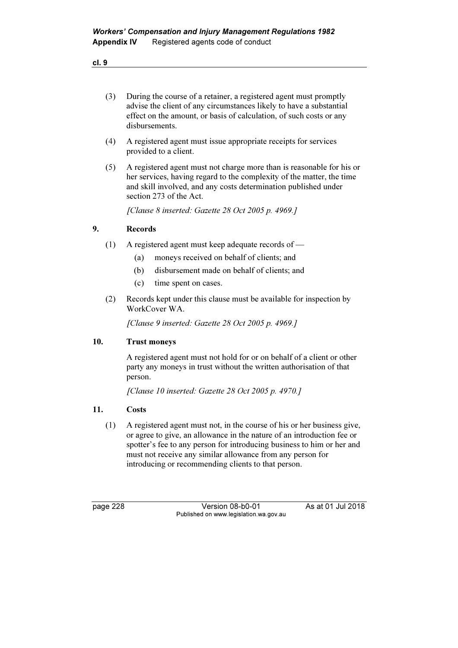| ×<br>I<br>۰. | ×<br>v |
|--------------|--------|

- (3) During the course of a retainer, a registered agent must promptly advise the client of any circumstances likely to have a substantial effect on the amount, or basis of calculation, of such costs or any disbursements.
- (4) A registered agent must issue appropriate receipts for services provided to a client.
- (5) A registered agent must not charge more than is reasonable for his or her services, having regard to the complexity of the matter, the time and skill involved, and any costs determination published under section 273 of the Act.

[Clause 8 inserted: Gazette 28 Oct 2005 p. 4969.]

### 9. Records

- (1) A registered agent must keep adequate records of
	- (a) moneys received on behalf of clients; and
	- (b) disbursement made on behalf of clients; and
	- (c) time spent on cases.
- (2) Records kept under this clause must be available for inspection by WorkCover WA.

[Clause 9 inserted: Gazette 28 Oct 2005 p. 4969.]

### 10. Trust moneys

 A registered agent must not hold for or on behalf of a client or other party any moneys in trust without the written authorisation of that person.

[Clause 10 inserted: Gazette 28 Oct 2005 p. 4970.]

## 11. Costs

 (1) A registered agent must not, in the course of his or her business give, or agree to give, an allowance in the nature of an introduction fee or spotter's fee to any person for introducing business to him or her and must not receive any similar allowance from any person for introducing or recommending clients to that person.

page 228 Version 08-b0-01 As at 01 Jul 2018 Published on www.legislation.wa.gov.au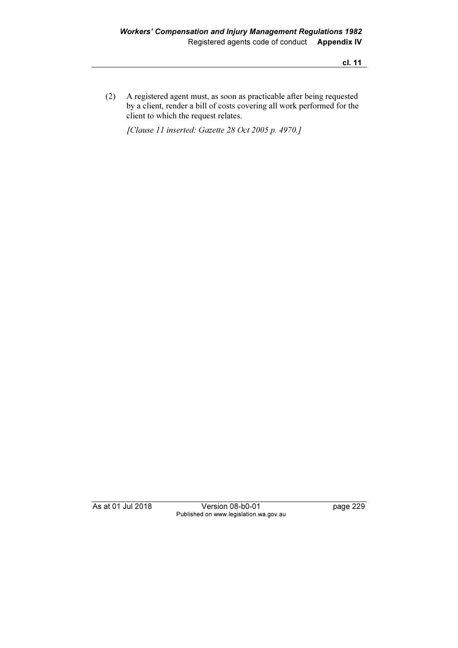cl. 11

 (2) A registered agent must, as soon as practicable after being requested by a client, render a bill of costs covering all work performed for the client to which the request relates.

[Clause 11 inserted: Gazette 28 Oct 2005 p. 4970.]

As at 01 Jul 2018 Version 08-b0-01 page 229 Published on www.legislation.wa.gov.au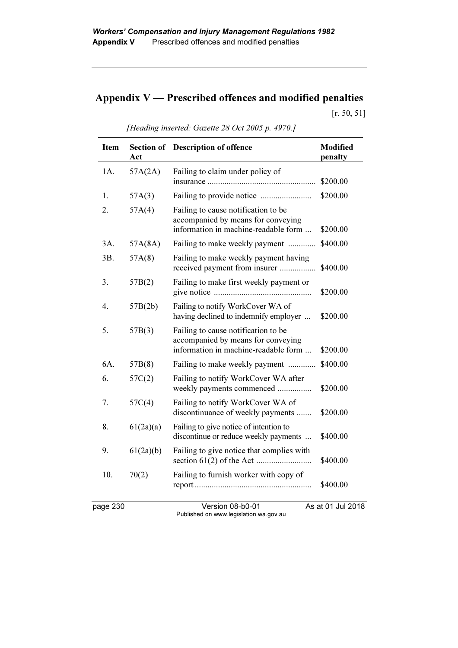# Appendix  $V$  — Prescribed offences and modified penalties

[r. 50, 51]

| <b>Item</b> | Act       | Section of Description of offence                                                                                 | <b>Modified</b><br>penalty |
|-------------|-----------|-------------------------------------------------------------------------------------------------------------------|----------------------------|
| 1A.         | 57A(2A)   | Failing to claim under policy of                                                                                  | \$200.00                   |
| 1.          | 57A(3)    |                                                                                                                   | \$200.00                   |
| 2.          | 57A(4)    | Failing to cause notification to be<br>accompanied by means for conveying<br>information in machine-readable form | \$200.00                   |
| 3A.         | 57A(8A)   | Failing to make weekly payment                                                                                    | \$400.00                   |
| 3B.         | 57A(8)    | Failing to make weekly payment having<br>received payment from insurer                                            | \$400.00                   |
| 3.          | 57B(2)    | Failing to make first weekly payment or                                                                           | \$200.00                   |
| 4.          | 57B(2b)   | Failing to notify WorkCover WA of<br>having declined to indemnify employer                                        | \$200.00                   |
| 5.          | 57B(3)    | Failing to cause notification to be<br>accompanied by means for conveying<br>information in machine-readable form | \$200.00                   |
| 6A.         | 57B(8)    | Failing to make weekly payment                                                                                    | \$400.00                   |
| 6.          | 57C(2)    | Failing to notify WorkCover WA after<br>weekly payments commenced                                                 | \$200.00                   |
| 7.          | 57C(4)    | Failing to notify WorkCover WA of<br>discontinuance of weekly payments                                            | \$200.00                   |
| 8.          | 61(2a)(a) | Failing to give notice of intention to<br>discontinue or reduce weekly payments                                   | \$400.00                   |
| 9.          | 61(2a)(b) | Failing to give notice that complies with                                                                         | \$400.00                   |
| 10.         | 70(2)     | Failing to furnish worker with copy of                                                                            | \$400.00                   |
| page 230    |           | Version 08-b0-01                                                                                                  | As at 01 Jul 2018          |

[Heading inserted: Gazette 28 Oct 2005 p. 4970.]

Published on www.legislation.wa.gov.au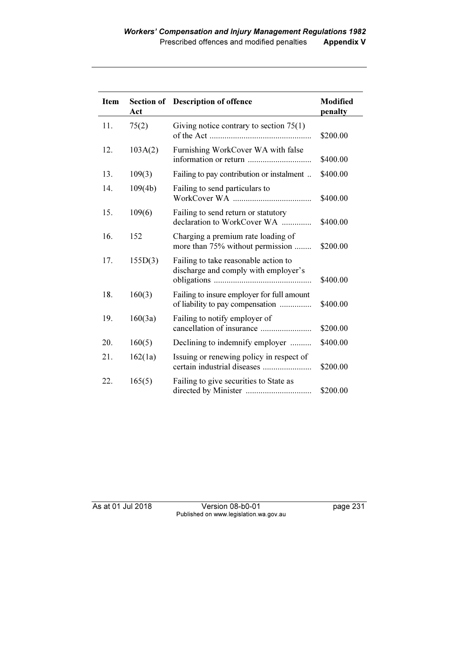| <b>Item</b> | Act     | Section of Description of offence                                              | <b>Modified</b><br>penalty |
|-------------|---------|--------------------------------------------------------------------------------|----------------------------|
| 11.         | 75(2)   | Giving notice contrary to section $75(1)$                                      | \$200.00                   |
| 12.         | 103A(2) | Furnishing WorkCover WA with false                                             | \$400.00                   |
| 13.         | 109(3)  | Failing to pay contribution or instalment                                      | \$400.00                   |
| 14.         | 109(4b) | Failing to send particulars to                                                 | \$400.00                   |
| 15.         | 109(6)  | Failing to send return or statutory<br>declaration to WorkCover WA             | \$400.00                   |
| 16.         | 152     | Charging a premium rate loading of<br>more than 75% without permission         | \$200.00                   |
| 17.         | 155D(3) | Failing to take reasonable action to<br>discharge and comply with employer's   | \$400.00                   |
| 18.         | 160(3)  | Failing to insure employer for full amount<br>of liability to pay compensation | \$400.00                   |
| 19.         | 160(3a) | Failing to notify employer of<br>cancellation of insurance                     | \$200.00                   |
| 20.         | 160(5)  | Declining to indemnify employer                                                | \$400.00                   |
| 21.         | 162(1a) | Issuing or renewing policy in respect of<br>certain industrial diseases        | \$200.00                   |
| 22.         | 165(5)  | Failing to give securities to State as                                         | \$200.00                   |

As at 01 Jul 2018 Version 08-b0-01 page 231 Published on www.legislation.wa.gov.au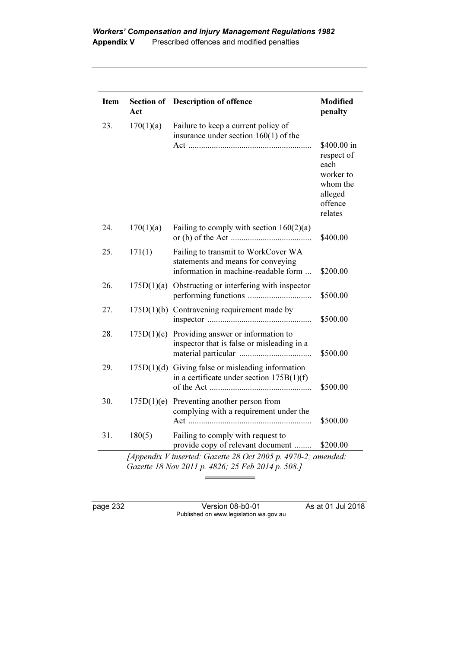| <b>Item</b> | Act        | Section of Description of offence                                                                                 | Modified<br>penalty                                                                         |
|-------------|------------|-------------------------------------------------------------------------------------------------------------------|---------------------------------------------------------------------------------------------|
| 23.         | 170(1)(a)  | Failure to keep a current policy of<br>insurance under section $160(1)$ of the                                    | \$400.00 in<br>respect of<br>each<br>worker to<br>whom the<br>alleged<br>offence<br>relates |
| 24.         | 170(1)(a)  | Failing to comply with section $160(2)(a)$                                                                        | \$400.00                                                                                    |
| 25.         | 171(1)     | Failing to transmit to WorkCover WA<br>statements and means for conveying<br>information in machine-readable form | \$200.00                                                                                    |
| 26.         | 175D(1)(a) | Obstructing or interfering with inspector                                                                         | \$500.00                                                                                    |
| 27.         |            | $175D(1)(b)$ Contravening requirement made by                                                                     | \$500.00                                                                                    |
| 28.         | 175D(1)(c) | Providing answer or information to<br>inspector that is false or misleading in a                                  | \$500.00                                                                                    |
| 29.         |            | $175D(1)(d)$ Giving false or misleading information<br>in a certificate under section $175B(1)(f)$                | \$500.00                                                                                    |
| 30.         | 175D(1)(e) | Preventing another person from<br>complying with a requirement under the                                          | \$500.00                                                                                    |
| 31.         | 180(5)     | Failing to comply with request to<br>provide copy of relevant document                                            | \$200.00                                                                                    |

page 232 Version 08-b0-01 As at 01 Jul 2018 Published on www.legislation.wa.gov.au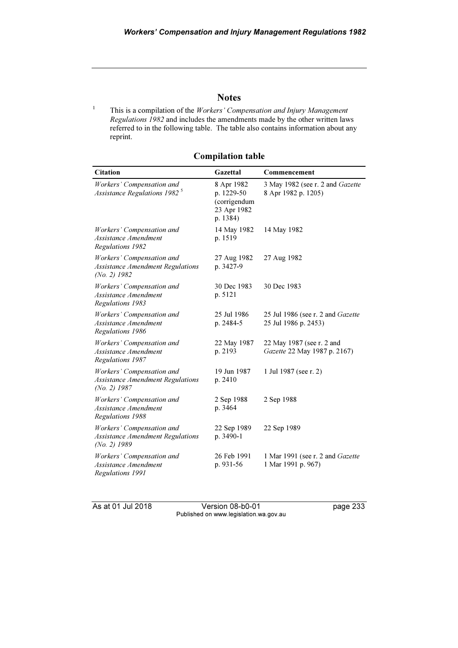## **Notes**

 This is a compilation of the Workers' Compensation and Injury Management Regulations 1982 and includes the amendments made by the other written laws referred to in the following table. The table also contains information about any reprint.

| <b>Citation</b>                                                                        | Gazettal                                                            | Commencement                                                     |
|----------------------------------------------------------------------------------------|---------------------------------------------------------------------|------------------------------------------------------------------|
| Workers' Compensation and<br>Assistance Regulations 1982 <sup>5</sup>                  | 8 Apr 1982<br>p. 1229-50<br>(corrigendum<br>23 Apr 1982<br>p. 1384) | 3 May 1982 (see r. 2 and Gazette<br>8 Apr 1982 p. 1205)          |
| Workers' Compensation and<br>Assistance Amendment<br>Regulations 1982                  | 14 May 1982<br>p. 1519                                              | 14 May 1982                                                      |
| Workers' Compensation and<br><b>Assistance Amendment Regulations</b><br>$(No. 2)$ 1982 | 27 Aug 1982<br>p. 3427-9                                            | 27 Aug 1982                                                      |
| Workers' Compensation and<br>Assistance Amendment<br>Regulations 1983                  | 30 Dec 1983<br>p. 5121                                              | 30 Dec 1983                                                      |
| Workers' Compensation and<br>Assistance Amendment<br>Regulations 1986                  | 25 Jul 1986<br>p. 2484-5                                            | 25 Jul 1986 (see r. 2 and <i>Gazette</i><br>25 Jul 1986 p. 2453) |
| Workers' Compensation and<br>Assistance Amendment<br>Regulations 1987                  | 22 May 1987<br>p. 2193                                              | 22 May 1987 (see r. 2 and<br>Gazette 22 May 1987 p. 2167)        |
| Workers' Compensation and<br><b>Assistance Amendment Regulations</b><br>$(No. 2)$ 1987 | 19 Jun 1987<br>p. 2410                                              | 1 Jul 1987 (see r. 2)                                            |
| Workers' Compensation and<br>Assistance Amendment<br>Regulations 1988                  | 2 Sep 1988<br>p. 3464                                               | 2 Sep 1988                                                       |
| Workers' Compensation and<br><b>Assistance Amendment Regulations</b><br>$(No. 2)$ 1989 | 22 Sep 1989<br>p. 3490-1                                            | 22 Sep 1989                                                      |
| Workers' Compensation and<br>Assistance Amendment<br>Regulations 1991                  | 26 Feb 1991<br>p. 931-56                                            | 1 Mar 1991 (see r. 2 and <i>Gazette</i><br>1 Mar 1991 p. 967)    |

## Compilation table

1

As at 01 Jul 2018 Version 08-b0-01 page 233 Published on www.legislation.wa.gov.au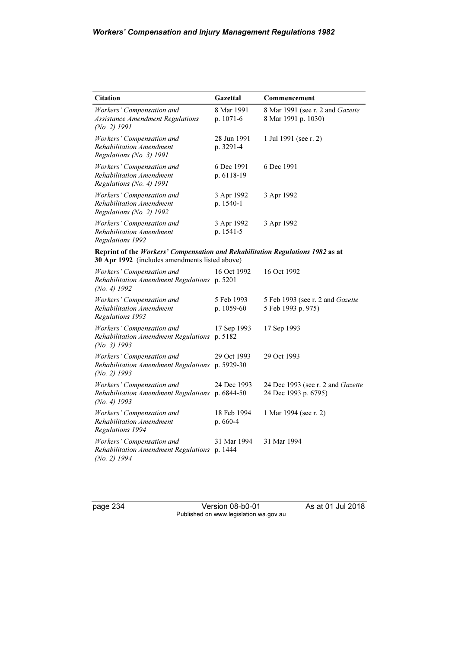| <b>Citation</b>                                                                                                                  | Gazettal                 | Commencement                                              |  |  |
|----------------------------------------------------------------------------------------------------------------------------------|--------------------------|-----------------------------------------------------------|--|--|
| Workers' Compensation and<br><b>Assistance Amendment Regulations</b><br>$(No. 2)$ 1991                                           | 8 Mar 1991<br>p. 1071-6  | 8 Mar 1991 (see r. 2 and Gazette<br>8 Mar 1991 p. 1030)   |  |  |
| Workers' Compensation and<br>Rehabilitation Amendment<br>Regulations (No. 3) 1991                                                | 28 Jun 1991<br>p. 3291-4 | 1 Jul 1991 (see r. 2)                                     |  |  |
| Workers' Compensation and<br>Rehabilitation Amendment<br>Regulations (No. 4) 1991                                                | 6 Dec 1991<br>p. 6118-19 | 6 Dec 1991                                                |  |  |
| Workers' Compensation and<br>Rehabilitation Amendment<br>Regulations (No. 2) 1992                                                | 3 Apr 1992<br>p. 1540-1  | 3 Apr 1992                                                |  |  |
| Workers' Compensation and<br>Rehabilitation Amendment<br>Regulations 1992                                                        | 3 Apr 1992<br>p. 1541-5  | 3 Apr 1992                                                |  |  |
| Reprint of the Workers' Compensation and Rehabilitation Regulations 1982 as at<br>30 Apr 1992 (includes amendments listed above) |                          |                                                           |  |  |
| Workers' Compensation and<br>Rehabilitation Amendment Regulations p. 5201<br>(No. 4) $1992$                                      | 16 Oct 1992              | 16 Oct 1992                                               |  |  |
| Workers' Compensation and<br>Rehabilitation Amendment<br>Regulations 1993                                                        | 5 Feb 1993<br>p. 1059-60 | 5 Feb 1993 (see r. 2 and Gazette<br>5 Feb 1993 p. 975)    |  |  |
| Workers' Compensation and<br>Rehabilitation Amendment Regulations<br>$(No. 3)$ 1993                                              | 17 Sep 1993<br>p. 5182   | 17 Sep 1993                                               |  |  |
| Workers' Compensation and<br>Rehabilitation Amendment Regulations p. 5929-30<br>(No. 2) $1993$                                   | 29 Oct 1993              | 29 Oct 1993                                               |  |  |
| Workers' Compensation and<br>Rehabilitation Amendment Regulations p. 6844-50<br>$(No. 4)$ 1993                                   | 24 Dec 1993              | 24 Dec 1993 (see r. 2 and Gazette<br>24 Dec 1993 p. 6795) |  |  |
| Workers' Compensation and<br>Rehabilitation Amendment<br>Regulations 1994                                                        | 18 Feb 1994<br>p. 660-4  | 1 Mar 1994 (see r. 2)                                     |  |  |
| Workers' Compensation and<br>Rehabilitation Amendment Regulations<br>$(No. 2)$ 1994                                              | 31 Mar 1994<br>p. 1444   | 31 Mar 1994                                               |  |  |

page 234 Version 08-b0-01 As at 01 Jul 2018 Published on www.legislation.wa.gov.au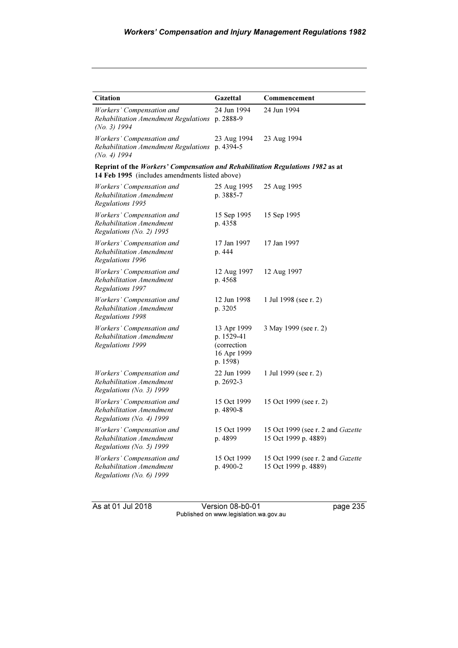| <b>Citation</b>                                                                                                                  | Gazettal                                                            | Commencement                                              |
|----------------------------------------------------------------------------------------------------------------------------------|---------------------------------------------------------------------|-----------------------------------------------------------|
| Workers' Compensation and<br>Rehabilitation Amendment Regulations p. 2888-9<br>(No. 3) 1994                                      | 24 Jun 1994                                                         | 24 Jun 1994                                               |
| Workers' Compensation and<br>Rehabilitation Amendment Regulations p. 4394-5<br>(No. 4) $1994$                                    | 23 Aug 1994                                                         | 23 Aug 1994                                               |
| Reprint of the Workers' Compensation and Rehabilitation Regulations 1982 as at<br>14 Feb 1995 (includes amendments listed above) |                                                                     |                                                           |
| Workers' Compensation and<br>Rehabilitation Amendment<br>Regulations 1995                                                        | 25 Aug 1995<br>p. 3885-7                                            | 25 Aug 1995                                               |
| Workers' Compensation and<br>Rehabilitation Amendment<br>Regulations (No. 2) 1995                                                | 15 Sep 1995<br>p. 4358                                              | 15 Sep 1995                                               |
| Workers' Compensation and<br>Rehabilitation Amendment<br>Regulations 1996                                                        | 17 Jan 1997<br>p. 444                                               | 17 Jan 1997                                               |
| Workers' Compensation and<br><b>Rehabilitation Amendment</b><br>Regulations 1997                                                 | 12 Aug 1997<br>p. 4568                                              | 12 Aug 1997                                               |
| Workers' Compensation and<br>Rehabilitation Amendment<br>Regulations 1998                                                        | 12 Jun 1998<br>p. 3205                                              | 1 Jul 1998 (see r. 2)                                     |
| Workers' Compensation and<br>Rehabilitation Amendment<br>Regulations 1999                                                        | 13 Apr 1999<br>p. 1529-41<br>(correction<br>16 Apr 1999<br>p. 1598) | 3 May 1999 (see r. 2)                                     |
| Workers' Compensation and<br>Rehabilitation Amendment<br>Regulations (No. 3) 1999                                                | 22 Jun 1999<br>p. 2692-3                                            | 1 Jul 1999 (see r. 2)                                     |
| Workers' Compensation and<br>Rehabilitation Amendment<br>Regulations (No. 4) 1999                                                | 15 Oct 1999<br>p. 4890-8                                            | 15 Oct 1999 (see r. 2)                                    |
| Workers' Compensation and<br><b>Rehabilitation Amendment</b><br>Regulations (No. 5) 1999                                         | 15 Oct 1999<br>p. 4899                                              | 15 Oct 1999 (see r. 2 and Gazette<br>15 Oct 1999 p. 4889) |
| Workers' Compensation and<br>Rehabilitation Amendment<br>Regulations (No. 6) 1999                                                | 15 Oct 1999<br>p. 4900-2                                            | 15 Oct 1999 (see r. 2 and Gazette<br>15 Oct 1999 p. 4889) |

As at 01 Jul 2018 Version 08-b0-01 page 235 Published on www.legislation.wa.gov.au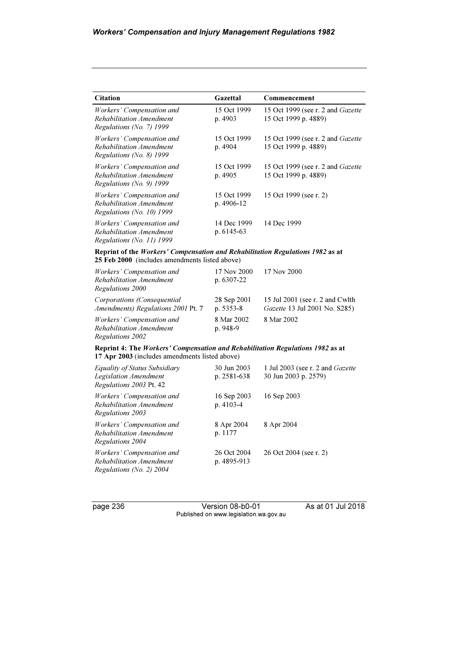| <b>Citation</b>                                                                     | Gazettal                  | Commencement                                              |
|-------------------------------------------------------------------------------------|---------------------------|-----------------------------------------------------------|
| Workers' Compensation and<br>Rehabilitation Amendment<br>Regulations (No. 7) $1999$ | 15 Oct 1999<br>p. 4903    | 15 Oct 1999 (see r. 2 and Gazette<br>15 Oct 1999 p. 4889) |
| Workers' Compensation and<br>Rehabilitation Amendment<br>Regulations (No. 8) $1999$ | 15 Oct 1999<br>p. 4904    | 15 Oct 1999 (see r. 2 and Gazette<br>15 Oct 1999 p. 4889) |
| Workers' Compensation and<br>Rehabilitation Amendment<br>Regulations (No. 9) $1999$ | 15 Oct 1999<br>p. 4905    | 15 Oct 1999 (see r. 2 and Gazette<br>15 Oct 1999 p. 4889) |
| Workers' Compensation and<br>Rehabilitation Amendment<br>Regulations (No. 10) 1999  | 15 Oct 1999<br>p. 4906-12 | 15 Oct 1999 (see r. 2)                                    |
| Workers' Compensation and<br>Rehabilitation Amendment<br>Regulations (No. 11) 1999  | 14 Dec 1999<br>p. 6145-63 | 14 Dec 1999                                               |

#### Reprint of the Workers' Compensation and Rehabilitation Regulations 1982 as at 25 Feb 2000 (includes amendments listed above)

| Workers' Compensation and<br>Rehabilitation Amendment<br>Regulations 2000 | 17 Nov 2000<br>p. $6307 - 22$ | 17 Nov 2000                                                      |
|---------------------------------------------------------------------------|-------------------------------|------------------------------------------------------------------|
| Corporations (Consequential<br>Amendments) Regulations 2001 Pt. 7         | 28 Sep 2001<br>p. 5353-8      | 15 Jul 2001 (see r. 2 and Cwlth<br>Gazette 13 Jul 2001 No. S285) |
| Workers' Compensation and<br>Rehabilitation Amendment<br>Regulations 2002 | 8 Mar 2002<br>$p.948-9$       | 8 Mar 2002                                                       |

#### Reprint 4: The Workers' Compensation and Rehabilitation Regulations 1982 as at 17 Apr 2003 (includes amendments listed above)

| Equality of Status Subsidiary<br>Legislation Amendment<br>Regulations 2003 Pt. 42   | 30 Jun 2003<br>p. 2581-638 | 1 Jul 2003 (see r. 2 and Gazette<br>30 Jun 2003 p. 2579) |
|-------------------------------------------------------------------------------------|----------------------------|----------------------------------------------------------|
| Workers' Compensation and<br>Rehabilitation Amendment<br>Regulations 2003           | 16 Sep 2003<br>$p.4103-4$  | 16 Sep 2003                                              |
| Workers' Compensation and<br>Rehabilitation Amendment<br>Regulations 2004           | 8 Apr 2004<br>p. 1177      | 8 Apr 2004                                               |
| Workers' Compensation and<br>Rehabilitation Amendment<br>Regulations (No. 2) $2004$ | 26 Oct 2004<br>p. 4895-913 | 26 Oct 2004 (see r. 2)                                   |

page 236 Version 08-b0-01 As at 01 Jul 2018 Published on www.legislation.wa.gov.au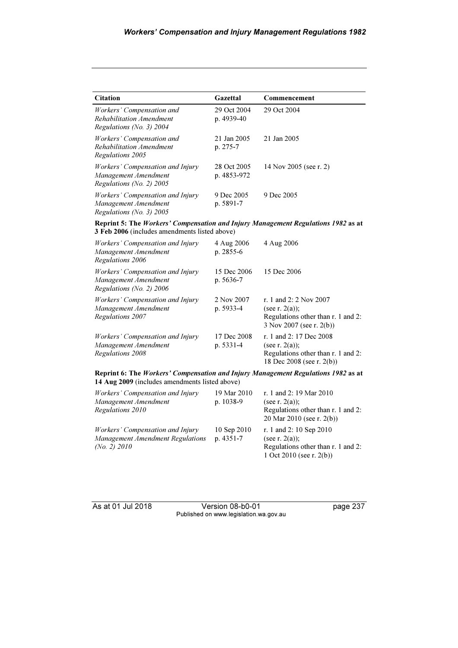| <b>Citation</b>                                                                               | Gazettal                   | Commencement           |
|-----------------------------------------------------------------------------------------------|----------------------------|------------------------|
| Workers' Compensation and<br>Rehabilitation Amendment<br>Regulations (No. 3) $2004$           | 29 Oct 2004<br>p. 4939-40  | 29 Oct 2004            |
| Workers' Compensation and<br>Rehabilitation Amendment<br>Regulations 2005                     | 21 Jan 2005<br>p. 275-7    | 21 Jan 2005            |
| Workers' Compensation and Injury<br>Management Amendment<br>Regulations (No. 2) $2005$        | 28 Oct 2005<br>p. 4853-972 | 14 Nov 2005 (see r. 2) |
| <i>Workers' Compensation and Injury</i><br>Management Amendment<br>Regulations (No. 3) $2005$ | 9 Dec 2005<br>p. 5891-7    | 9 Dec 2005             |

Reprint 5: The Workers' Compensation and Injury Management Regulations 1982 as at 3 Feb 2006 (includes amendments listed above)

| <i>Workers' Compensation and Injury</i><br>Management Amendment<br>Regulations 2006         | 4 Aug 2006<br>$p. 2855-6$ | 4 Aug 2006                                                                                                      |
|---------------------------------------------------------------------------------------------|---------------------------|-----------------------------------------------------------------------------------------------------------------|
| <i>Workers' Compensation and Injury</i><br>Management Amendment<br>Regulations (No. 2) 2006 | 15 Dec 2006<br>p. 5636-7  | 15 Dec 2006                                                                                                     |
| Workers' Compensation and Injury<br>Management Amendment<br>Regulations 2007                | 2 Nov 2007<br>p. 5933-4   | r. 1 and 2: 2 Nov 2007<br>(see r. $2(a)$ );<br>Regulations other than r. 1 and 2:<br>3 Nov 2007 (see r. 2(b))   |
| Workers' Compensation and Injury<br>Management Amendment<br>Regulations 2008                | 17 Dec 2008<br>p. 5331-4  | r. 1 and 2: 17 Dec 2008<br>(see r. $2(a)$ );<br>Regulations other than r. 1 and 2:<br>18 Dec 2008 (see r. 2(b)) |

Reprint 6: The Workers' Compensation and Injury Management Regulations 1982 as at 14 Aug 2009 (includes amendments listed above)

| Workers' Compensation and Injury<br>Management Amendment<br>Regulations 2010           | 19 Mar 2010<br>p. $1038-9$ | r. 1 and 2: 19 Mar 2010<br>(see r. $2(a)$ );<br>Regulations other than r. 1 and 2:<br>20 Mar 2010 (see r. 2(b))   |
|----------------------------------------------------------------------------------------|----------------------------|-------------------------------------------------------------------------------------------------------------------|
| Workers' Compensation and Injury<br>Management Amendment Regulations<br>(No. 2) $2010$ | 10 Sep 2010<br>$p.4351-7$  | r. 1 and 2: 10 Sep 2010<br>(see r. $2(a)$ );<br>Regulations other than r. 1 and 2:<br>1 Oct 2010 (see r. $2(b)$ ) |

As at 01 Jul 2018 Version 08-b0-01 page 237 Published on www.legislation.wa.gov.au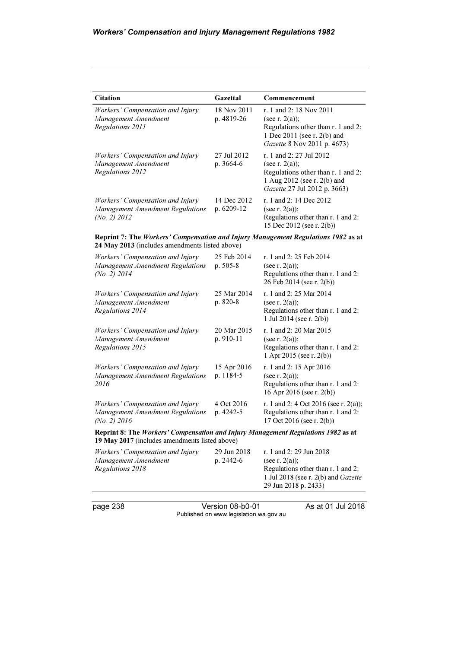| <b>Citation</b>                                                                               | Gazettal                  | Commencement                                                                                                                                      |
|-----------------------------------------------------------------------------------------------|---------------------------|---------------------------------------------------------------------------------------------------------------------------------------------------|
| Workers' Compensation and Injury<br>Management Amendment<br>Regulations 2011                  | 18 Nov 2011<br>p. 4819-26 | r. 1 and 2: 18 Nov 2011<br>(see r. $2(a)$ );<br>Regulations other than r. 1 and 2:<br>1 Dec 2011 (see r. 2(b) and<br>Gazette 8 Nov 2011 p. 4673)  |
| Workers' Compensation and Injury<br>Management Amendment<br>Regulations 2012                  | 27 Jul 2012<br>$p.3664-6$ | r. 1 and 2: 27 Jul 2012<br>(see r. $2(a)$ );<br>Regulations other than r. 1 and 2:<br>1 Aug 2012 (see r. 2(b) and<br>Gazette 27 Jul 2012 p. 3663) |
| Workers' Compensation and Injury<br><b>Management Amendment Regulations</b><br>(No. 2) $2012$ | 14 Dec 2012<br>p. 6209-12 | r. 1 and 2: 14 Dec 2012<br>(see r. $2(a)$ );<br>Regulations other than r. 1 and 2:<br>15 Dec 2012 (see r. 2(b))                                   |

Reprint 7: The Workers' Compensation and Injury Management Regulations 1982 as at 24 May 2013 (includes amendments listed above)

| Workers' Compensation and Injury<br>Management Amendment Regulations<br>$(No. 2)$ 2014                                              | 25 Feb 2014<br>$p. 505-8$ | r. 1 and 2: 25 Feb 2014<br>(see r. $2(a)$ );<br>Regulations other than r. 1 and 2:<br>26 Feb 2014 (see r. 2(b))    |
|-------------------------------------------------------------------------------------------------------------------------------------|---------------------------|--------------------------------------------------------------------------------------------------------------------|
| Workers' Compensation and Injury<br>Management Amendment<br>Regulations 2014                                                        | 25 Mar 2014<br>$p. 820-8$ | r. 1 and 2:25 Mar 2014<br>(see r. $2(a)$ );<br>Regulations other than r. 1 and 2:<br>1 Jul 2014 (see r. $2(b)$ )   |
| Workers' Compensation and Injury<br>Management Amendment<br>Regulations 2015                                                        | 20 Mar 2015<br>p. 910-11  | r. 1 and 2: 20 Mar 2015<br>(see r. $2(a)$ );<br>Regulations other than r. 1 and 2:<br>1 Apr 2015 (see r. $2(b)$ )  |
| Workers' Compensation and Injury<br>Management Amendment Regulations<br>2016                                                        | 15 Apr 2016<br>p. 1184-5  | r. 1 and 2: 15 Apr 2016<br>(see r. $2(a)$ );<br>Regulations other than r. 1 and 2:<br>16 Apr 2016 (see r. $2(b)$ ) |
| Workers' Compensation and Injury<br>Management Amendment Regulations<br>(No. 2) $2016$                                              | 4 Oct 2016<br>p. 4242-5   | r. 1 and 2: 4 Oct 2016 (see r. 2(a));<br>Regulations other than r. 1 and 2:<br>17 Oct 2016 (see r. $2(b)$ )        |
| Reprint 8: The Workers' Compensation and Injury Management Regulations 1982 as at<br>19 May 2017 (includes amendments listed above) |                           |                                                                                                                    |
| Workers' Compensation and Injury<br>Management Amendment<br>Regulations 2018                                                        | 29 Jun 2018<br>p. 2442-6  | r. 1 and 2: 29 Jun 2018<br>(see r. $2(a)$ );<br>Regulations other than r. 1 and 2:                                 |

page 238 Version 08-b0-01 As at 01 Jul 2018 Published on www.legislation.wa.gov.au

1 Jul 2018 (see r. 2(b) and Gazette

29 Jun 2018 p. 2433)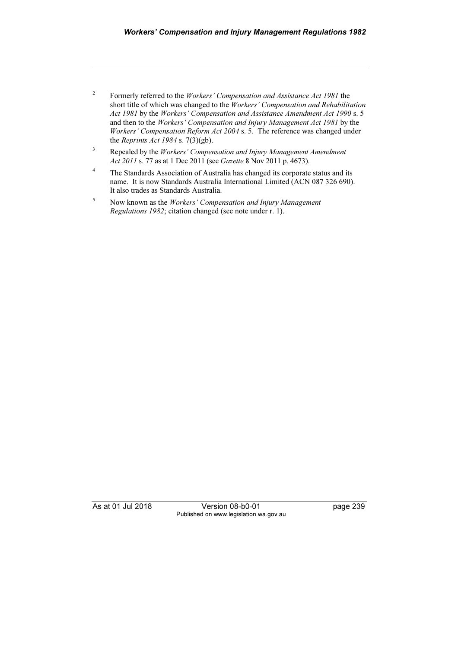- 2 Formerly referred to the Workers' Compensation and Assistance Act 1981 the short title of which was changed to the Workers' Compensation and Rehabilitation Act 1981 by the Workers' Compensation and Assistance Amendment Act 1990 s. 5 and then to the Workers' Compensation and Injury Management Act 1981 by the Workers' Compensation Reform Act 2004 s. 5. The reference was changed under the Reprints Act 1984 s.  $7(3)(gb)$ .
- 3 Repealed by the Workers' Compensation and Injury Management Amendment Act 2011 s. 77 as at 1 Dec 2011 (see Gazette 8 Nov 2011 p. 4673).
- 4 The Standards Association of Australia has changed its corporate status and its name. It is now Standards Australia International Limited (ACN 087 326 690). It also trades as Standards Australia.
- 5 Now known as the Workers' Compensation and Injury Management Regulations 1982; citation changed (see note under r. 1).

As at 01 Jul 2018 **Version 08-b0-01** page 239 Published on www.legislation.wa.gov.au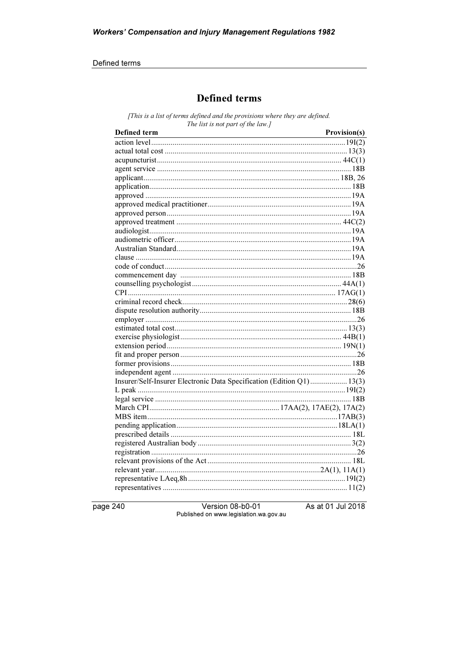#### Defined terms

# **Defined terms**

[This is a list of terms defined and the provisions where they are defined. The list is not part of the law.]

| Defined term<br><u> 1989 - Johann Stoff, deutscher Stoffen und der Stoffen und der Stoffen und der Stoffen und der Stoffen und der</u> | Provision(s) |
|----------------------------------------------------------------------------------------------------------------------------------------|--------------|
|                                                                                                                                        |              |
|                                                                                                                                        |              |
|                                                                                                                                        |              |
|                                                                                                                                        |              |
|                                                                                                                                        |              |
|                                                                                                                                        |              |
|                                                                                                                                        |              |
|                                                                                                                                        |              |
|                                                                                                                                        |              |
|                                                                                                                                        |              |
|                                                                                                                                        |              |
|                                                                                                                                        |              |
|                                                                                                                                        |              |
|                                                                                                                                        |              |
|                                                                                                                                        |              |
|                                                                                                                                        |              |
|                                                                                                                                        |              |
|                                                                                                                                        |              |
|                                                                                                                                        |              |
|                                                                                                                                        |              |
|                                                                                                                                        |              |
|                                                                                                                                        |              |
|                                                                                                                                        |              |
|                                                                                                                                        |              |
|                                                                                                                                        |              |
|                                                                                                                                        |              |
|                                                                                                                                        |              |
| Insurer/Self-Insurer Electronic Data Specification (Edition Q1) 13(3)                                                                  |              |
|                                                                                                                                        |              |
|                                                                                                                                        |              |
|                                                                                                                                        |              |
|                                                                                                                                        |              |
|                                                                                                                                        |              |
|                                                                                                                                        |              |
|                                                                                                                                        |              |
|                                                                                                                                        |              |
|                                                                                                                                        |              |
|                                                                                                                                        |              |
|                                                                                                                                        |              |
|                                                                                                                                        |              |

page 240

Version 08-b0-01 Published on www.legislation.wa.gov.au As at 01 Jul 2018